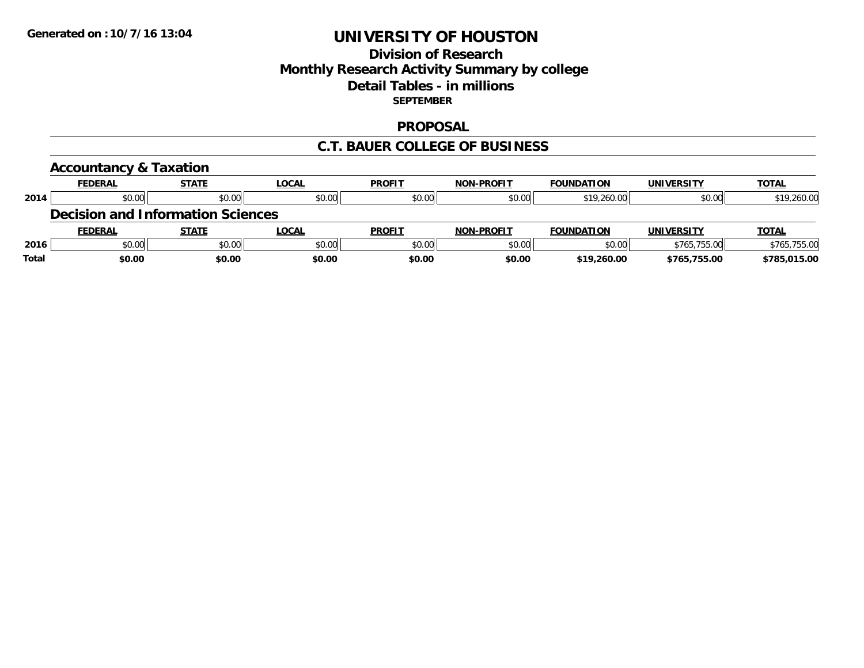## **Division of Research Monthly Research Activity Summary by college Detail Tables - in millions SEPTEMBER**

#### **PROPOSAL**

#### **C.T. BAUER COLLEGE OF BUSINESS**

|              | <b>Accountancy &amp; Taxation</b>        |              |              |               |                   |                   |                   |              |
|--------------|------------------------------------------|--------------|--------------|---------------|-------------------|-------------------|-------------------|--------------|
|              | <b>FEDERAL</b>                           | <b>STATE</b> | <b>LOCAL</b> | <b>PROFIT</b> | <b>NON-PROFIT</b> | <b>FOUNDATION</b> | <b>UNIVERSITY</b> | <b>TOTAL</b> |
| 2014         | \$0.00                                   | \$0.00       | \$0.00       | \$0.00        | \$0.00            | \$19,260.00       | \$0.00            | \$19,260.00  |
|              | <b>Decision and Information Sciences</b> |              |              |               |                   |                   |                   |              |
|              | <b>FEDERAL</b>                           | <b>STATE</b> | LOCAL        | <b>PROFIT</b> | <b>NON-PROFIT</b> | <b>FOUNDATION</b> | <b>UNIVERSITY</b> | <b>TOTAL</b> |
| 2016         | \$0.00                                   | \$0.00       | \$0.00       | \$0.00        | \$0.00            | \$0.00            | \$765,755.00      | \$765,755.00 |
| <b>Total</b> | \$0.00                                   | \$0.00       | \$0.00       | \$0.00        | \$0.00            | \$19,260.00       | \$765,755.00      | \$785,015.00 |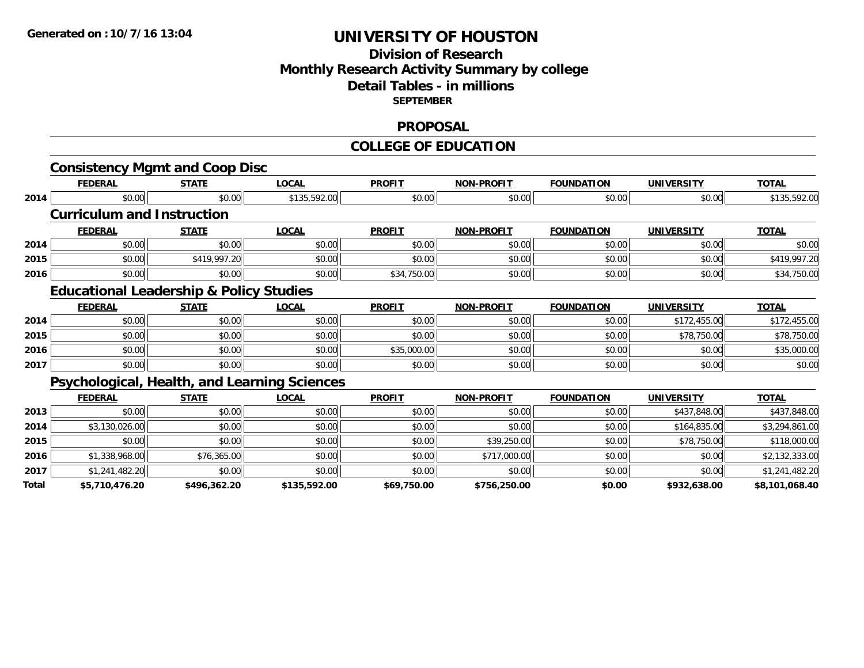## **Division of Research Monthly Research Activity Summary by college Detail Tables - in millions SEPTEMBER**

#### **PROPOSAL**

#### **COLLEGE OF EDUCATION**

|       | <b>Consistency Mgmt and Coop Disc</b>              |              |                                                     |               |                   |                   |                   |                |
|-------|----------------------------------------------------|--------------|-----------------------------------------------------|---------------|-------------------|-------------------|-------------------|----------------|
|       | <b>FEDERAL</b>                                     | <b>STATE</b> | <b>LOCAL</b>                                        | <b>PROFIT</b> | <b>NON-PROFIT</b> | <b>FOUNDATION</b> | <b>UNIVERSITY</b> | <b>TOTAL</b>   |
| 2014  | \$0.00                                             | \$0.00       | \$135,592.00                                        | \$0.00        | \$0.00            | \$0.00            | \$0.00            | \$135,592.00   |
|       | <b>Curriculum and Instruction</b>                  |              |                                                     |               |                   |                   |                   |                |
|       | <b>FEDERAL</b>                                     | <b>STATE</b> | <b>LOCAL</b>                                        | <b>PROFIT</b> | <b>NON-PROFIT</b> | <b>FOUNDATION</b> | <b>UNIVERSITY</b> | <b>TOTAL</b>   |
| 2014  | \$0.00                                             | \$0.00       | \$0.00                                              | \$0.00        | \$0.00            | \$0.00            | \$0.00            | \$0.00         |
| 2015  | \$0.00                                             | \$419,997.20 | \$0.00                                              | \$0.00        | \$0.00            | \$0.00            | \$0.00            | \$419,997.20   |
| 2016  | \$0.00                                             | \$0.00       | \$0.00                                              | \$34,750.00   | \$0.00            | \$0.00            | \$0.00            | \$34,750.00    |
|       | <b>Educational Leadership &amp; Policy Studies</b> |              |                                                     |               |                   |                   |                   |                |
|       | <b>FEDERAL</b>                                     | <b>STATE</b> | <b>LOCAL</b>                                        | <b>PROFIT</b> | <b>NON-PROFIT</b> | <b>FOUNDATION</b> | <b>UNIVERSITY</b> | <b>TOTAL</b>   |
| 2014  | \$0.00                                             | \$0.00       | \$0.00                                              | \$0.00        | \$0.00            | \$0.00            | \$172,455.00      | \$172,455.00   |
| 2015  | \$0.00                                             | \$0.00       | \$0.00                                              | \$0.00        | \$0.00            | \$0.00            | \$78,750.00       | \$78,750.00    |
| 2016  | \$0.00                                             | \$0.00       | \$0.00                                              | \$35,000.00   | \$0.00            | \$0.00            | \$0.00            | \$35,000.00    |
| 2017  | \$0.00                                             | \$0.00       | \$0.00                                              | \$0.00        | \$0.00            | \$0.00            | \$0.00            | \$0.00         |
|       |                                                    |              | <b>Psychological, Health, and Learning Sciences</b> |               |                   |                   |                   |                |
|       | <b>FEDERAL</b>                                     | <b>STATE</b> | <b>LOCAL</b>                                        | <b>PROFIT</b> | <b>NON-PROFIT</b> | <b>FOUNDATION</b> | <b>UNIVERSITY</b> | <b>TOTAL</b>   |
| 2013  | \$0.00                                             | \$0.00       | \$0.00                                              | \$0.00        | \$0.00            | \$0.00            | \$437,848.00      | \$437,848.00   |
| 2014  | \$3,130,026.00                                     | \$0.00       | \$0.00                                              | \$0.00        | \$0.00            | \$0.00            | \$164,835.00      | \$3,294,861.00 |
| 2015  | \$0.00                                             | \$0.00       | \$0.00                                              | \$0.00        | \$39,250.00       | \$0.00            | \$78,750.00       | \$118,000.00   |
| 2016  | \$1,338,968.00                                     | \$76,365.00  | \$0.00                                              | \$0.00        | \$717,000.00      | \$0.00            | \$0.00            | \$2,132,333.00 |
| 2017  | \$1,241,482.20                                     | \$0.00       | \$0.00                                              | \$0.00        | \$0.00            | \$0.00            | \$0.00            | \$1,241,482.20 |
| Total | \$5,710,476.20                                     | \$496,362.20 | \$135,592.00                                        | \$69,750.00   | \$756,250.00      | \$0.00            | \$932,638.00      | \$8,101,068.40 |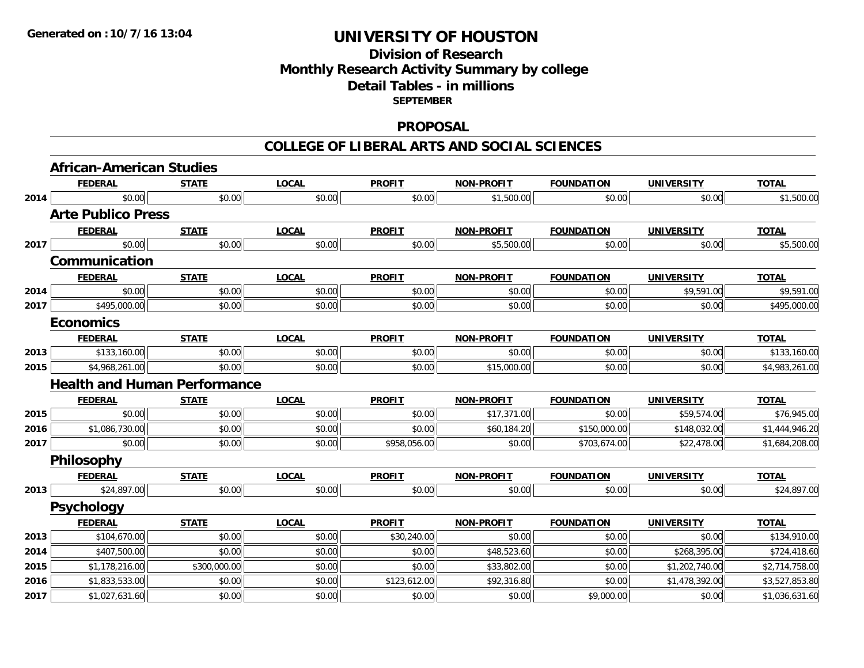## **Division of Research Monthly Research Activity Summary by college Detail Tables - in millions SEPTEMBER**

#### **PROPOSAL**

#### **COLLEGE OF LIBERAL ARTS AND SOCIAL SCIENCES**

|      | <b>African-American Studies</b>     |              |              |               |                   |                   |                   |                |
|------|-------------------------------------|--------------|--------------|---------------|-------------------|-------------------|-------------------|----------------|
|      | <b>FEDERAL</b>                      | <b>STATE</b> | <b>LOCAL</b> | <b>PROFIT</b> | <b>NON-PROFIT</b> | <b>FOUNDATION</b> | <b>UNIVERSITY</b> | <b>TOTAL</b>   |
| 2014 | \$0.00                              | \$0.00       | \$0.00       | \$0.00        | \$1,500.00        | \$0.00            | \$0.00            | \$1,500.00     |
|      | <b>Arte Publico Press</b>           |              |              |               |                   |                   |                   |                |
|      | <b>FEDERAL</b>                      | <b>STATE</b> | <b>LOCAL</b> | <b>PROFIT</b> | <b>NON-PROFIT</b> | <b>FOUNDATION</b> | <b>UNIVERSITY</b> | <b>TOTAL</b>   |
| 2017 | \$0.00                              | \$0.00       | \$0.00       | \$0.00        | \$5,500.00        | \$0.00            | \$0.00            | \$5,500.00     |
|      | Communication                       |              |              |               |                   |                   |                   |                |
|      | <b>FEDERAL</b>                      | <b>STATE</b> | <b>LOCAL</b> | <b>PROFIT</b> | <b>NON-PROFIT</b> | <b>FOUNDATION</b> | <b>UNIVERSITY</b> | <b>TOTAL</b>   |
| 2014 | \$0.00                              | \$0.00       | \$0.00       | \$0.00        | \$0.00            | \$0.00            | \$9,591.00        | \$9,591.00     |
| 2017 | \$495,000.00                        | \$0.00       | \$0.00       | \$0.00        | \$0.00            | \$0.00            | \$0.00            | \$495,000.00   |
|      | <b>Economics</b>                    |              |              |               |                   |                   |                   |                |
|      | <b>FEDERAL</b>                      | <b>STATE</b> | <b>LOCAL</b> | <b>PROFIT</b> | <b>NON-PROFIT</b> | <b>FOUNDATION</b> | <b>UNIVERSITY</b> | <b>TOTAL</b>   |
| 2013 | \$133,160.00                        | \$0.00       | \$0.00       | \$0.00        | \$0.00            | \$0.00            | \$0.00            | \$133,160.00   |
| 2015 | \$4,968,261.00                      | \$0.00       | \$0.00       | \$0.00        | \$15,000.00       | \$0.00            | \$0.00            | \$4,983,261.00 |
|      | <b>Health and Human Performance</b> |              |              |               |                   |                   |                   |                |
|      | <b>FEDERAL</b>                      | <b>STATE</b> | <b>LOCAL</b> | <b>PROFIT</b> | <b>NON-PROFIT</b> | <b>FOUNDATION</b> | <b>UNIVERSITY</b> | <b>TOTAL</b>   |
| 2015 | \$0.00                              | \$0.00       | \$0.00       | \$0.00        | \$17,371.00       | \$0.00            | \$59,574.00       | \$76,945.00    |
| 2016 | \$1,086,730.00                      | \$0.00       | \$0.00       | \$0.00        | \$60,184.20       | \$150,000.00      | \$148,032.00      | \$1,444,946.20 |
| 2017 | \$0.00                              | \$0.00       | \$0.00       | \$958,056.00  | \$0.00            | \$703,674.00      | \$22,478.00       | \$1,684,208.00 |
|      | <b>Philosophy</b>                   |              |              |               |                   |                   |                   |                |
|      | <b>FEDERAL</b>                      | <b>STATE</b> | <b>LOCAL</b> | <b>PROFIT</b> | <b>NON-PROFIT</b> | <b>FOUNDATION</b> | <b>UNIVERSITY</b> | <b>TOTAL</b>   |
| 2013 | \$24,897.00                         | \$0.00       | \$0.00       | \$0.00        | \$0.00            | \$0.00            | \$0.00            | \$24,897.00    |
|      | <b>Psychology</b>                   |              |              |               |                   |                   |                   |                |
|      | <b>FEDERAL</b>                      | <b>STATE</b> | <b>LOCAL</b> | <b>PROFIT</b> | <b>NON-PROFIT</b> | <b>FOUNDATION</b> | <b>UNIVERSITY</b> | <b>TOTAL</b>   |
| 2013 | \$104,670.00                        | \$0.00       | \$0.00       | \$30,240.00   | \$0.00            | \$0.00            | \$0.00            | \$134,910.00   |
| 2014 | \$407,500.00                        | \$0.00       | \$0.00       | \$0.00        | \$48,523.60       | \$0.00            | \$268,395.00      | \$724,418.60   |
| 2015 | \$1,178,216.00                      | \$300,000.00 | \$0.00       | \$0.00        | \$33,802.00       | \$0.00            | \$1,202,740.00    | \$2,714,758.00 |
| 2016 | \$1,833,533.00                      | \$0.00       | \$0.00       | \$123,612.00  | \$92,316.80       | \$0.00            | \$1,478,392.00    | \$3,527,853.80 |
| 2017 | \$1,027,631.60                      | \$0.00       | \$0.00       | \$0.00        | \$0.00            | \$9,000.00        | \$0.00            | \$1,036,631.60 |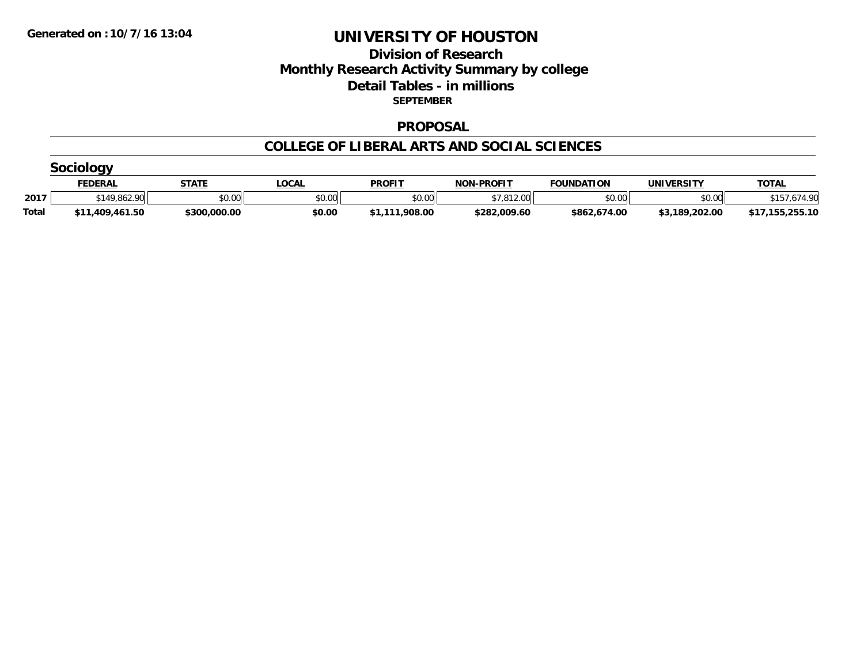## **Division of Research Monthly Research Activity Summary by college Detail Tables - in millions SEPTEMBER**

#### **PROPOSAL**

#### **COLLEGE OF LIBERAL ARTS AND SOCIAL SCIENCES**

|              | FEDERAL         | <b>STATE</b> | <b>OCAL</b> | <b>PROFIT</b>  | <b>NON-PROFIT</b> | <b>FOUNDATION</b> | UNIVERSITY     | <b>TOTAL</b>    |  |  |  |  |
|--------------|-----------------|--------------|-------------|----------------|-------------------|-------------------|----------------|-----------------|--|--|--|--|
| 2017         | \$149,862.90    | \$0.00       | \$0.00      | \$0.00         | \$7.812.00        | \$0.00            | \$0.00         | 77 Or           |  |  |  |  |
| <b>Total</b> | \$11,409,461.50 | \$300,000.00 | \$0.00      | \$1.111.908.00 | \$282,009.60      | \$862,674.00      | \$3,189,202.00 | \$17,155,255.10 |  |  |  |  |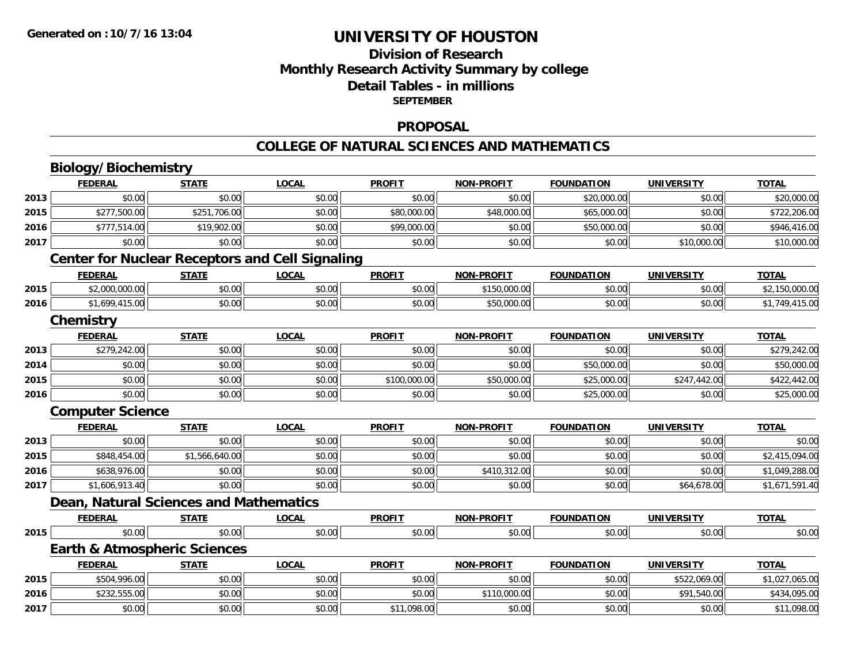## **Division of ResearchMonthly Research Activity Summary by college Detail Tables - in millions SEPTEMBER**

#### **PROPOSAL**

#### **COLLEGE OF NATURAL SCIENCES AND MATHEMATICS**

# **Biology/Biochemistry**

|      | <b>FEDERAL</b>          | <b>STATE</b>                            | <b>LOCAL</b>                                           | <b>PROFIT</b> | <b>NON-PROFIT</b> | <b>FOUNDATION</b> | <b>UNIVERSITY</b> | <b>TOTAL</b>   |
|------|-------------------------|-----------------------------------------|--------------------------------------------------------|---------------|-------------------|-------------------|-------------------|----------------|
| 2013 | \$0.00                  | \$0.00                                  | \$0.00                                                 | \$0.00        | \$0.00            | \$20,000.00       | \$0.00            | \$20,000.00    |
| 2015 | \$277,500.00            | \$251,706.00                            | \$0.00                                                 | \$80,000.00   | \$48,000.00       | \$65,000.00       | \$0.00            | \$722,206.00   |
| 2016 | \$777,514.00            | \$19,902.00                             | \$0.00                                                 | \$99,000.00   | \$0.00            | \$50,000.00       | \$0.00            | \$946,416.00   |
| 2017 | \$0.00                  | \$0.00                                  | \$0.00                                                 | \$0.00        | \$0.00            | \$0.00            | \$10,000.00       | \$10,000.00    |
|      |                         |                                         | <b>Center for Nuclear Receptors and Cell Signaling</b> |               |                   |                   |                   |                |
|      | <b>FEDERAL</b>          | <b>STATE</b>                            | LOCAL                                                  | <b>PROFIT</b> | <b>NON-PROFIT</b> | <b>FOUNDATION</b> | <b>UNIVERSITY</b> | <b>TOTAL</b>   |
| 2015 | \$2,000,000.00          | \$0.00                                  | \$0.00                                                 | \$0.00        | \$150,000.00      | \$0.00            | \$0.00            | \$2,150,000.00 |
| 2016 | \$1,699,415.00          | \$0.00                                  | \$0.00                                                 | \$0.00        | \$50,000.00       | \$0.00            | \$0.00            | \$1,749,415.00 |
|      | Chemistry               |                                         |                                                        |               |                   |                   |                   |                |
|      | <b>FEDERAL</b>          | <b>STATE</b>                            | <b>LOCAL</b>                                           | <b>PROFIT</b> | <b>NON-PROFIT</b> | <b>FOUNDATION</b> | <b>UNIVERSITY</b> | <b>TOTAL</b>   |
| 2013 | \$279,242.00            | \$0.00                                  | \$0.00                                                 | \$0.00        | \$0.00            | \$0.00            | \$0.00            | \$279,242.00   |
| 2014 | \$0.00                  | \$0.00                                  | \$0.00                                                 | \$0.00        | \$0.00            | \$50,000.00       | \$0.00            | \$50,000.00    |
| 2015 | \$0.00                  | \$0.00                                  | \$0.00                                                 | \$100,000.00  | \$50,000.00       | \$25,000.00       | \$247,442.00      | \$422,442.00   |
| 2016 | \$0.00                  | \$0.00                                  | \$0.00                                                 | \$0.00        | \$0.00            | \$25,000.00       | \$0.00            | \$25,000.00    |
|      | <b>Computer Science</b> |                                         |                                                        |               |                   |                   |                   |                |
|      | <b>FEDERAL</b>          | <b>STATE</b>                            | <b>LOCAL</b>                                           | <b>PROFIT</b> | <b>NON-PROFIT</b> | <b>FOUNDATION</b> | <b>UNIVERSITY</b> | <b>TOTAL</b>   |
| 2013 | \$0.00                  | \$0.00                                  | \$0.00                                                 | \$0.00        | \$0.00            | \$0.00            | \$0.00            | \$0.00         |
| 2015 | \$848,454.00            | \$1,566,640.00                          | \$0.00                                                 | \$0.00        | \$0.00            | \$0.00            | \$0.00            | \$2,415,094.00 |
| 2016 | \$638,976.00            | \$0.00                                  | \$0.00                                                 | \$0.00        | \$410,312.00      | \$0.00            | \$0.00            | \$1,049,288.00 |
| 2017 | \$1,606,913.40          | \$0.00                                  | \$0.00                                                 | \$0.00        | \$0.00            | \$0.00            | \$64,678.00       | \$1,671,591.40 |
|      |                         | Dean, Natural Sciences and Mathematics  |                                                        |               |                   |                   |                   |                |
|      | <b>FEDERAL</b>          | <b>STATE</b>                            | <b>LOCAL</b>                                           | <b>PROFIT</b> | <b>NON-PROFIT</b> | <b>FOUNDATION</b> | <b>UNIVERSITY</b> | <b>TOTAL</b>   |
| 2015 | \$0.00                  | \$0.00                                  | \$0.00                                                 | \$0.00        | \$0.00            | \$0.00            | \$0.00            | \$0.00         |
|      |                         | <b>Earth &amp; Atmospheric Sciences</b> |                                                        |               |                   |                   |                   |                |
|      | <b>FEDERAL</b>          | <b>STATE</b>                            | <b>LOCAL</b>                                           | <b>PROFIT</b> | <b>NON-PROFIT</b> | <b>FOUNDATION</b> | <b>UNIVERSITY</b> | <b>TOTAL</b>   |
| 2015 | \$504,996.00            | \$0.00                                  | \$0.00                                                 | \$0.00        | \$0.00            | \$0.00            | \$522,069.00      | \$1,027,065.00 |
| 2016 | \$232,555.00            | \$0.00                                  | \$0.00                                                 | \$0.00        | \$110,000.00      | \$0.00            | \$91,540.00       | \$434,095.00   |
| 2017 | \$0.00                  | \$0.00                                  | \$0.00                                                 | \$11,098.00   | \$0.00            | \$0.00            | \$0.00            | \$11,098.00    |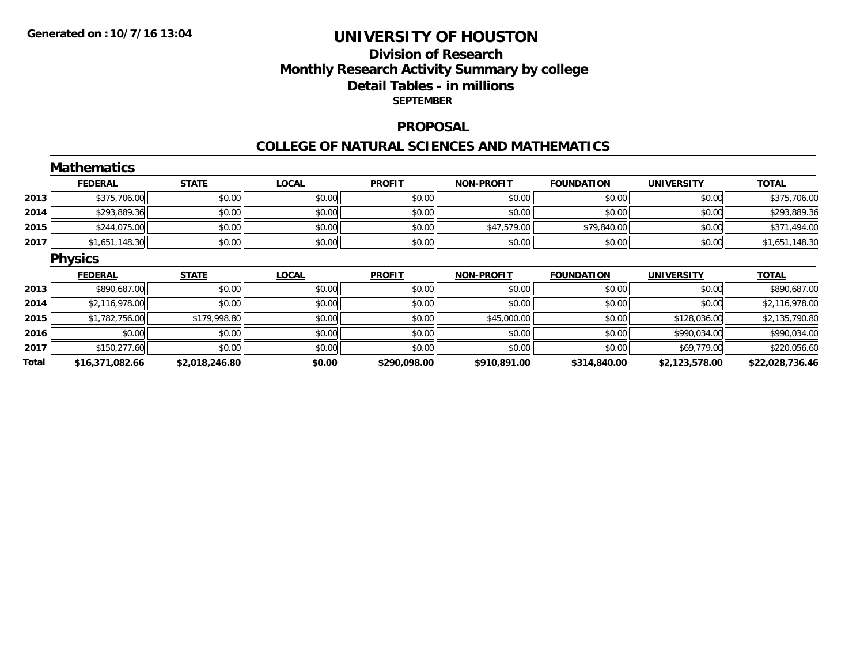## **Division of ResearchMonthly Research Activity Summary by college Detail Tables - in millions SEPTEMBER**

#### **PROPOSAL**

#### **COLLEGE OF NATURAL SCIENCES AND MATHEMATICS**

|       | <b>Mathematics</b> |                |              |               |                   |                   |                   |                 |
|-------|--------------------|----------------|--------------|---------------|-------------------|-------------------|-------------------|-----------------|
|       | <b>FEDERAL</b>     | <b>STATE</b>   | <b>LOCAL</b> | <b>PROFIT</b> | <b>NON-PROFIT</b> | <b>FOUNDATION</b> | <b>UNIVERSITY</b> | <b>TOTAL</b>    |
| 2013  | \$375,706.00       | \$0.00         | \$0.00       | \$0.00        | \$0.00            | \$0.00            | \$0.00            | \$375,706.00    |
| 2014  | \$293,889.36       | \$0.00         | \$0.00       | \$0.00        | \$0.00            | \$0.00            | \$0.00            | \$293,889.36    |
| 2015  | \$244,075.00       | \$0.00         | \$0.00       | \$0.00        | \$47,579.00       | \$79,840.00       | \$0.00            | \$371,494.00    |
| 2017  | \$1,651,148.30     | \$0.00         | \$0.00       | \$0.00        | \$0.00            | \$0.00            | \$0.00            | \$1,651,148.30  |
|       | <b>Physics</b>     |                |              |               |                   |                   |                   |                 |
|       | <b>FEDERAL</b>     | <b>STATE</b>   | <b>LOCAL</b> | <b>PROFIT</b> | <b>NON-PROFIT</b> | <b>FOUNDATION</b> | <b>UNIVERSITY</b> | <b>TOTAL</b>    |
| 2013  | \$890,687.00       | \$0.00         | \$0.00       | \$0.00        | \$0.00            | \$0.00            | \$0.00            | \$890,687.00    |
| 2014  | \$2,116,978.00     | \$0.00         | \$0.00       | \$0.00        | \$0.00            | \$0.00            | \$0.00            | \$2,116,978.00  |
| 2015  | \$1,782,756.00     | \$179,998.80   | \$0.00       | \$0.00        | \$45,000.00       | \$0.00            | \$128,036.00      | \$2,135,790.80  |
| 2016  | \$0.00             | \$0.00         | \$0.00       | \$0.00        | \$0.00            | \$0.00            | \$990,034.00      | \$990,034.00    |
| 2017  | \$150,277.60       | \$0.00         | \$0.00       | \$0.00        | \$0.00            | \$0.00            | \$69,779.00       | \$220,056.60    |
| Total | \$16,371,082.66    | \$2,018,246.80 | \$0.00       | \$290,098.00  | \$910,891.00      | \$314,840.00      | \$2,123,578.00    | \$22,028,736.46 |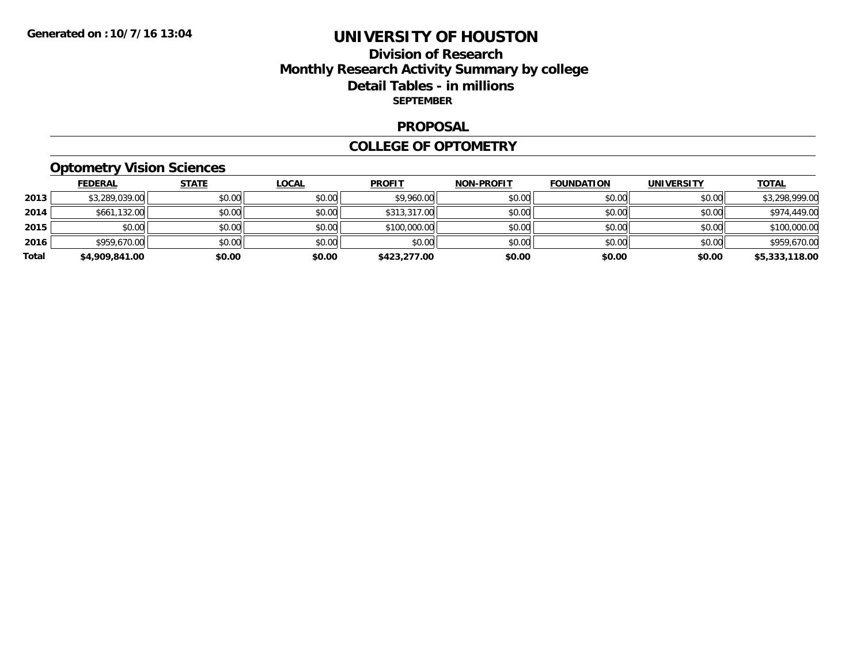## **Division of Research Monthly Research Activity Summary by college Detail Tables - in millions SEPTEMBER**

#### **PROPOSAL**

#### **COLLEGE OF OPTOMETRY**

# **Optometry Vision Sciences**

|       | <u>FEDERAL</u> | <u>STATE</u> | <b>LOCAL</b> | <b>PROFIT</b> | <b>NON-PROFIT</b> | <b>FOUNDATION</b> | <b>UNIVERSITY</b> | <b>TOTAL</b>   |
|-------|----------------|--------------|--------------|---------------|-------------------|-------------------|-------------------|----------------|
| 2013  | \$3,289,039.00 | \$0.00       | \$0.00       | \$9,960.00    | \$0.00            | \$0.00            | \$0.00            | \$3,298,999.00 |
| 2014  | \$661,132.00   | \$0.00       | \$0.00       | \$313,317.00  | \$0.00            | \$0.00            | \$0.00            | \$974,449.00   |
| 2015  | \$0.00         | \$0.00       | \$0.00       | \$100,000.00  | \$0.00            | \$0.00            | \$0.00            | \$100,000.00   |
| 2016  | \$959,670.00   | \$0.00       | \$0.00       | \$0.00        | \$0.00            | \$0.00            | \$0.00            | \$959,670.00   |
| Total | \$4,909,841.00 | \$0.00       | \$0.00       | \$423,277.00  | \$0.00            | \$0.00            | \$0.00            | \$5,333,118.00 |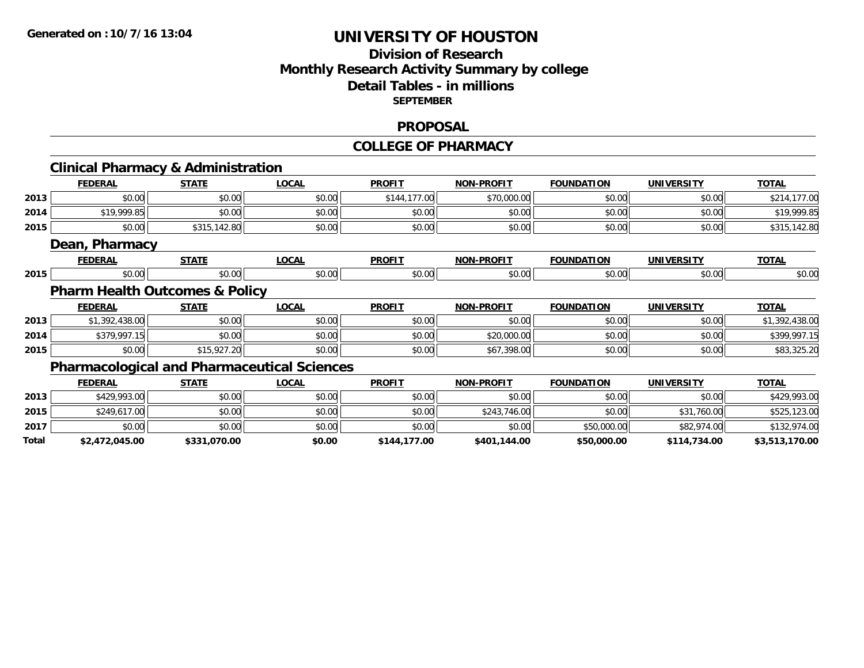## **Division of ResearchMonthly Research Activity Summary by college Detail Tables - in millions SEPTEMBER**

#### **PROPOSAL**

# **COLLEGE OF PHARMACY**

|       | <b>Clinical Pharmacy &amp; Administration</b>      |              |              |               |                   |                   |                   |                |
|-------|----------------------------------------------------|--------------|--------------|---------------|-------------------|-------------------|-------------------|----------------|
|       | <b>FEDERAL</b>                                     | <b>STATE</b> | <b>LOCAL</b> | <b>PROFIT</b> | <b>NON-PROFIT</b> | <b>FOUNDATION</b> | <b>UNIVERSITY</b> | <b>TOTAL</b>   |
| 2013  | \$0.00                                             | \$0.00       | \$0.00       | \$144,177.00  | \$70,000.00       | \$0.00            | \$0.00            | \$214,177.00   |
| 2014  | \$19,999.85                                        | \$0.00       | \$0.00       | \$0.00        | \$0.00            | \$0.00            | \$0.00            | \$19,999.85    |
| 2015  | \$0.00                                             | \$315,142.80 | \$0.00       | \$0.00        | \$0.00            | \$0.00            | \$0.00            | \$315,142.80   |
|       | Dean, Pharmacy                                     |              |              |               |                   |                   |                   |                |
|       | <b>FEDERAL</b>                                     | <b>STATE</b> | <b>LOCAL</b> | <b>PROFIT</b> | <b>NON-PROFIT</b> | <b>FOUNDATION</b> | <b>UNIVERSITY</b> | <b>TOTAL</b>   |
| 2015  | \$0.00                                             | \$0.00       | \$0.00       | \$0.00        | \$0.00            | \$0.00            | \$0.00            | \$0.00         |
|       | <b>Pharm Health Outcomes &amp; Policy</b>          |              |              |               |                   |                   |                   |                |
|       | <b>FEDERAL</b>                                     | <b>STATE</b> | <b>LOCAL</b> | <b>PROFIT</b> | <b>NON-PROFIT</b> | <b>FOUNDATION</b> | <b>UNIVERSITY</b> | <b>TOTAL</b>   |
| 2013  | \$1,392,438.00                                     | \$0.00       | \$0.00       | \$0.00        | \$0.00            | \$0.00            | \$0.00            | \$1,392,438.00 |
| 2014  | \$379,997.15                                       | \$0.00       | \$0.00       | \$0.00        | \$20,000.00       | \$0.00            | \$0.00            | \$399,997.15   |
| 2015  | \$0.00                                             | \$15,927.20  | \$0.00       | \$0.00        | \$67,398.00       | \$0.00            | \$0.00            | \$83,325.20    |
|       | <b>Pharmacological and Pharmaceutical Sciences</b> |              |              |               |                   |                   |                   |                |
|       | <b>FEDERAL</b>                                     | <b>STATE</b> | <b>LOCAL</b> | <b>PROFIT</b> | <b>NON-PROFIT</b> | <b>FOUNDATION</b> | <b>UNIVERSITY</b> | <b>TOTAL</b>   |
| 2013  | \$429,993.00                                       | \$0.00       | \$0.00       | \$0.00        | \$0.00            | \$0.00            | \$0.00            | \$429,993.00   |
| 2015  | \$249,617.00                                       | \$0.00       | \$0.00       | \$0.00        | \$243,746.00      | \$0.00            | \$31,760.00       | \$525,123.00   |
| 2017  | \$0.00                                             | \$0.00       | \$0.00       | \$0.00        | \$0.00            | \$50,000.00       | \$82,974.00       | \$132,974.00   |
| Total | \$2,472,045.00                                     | \$331,070.00 | \$0.00       | \$144,177.00  | \$401,144.00      | \$50,000.00       | \$114,734.00      | \$3,513,170.00 |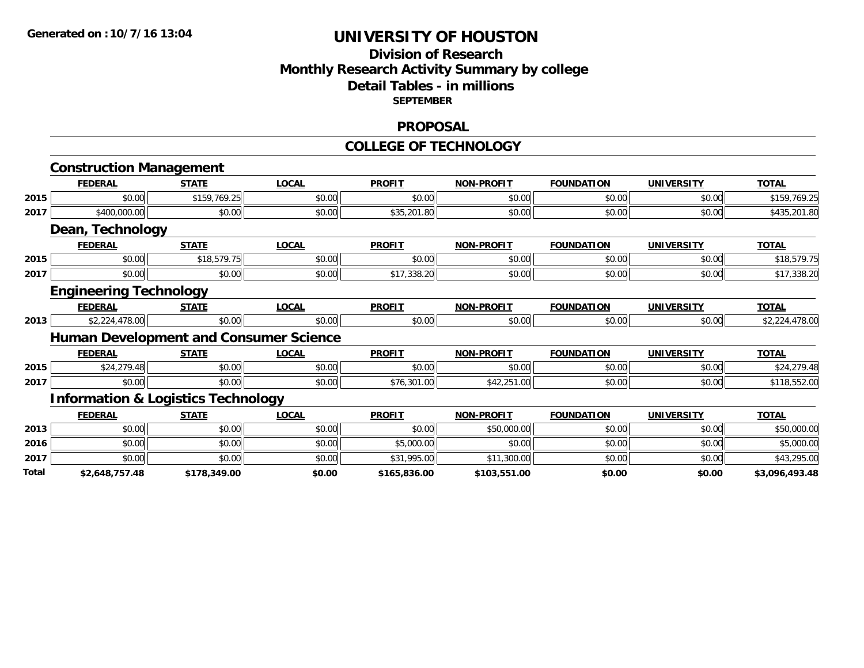## **Division of Research Monthly Research Activity Summary by college Detail Tables - in millions SEPTEMBER**

#### **PROPOSAL**

#### **COLLEGE OF TECHNOLOGY**

|       | <b>Construction Management</b>                |              |                                               |               |                   |                   |                   |                |
|-------|-----------------------------------------------|--------------|-----------------------------------------------|---------------|-------------------|-------------------|-------------------|----------------|
|       | <b>FEDERAL</b>                                | <b>STATE</b> | <b>LOCAL</b>                                  | <b>PROFIT</b> | <b>NON-PROFIT</b> | <b>FOUNDATION</b> | <b>UNIVERSITY</b> | <b>TOTAL</b>   |
| 2015  | \$0.00                                        | \$159,769.25 | \$0.00                                        | \$0.00        | \$0.00            | \$0.00            | \$0.00            | \$159,769.25   |
| 2017  | \$400,000.00                                  | \$0.00       | \$0.00                                        | \$35,201.80   | \$0.00            | \$0.00            | \$0.00            | \$435,201.80   |
|       | Dean, Technology                              |              |                                               |               |                   |                   |                   |                |
|       | <b>FEDERAL</b>                                | <b>STATE</b> | <b>LOCAL</b>                                  | <b>PROFIT</b> | <b>NON-PROFIT</b> | <b>FOUNDATION</b> | <b>UNIVERSITY</b> | <b>TOTAL</b>   |
| 2015  | \$0.00                                        | \$18,579.75  | \$0.00                                        | \$0.00        | \$0.00            | \$0.00            | \$0.00            | \$18,579.75    |
| 2017  | \$0.00                                        | \$0.00       | \$0.00                                        | \$17,338.20   | \$0.00            | \$0.00            | \$0.00            | \$17,338.20    |
|       | <b>Engineering Technology</b>                 |              |                                               |               |                   |                   |                   |                |
|       | <b>FEDERAL</b>                                | <b>STATE</b> | <b>LOCAL</b>                                  | <b>PROFIT</b> | <b>NON-PROFIT</b> | <b>FOUNDATION</b> | <b>UNIVERSITY</b> | <b>TOTAL</b>   |
| 2013  | \$2,224,478.00                                | \$0.00       | \$0.00                                        | \$0.00        | \$0.00            | \$0.00            | \$0.00            | \$2,224,478.00 |
|       |                                               |              | <b>Human Development and Consumer Science</b> |               |                   |                   |                   |                |
|       | <b>FEDERAL</b>                                | <b>STATE</b> | <b>LOCAL</b>                                  | <b>PROFIT</b> | <b>NON-PROFIT</b> | <b>FOUNDATION</b> | <b>UNIVERSITY</b> | <b>TOTAL</b>   |
| 2015  | \$24,279.48                                   | \$0.00       | \$0.00                                        | \$0.00        | \$0.00            | \$0.00            | \$0.00            | \$24,279.48    |
| 2017  | \$0.00                                        | \$0.00       | \$0.00                                        | \$76,301.00   | \$42,251.00       | \$0.00            | \$0.00            | \$118,552.00   |
|       | <b>Information &amp; Logistics Technology</b> |              |                                               |               |                   |                   |                   |                |
|       | <b>FEDERAL</b>                                | <b>STATE</b> | <b>LOCAL</b>                                  | <b>PROFIT</b> | <b>NON-PROFIT</b> | <b>FOUNDATION</b> | <b>UNIVERSITY</b> | <b>TOTAL</b>   |
| 2013  | \$0.00                                        | \$0.00       | \$0.00                                        | \$0.00        | \$50,000.00       | \$0.00            | \$0.00            | \$50,000.00    |
| 2016  | \$0.00                                        | \$0.00       | \$0.00                                        | \$5,000.00    | \$0.00            | \$0.00            | \$0.00            | \$5,000.00     |
| 2017  | \$0.00                                        | \$0.00       | \$0.00                                        | \$31,995.00   | \$11,300.00       | \$0.00            | \$0.00            | \$43,295.00    |
| Total | \$2,648,757.48                                | \$178,349.00 | \$0.00                                        | \$165,836.00  | \$103,551.00      | \$0.00            | \$0.00            | \$3,096,493.48 |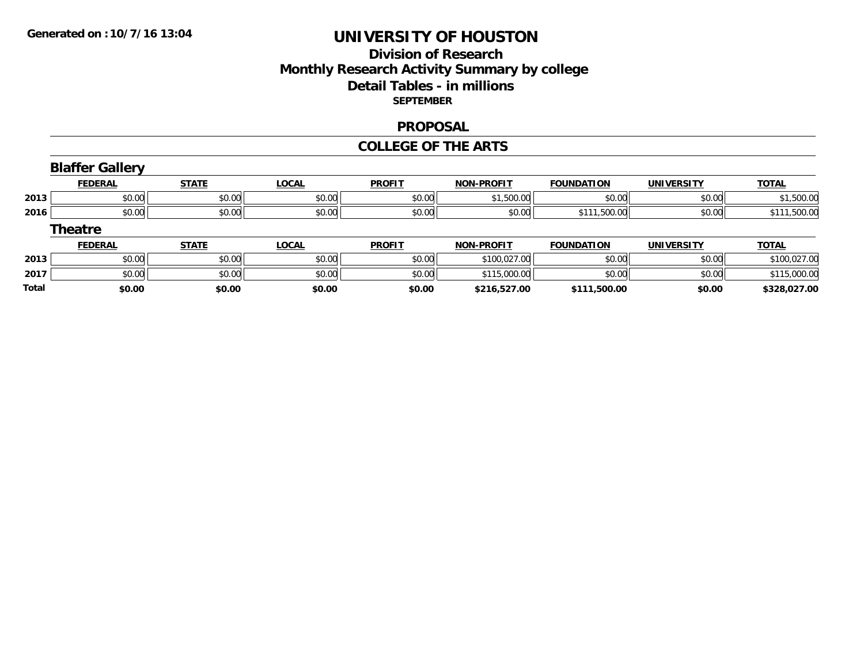**\$0.00**

**Total**

# **UNIVERSITY OF HOUSTON**

## **Division of Research Monthly Research Activity Summary by college Detail Tables - in millions SEPTEMBER**

#### **PROPOSAL**

#### **COLLEGE OF THE ARTS**

|      | <b>Blaffer Gallery</b> |              |              |               |                   |                   |                   |              |
|------|------------------------|--------------|--------------|---------------|-------------------|-------------------|-------------------|--------------|
|      | <b>FEDERAL</b>         | <b>STATE</b> | <u>LOCAL</u> | <b>PROFIT</b> | <b>NON-PROFIT</b> | <b>FOUNDATION</b> | <b>UNIVERSITY</b> | <b>TOTAL</b> |
| 2013 | \$0.00                 | \$0.00       | \$0.00       | \$0.00        | \$1,500.00        | \$0.00            | \$0.00            | \$1,500.00   |
| 2016 | \$0.00                 | \$0.00       | \$0.00       | \$0.00        | \$0.00            | \$111,500.00      | \$0.00            | \$111,500.00 |
|      | <b>Theatre</b>         |              |              |               |                   |                   |                   |              |
|      | <b>FEDERAL</b>         | <b>STATE</b> | LOCAL        | <b>PROFIT</b> | <b>NON-PROFIT</b> | <b>FOUNDATION</b> | <b>UNIVERSITY</b> | <b>TOTAL</b> |
| 2013 | \$0.00                 | \$0.00       | \$0.00       | \$0.00        | \$100,027.00      | \$0.00            | \$0.00            | \$100,027.00 |
| 2017 | \$0.00                 | \$0.00       | \$0.00       | \$0.00        | \$115,000.00      | \$0.00            | \$0.00            | \$115,000.00 |

**\$0.00 \$0.00 \$0.00 \$216,527.00 \$111,500.00 \$0.00 \$328,027.00**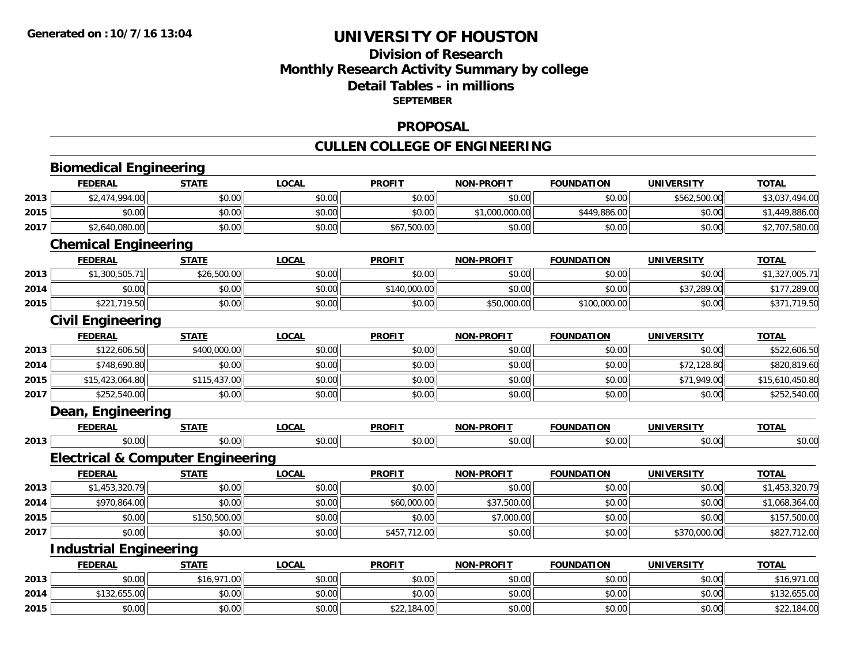## **Division of ResearchMonthly Research Activity Summary by college Detail Tables - in millions SEPTEMBER**

#### **PROPOSAL**

# **CULLEN COLLEGE OF ENGINEERING**

|      | <b>Biomedical Engineering</b> |                                              |              |               |                   |                   |                   |                 |
|------|-------------------------------|----------------------------------------------|--------------|---------------|-------------------|-------------------|-------------------|-----------------|
|      | <b>FEDERAL</b>                | <b>STATE</b>                                 | <b>LOCAL</b> | <b>PROFIT</b> | <b>NON-PROFIT</b> | <b>FOUNDATION</b> | <b>UNIVERSITY</b> | <b>TOTAL</b>    |
| 2013 | \$2,474,994.00                | \$0.00                                       | \$0.00       | \$0.00        | \$0.00            | \$0.00            | \$562,500.00      | \$3,037,494.00  |
| 2015 | \$0.00                        | \$0.00                                       | \$0.00       | \$0.00        | \$1,000,000.00    | \$449,886.00      | \$0.00            | \$1,449,886.00  |
| 2017 | \$2,640,080.00                | \$0.00                                       | \$0.00       | \$67,500.00   | \$0.00            | \$0.00            | \$0.00            | \$2,707,580.00  |
|      | <b>Chemical Engineering</b>   |                                              |              |               |                   |                   |                   |                 |
|      | <b>FEDERAL</b>                | <b>STATE</b>                                 | <b>LOCAL</b> | <b>PROFIT</b> | <b>NON-PROFIT</b> | <b>FOUNDATION</b> | <b>UNIVERSITY</b> | <b>TOTAL</b>    |
| 2013 | \$1,300,505.71                | \$26,500.00                                  | \$0.00       | \$0.00        | \$0.00            | \$0.00            | \$0.00            | \$1,327,005.71  |
| 2014 | \$0.00                        | \$0.00                                       | \$0.00       | \$140,000.00  | \$0.00            | \$0.00            | \$37,289.00       | \$177,289.00    |
| 2015 | \$221,719.50                  | \$0.00                                       | \$0.00       | \$0.00        | \$50,000.00       | \$100,000.00      | \$0.00            | \$371,719.50    |
|      | <b>Civil Engineering</b>      |                                              |              |               |                   |                   |                   |                 |
|      | <b>FEDERAL</b>                | <b>STATE</b>                                 | <b>LOCAL</b> | <b>PROFIT</b> | <b>NON-PROFIT</b> | <b>FOUNDATION</b> | <b>UNIVERSITY</b> | <b>TOTAL</b>    |
| 2013 | \$122,606.50                  | \$400,000.00                                 | \$0.00       | \$0.00        | \$0.00            | \$0.00            | \$0.00            | \$522,606.50    |
| 2014 | \$748,690.80                  | \$0.00                                       | \$0.00       | \$0.00        | \$0.00            | \$0.00            | \$72,128.80       | \$820,819.60    |
| 2015 | \$15,423,064.80               | \$115,437.00                                 | \$0.00       | \$0.00        | \$0.00            | \$0.00            | \$71,949.00       | \$15,610,450.80 |
| 2017 | \$252,540.00                  | \$0.00                                       | \$0.00       | \$0.00        | \$0.00            | \$0.00            | \$0.00            | \$252,540.00    |
|      | Dean, Engineering             |                                              |              |               |                   |                   |                   |                 |
|      | <b>FEDERAL</b>                | <b>STATE</b>                                 | <b>LOCAL</b> | <b>PROFIT</b> | <b>NON-PROFIT</b> | <b>FOUNDATION</b> | <b>UNIVERSITY</b> | <b>TOTAL</b>    |
| 2013 | \$0.00                        | \$0.00                                       | \$0.00       | \$0.00        | \$0.00            | \$0.00            | \$0.00            | \$0.00          |
|      |                               | <b>Electrical &amp; Computer Engineering</b> |              |               |                   |                   |                   |                 |
|      | <b>FEDERAL</b>                | <b>STATE</b>                                 | <b>LOCAL</b> | <b>PROFIT</b> | <b>NON-PROFIT</b> | <b>FOUNDATION</b> | <b>UNIVERSITY</b> | <b>TOTAL</b>    |
| 2013 | \$1,453,320.79                | \$0.00                                       | \$0.00       | \$0.00        | \$0.00            | \$0.00            | \$0.00            | \$1,453,320.79  |
| 2014 | \$970,864.00                  | \$0.00                                       | \$0.00       | \$60,000.00   | \$37,500.00       | \$0.00            | \$0.00            | \$1,068,364.00  |
| 2015 | \$0.00                        | \$150,500.00                                 | \$0.00       | \$0.00        | \$7,000.00        | \$0.00            | \$0.00            | \$157,500.00    |
| 2017 | \$0.00                        | \$0.00                                       | \$0.00       | \$457,712.00  | \$0.00            | \$0.00            | \$370,000.00      | \$827,712.00    |
|      | <b>Industrial Engineering</b> |                                              |              |               |                   |                   |                   |                 |
|      | <b>FEDERAL</b>                | <b>STATE</b>                                 | <b>LOCAL</b> | <b>PROFIT</b> | <b>NON-PROFIT</b> | <b>FOUNDATION</b> | <b>UNIVERSITY</b> | <b>TOTAL</b>    |
| 2013 | \$0.00                        | \$16,971.00                                  | \$0.00       | \$0.00        | \$0.00            | \$0.00            | \$0.00            | \$16,971.00     |
| 2014 | \$132,655.00                  | \$0.00                                       | \$0.00       | \$0.00        | \$0.00            | \$0.00            | \$0.00            | \$132,655.00    |
| 2015 | \$0.00                        | \$0.00                                       | \$0.00       | \$22,184.00   | \$0.00            | \$0.00            | \$0.00            | \$22,184.00     |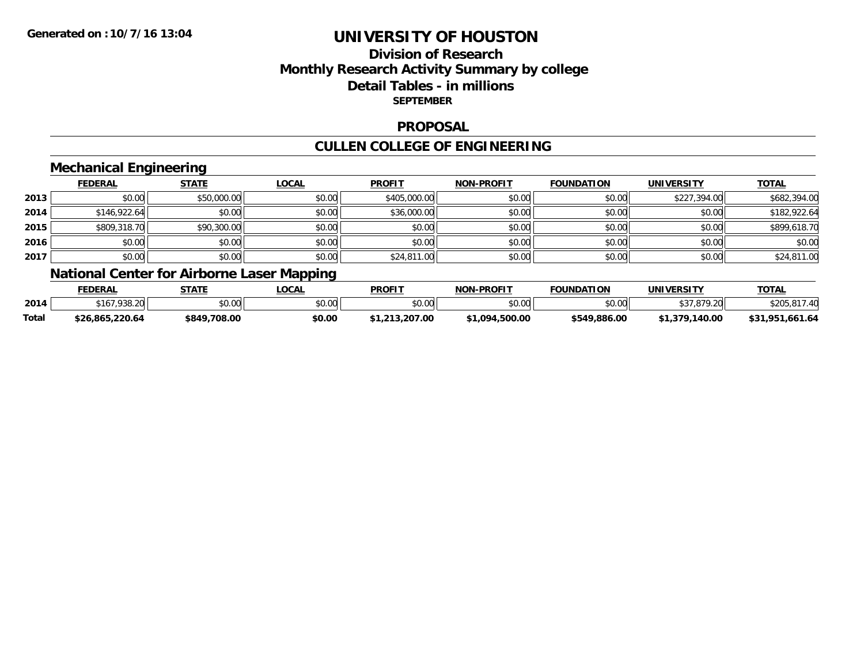## **Division of ResearchMonthly Research Activity Summary by college Detail Tables - in millions SEPTEMBER**

#### **PROPOSAL**

# **CULLEN COLLEGE OF ENGINEERING**

## **Mechanical Engineering**

|      | <b>FEDERAL</b> | <b>STATE</b> | <b>LOCAL</b> | <b>PROFIT</b> | <b>NON-PROFIT</b> | <b>FOUNDATION</b> | <b>UNIVERSITY</b> | <u>TOTAL</u> |
|------|----------------|--------------|--------------|---------------|-------------------|-------------------|-------------------|--------------|
| 2013 | \$0.00         | \$50,000.00  | \$0.00       | \$405,000.00  | \$0.00            | \$0.00            | \$227,394.00      | \$682,394.00 |
| 2014 | \$146,922.64   | \$0.00       | \$0.00       | \$36,000.00   | \$0.00            | \$0.00            | \$0.00            | \$182,922.64 |
| 2015 | \$809,318.70   | \$90,300.00  | \$0.00       | \$0.00        | \$0.00            | \$0.00            | \$0.00            | \$899,618.70 |
| 2016 | \$0.00         | \$0.00       | \$0.00       | \$0.00        | \$0.00            | \$0.00            | \$0.00            | \$0.00       |
| 2017 | \$0.00         | \$0.00       | \$0.00       | \$24,811.00   | \$0.00            | \$0.00            | \$0.00            | \$24,811.00  |

# **National Center for Airborne Laser Mapping**

|       | <b>FEDERAL</b>  | <b>СТАТБ</b><br>,,,,,, | <b>LOCAL</b> | <b>PROFIT</b>  | <b>NON-PROFIT</b> | <b>FOUNDATION</b>   | <b>UNIVERSITY</b>                     | <b>TOTAL</b>          |
|-------|-----------------|------------------------|--------------|----------------|-------------------|---------------------|---------------------------------------|-----------------------|
| 2014  | \$167,938.20    | \$0.00                 | \$0.00       | \$0.00         | \$0.00            | $\sim$ 0.0<br>DU.UU | 6270700<br>.017.ZU                    | $\sqrt{2}$            |
| Total | \$26,865,220.64 | \$849,708.00           | \$0.00       | \$1,213,207.00 | \$1,094,500.00    | \$549,886.00        | .140.00<br><b>¢1 270 1</b><br>ו כ.ו פ | 661.64، ،<br>\$31.951 |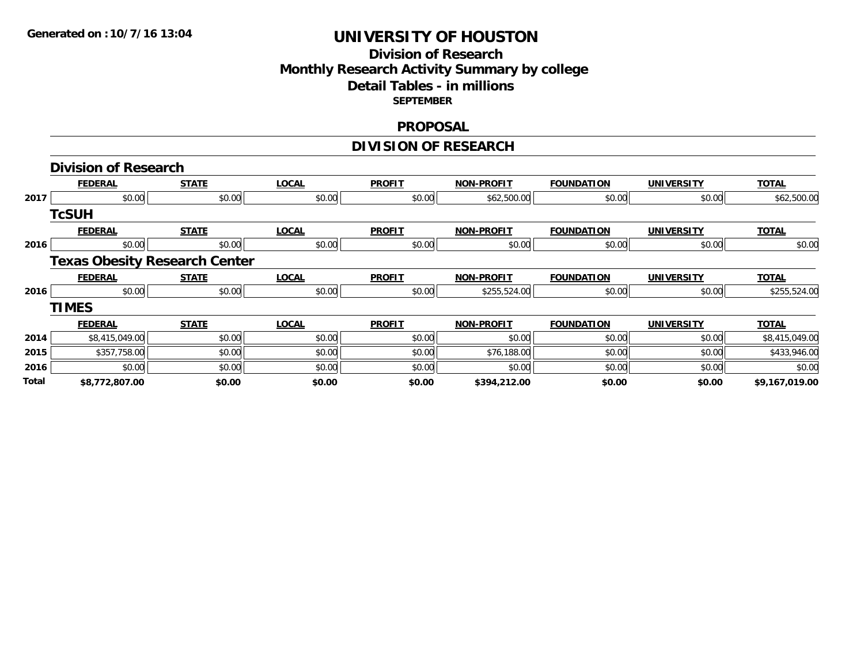## **Division of Research Monthly Research Activity Summary by college Detail Tables - in millions SEPTEMBER**

#### **PROPOSAL**

# **DIVISION OF RESEARCH**

|              | <b>Division of Research</b>          |              |              |               |                   |                   |                   |                |
|--------------|--------------------------------------|--------------|--------------|---------------|-------------------|-------------------|-------------------|----------------|
|              | <b>FEDERAL</b>                       | <b>STATE</b> | <b>LOCAL</b> | <b>PROFIT</b> | <b>NON-PROFIT</b> | <b>FOUNDATION</b> | <b>UNIVERSITY</b> | <b>TOTAL</b>   |
| 2017         | \$0.00                               | \$0.00       | \$0.00       | \$0.00        | \$62,500.00       | \$0.00            | \$0.00            | \$62,500.00    |
|              | <b>TcSUH</b>                         |              |              |               |                   |                   |                   |                |
|              | <b>FEDERAL</b>                       | <b>STATE</b> | <b>LOCAL</b> | <b>PROFIT</b> | <b>NON-PROFIT</b> | <b>FOUNDATION</b> | <b>UNIVERSITY</b> | <b>TOTAL</b>   |
| 2016         | \$0.00                               | \$0.00       | \$0.00       | \$0.00        | \$0.00            | \$0.00            | \$0.00            | \$0.00         |
|              | <b>Texas Obesity Research Center</b> |              |              |               |                   |                   |                   |                |
|              | <b>FEDERAL</b>                       | <b>STATE</b> | <b>LOCAL</b> | <b>PROFIT</b> | <b>NON-PROFIT</b> | <b>FOUNDATION</b> | <b>UNIVERSITY</b> | <b>TOTAL</b>   |
| 2016         | \$0.00                               | \$0.00       | \$0.00       | \$0.00        | \$255,524.00      | \$0.00            | \$0.00            | \$255,524.00   |
|              | <b>TIMES</b>                         |              |              |               |                   |                   |                   |                |
|              | <b>FEDERAL</b>                       | <b>STATE</b> | <b>LOCAL</b> | <b>PROFIT</b> | <b>NON-PROFIT</b> | <b>FOUNDATION</b> | <b>UNIVERSITY</b> | <b>TOTAL</b>   |
| 2014         | \$8,415,049.00                       | \$0.00       | \$0.00       | \$0.00        | \$0.00            | \$0.00            | \$0.00            | \$8,415,049.00 |
| 2015         | \$357,758.00                         | \$0.00       | \$0.00       | \$0.00        | \$76,188.00       | \$0.00            | \$0.00            | \$433,946.00   |
| 2016         | \$0.00                               | \$0.00       | \$0.00       | \$0.00        | \$0.00            | \$0.00            | \$0.00            | \$0.00         |
| <b>Total</b> | \$8,772,807.00                       | \$0.00       | \$0.00       | \$0.00        | \$394,212.00      | \$0.00            | \$0.00            | \$9,167,019.00 |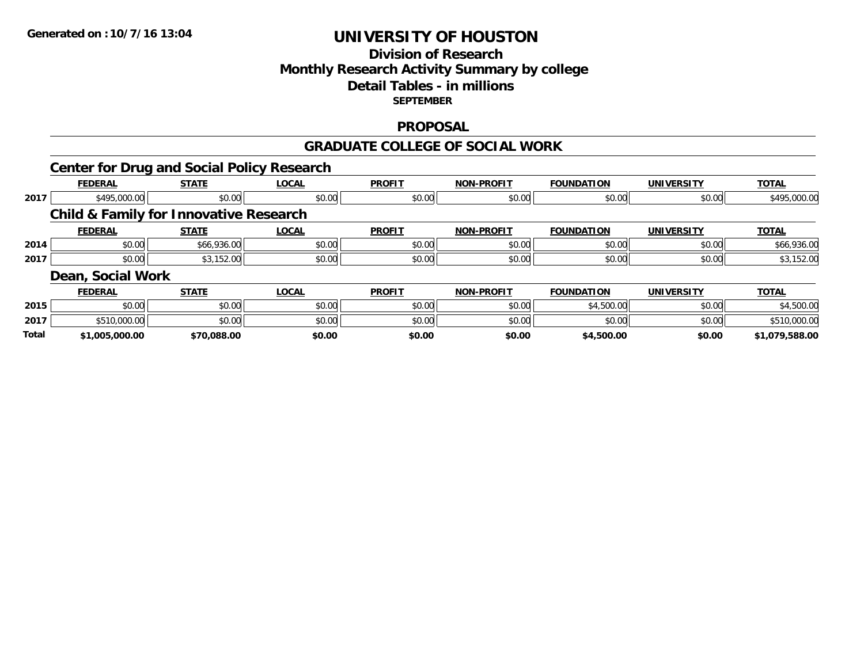## **Division of Research Monthly Research Activity Summary by college Detail Tables - in millions SEPTEMBER**

#### **PROPOSAL**

#### **GRADUATE COLLEGE OF SOCIAL WORK**

|       |                   | <b>Center for Drug and Social Policy Research</b> |              |               |                   |                   |                   |                |
|-------|-------------------|---------------------------------------------------|--------------|---------------|-------------------|-------------------|-------------------|----------------|
|       | <b>FEDERAL</b>    | <b>STATE</b>                                      | <b>LOCAL</b> | <b>PROFIT</b> | <b>NON-PROFIT</b> | <b>FOUNDATION</b> | <b>UNIVERSITY</b> | <b>TOTAL</b>   |
| 2017  | \$495,000.00      | \$0.00                                            | \$0.00       | \$0.00        | \$0.00            | \$0.00            | \$0.00            | \$495,000.00   |
|       |                   | <b>Child &amp; Family for Innovative Research</b> |              |               |                   |                   |                   |                |
|       | <b>FEDERAL</b>    | <b>STATE</b>                                      | <b>LOCAL</b> | <b>PROFIT</b> | <b>NON-PROFIT</b> | <b>FOUNDATION</b> | <b>UNIVERSITY</b> | <b>TOTAL</b>   |
| 2014  | \$0.00            | \$66,936.00                                       | \$0.00       | \$0.00        | \$0.00            | \$0.00            | \$0.00            | \$66,936.00    |
| 2017  | \$0.00            | \$3,152.00                                        | \$0.00       | \$0.00        | \$0.00            | \$0.00            | \$0.00            | \$3,152.00     |
|       | Dean, Social Work |                                                   |              |               |                   |                   |                   |                |
|       | <b>FEDERAL</b>    | <b>STATE</b>                                      | <b>LOCAL</b> | <b>PROFIT</b> | <b>NON-PROFIT</b> | <b>FOUNDATION</b> | <b>UNIVERSITY</b> | <b>TOTAL</b>   |
| 2015  | \$0.00            | \$0.00                                            | \$0.00       | \$0.00        | \$0.00            | \$4,500.00        | \$0.00            | \$4,500.00     |
| 2017  | \$510,000.00      | \$0.00                                            | \$0.00       | \$0.00        | \$0.00            | \$0.00            | \$0.00            | \$510,000.00   |
| Total | \$1,005,000.00    | \$70,088.00                                       | \$0.00       | \$0.00        | \$0.00            | \$4,500.00        | \$0.00            | \$1,079,588.00 |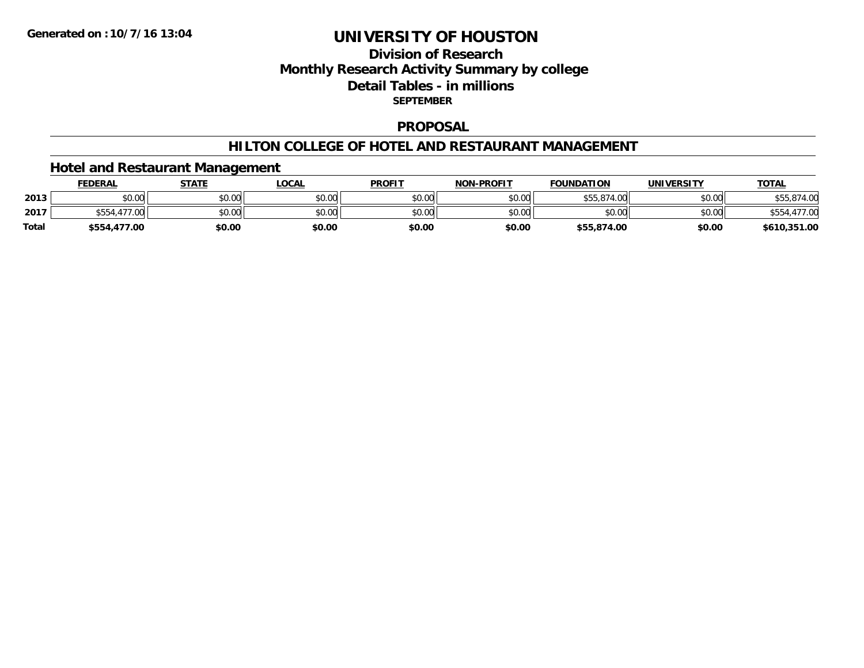## **Division of ResearchMonthly Research Activity Summary by college Detail Tables - in millions SEPTEMBER**

#### **PROPOSAL**

#### **HILTON COLLEGE OF HOTEL AND RESTAURANT MANAGEMENT**

## **Hotel and Restaurant Management**

|              | <u>FEDERAL</u> | <b>STATE</b> | <u>_OCAL</u> | <b>PROFIT</b> | <b>NON-PROFIT</b> | <b>FOUNDATION</b> | UNIVERSITY | <b>TOTAL</b>       |
|--------------|----------------|--------------|--------------|---------------|-------------------|-------------------|------------|--------------------|
| 2013         | \$0.00         | \$0.00       | \$0.00       | \$0.00        | \$0.00            | \$55,874.00       | \$0.00     | \$55,874.00        |
| 2017         | \$554,477.00   | \$0.00       | \$0.00       | \$0.00        | \$0.00            | \$0.00            | \$0.00     | .477.00<br>\$554.4 |
| <b>Total</b> | \$554,477.00   | \$0.00       | \$0.00       | \$0.00        | \$0.00            | \$55,874.00       | \$0.00     | \$610,351.00       |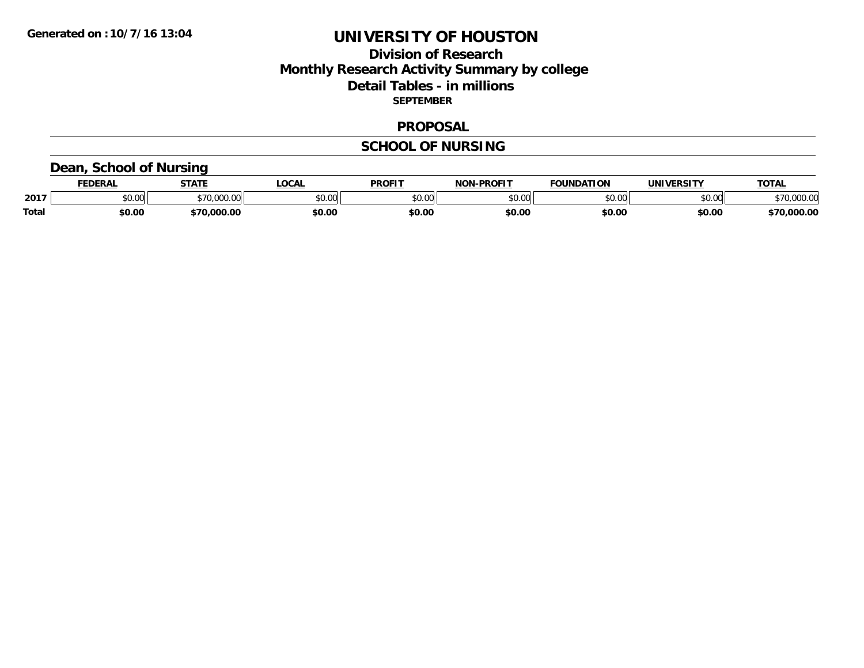## **Division of Research Monthly Research Activity Summary by college Detail Tables - in millions SEPTEMBER**

#### **PROPOSAL**

#### **SCHOOL OF NURSING**

## **Dean, School of Nursing**

|              | <b>EDERAL</b> | <b>STATE</b>   | <b>OCAL</b> | <b>PROFIT</b> | -PROFI <sup>-</sup><br>81 A B | <b>FOUNDATION</b>       | UNIVERSITY | <b>TOTAL</b>       |
|--------------|---------------|----------------|-------------|---------------|-------------------------------|-------------------------|------------|--------------------|
| 2017         | 0.00<br>JU.UU | 70.000         | \$0.00      | 0000<br>JU.UU | $\sim$ 00<br>ט.טע             | $n \cap \Omega$<br>v.vv | \$0.00     | \$70,000.00        |
| <b>Total</b> | \$0.00        | 000.00.<br>27N | \$0.00      | \$0.00        | \$0.00                        | \$0.00                  | \$0.00     | ,000.00<br>$-70$ . |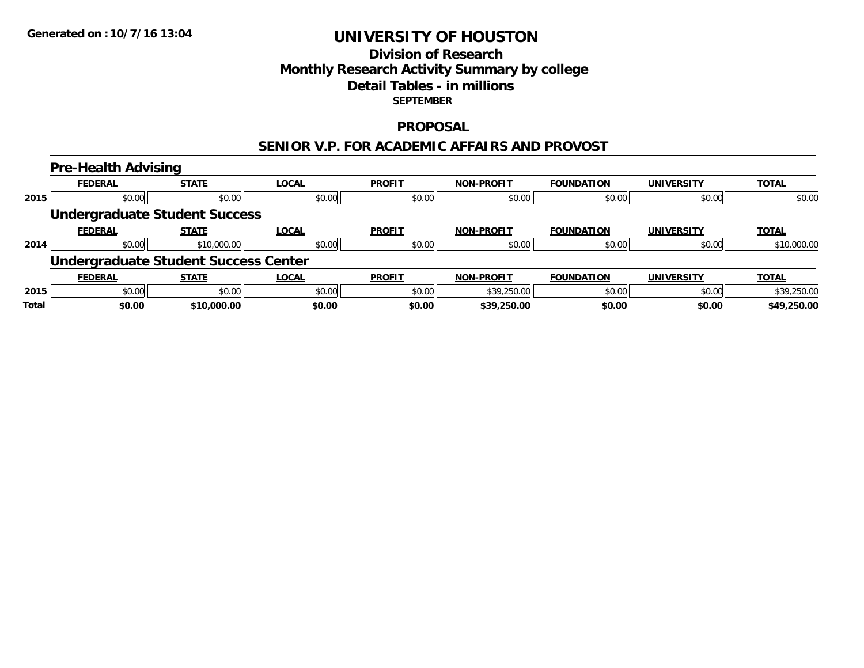## **Division of ResearchMonthly Research Activity Summary by college Detail Tables - in millionsSEPTEMBER**

#### **PROPOSAL**

#### **SENIOR V.P. FOR ACADEMIC AFFAIRS AND PROVOST**

#### **Pre-Health Advising FEDERAL STATE LOCAL PROFIT NON-PROFIT FOUNDATION UNIVERSITY TOTALTOTAL 2015** \$0.00 \$0.00 \$0.00 \$0.00 \$0.00 \$0.00 \$0.00 \$0.00 **Undergraduate Student Success FEDERAL STATE LOCAL PROFIT NON-PROFIT FOUNDATION UNIVERSITY TOTALTOTAL 2014**4 \$0.00 \$0.00 \$10,000.00 \$10,000.00 \$0.00 \$0.00 \$0.00 \$0.00 \$0.00 \$0.00 \$0.00 \$0.00 \$0.00 \$10,000.00 **Undergraduate Student Success Center FEDERAL STATE LOCAL PROFIT NON-PROFIT FOUNDATION UNIVERSITY TOTALTOTAL 2015** \$0.00 \$0.00 \$0.00 \$0.00 \$39,250.00 \$0.00 \$0.00 \$39,250.00 **Total \$0.00\$10,000.00 \$0.00 \$0.00 \$39,250.00 \$0.00 \$0.00 \$49,250.00**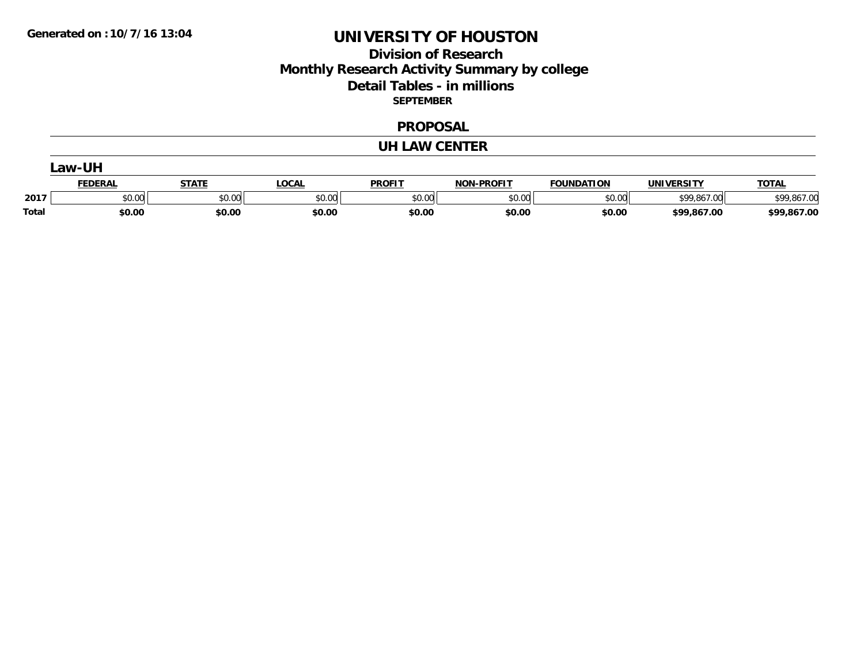## **Division of Research Monthly Research Activity Summary by college Detail Tables - in millions SEPTEMBER**

#### **PROPOSAL**

#### **UH LAW CENTER**

| Law-UI' |                |        |              |               |                   |                   |                   |              |  |
|---------|----------------|--------|--------------|---------------|-------------------|-------------------|-------------------|--------------|--|
|         | <b>FEDERAL</b> | STATI  | <b>LOCAL</b> | <b>PROFIT</b> | <b>NON-PROFIT</b> | <b>FOUNDATION</b> | <b>UNIVERSITY</b> | <b>TOTAL</b> |  |
| 2017    | \$0.00         | \$0.00 | \$0.00       | \$0.00        | \$0.00            | \$0.00            | \$99,867.00       | \$99,867.00  |  |
| Total   | \$0.00         | \$0.00 | \$0.00       | \$0.00        | \$0.00            | \$0.00            | \$99,867.00       | \$99,867.00  |  |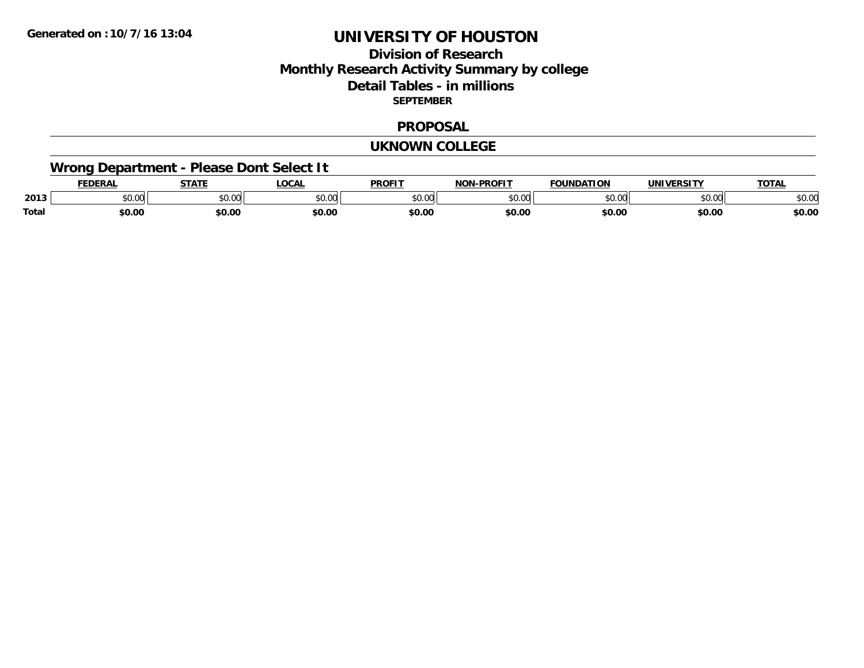## **Division of ResearchMonthly Research Activity Summary by college Detail Tables - in millions SEPTEMBER**

#### **PROPOSAL**

#### **UKNOWN COLLEGE**

# **Wrong Department - Please Dont Select It**

|              |                  | $- - - - -$                                          | OCA               | <b>PROFIT</b> | <b>DDAFIT</b><br>$\sim$ |               |                | $\mathbf{r}$   |
|--------------|------------------|------------------------------------------------------|-------------------|---------------|-------------------------|---------------|----------------|----------------|
| 2013         | $\sim$ 00<br>しいい | $\mathsf{A} \cap \mathsf{A} \cap \mathsf{A}$<br>יש.ט | $\sim$ 00<br>ט.טי | 0.00          | $\sim$ 00<br>וטט.       | $\sim$ $\sim$ | ሐሴ ሰሰ<br>JU.UI | $\sim$<br>DU.U |
| <b>Total</b> | 60.00            | \$0.00                                               | \$0.00            | \$0.00        | \$0.00                  | \$0.00        | \$0.00         | \$0.00         |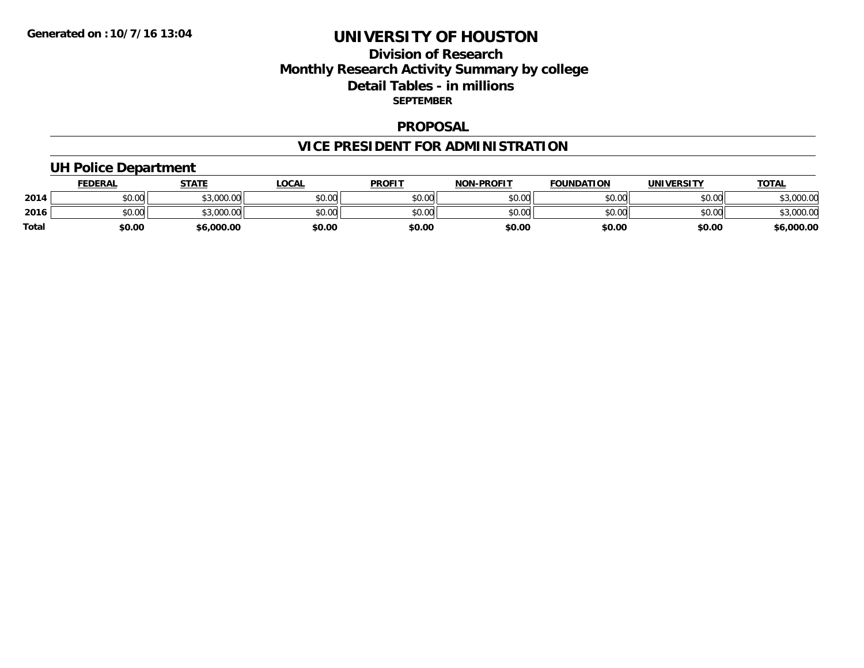## **Division of Research Monthly Research Activity Summary by college Detail Tables - in millions SEPTEMBER**

#### **PROPOSAL**

# **VICE PRESIDENT FOR ADMINISTRATION**

## **UH Police Department**

|              | <b>FEDERAL</b> | <b>STATE</b>        | _OCAL  | <b>PROFIT</b> | <b>NON-PROFIT</b> | <b>FOUNDATION</b> | <b>UNIVERSITY</b> | <u>TOTAL</u>   |
|--------------|----------------|---------------------|--------|---------------|-------------------|-------------------|-------------------|----------------|
| 2014         | \$0.00         | 000000<br>DU.UUU.GC | \$0.00 | \$0.00        | \$0.00            | \$0.00            | \$0.00            | \$3,000.00     |
| 2016         | \$0.00         | \$3,000.00          | \$0.00 | \$0.00        | \$0.00            | \$0.00            | \$0.00            | ,000.00<br>. ש |
| <b>Total</b> | \$0.00         | \$6,000.00          | \$0.00 | \$0.00        | \$0.00            | \$0.00            | \$0.00            | \$6,000.00     |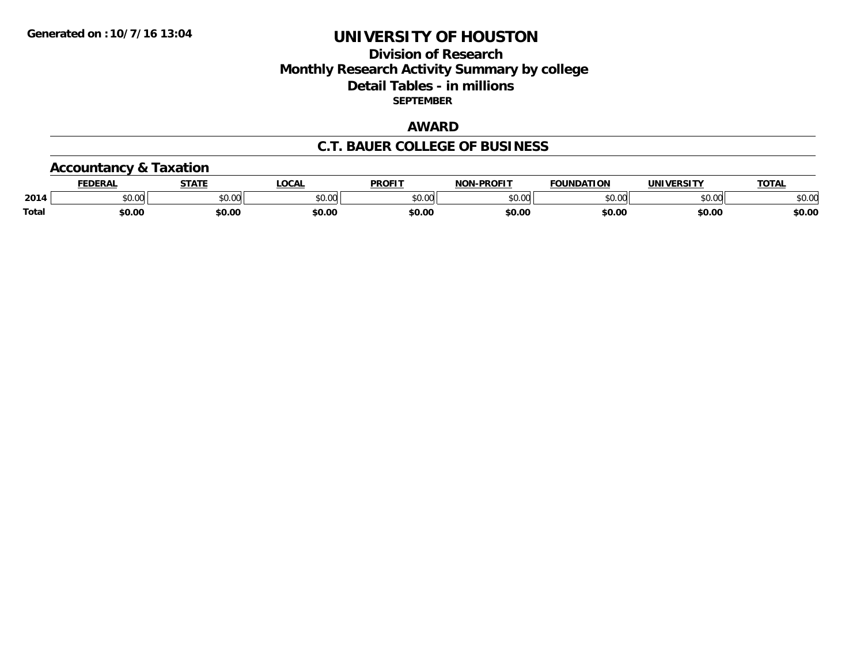## **Division of Research Monthly Research Activity Summary by college Detail Tables - in millions SEPTEMBER**

## **AWARD**

#### **C.T. BAUER COLLEGE OF BUSINESS**

## **Accountancy & Taxation**

|       | EDERAL | <b>STATE</b>       | <b>OCAL</b> | PROFIT        | <b>I-PROFIT</b><br>וחרות | <b>FOUNDATION</b> | UNIVERSITY | <b>TOTAL</b>  |
|-------|--------|--------------------|-------------|---------------|--------------------------|-------------------|------------|---------------|
| 2014  | \$0.00 | $\sim$ 00<br>vv.vv | \$0.00      | 0000<br>vv.vv | 0000<br>,u.uu            | \$0.00            | \$0.00     | 0000<br>JU.UU |
| Total | \$0.00 | \$0.00             | \$0.00      | \$0.00        | \$0.00                   | \$0.00            | \$0.00     | \$0.00        |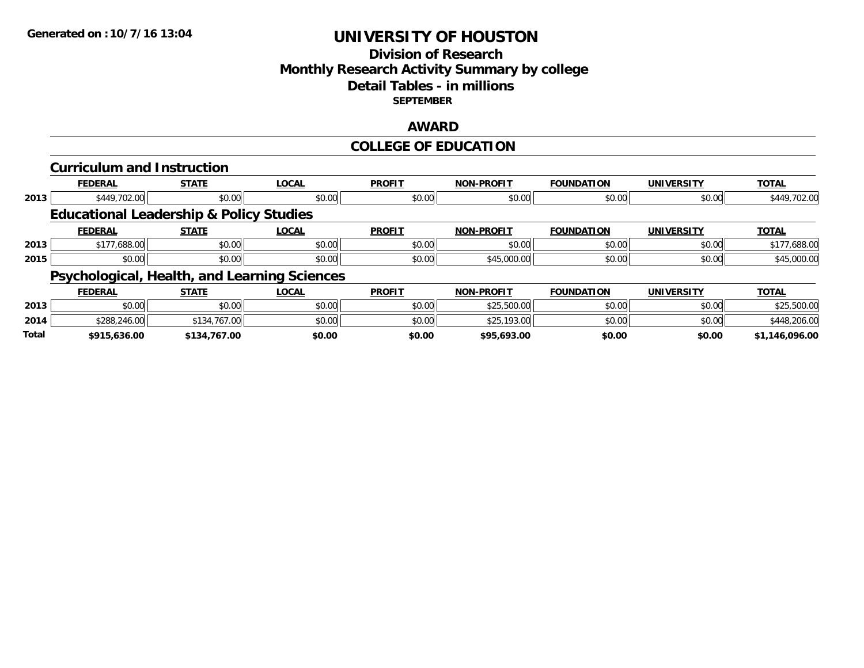## **Division of ResearchMonthly Research Activity Summary by college Detail Tables - in millions SEPTEMBER**

## **AWARD**

## **COLLEGE OF EDUCATION**

|       | <b>Curriculum and Instruction</b>                  |              |              |               |                   |                   |                   |                |
|-------|----------------------------------------------------|--------------|--------------|---------------|-------------------|-------------------|-------------------|----------------|
|       | <b>FEDERAL</b>                                     | <b>STATE</b> | <b>LOCAL</b> | <b>PROFIT</b> | <b>NON-PROFIT</b> | <b>FOUNDATION</b> | <b>UNIVERSITY</b> | <b>TOTAL</b>   |
| 2013  | \$449,702.00                                       | \$0.00       | \$0.00       | \$0.00        | \$0.00            | \$0.00            | \$0.00            | \$449,702.00   |
|       | <b>Educational Leadership &amp; Policy Studies</b> |              |              |               |                   |                   |                   |                |
|       | <b>FEDERAL</b>                                     | <b>STATE</b> | <b>LOCAL</b> | <b>PROFIT</b> | <b>NON-PROFIT</b> | <b>FOUNDATION</b> | <b>UNIVERSITY</b> | <b>TOTAL</b>   |
| 2013  | \$177,688.00                                       | \$0.00       | \$0.00       | \$0.00        | \$0.00            | \$0.00            | \$0.00            | \$177,688.00   |
| 2015  | \$0.00                                             | \$0.00       | \$0.00       | \$0.00        | \$45,000.00       | \$0.00            | \$0.00            | \$45,000.00    |
|       | Psychological, Health, and Learning Sciences       |              |              |               |                   |                   |                   |                |
|       | <b>FEDERAL</b>                                     | <b>STATE</b> | <b>LOCAL</b> | <b>PROFIT</b> | <b>NON-PROFIT</b> | <b>FOUNDATION</b> | <b>UNIVERSITY</b> | <b>TOTAL</b>   |
| 2013  | \$0.00                                             | \$0.00       | \$0.00       | \$0.00        | \$25,500.00       | \$0.00            | \$0.00            | \$25,500.00    |
| 2014  | \$288,246.00                                       | \$134,767.00 | \$0.00       | \$0.00        | \$25,193.00       | \$0.00            | \$0.00            | \$448,206.00   |
| Total | \$915.636.00                                       | \$134.767.00 | \$0.00       | \$0.00        | \$95.693.00       | \$0.00            | \$0.00            | \$1.146.096.00 |

**\$915,636.00 \$134,767.00 \$0.00 \$0.00 \$95,693.00 \$0.00 \$0.00 \$1,146,096.00**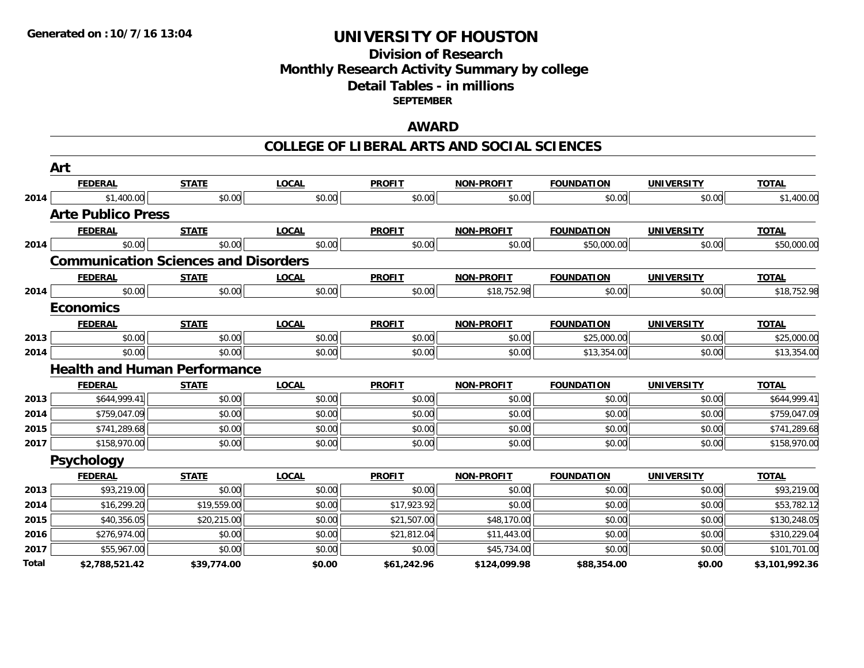## **Division of ResearchMonthly Research Activity Summary by college Detail Tables - in millions SEPTEMBER**

## **AWARD**

#### **COLLEGE OF LIBERAL ARTS AND SOCIAL SCIENCES**

|       | Art                                         |              |              |               |                   |                   |                   |                |
|-------|---------------------------------------------|--------------|--------------|---------------|-------------------|-------------------|-------------------|----------------|
|       | <b>FEDERAL</b>                              | <b>STATE</b> | <b>LOCAL</b> | <b>PROFIT</b> | NON-PROFIT        | <b>FOUNDATION</b> | <b>UNIVERSITY</b> | <b>TOTAL</b>   |
| 2014  | \$1,400.00                                  | \$0.00       | \$0.00       | \$0.00        | \$0.00            | \$0.00            | \$0.00            | \$1,400.00     |
|       | <b>Arte Publico Press</b>                   |              |              |               |                   |                   |                   |                |
|       | <b>FEDERAL</b>                              | <b>STATE</b> | <b>LOCAL</b> | <b>PROFIT</b> | NON-PROFIT        | <b>FOUNDATION</b> | <b>UNIVERSITY</b> | <b>TOTAL</b>   |
| 2014  | \$0.00                                      | \$0.00       | \$0.00       | \$0.00        | \$0.00            | \$50,000.00       | \$0.00            | \$50,000.00    |
|       | <b>Communication Sciences and Disorders</b> |              |              |               |                   |                   |                   |                |
|       | <b>FEDERAL</b>                              | <b>STATE</b> | <b>LOCAL</b> | <b>PROFIT</b> | <b>NON-PROFIT</b> | <b>FOUNDATION</b> | <b>UNIVERSITY</b> | <b>TOTAL</b>   |
| 2014  | \$0.00                                      | \$0.00       | \$0.00       | \$0.00        | \$18,752.98       | \$0.00            | \$0.00            | \$18,752.98    |
|       | <b>Economics</b>                            |              |              |               |                   |                   |                   |                |
|       | <b>FEDERAL</b>                              | <b>STATE</b> | <b>LOCAL</b> | <b>PROFIT</b> | NON-PROFIT        | <b>FOUNDATION</b> | <b>UNIVERSITY</b> | <b>TOTAL</b>   |
| 2013  | \$0.00                                      | \$0.00       | \$0.00       | \$0.00        | \$0.00            | \$25,000.00       | \$0.00            | \$25,000.00    |
| 2014  | \$0.00                                      | \$0.00       | \$0.00       | \$0.00        | \$0.00            | \$13,354.00       | \$0.00            | \$13,354.00    |
|       | <b>Health and Human Performance</b>         |              |              |               |                   |                   |                   |                |
|       | <b>FEDERAL</b>                              | <b>STATE</b> | <b>LOCAL</b> | <b>PROFIT</b> | <b>NON-PROFIT</b> | <b>FOUNDATION</b> | <b>UNIVERSITY</b> | <b>TOTAL</b>   |
| 2013  | \$644,999.41                                | \$0.00       | \$0.00       | \$0.00        | \$0.00            | \$0.00            | \$0.00            | \$644,999.41   |
| 2014  | \$759,047.09                                | \$0.00       | \$0.00       | \$0.00        | \$0.00            | \$0.00            | \$0.00            | \$759,047.09   |
| 2015  | \$741,289.68                                | \$0.00       | \$0.00       | \$0.00        | \$0.00            | \$0.00            | \$0.00            | \$741,289.68   |
| 2017  | \$158,970.00                                | \$0.00       | \$0.00       | \$0.00        | \$0.00            | \$0.00            | \$0.00            | \$158,970.00   |
|       | <b>Psychology</b>                           |              |              |               |                   |                   |                   |                |
|       | <b>FEDERAL</b>                              | <b>STATE</b> | <b>LOCAL</b> | <b>PROFIT</b> | <b>NON-PROFIT</b> | <b>FOUNDATION</b> | <b>UNIVERSITY</b> | <b>TOTAL</b>   |
| 2013  | \$93,219.00                                 | \$0.00       | \$0.00       | \$0.00        | \$0.00            | \$0.00            | \$0.00            | \$93,219.00    |
| 2014  | \$16,299.20                                 | \$19,559.00  | \$0.00       | \$17,923.92   | \$0.00            | \$0.00            | \$0.00            | \$53,782.12    |
| 2015  | \$40,356.05                                 | \$20,215.00  | \$0.00       | \$21,507.00   | \$48,170.00       | \$0.00            | \$0.00            | \$130,248.05   |
| 2016  | \$276,974.00                                | \$0.00       | \$0.00       | \$21,812.04   | \$11,443.00       | \$0.00            | \$0.00            | \$310,229.04   |
| 2017  | \$55,967.00                                 | \$0.00       | \$0.00       | \$0.00        | \$45,734.00       | \$0.00            | \$0.00            | \$101,701.00   |
| Total | \$2,788,521.42                              | \$39,774.00  | \$0.00       | \$61,242.96   | \$124,099.98      | \$88,354.00       | \$0.00            | \$3,101,992.36 |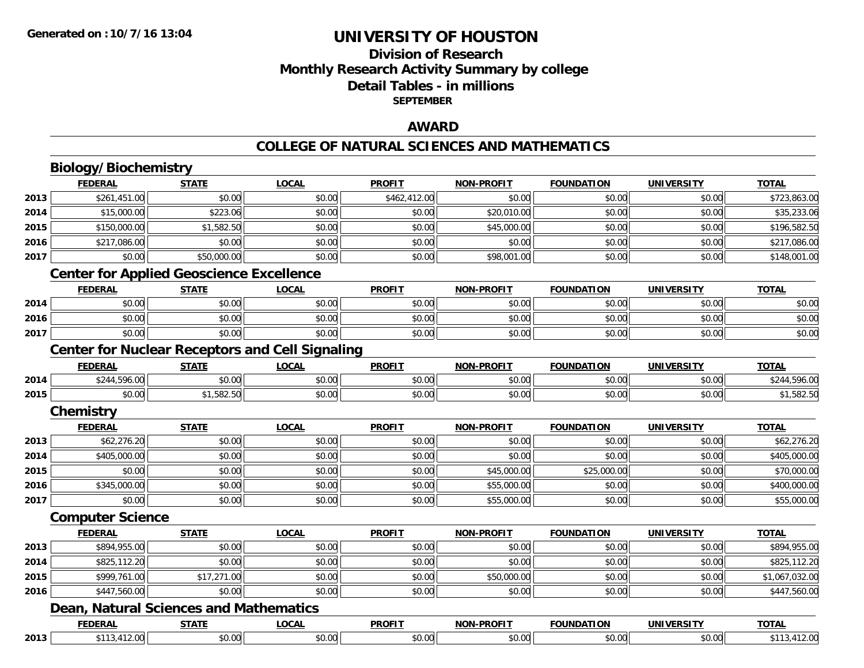## **Division of ResearchMonthly Research Activity Summary by college Detail Tables - in millions SEPTEMBER**

## **AWARD**

#### **COLLEGE OF NATURAL SCIENCES AND MATHEMATICS**

# **Biology/Biochemistry**

|      | <b>FEDERAL</b>          | <b>STATE</b>                                    | <b>LOCAL</b>                                           | <b>PROFIT</b> | <u>NON-PROFIT</u> | <b>FOUNDATION</b> | <u>UNIVERSITY</u> | <b>TOTAL</b>   |
|------|-------------------------|-------------------------------------------------|--------------------------------------------------------|---------------|-------------------|-------------------|-------------------|----------------|
| 2013 | \$261,451.00            | \$0.00                                          | \$0.00                                                 | \$462,412.00  | \$0.00            | \$0.00            | \$0.00            | \$723,863.00   |
| 2014 | \$15,000.00             | \$223.06                                        | \$0.00                                                 | \$0.00        | \$20,010.00       | \$0.00            | \$0.00            | \$35,233.06    |
| 2015 | \$150,000.00            | \$1,582.50                                      | \$0.00                                                 | \$0.00        | \$45,000.00       | \$0.00            | \$0.00            | \$196,582.50   |
| 2016 | \$217,086.00            | \$0.00                                          | \$0.00                                                 | \$0.00        | \$0.00            | \$0.00            | \$0.00            | \$217,086.00   |
| 2017 | \$0.00                  | \$50,000.00                                     | \$0.00                                                 | \$0.00        | \$98,001.00       | \$0.00            | \$0.00            | \$148,001.00   |
|      |                         | <b>Center for Applied Geoscience Excellence</b> |                                                        |               |                   |                   |                   |                |
|      | <b>FEDERAL</b>          | <b>STATE</b>                                    | <b>LOCAL</b>                                           | <b>PROFIT</b> | <b>NON-PROFIT</b> | <b>FOUNDATION</b> | <b>UNIVERSITY</b> | <b>TOTAL</b>   |
| 2014 | \$0.00                  | \$0.00                                          | \$0.00                                                 | \$0.00        | \$0.00            | \$0.00            | \$0.00            | \$0.00         |
| 2016 | \$0.00                  | \$0.00                                          | \$0.00                                                 | \$0.00        | \$0.00            | \$0.00            | \$0.00            | \$0.00         |
| 2017 | \$0.00                  | \$0.00                                          | \$0.00                                                 | \$0.00        | \$0.00            | \$0.00            | \$0.00            | \$0.00         |
|      |                         |                                                 | <b>Center for Nuclear Receptors and Cell Signaling</b> |               |                   |                   |                   |                |
|      | <b>FEDERAL</b>          | <b>STATE</b>                                    | <b>LOCAL</b>                                           | <b>PROFIT</b> | <b>NON-PROFIT</b> | <b>FOUNDATION</b> | <b>UNIVERSITY</b> | <b>TOTAL</b>   |
| 2014 | \$244,596.00            | \$0.00                                          | \$0.00                                                 | \$0.00        | \$0.00            | \$0.00            | \$0.00            | \$244,596.00   |
| 2015 | \$0.00                  | \$1,582.50                                      | \$0.00                                                 | \$0.00        | \$0.00            | \$0.00            | \$0.00            | \$1,582.50     |
|      | Chemistry               |                                                 |                                                        |               |                   |                   |                   |                |
|      | <b>FEDERAL</b>          | <b>STATE</b>                                    | <b>LOCAL</b>                                           | <b>PROFIT</b> | <b>NON-PROFIT</b> | <b>FOUNDATION</b> | <b>UNIVERSITY</b> | <b>TOTAL</b>   |
| 2013 | \$62,276.20             | \$0.00                                          | \$0.00                                                 | \$0.00        | \$0.00            | \$0.00            | \$0.00            | \$62,276.20    |
| 2014 | \$405,000.00            | \$0.00                                          | \$0.00                                                 | \$0.00        | \$0.00            | \$0.00            | \$0.00            | \$405,000.00   |
| 2015 | \$0.00                  | \$0.00                                          | \$0.00                                                 | \$0.00        | \$45,000.00       | \$25,000.00       | \$0.00            | \$70,000.00    |
| 2016 | \$345,000.00            | \$0.00                                          | \$0.00                                                 | \$0.00        | \$55,000.00       | \$0.00            | \$0.00            | \$400,000.00   |
| 2017 | \$0.00                  | \$0.00                                          | \$0.00                                                 | \$0.00        | \$55,000.00       | \$0.00            | \$0.00            | \$55,000.00    |
|      | <b>Computer Science</b> |                                                 |                                                        |               |                   |                   |                   |                |
|      | <b>FEDERAL</b>          | <b>STATE</b>                                    | <b>LOCAL</b>                                           | <b>PROFIT</b> | <b>NON-PROFIT</b> | <b>FOUNDATION</b> | <b>UNIVERSITY</b> | <b>TOTAL</b>   |
| 2013 | \$894,955.00            | \$0.00                                          | \$0.00                                                 | \$0.00        | \$0.00            | \$0.00            | \$0.00            | \$894,955.00   |
| 2014 | \$825,112.20            | \$0.00                                          | \$0.00                                                 | \$0.00        | \$0.00            | \$0.00            | \$0.00            | \$825,112.20   |
| 2015 | \$999,761.00            | \$17,271.00                                     | \$0.00                                                 | \$0.00        | \$50,000.00       | \$0.00            | \$0.00            | \$1,067,032.00 |
| 2016 | \$447,560.00            | \$0.00                                          | \$0.00                                                 | \$0.00        | \$0.00            | \$0.00            | \$0.00            | \$447,560.00   |
|      |                         | Dean, Natural Sciences and Mathematics          |                                                        |               |                   |                   |                   |                |
|      | <b>FEDERAL</b>          | <b>STATE</b>                                    | <b>LOCAL</b>                                           | <b>PROFIT</b> | NON-PROFIT        | <b>FOUNDATION</b> | <b>UNIVERSITY</b> | <b>TOTAL</b>   |
| 2013 | \$113,412.00            | \$0.00                                          | \$0.00                                                 | \$0.00        | \$0.00            | \$0.00            | \$0.00            | \$113,412.00   |

**2013**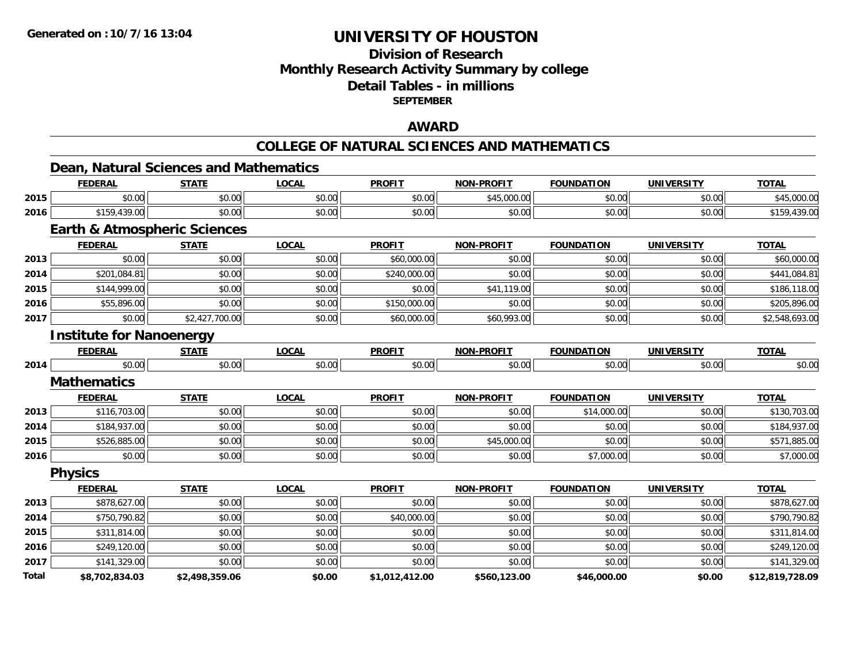## **Division of ResearchMonthly Research Activity Summary by college Detail Tables - in millions SEPTEMBER**

#### **AWARD**

#### **COLLEGE OF NATURAL SCIENCES AND MATHEMATICS**

**TOTAL** 

#### **Dean, Natural Sciences and Mathematics FEDERAL STATE LOCAL PROFIT NON-PROFIT FOUNDATION UNIVERSITY TOTAL**

| 2015         | \$0.00                                  | \$0.00         | \$0.00       | \$0.00         | \$45,000.00       | \$0.00            | \$0.00            | \$45,000.00     |
|--------------|-----------------------------------------|----------------|--------------|----------------|-------------------|-------------------|-------------------|-----------------|
| 2016         | \$159,439.00                            | \$0.00         | \$0.00       | \$0.00         | \$0.00            | \$0.00            | \$0.00            | \$159,439.00    |
|              | <b>Earth &amp; Atmospheric Sciences</b> |                |              |                |                   |                   |                   |                 |
|              | <b>FEDERAL</b>                          | <b>STATE</b>   | <b>LOCAL</b> | <b>PROFIT</b>  | <b>NON-PROFIT</b> | <b>FOUNDATION</b> | <b>UNIVERSITY</b> | <b>TOTAL</b>    |
| 2013         | \$0.00                                  | \$0.00         | \$0.00       | \$60,000.00    | \$0.00            | \$0.00            | \$0.00            | \$60,000.00     |
| 2014         | \$201,084.81                            | \$0.00         | \$0.00       | \$240,000.00   | \$0.00            | \$0.00            | \$0.00            | \$441,084.81    |
| 2015         | \$144,999.00                            | \$0.00         | \$0.00       | \$0.00         | \$41,119.00       | \$0.00            | \$0.00            | \$186,118.00    |
| 2016         | \$55,896.00                             | \$0.00         | \$0.00       | \$150,000.00   | \$0.00            | \$0.00            | \$0.00            | \$205,896.00    |
| 2017         | \$0.00                                  | \$2,427,700.00 | \$0.00       | \$60,000.00    | \$60,993.00       | \$0.00            | \$0.00            | \$2,548,693.00  |
|              | <b>Institute for Nanoenergy</b>         |                |              |                |                   |                   |                   |                 |
|              | <b>FEDERAL</b>                          | <b>STATE</b>   | <b>LOCAL</b> | <b>PROFIT</b>  | <b>NON-PROFIT</b> | <b>FOUNDATION</b> | <b>UNIVERSITY</b> | <b>TOTAL</b>    |
| 2014         | \$0.00                                  | \$0.00         | \$0.00       | \$0.00         | \$0.00            | \$0.00            | \$0.00            | \$0.00          |
|              | <b>Mathematics</b>                      |                |              |                |                   |                   |                   |                 |
|              | <b>FEDERAL</b>                          | <b>STATE</b>   | <b>LOCAL</b> | <b>PROFIT</b>  | <b>NON-PROFIT</b> | <b>FOUNDATION</b> | <b>UNIVERSITY</b> | <b>TOTAL</b>    |
| 2013         | \$116,703.00                            | \$0.00         | \$0.00       | \$0.00         | \$0.00            | \$14,000.00       | \$0.00            | \$130,703.00    |
| 2014         | \$184,937.00                            | \$0.00         | \$0.00       | \$0.00         | \$0.00            | \$0.00            | \$0.00            | \$184,937.00    |
| 2015         | \$526,885.00                            | \$0.00         | \$0.00       | \$0.00         | \$45,000.00       | \$0.00            | \$0.00            | \$571,885.00    |
| 2016         | \$0.00                                  | \$0.00         | \$0.00       | \$0.00         | \$0.00            | \$7,000.00        | \$0.00            | \$7,000.00      |
|              | <b>Physics</b>                          |                |              |                |                   |                   |                   |                 |
|              | <b>FEDERAL</b>                          | <b>STATE</b>   | <b>LOCAL</b> | <b>PROFIT</b>  | <b>NON-PROFIT</b> | <b>FOUNDATION</b> | <b>UNIVERSITY</b> | <b>TOTAL</b>    |
| 2013         | \$878,627.00                            | \$0.00         | \$0.00       | \$0.00         | \$0.00            | \$0.00            | \$0.00            | \$878,627.00    |
| 2014         | \$750,790.82                            | \$0.00         | \$0.00       | \$40,000.00    | \$0.00            | \$0.00            | \$0.00            | \$790,790.82    |
| 2015         | \$311,814.00                            | \$0.00         | \$0.00       | \$0.00         | \$0.00            | \$0.00            | \$0.00            | \$311,814.00    |
| 2016         | \$249,120.00                            | \$0.00         | \$0.00       | \$0.00         | \$0.00            | \$0.00            | \$0.00            | \$249,120.00    |
| 2017         | \$141,329.00                            | \$0.00         | \$0.00       | \$0.00         | \$0.00            | \$0.00            | \$0.00            | \$141,329.00    |
| <b>Total</b> | \$8,702,834.03                          | \$2,498,359.06 | \$0.00       | \$1,012,412.00 | \$560,123.00      | \$46,000.00       | \$0.00            | \$12,819,728.09 |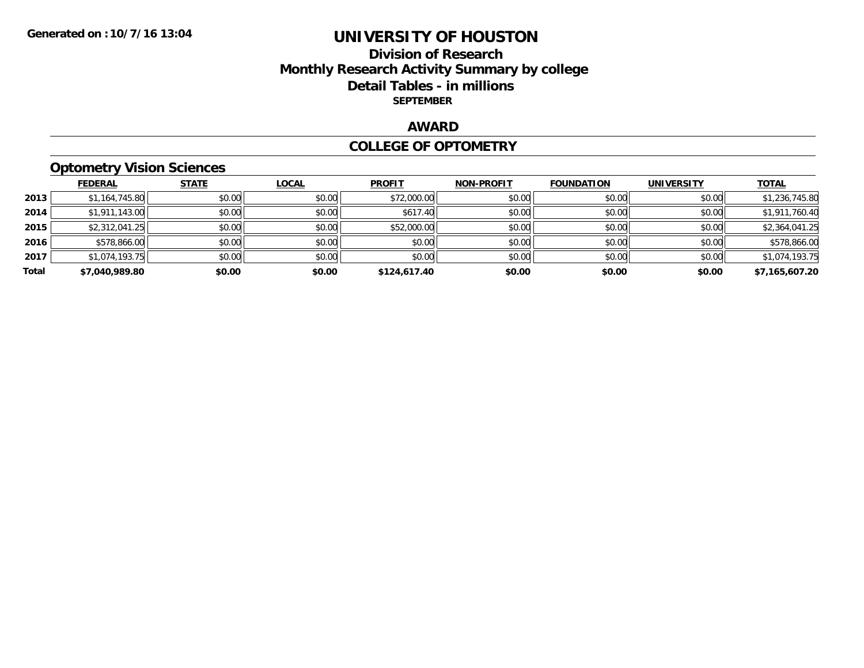## **Division of Research Monthly Research Activity Summary by college Detail Tables - in millions SEPTEMBER**

## **AWARD**

#### **COLLEGE OF OPTOMETRY**

# **Optometry Vision Sciences**

|       | <b>FEDERAL</b> | <b>STATE</b> | <b>LOCAL</b> | <b>PROFIT</b> | <b>NON-PROFIT</b> | <b>FOUNDATION</b> | <b>UNIVERSITY</b> | <b>TOTAL</b>   |
|-------|----------------|--------------|--------------|---------------|-------------------|-------------------|-------------------|----------------|
| 2013  | \$1,164,745.80 | \$0.00       | \$0.00       | \$72,000.00   | \$0.00            | \$0.00            | \$0.00            | \$1,236,745.80 |
| 2014  | \$1,911,143.00 | \$0.00       | \$0.00       | \$617.40      | \$0.00            | \$0.00            | \$0.00            | \$1,911,760.40 |
| 2015  | \$2,312,041.25 | \$0.00       | \$0.00       | \$52,000.00   | \$0.00            | \$0.00            | \$0.00            | \$2,364,041.25 |
| 2016  | \$578,866.00   | \$0.00       | \$0.00       | \$0.00        | \$0.00            | \$0.00            | \$0.00            | \$578,866.00   |
| 2017  | \$1,074,193.75 | \$0.00       | \$0.00       | \$0.00        | \$0.00            | \$0.00            | \$0.00            | \$1,074,193.75 |
| Total | \$7,040,989.80 | \$0.00       | \$0.00       | \$124,617.40  | \$0.00            | \$0.00            | \$0.00            | \$7,165,607.20 |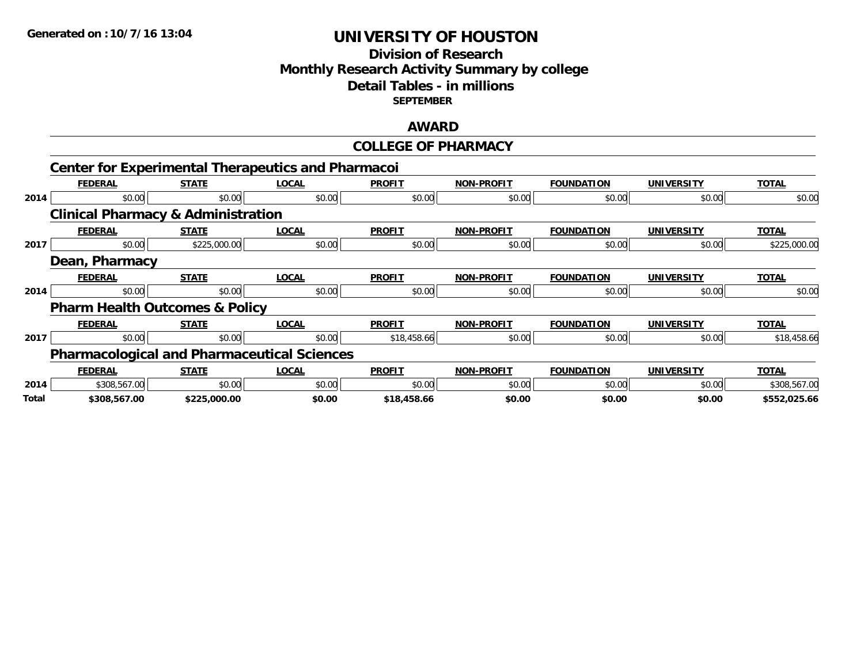## **Division of Research Monthly Research Activity Summary by college Detail Tables - in millions SEPTEMBER**

#### **AWARD**

## **COLLEGE OF PHARMACY**

|       | <b>Center for Experimental Therapeutics and Pharmacoi</b> |              |              |               |                   |                   |                   |              |
|-------|-----------------------------------------------------------|--------------|--------------|---------------|-------------------|-------------------|-------------------|--------------|
|       | <b>FEDERAL</b>                                            | <b>STATE</b> | <b>LOCAL</b> | <b>PROFIT</b> | <b>NON-PROFIT</b> | <b>FOUNDATION</b> | <b>UNIVERSITY</b> | <b>TOTAL</b> |
| 2014  | \$0.00                                                    | \$0.00       | \$0.00       | \$0.00        | \$0.00            | \$0.00            | \$0.00            | \$0.00       |
|       | <b>Clinical Pharmacy &amp; Administration</b>             |              |              |               |                   |                   |                   |              |
|       | <b>FEDERAL</b>                                            | <b>STATE</b> | <b>LOCAL</b> | <b>PROFIT</b> | <b>NON-PROFIT</b> | <b>FOUNDATION</b> | <b>UNIVERSITY</b> | <b>TOTAL</b> |
| 2017  | \$0.00                                                    | \$225,000.00 | \$0.00       | \$0.00        | \$0.00            | \$0.00            | \$0.00            | \$225,000.00 |
|       | Dean, Pharmacy                                            |              |              |               |                   |                   |                   |              |
|       | <b>FEDERAL</b>                                            | <b>STATE</b> | <b>LOCAL</b> | <b>PROFIT</b> | <b>NON-PROFIT</b> | <b>FOUNDATION</b> | <b>UNIVERSITY</b> | <b>TOTAL</b> |
| 2014  | \$0.00                                                    | \$0.00       | \$0.00       | \$0.00        | \$0.00            | \$0.00            | \$0.00            | \$0.00       |
|       | <b>Pharm Health Outcomes &amp; Policy</b>                 |              |              |               |                   |                   |                   |              |
|       | <b>FEDERAL</b>                                            | <b>STATE</b> | <b>LOCAL</b> | <b>PROFIT</b> | <b>NON-PROFIT</b> | <b>FOUNDATION</b> | <b>UNIVERSITY</b> | <b>TOTAL</b> |
| 2017  | \$0.00                                                    | \$0.00       | \$0.00       | \$18,458.66   | \$0.00            | \$0.00            | \$0.00            | \$18,458.66  |
|       | <b>Pharmacological and Pharmaceutical Sciences</b>        |              |              |               |                   |                   |                   |              |
|       | <b>FEDERAL</b>                                            | <b>STATE</b> | <u>LOCAL</u> | <b>PROFIT</b> | <b>NON-PROFIT</b> | <b>FOUNDATION</b> | <b>UNIVERSITY</b> | <b>TOTAL</b> |
| 2014  | \$308,567.00                                              | \$0.00       | \$0.00       | \$0.00        | \$0.00            | \$0.00            | \$0.00            | \$308,567.00 |
| Total | \$308,567.00                                              | \$225,000.00 | \$0.00       | \$18,458.66   | \$0.00            | \$0.00            | \$0.00            | \$552.025.66 |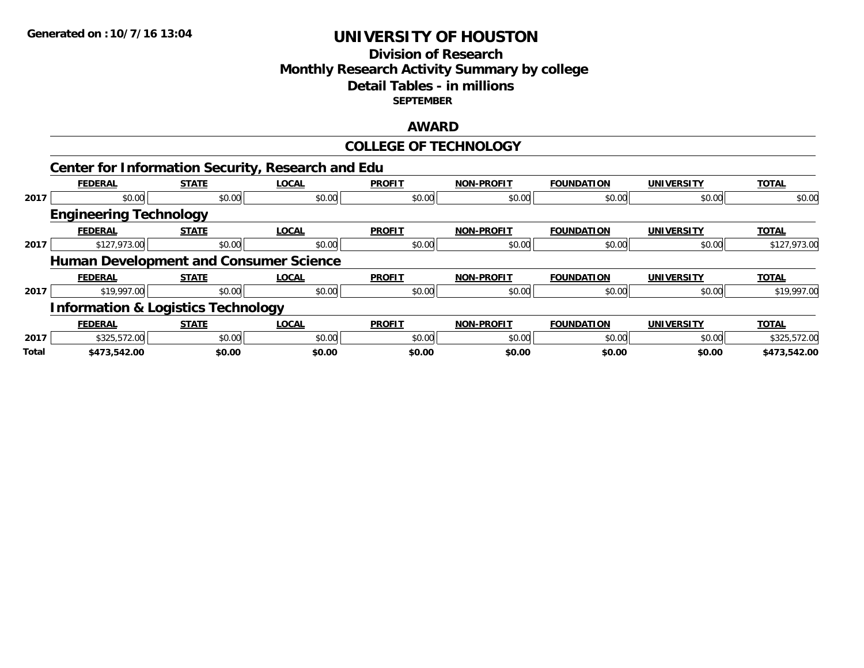## **Division of Research Monthly Research Activity Summary by college Detail Tables - in millions SEPTEMBER**

#### **AWARD**

|       |                                                          |              |              | <b>COLLEGE OF TECHNOLOGY</b> |                   |                   |                   |              |
|-------|----------------------------------------------------------|--------------|--------------|------------------------------|-------------------|-------------------|-------------------|--------------|
|       | <b>Center for Information Security, Research and Edu</b> |              |              |                              |                   |                   |                   |              |
|       | <b>FEDERAL</b>                                           | <b>STATE</b> | <b>LOCAL</b> | <b>PROFIT</b>                | <b>NON-PROFIT</b> | <b>FOUNDATION</b> | <b>UNIVERSITY</b> | <b>TOTAL</b> |
| 2017  | \$0.00                                                   | \$0.00       | \$0.00       | \$0.00                       | \$0.00            | \$0.00            | \$0.00            | \$0.00       |
|       | <b>Engineering Technology</b>                            |              |              |                              |                   |                   |                   |              |
|       | <b>FEDERAL</b>                                           | <b>STATE</b> | <b>LOCAL</b> | <b>PROFIT</b>                | <b>NON-PROFIT</b> | <b>FOUNDATION</b> | <b>UNIVERSITY</b> | <b>TOTAL</b> |
| 2017  | \$127,973.00                                             | \$0.00       | \$0.00       | \$0.00                       | \$0.00            | \$0.00            | \$0.00            | \$127,973.00 |
|       | <b>Human Development and Consumer Science</b>            |              |              |                              |                   |                   |                   |              |
|       | <b>FEDERAL</b>                                           | <b>STATE</b> | <b>LOCAL</b> | <b>PROFIT</b>                | <b>NON-PROFIT</b> | <b>FOUNDATION</b> | <b>UNIVERSITY</b> | <b>TOTAL</b> |
| 2017  | \$19,997.00                                              | \$0.00       | \$0.00       | \$0.00                       | \$0.00            | \$0.00            | \$0.00            | \$19,997.00  |
|       | <b>Information &amp; Logistics Technology</b>            |              |              |                              |                   |                   |                   |              |
|       | <b>FEDERAL</b>                                           | <b>STATE</b> | <b>LOCAL</b> | <b>PROFIT</b>                | <b>NON-PROFIT</b> | <b>FOUNDATION</b> | <b>UNIVERSITY</b> | <b>TOTAL</b> |
| 2017  | \$325,572.00                                             | \$0.00       | \$0.00       | \$0.00                       | \$0.00            | \$0.00            | \$0.00            | \$325,572.00 |
| Total | \$473,542.00                                             | \$0.00       | \$0.00       | \$0.00                       | \$0.00            | \$0.00            | \$0.00            | \$473,542.00 |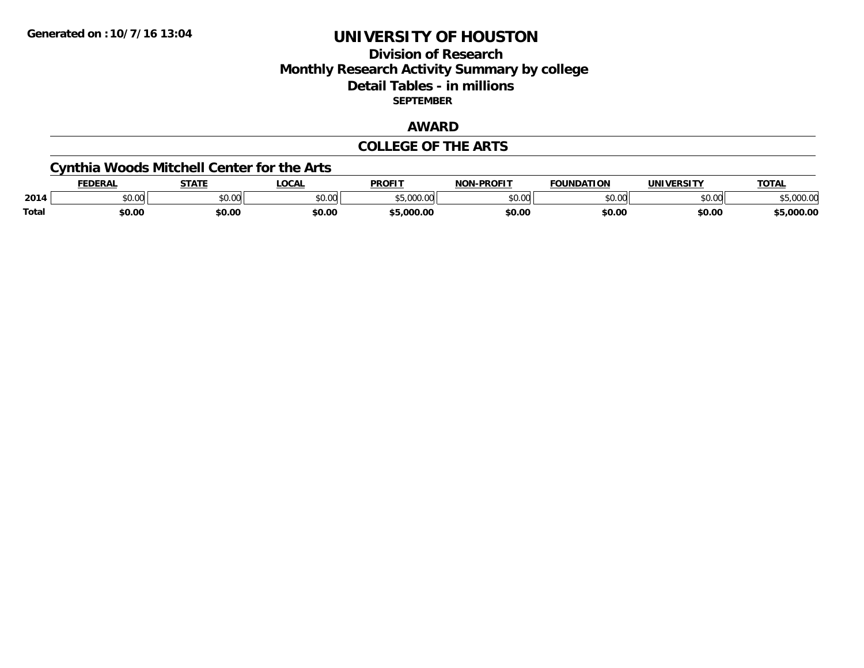## **Division of Research Monthly Research Activity Summary by college Detail Tables - in millions SEPTEMBER**

## **AWARD**

#### **COLLEGE OF THE ARTS**

# **Cynthia Woods Mitchell Center for the Arts**

|       | <b>DERAL</b>    | <b>STATE</b> | <b>LOCAI</b>  | <b>PROFIT</b>                                     | <b>-PROFIT</b><br>NON | <b>FOUNDATION</b> | IINIVEDSITV   | <b>TOTAL</b>    |
|-------|-----------------|--------------|---------------|---------------------------------------------------|-----------------------|-------------------|---------------|-----------------|
| 2014  | 0.00<br>- DU.UU | 400<br>JU.U  | 0000<br>PU.UU | $\rightarrow$ $\rightarrow$<br>,,,,,,,,<br>,,,,,, | \$0.00                | ሶስ ሰሰ             | 0.00<br>PU.UU | noo oc<br>uuu.u |
| Total | \$0.00          | \$0.00       | \$0.00        | .000.00                                           | \$0.00                | \$0.00            | \$0.00        | 000.0۲.د        |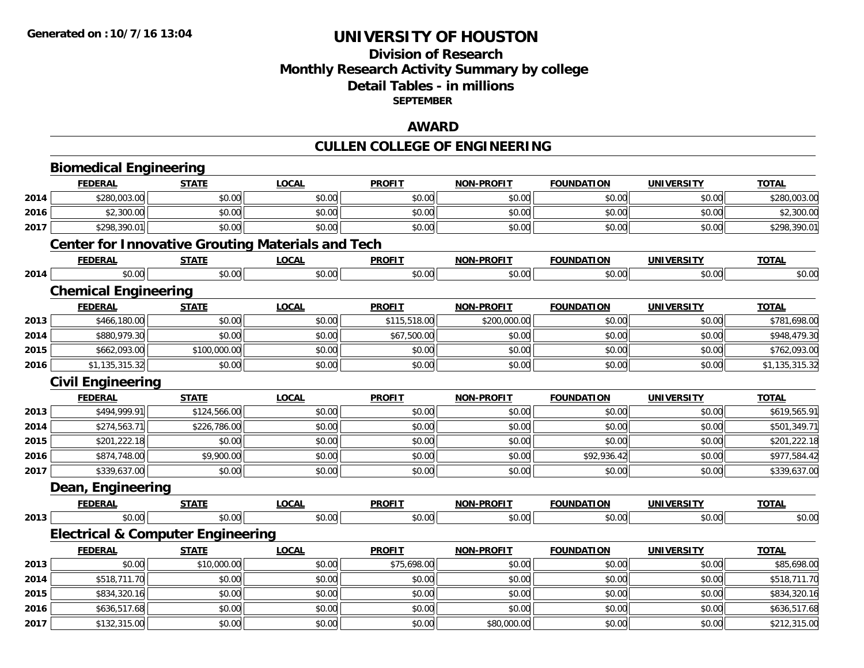## **Division of ResearchMonthly Research Activity Summary by college Detail Tables - in millions SEPTEMBER**

#### **AWARD**

# **CULLEN COLLEGE OF ENGINEERING**

|      | <b>Biomedical Engineering</b>                |              |                                                          |               |                   |                   |                   |                |
|------|----------------------------------------------|--------------|----------------------------------------------------------|---------------|-------------------|-------------------|-------------------|----------------|
|      | <b>FEDERAL</b>                               | <b>STATE</b> | <b>LOCAL</b>                                             | <b>PROFIT</b> | <b>NON-PROFIT</b> | <b>FOUNDATION</b> | <b>UNIVERSITY</b> | <b>TOTAL</b>   |
| 2014 | \$280,003.00                                 | \$0.00       | \$0.00                                                   | \$0.00        | \$0.00            | \$0.00            | \$0.00            | \$280,003.00   |
| 2016 | \$2,300.00                                   | \$0.00       | \$0.00                                                   | \$0.00        | \$0.00            | \$0.00            | \$0.00            | \$2,300.00     |
| 2017 | \$298,390.01                                 | \$0.00       | \$0.00                                                   | \$0.00        | \$0.00            | \$0.00            | \$0.00            | \$298,390.01   |
|      |                                              |              | <b>Center for Innovative Grouting Materials and Tech</b> |               |                   |                   |                   |                |
|      | <b>FEDERAL</b>                               | <b>STATE</b> | <b>LOCAL</b>                                             | <b>PROFIT</b> | <b>NON-PROFIT</b> | <b>FOUNDATION</b> | <b>UNIVERSITY</b> | <b>TOTAL</b>   |
| 2014 | \$0.00                                       | \$0.00       | \$0.00                                                   | \$0.00        | \$0.00            | \$0.00            | \$0.00            | \$0.00         |
|      | <b>Chemical Engineering</b>                  |              |                                                          |               |                   |                   |                   |                |
|      | <b>FEDERAL</b>                               | <b>STATE</b> | <b>LOCAL</b>                                             | <b>PROFIT</b> | <b>NON-PROFIT</b> | <b>FOUNDATION</b> | <b>UNIVERSITY</b> | <b>TOTAL</b>   |
| 2013 | \$466,180.00                                 | \$0.00       | \$0.00                                                   | \$115,518.00  | \$200,000.00      | \$0.00            | \$0.00            | \$781,698.00   |
| 2014 | \$880,979.30                                 | \$0.00       | \$0.00                                                   | \$67,500.00   | \$0.00            | \$0.00            | \$0.00            | \$948,479.30   |
| 2015 | \$662,093.00                                 | \$100,000.00 | \$0.00                                                   | \$0.00        | \$0.00            | \$0.00            | \$0.00            | \$762,093.00   |
| 2016 | \$1,135,315.32                               | \$0.00       | \$0.00                                                   | \$0.00        | \$0.00            | \$0.00            | \$0.00            | \$1,135,315.32 |
|      | <b>Civil Engineering</b>                     |              |                                                          |               |                   |                   |                   |                |
|      | <b>FEDERAL</b>                               | <b>STATE</b> | <b>LOCAL</b>                                             | <b>PROFIT</b> | <b>NON-PROFIT</b> | <b>FOUNDATION</b> | <b>UNIVERSITY</b> | <b>TOTAL</b>   |
| 2013 | \$494,999.91                                 | \$124,566.00 | \$0.00                                                   | \$0.00        | \$0.00            | \$0.00            | \$0.00            | \$619,565.91   |
| 2014 | \$274,563.71                                 | \$226,786.00 | \$0.00                                                   | \$0.00        | \$0.00            | \$0.00            | \$0.00            | \$501,349.71   |
| 2015 | \$201,222.18                                 | \$0.00       | \$0.00                                                   | \$0.00        | \$0.00            | \$0.00            | \$0.00            | \$201,222.18   |
| 2016 | \$874,748.00                                 | \$9,900.00   | \$0.00                                                   | \$0.00        | \$0.00            | \$92,936.42       | \$0.00            | \$977,584.42   |
| 2017 | \$339,637.00                                 | \$0.00       | \$0.00                                                   | \$0.00        | \$0.00            | \$0.00            | \$0.00            | \$339,637.00   |
|      | Dean, Engineering                            |              |                                                          |               |                   |                   |                   |                |
|      | <b>FEDERAL</b>                               | <b>STATE</b> | <b>LOCAL</b>                                             | <b>PROFIT</b> | <b>NON-PROFIT</b> | <b>FOUNDATION</b> | <b>UNIVERSITY</b> | <b>TOTAL</b>   |
| 2013 | \$0.00                                       | \$0.00       | \$0.00                                                   | \$0.00        | \$0.00            | \$0.00            | \$0.00            | \$0.00         |
|      | <b>Electrical &amp; Computer Engineering</b> |              |                                                          |               |                   |                   |                   |                |
|      | <b>FEDERAL</b>                               | <b>STATE</b> | <b>LOCAL</b>                                             | <b>PROFIT</b> | <b>NON-PROFIT</b> | <b>FOUNDATION</b> | <b>UNIVERSITY</b> | <b>TOTAL</b>   |
| 2013 | \$0.00                                       | \$10,000.00  | \$0.00                                                   | \$75,698.00   | \$0.00            | \$0.00            | \$0.00            | \$85,698.00    |
| 2014 | \$518,711.70                                 | \$0.00       | \$0.00                                                   | \$0.00        | \$0.00            | \$0.00            | \$0.00            | \$518,711.70   |
| 2015 | \$834,320.16                                 | \$0.00       | \$0.00                                                   | \$0.00        | \$0.00            | \$0.00            | \$0.00            | \$834,320.16   |
| 2016 | \$636,517.68                                 | \$0.00       | \$0.00                                                   | \$0.00        | \$0.00            | \$0.00            | \$0.00            | \$636,517.68   |
| 2017 | \$132,315.00                                 | \$0.00       | \$0.00                                                   | \$0.00        | \$80,000.00       | \$0.00            | \$0.00            | \$212,315.00   |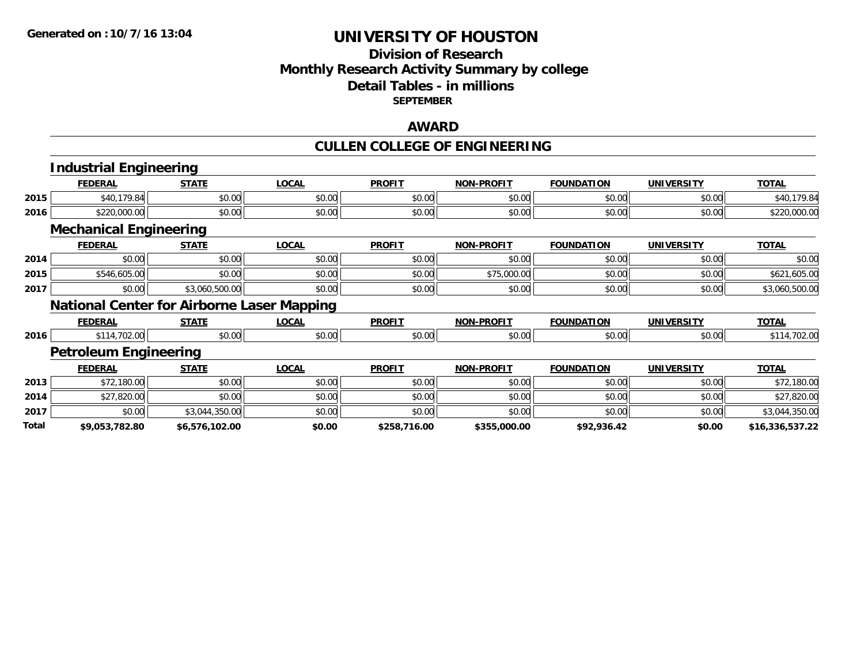## **Division of Research Monthly Research Activity Summary by college Detail Tables - in millions SEPTEMBER**

#### **AWARD**

#### **CULLEN COLLEGE OF ENGINEERING**

|       | <b>Industrial Engineering</b>                     |                |              |               |                   |                   |                   |                 |
|-------|---------------------------------------------------|----------------|--------------|---------------|-------------------|-------------------|-------------------|-----------------|
|       | <b>FEDERAL</b>                                    | <b>STATE</b>   | <b>LOCAL</b> | <b>PROFIT</b> | <b>NON-PROFIT</b> | <b>FOUNDATION</b> | <b>UNIVERSITY</b> | <b>TOTAL</b>    |
| 2015  | \$40,179.84                                       | \$0.00         | \$0.00       | \$0.00        | \$0.00            | \$0.00            | \$0.00            | \$40,179.84     |
| 2016  | \$220,000.00                                      | \$0.00         | \$0.00       | \$0.00        | \$0.00            | \$0.00            | \$0.00            | \$220,000.00    |
|       | <b>Mechanical Engineering</b>                     |                |              |               |                   |                   |                   |                 |
|       | <b>FEDERAL</b>                                    | <b>STATE</b>   | <b>LOCAL</b> | <b>PROFIT</b> | <b>NON-PROFIT</b> | <b>FOUNDATION</b> | <b>UNIVERSITY</b> | <b>TOTAL</b>    |
| 2014  | \$0.00                                            | \$0.00         | \$0.00       | \$0.00        | \$0.00            | \$0.00            | \$0.00            | \$0.00          |
| 2015  | \$546,605.00                                      | \$0.00         | \$0.00       | \$0.00        | \$75,000.00       | \$0.00            | \$0.00            | \$621,605.00    |
| 2017  | \$0.00                                            | \$3,060,500.00 | \$0.00       | \$0.00        | \$0.00            | \$0.00            | \$0.00            | \$3,060,500.00  |
|       | <b>National Center for Airborne Laser Mapping</b> |                |              |               |                   |                   |                   |                 |
|       | <b>FEDERAL</b>                                    | <b>STATE</b>   | <b>LOCAL</b> | <b>PROFIT</b> | <b>NON-PROFIT</b> | <b>FOUNDATION</b> | <b>UNIVERSITY</b> | <b>TOTAL</b>    |
| 2016  | \$114,702.00                                      | \$0.00         | \$0.00       | \$0.00        | \$0.00            | \$0.00            | \$0.00            | \$114,702.00    |
|       | <b>Petroleum Engineering</b>                      |                |              |               |                   |                   |                   |                 |
|       | <b>FEDERAL</b>                                    | <b>STATE</b>   | <b>LOCAL</b> | <b>PROFIT</b> | <b>NON-PROFIT</b> | <b>FOUNDATION</b> | <b>UNIVERSITY</b> | <b>TOTAL</b>    |
| 2013  | \$72,180.00                                       | \$0.00         | \$0.00       | \$0.00        | \$0.00            | \$0.00            | \$0.00            | \$72,180.00     |
| 2014  | \$27,820.00                                       | \$0.00         | \$0.00       | \$0.00        | \$0.00            | \$0.00            | \$0.00            | \$27,820.00     |
| 2017  | \$0.00                                            | \$3,044,350.00 | \$0.00       | \$0.00        | \$0.00            | \$0.00            | \$0.00            | \$3,044,350.00  |
| Total | \$9,053,782.80                                    | \$6,576,102.00 | \$0.00       | \$258,716.00  | \$355,000.00      | \$92,936.42       | \$0.00            | \$16,336,537.22 |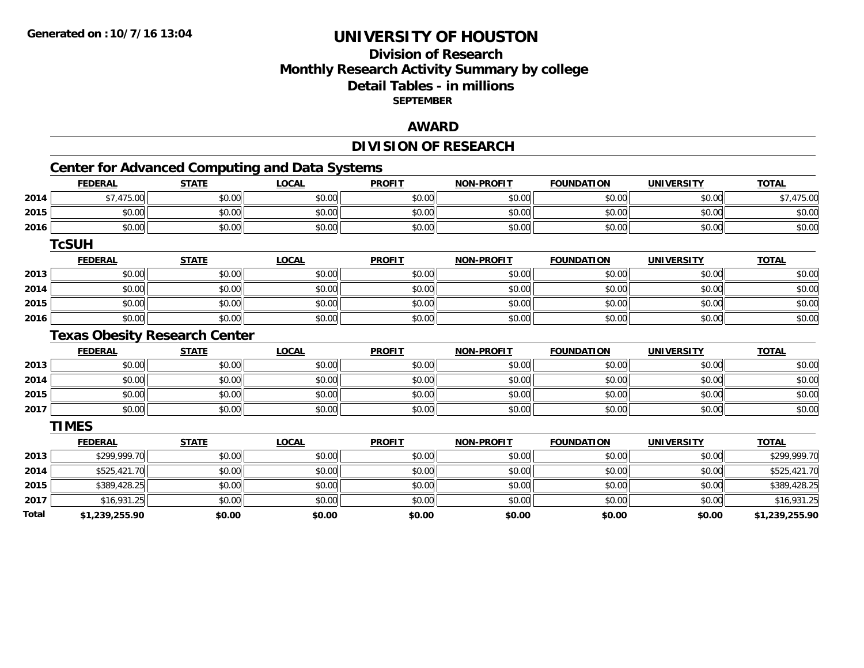## **Division of Research Monthly Research Activity Summary by college Detail Tables - in millions SEPTEMBER**

#### **AWARD**

# **DIVISION OF RESEARCH**

# **Center for Advanced Computing and Data Systems**

|       | <b>FEDERAL</b>                       | <b>STATE</b> | <b>LOCAL</b> | <b>PROFIT</b> | <b>NON-PROFIT</b> | <b>FOUNDATION</b> | <b>UNIVERSITY</b> | <b>TOTAL</b>   |
|-------|--------------------------------------|--------------|--------------|---------------|-------------------|-------------------|-------------------|----------------|
| 2014  | \$7,475.00                           | \$0.00       | \$0.00       | \$0.00        | \$0.00            | \$0.00            | \$0.00            | \$7,475.00     |
| 2015  | \$0.00                               | \$0.00       | \$0.00       | \$0.00        | \$0.00            | \$0.00            | \$0.00            | \$0.00         |
| 2016  | \$0.00                               | \$0.00       | \$0.00       | \$0.00        | \$0.00            | \$0.00            | \$0.00            | \$0.00         |
|       | <b>TcSUH</b>                         |              |              |               |                   |                   |                   |                |
|       | <b>FEDERAL</b>                       | <b>STATE</b> | <b>LOCAL</b> | <b>PROFIT</b> | <b>NON-PROFIT</b> | <b>FOUNDATION</b> | <b>UNIVERSITY</b> | <b>TOTAL</b>   |
| 2013  | \$0.00                               | \$0.00       | \$0.00       | \$0.00        | \$0.00            | \$0.00            | \$0.00            | \$0.00         |
| 2014  | \$0.00                               | \$0.00       | \$0.00       | \$0.00        | \$0.00            | \$0.00            | \$0.00            | \$0.00         |
| 2015  | \$0.00                               | \$0.00       | \$0.00       | \$0.00        | \$0.00            | \$0.00            | \$0.00            | \$0.00         |
| 2016  | \$0.00                               | \$0.00       | \$0.00       | \$0.00        | \$0.00            | \$0.00            | \$0.00            | \$0.00         |
|       | <b>Texas Obesity Research Center</b> |              |              |               |                   |                   |                   |                |
|       | <b>FEDERAL</b>                       | <b>STATE</b> | <b>LOCAL</b> | <b>PROFIT</b> | <b>NON-PROFIT</b> | <b>FOUNDATION</b> | <b>UNIVERSITY</b> | <b>TOTAL</b>   |
| 2013  | \$0.00                               | \$0.00       | \$0.00       | \$0.00        | \$0.00            | \$0.00            | \$0.00            | \$0.00         |
| 2014  | \$0.00                               | \$0.00       | \$0.00       | \$0.00        | \$0.00            | \$0.00            | \$0.00            | \$0.00         |
| 2015  | \$0.00                               | \$0.00       | \$0.00       | \$0.00        | \$0.00            | \$0.00            | \$0.00            | \$0.00         |
| 2017  | \$0.00                               | \$0.00       | \$0.00       | \$0.00        | \$0.00            | \$0.00            | \$0.00            | \$0.00         |
|       | <b>TIMES</b>                         |              |              |               |                   |                   |                   |                |
|       | <b>FEDERAL</b>                       | <b>STATE</b> | <b>LOCAL</b> | <b>PROFIT</b> | <b>NON-PROFIT</b> | <b>FOUNDATION</b> | <b>UNIVERSITY</b> | <b>TOTAL</b>   |
| 2013  | \$299,999.70                         | \$0.00       | \$0.00       | \$0.00        | \$0.00            | \$0.00            | \$0.00            | \$299,999.70   |
| 2014  | \$525,421.70                         | \$0.00       | \$0.00       | \$0.00        | \$0.00            | \$0.00            | \$0.00            | \$525,421.70   |
| 2015  | \$389,428.25                         | \$0.00       | \$0.00       | \$0.00        | \$0.00            | \$0.00            | \$0.00            | \$389,428.25   |
| 2017  | \$16,931.25                          | \$0.00       | \$0.00       | \$0.00        | \$0.00            | \$0.00            | \$0.00            | \$16,931.25    |
| Total | \$1,239,255.90                       | \$0.00       | \$0.00       | \$0.00        | \$0.00            | \$0.00            | \$0.00            | \$1,239,255.90 |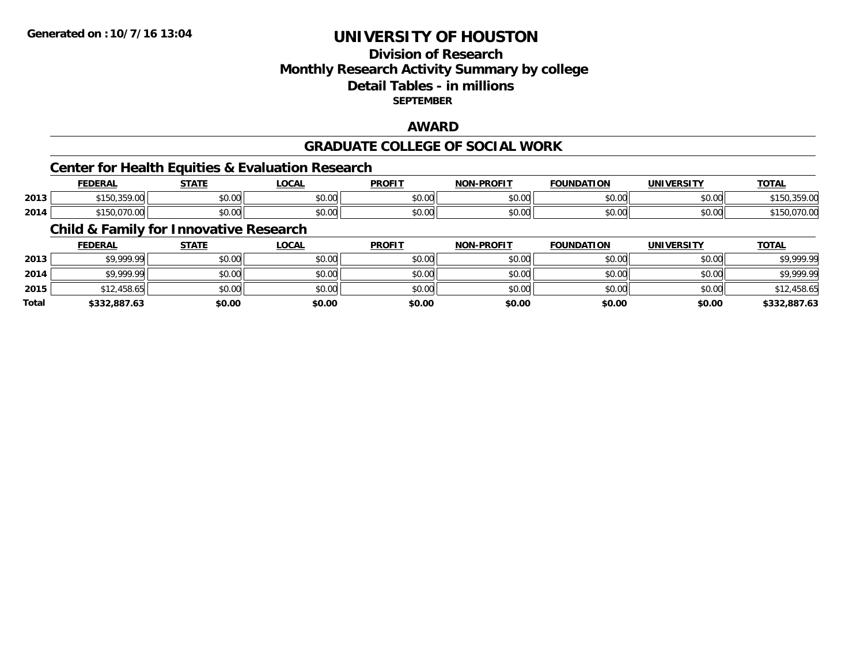## **Division of ResearchMonthly Research Activity Summary by college Detail Tables - in millions SEPTEMBER**

## **AWARD**

#### **GRADUATE COLLEGE OF SOCIAL WORK**

## **Center for Health Equities & Evaluation Research**

|      | <b>FEDERAL</b> | CT A TI            | .OCAl         | <b>DDOFIT</b>           | <b>DDAEIT</b><br><b>MAN</b> | <b>FOUNDATION</b> | IINIIVEDCITV       | <b>TOTAL</b> |
|------|----------------|--------------------|---------------|-------------------------|-----------------------------|-------------------|--------------------|--------------|
| 2013 | 2500<br>- - -  | $\sim$ 00<br>JU.UU | JU.UU         | 0 <sup>n</sup><br>JU.UU | 0000<br>vv.vv               | $\sim$ 00<br>,,,, | $\sim$ 00<br>JU.UU | 7.VV         |
| 2014 | 070<br>7 U.U   | 0000<br>JU.UU      | 0.00<br>JU.UU | 0000<br>JU.UU           | $\sim$ 00<br>ט.טע           | $\sim$ 00         | $\sim$ 00<br>JU.UU |              |

## **Child & Family for Innovative Research**

|              | <b>FEDERAL</b> | <u>STATE</u> | <u>LOCAL</u> | <b>PROFIT</b> | <b>NON-PROFIT</b> | <b>FOUNDATION</b> | <b>UNIVERSITY</b> | <b>TOTAL</b> |
|--------------|----------------|--------------|--------------|---------------|-------------------|-------------------|-------------------|--------------|
| 2013         | \$9,999.99     | \$0.00       | \$0.00       | \$0.00        | \$0.00            | \$0.00            | \$0.00            | \$9,999.99   |
| 2014         | \$9,999.99     | \$0.00       | \$0.00       | \$0.00        | \$0.00            | \$0.00            | \$0.00            | \$9,999.99   |
| 2015         | \$12,458.65    | \$0.00       | \$0.00       | \$0.00        | \$0.00            | \$0.00            | \$0.00            | \$12,458.65  |
| <b>Total</b> | \$332,887.63   | \$0.00       | \$0.00       | \$0.00        | \$0.00            | \$0.00            | \$0.00            | \$332,887.63 |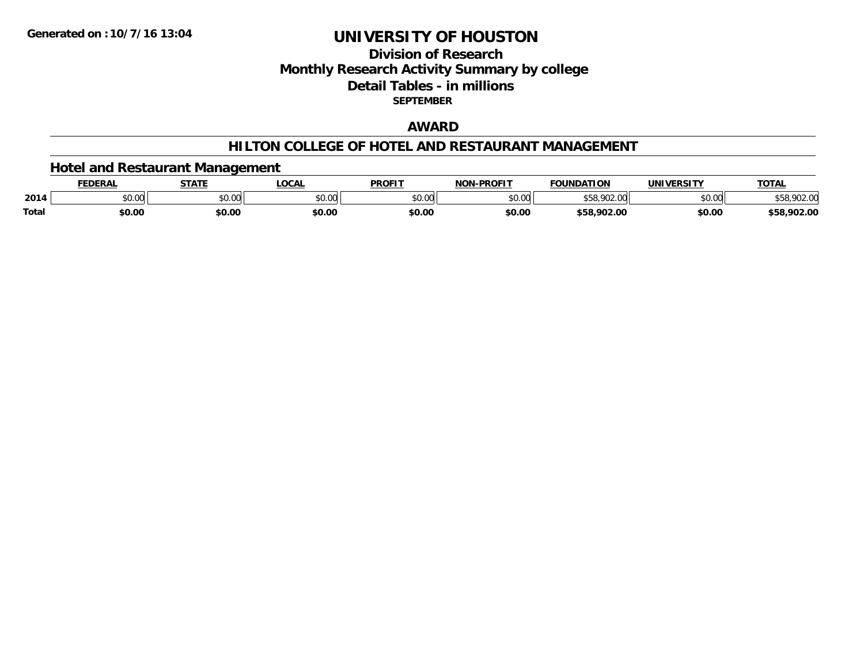## **Division of ResearchMonthly Research Activity Summary by college Detail Tables - in millions SEPTEMBER**

## **AWARD**

#### **HILTON COLLEGE OF HOTEL AND RESTAURANT MANAGEMENT**

## **Hotel and Restaurant Management**

|       | <b>FEDERAI</b> | <b>STATE</b>                        | <b>LOCAL</b>             | <b>PROFIT</b> | NAN BRAFIT     | <b>FOLINDATION</b><br>10B | IINIIVEDCITV                         | <b>TOTAL</b> |
|-------|----------------|-------------------------------------|--------------------------|---------------|----------------|---------------------------|--------------------------------------|--------------|
| 2014  | 0000<br>PU.UU  | $\theta$ $\theta$ $\theta$<br>וטטוע | $n \cap \Omega$<br>DU.UU | \$0.00        | ልስ ሀህ<br>pu.uu | nn<br>ນວດ                 | $*$ $\circ$ $\circ$ $\circ$<br>vv.vv | 70Z.V        |
| Total | \$0.00         | \$0.00                              | \$0.00                   | \$0.00        | \$0.00         | \$58.902.00               | \$0.00                               | \$58,902.00  |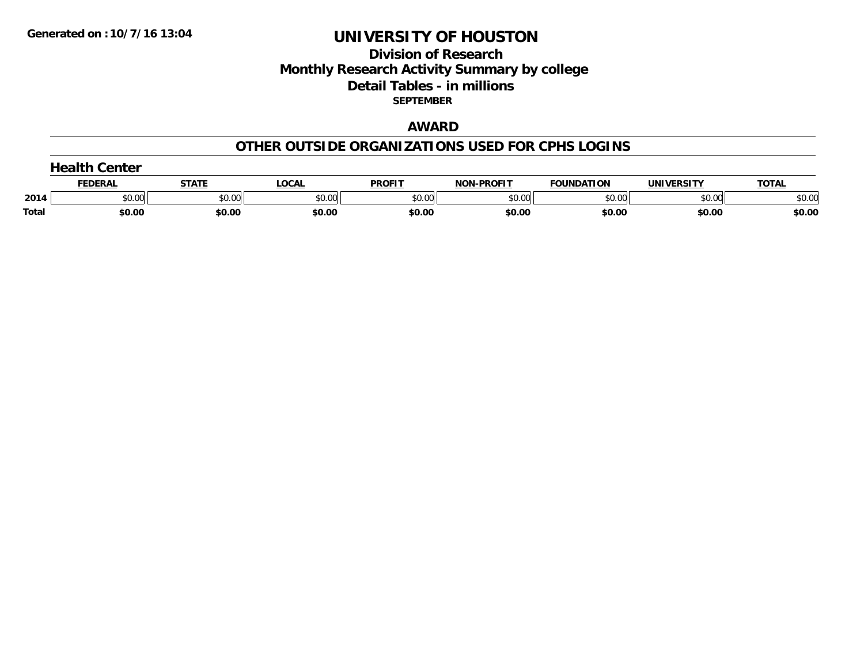## **Division of Research Monthly Research Activity Summary by college Detail Tables - in millions SEPTEMBER**

## **AWARD**

#### **OTHER OUTSIDE ORGANIZATIONS USED FOR CPHS LOGINS**

|       | $\rightarrow$ olth $\sim$<br>Center |        |        |               |                   |                   |            |              |  |  |
|-------|-------------------------------------|--------|--------|---------------|-------------------|-------------------|------------|--------------|--|--|
|       | FEDERAI                             | STATE  | LOCAI  | <b>PROFIT</b> | <b>NON-PROFIT</b> | <b>FOUNDATION</b> | UNIVERSITY | <b>TOTAL</b> |  |  |
| 2014  | \$0.00                              | \$0.00 | \$0.00 | \$0.00        | \$0.00            | \$0.00            | \$0.00     | \$0.00       |  |  |
| Total | \$0.00                              | \$0.00 | \$0.00 | \$0.00        | \$0.00            | \$0.00            | \$0.00     | \$0.00       |  |  |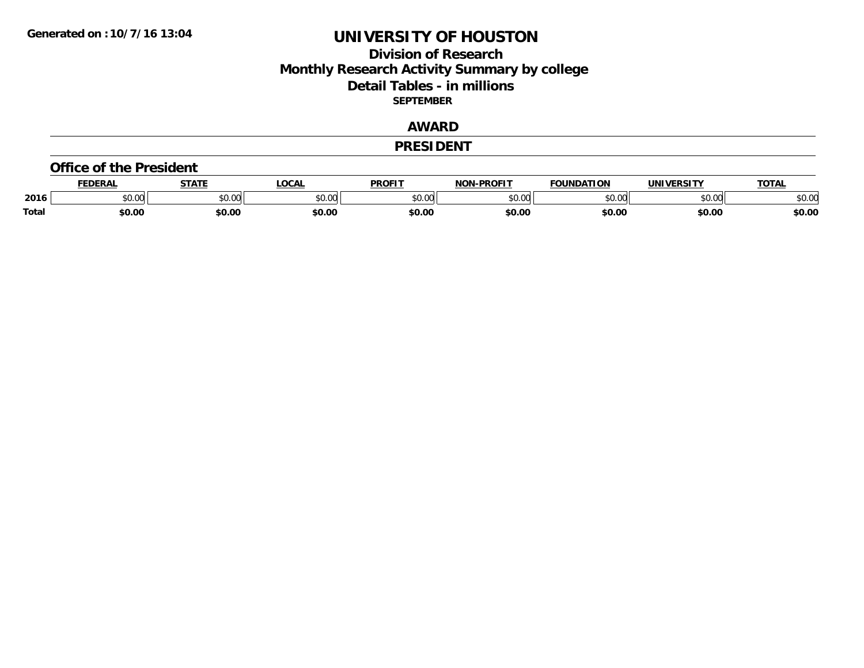## **Division of Research Monthly Research Activity Summary by college Detail Tables - in millions SEPTEMBER**

## **AWARD**

#### **PRESIDENT**

#### **Office of the President**

|       | DERAI  | <b>STATE</b>             | <b>LOCAL</b>                                          | PROFIT        | -PROFIT<br>חרות         | <b>FOUNDATION</b> | UNIVERSITY | TOTA.  |
|-------|--------|--------------------------|-------------------------------------------------------|---------------|-------------------------|-------------------|------------|--------|
| 2016  | \$0.00 | $\sim$ 0.0 $\sim$<br>JU. | $\mathsf{A} \cap \mathsf{A} \cap \mathsf{A}$<br>50.Ul | 0000<br>JU.UU | 0 <sup>0</sup><br>,u.uu | $n \cap \Omega$   | \$0.00     | \$0.00 |
| Total | \$0.00 | \$0.00                   | \$0.00                                                | \$0.00        | \$0.00                  | \$0.00            | \$0.00     | \$0.00 |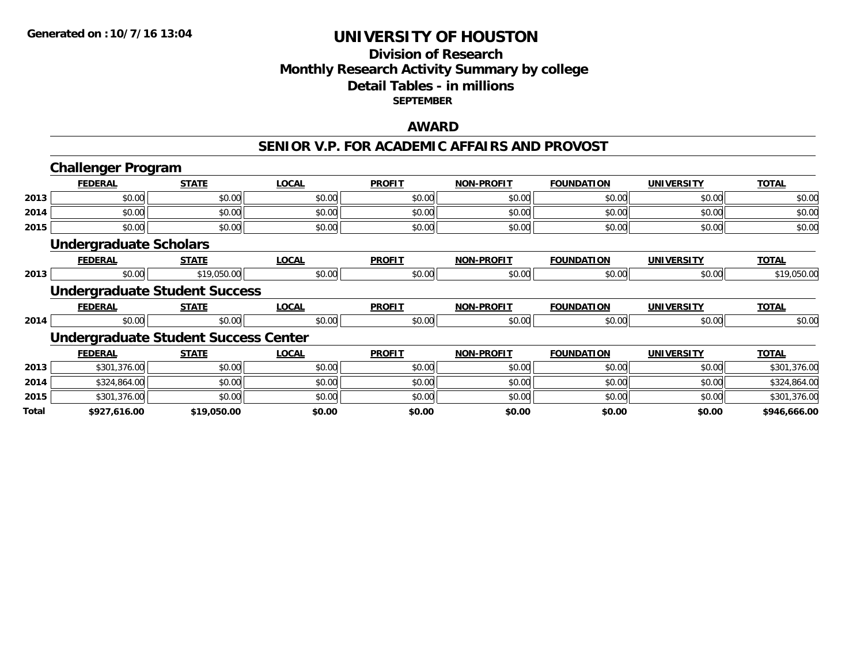## **Division of Research Monthly Research Activity Summary by college Detail Tables - in millions SEPTEMBER**

### **AWARD**

#### **SENIOR V.P. FOR ACADEMIC AFFAIRS AND PROVOST**

|       | <b>Challenger Program</b>     |                                             |              |               |                   |                   |                   |              |
|-------|-------------------------------|---------------------------------------------|--------------|---------------|-------------------|-------------------|-------------------|--------------|
|       | <b>FEDERAL</b>                | <b>STATE</b>                                | <b>LOCAL</b> | <b>PROFIT</b> | <b>NON-PROFIT</b> | <b>FOUNDATION</b> | <b>UNIVERSITY</b> | <b>TOTAL</b> |
| 2013  | \$0.00                        | \$0.00                                      | \$0.00       | \$0.00        | \$0.00            | \$0.00            | \$0.00            | \$0.00       |
| 2014  | \$0.00                        | \$0.00                                      | \$0.00       | \$0.00        | \$0.00            | \$0.00            | \$0.00            | \$0.00       |
| 2015  | \$0.00                        | \$0.00                                      | \$0.00       | \$0.00        | \$0.00            | \$0.00            | \$0.00            | \$0.00       |
|       | <b>Undergraduate Scholars</b> |                                             |              |               |                   |                   |                   |              |
|       | <b>FEDERAL</b>                | <b>STATE</b>                                | <b>LOCAL</b> | <b>PROFIT</b> | <b>NON-PROFIT</b> | <b>FOUNDATION</b> | <b>UNIVERSITY</b> | <b>TOTAL</b> |
| 2013  | \$0.00                        | \$19,050.00                                 | \$0.00       | \$0.00        | \$0.00            | \$0.00            | \$0.00            | \$19,050.00  |
|       |                               | <b>Undergraduate Student Success</b>        |              |               |                   |                   |                   |              |
|       | <b>FEDERAL</b>                | <b>STATE</b>                                | <b>LOCAL</b> | <b>PROFIT</b> | <b>NON-PROFIT</b> | <b>FOUNDATION</b> | <b>UNIVERSITY</b> | <b>TOTAL</b> |
| 2014  | \$0.00                        | \$0.00                                      | \$0.00       | \$0.00        | \$0.00            | \$0.00            | \$0.00            | \$0.00       |
|       |                               | <b>Undergraduate Student Success Center</b> |              |               |                   |                   |                   |              |
|       | <b>FEDERAL</b>                | <b>STATE</b>                                | <b>LOCAL</b> | <b>PROFIT</b> | <b>NON-PROFIT</b> | <b>FOUNDATION</b> | <b>UNIVERSITY</b> | <b>TOTAL</b> |
| 2013  | \$301,376.00                  | \$0.00                                      | \$0.00       | \$0.00        | \$0.00            | \$0.00            | \$0.00            | \$301,376.00 |
| 2014  | \$324,864.00                  | \$0.00                                      | \$0.00       | \$0.00        | \$0.00            | \$0.00            | \$0.00            | \$324,864.00 |
| 2015  | \$301,376.00                  | \$0.00                                      | \$0.00       | \$0.00        | \$0.00            | \$0.00            | \$0.00            | \$301,376.00 |
| Total | \$927,616.00                  | \$19,050.00                                 | \$0.00       | \$0.00        | \$0.00            | \$0.00            | \$0.00            | \$946,666.00 |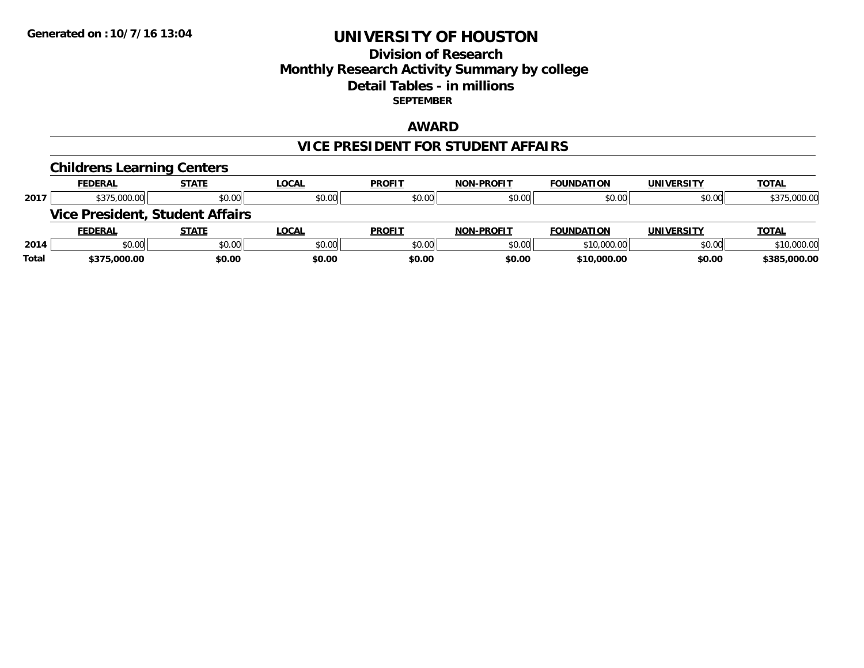### **Division of Research Monthly Research Activity Summary by college Detail Tables - in millions SEPTEMBER**

### **AWARD**

#### **VICE PRESIDENT FOR STUDENT AFFAIRS**

|       | <b>Childrens Learning Centers</b> |                                        |              |               |                   |                   |                   |              |
|-------|-----------------------------------|----------------------------------------|--------------|---------------|-------------------|-------------------|-------------------|--------------|
|       | <b>FEDERAL</b>                    | <b>STATE</b>                           | <b>LOCAL</b> | <b>PROFIT</b> | <b>NON-PROFIT</b> | <b>FOUNDATION</b> | UNIVERSITY        | <b>TOTAL</b> |
| 2017  | \$375,000.00                      | \$0.00                                 | \$0.00       | \$0.00        | \$0.00            | \$0.00            | \$0.00            | \$375,000.00 |
|       |                                   | <b>Vice President, Student Affairs</b> |              |               |                   |                   |                   |              |
|       | <b>FEDERAL</b>                    | <b>STATE</b>                           | <b>LOCAL</b> | <b>PROFIT</b> | <b>NON-PROFIT</b> | <b>FOUNDATION</b> | <b>UNIVERSITY</b> | <b>TOTAL</b> |
| 2014  | \$0.00                            | \$0.00                                 | \$0.00       | \$0.00        | \$0.00            | \$10,000.00       | \$0.00            | \$10,000.00  |
| Total | \$375,000.00                      | \$0.00                                 | \$0.00       | \$0.00        | \$0.00            | \$10,000.00       | \$0.00            | \$385,000.00 |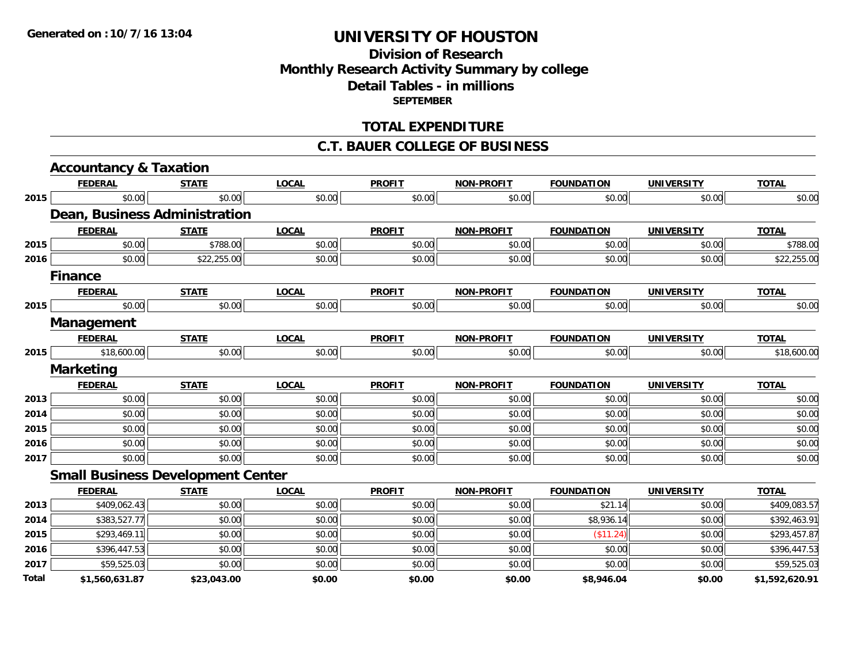# **Division of ResearchMonthly Research Activity Summary by college Detail Tables - in millions SEPTEMBER**

### **TOTAL EXPENDITURE**

#### **C.T. BAUER COLLEGE OF BUSINESS**

|      | <b>Accountancy &amp; Taxation</b>        |              |              |               |                   |                   |                   |              |
|------|------------------------------------------|--------------|--------------|---------------|-------------------|-------------------|-------------------|--------------|
|      | <b>FEDERAL</b>                           | <b>STATE</b> | <b>LOCAL</b> | <b>PROFIT</b> | <b>NON-PROFIT</b> | <b>FOUNDATION</b> | <b>UNIVERSITY</b> | <b>TOTAL</b> |
| 2015 | \$0.00                                   | \$0.00       | \$0.00       | \$0.00        | \$0.00            | \$0.00            | \$0.00            | \$0.00       |
|      | Dean, Business Administration            |              |              |               |                   |                   |                   |              |
|      | <b>FEDERAL</b>                           | <b>STATE</b> | <b>LOCAL</b> | <b>PROFIT</b> | <b>NON-PROFIT</b> | <b>FOUNDATION</b> | <b>UNIVERSITY</b> | <b>TOTAL</b> |
| 2015 | \$0.00                                   | \$788.00     | \$0.00       | \$0.00        | \$0.00            | \$0.00            | \$0.00            | \$788.00     |
| 2016 | \$0.00                                   | \$22,255.00  | \$0.00       | \$0.00        | \$0.00            | \$0.00            | \$0.00            | \$22,255.00  |
|      | <b>Finance</b>                           |              |              |               |                   |                   |                   |              |
|      | <b>FEDERAL</b>                           | <b>STATE</b> | <b>LOCAL</b> | <b>PROFIT</b> | <b>NON-PROFIT</b> | <b>FOUNDATION</b> | <b>UNIVERSITY</b> | <b>TOTAL</b> |
| 2015 | \$0.00                                   | \$0.00       | \$0.00       | \$0.00        | \$0.00            | \$0.00            | \$0.00            | \$0.00       |
|      | Management                               |              |              |               |                   |                   |                   |              |
|      | <b>FEDERAL</b>                           | <b>STATE</b> | <b>LOCAL</b> | <b>PROFIT</b> | <b>NON-PROFIT</b> | <b>FOUNDATION</b> | <b>UNIVERSITY</b> | <b>TOTAL</b> |
| 2015 | \$18,600.00                              | \$0.00       | \$0.00       | \$0.00        | \$0.00            | \$0.00            | \$0.00            | \$18,600.00  |
|      | <b>Marketing</b>                         |              |              |               |                   |                   |                   |              |
|      |                                          |              |              |               |                   |                   |                   |              |
|      | <b>FEDERAL</b>                           | <b>STATE</b> | <b>LOCAL</b> | <b>PROFIT</b> | <b>NON-PROFIT</b> | <b>FOUNDATION</b> | <b>UNIVERSITY</b> | <b>TOTAL</b> |
| 2013 | \$0.00                                   | \$0.00       | \$0.00       | \$0.00        | \$0.00            | \$0.00            | \$0.00            | \$0.00       |
| 2014 | \$0.00                                   | \$0.00       | \$0.00       | \$0.00        | \$0.00            | \$0.00            | \$0.00            | \$0.00       |
| 2015 | \$0.00                                   | \$0.00       | \$0.00       | \$0.00        | \$0.00            | \$0.00            | \$0.00            | \$0.00       |
| 2016 | \$0.00                                   | \$0.00       | \$0.00       | \$0.00        | \$0.00            | \$0.00            | \$0.00            | \$0.00       |
| 2017 | \$0.00                                   | \$0.00       | \$0.00       | \$0.00        | \$0.00            | \$0.00            | \$0.00            | \$0.00       |
|      | <b>Small Business Development Center</b> |              |              |               |                   |                   |                   |              |
|      | <b>FEDERAL</b>                           | <b>STATE</b> | <b>LOCAL</b> | <b>PROFIT</b> | <b>NON-PROFIT</b> | <b>FOUNDATION</b> | <b>UNIVERSITY</b> | <b>TOTAL</b> |
| 2013 | \$409,062.43                             | \$0.00       | \$0.00       | \$0.00        | \$0.00            | \$21.14           | \$0.00            | \$409,083.57 |
| 2014 | \$383,527.77                             | \$0.00       | \$0.00       | \$0.00        | \$0.00            | \$8,936.14        | \$0.00            | \$392,463.91 |
| 2015 | \$293,469.11                             | \$0.00       | \$0.00       | \$0.00        | \$0.00            | (\$11.24)         | \$0.00            | \$293,457.87 |
| 2016 | \$396,447.53                             | \$0.00       | \$0.00       | \$0.00        | \$0.00            | \$0.00            | \$0.00            | \$396,447.53 |
| 2017 | \$59,525.03                              | \$0.00       | \$0.00       | \$0.00        | \$0.00            | \$0.00            | \$0.00            | \$59,525.03  |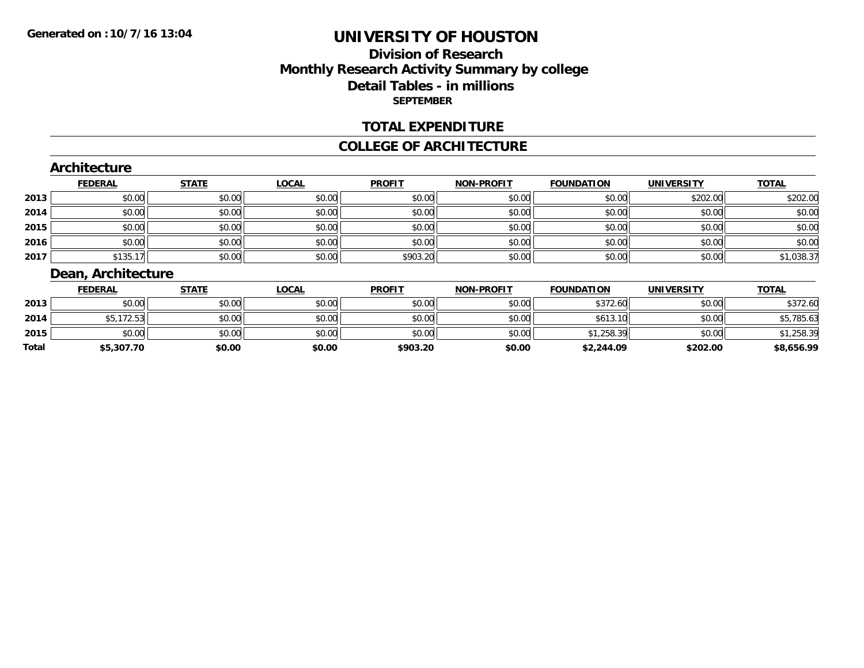# **Division of ResearchMonthly Research Activity Summary by college Detail Tables - in millions SEPTEMBER**

### **TOTAL EXPENDITURE**

#### **COLLEGE OF ARCHITECTURE**

### **Architecture**

|      | <b>FEDERAL</b> | <b>STATE</b> | <b>LOCAL</b> | <b>PROFIT</b> | <b>NON-PROFIT</b> | <b>FOUNDATION</b> | <b>UNIVERSITY</b> | <b>TOTAL</b> |
|------|----------------|--------------|--------------|---------------|-------------------|-------------------|-------------------|--------------|
| 2013 | \$0.00         | \$0.00       | \$0.00       | \$0.00        | \$0.00            | \$0.00            | \$202.00          | \$202.00     |
| 2014 | \$0.00         | \$0.00       | \$0.00       | \$0.00        | \$0.00            | \$0.00            | \$0.00            | \$0.00       |
| 2015 | \$0.00         | \$0.00       | \$0.00       | \$0.00        | \$0.00            | \$0.00            | \$0.00            | \$0.00       |
| 2016 | \$0.00         | \$0.00       | \$0.00       | \$0.00        | \$0.00            | \$0.00            | \$0.00            | \$0.00       |
| 2017 | \$135.17       | \$0.00       | \$0.00       | \$903.20      | \$0.00            | \$0.00            | \$0.00            | \$1,038.37   |

## **Dean, Architecture**

|       | <b>FEDERAL</b> | <u>STATE</u> | <u>LOCAL</u> | <b>PROFIT</b> | <b>NON-PROFIT</b> | <b>FOUNDATION</b> | <b>UNIVERSITY</b> | <b>TOTAL</b> |
|-------|----------------|--------------|--------------|---------------|-------------------|-------------------|-------------------|--------------|
| 2013  | \$0.00         | \$0.00       | \$0.00       | \$0.00        | \$0.00            | \$372.60          | \$0.00            | \$372.60     |
| 2014  | \$5,172.53     | \$0.00       | \$0.00       | \$0.00        | \$0.00            | \$613.10          | \$0.00            | \$5,785.63   |
| 2015  | \$0.00         | \$0.00       | \$0.00       | \$0.00        | \$0.00            | \$1,258.39        | \$0.00            | 1,258.39     |
| Total | \$5,307.70     | \$0.00       | \$0.00       | \$903.20      | \$0.00            | \$2,244.09        | \$202.00          | \$8,656.99   |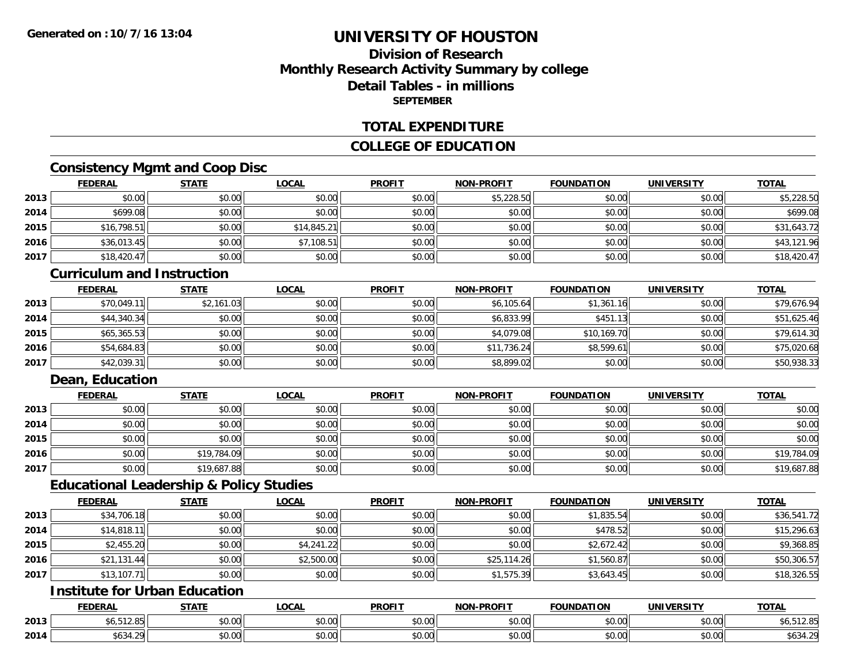# **Division of ResearchMonthly Research Activity Summary by college Detail Tables - in millionsSEPTEMBER**

### **TOTAL EXPENDITURE**

### **COLLEGE OF EDUCATION**

## **Consistency Mgmt and Coop Disc**

|      | <b>FEDERAL</b> | <b>STATE</b> | <b>LOCAL</b> | <b>PROFIT</b> | <b>NON-PROFIT</b> | <b>FOUNDATION</b> | <b>UNIVERSITY</b> | <b>TOTAL</b> |
|------|----------------|--------------|--------------|---------------|-------------------|-------------------|-------------------|--------------|
| 2013 | \$0.00         | \$0.00       | \$0.00       | \$0.00        | \$5,228.50        | \$0.00            | \$0.00            | \$5,228.50   |
| 2014 | \$699.08       | \$0.00       | \$0.00       | \$0.00        | \$0.00            | \$0.00            | \$0.00            | \$699.08     |
| 2015 | \$16,798.51    | \$0.00       | \$14,845.21  | \$0.00        | \$0.00            | \$0.00            | \$0.00            | \$31,643.72  |
| 2016 | \$36,013.45    | \$0.00       | \$7,108.51   | \$0.00        | \$0.00            | \$0.00            | \$0.00            | \$43,121.96  |
| 2017 | \$18,420.47    | \$0.00       | \$0.00       | \$0.00        | \$0.00            | \$0.00            | \$0.00            | \$18,420.47  |

#### **Curriculum and Instruction**

|      | <b>FEDERAL</b> | <b>STATE</b> | <b>LOCAL</b> | <b>PROFIT</b> | <b>NON-PROFIT</b> | <b>FOUNDATION</b> | <b>UNIVERSITY</b> | <b>TOTAL</b> |
|------|----------------|--------------|--------------|---------------|-------------------|-------------------|-------------------|--------------|
| 2013 | \$70,049.11    | \$2,161.03   | \$0.00       | \$0.00        | \$6,105.64        | \$1,361.16        | \$0.00            | \$79,676.94  |
| 2014 | \$44,340.34    | \$0.00       | \$0.00       | \$0.00        | \$6,833.99        | \$451.13          | \$0.00            | \$51,625.46  |
| 2015 | \$65,365.53    | \$0.00       | \$0.00       | \$0.00        | \$4,079.08        | \$10,169.70       | \$0.00            | \$79,614.30  |
| 2016 | \$54,684.83    | \$0.00       | \$0.00       | \$0.00        | \$11,736.24       | \$8,599.61        | \$0.00            | \$75,020.68  |
| 2017 | \$42,039.31    | \$0.00       | \$0.00       | \$0.00        | \$8,899.02        | \$0.00            | \$0.00            | \$50,938.33  |

### **Dean, Education**

|      | <b>FEDERAL</b> | <b>STATE</b> | <u>LOCAL</u> | <b>PROFIT</b> | <b>NON-PROFIT</b> | <b>FOUNDATION</b> | <b>UNIVERSITY</b> | <b>TOTAL</b> |
|------|----------------|--------------|--------------|---------------|-------------------|-------------------|-------------------|--------------|
| 2013 | \$0.00         | \$0.00       | \$0.00       | \$0.00        | \$0.00            | \$0.00            | \$0.00            | \$0.00       |
| 2014 | \$0.00         | \$0.00       | \$0.00       | \$0.00        | \$0.00            | \$0.00            | \$0.00            | \$0.00       |
| 2015 | \$0.00         | \$0.00       | \$0.00       | \$0.00        | \$0.00            | \$0.00            | \$0.00            | \$0.00       |
| 2016 | \$0.00         | \$19,784.09  | \$0.00       | \$0.00        | \$0.00            | \$0.00            | \$0.00            | \$19,784.09  |
| 2017 | \$0.00         | \$19,687.88  | \$0.00       | \$0.00        | \$0.00            | \$0.00            | \$0.00            | \$19,687.88  |

### **Educational Leadership & Policy Studies**

|      | <b>FEDERAL</b> | <b>STATE</b> | <u>LOCAL</u> | <b>PROFIT</b> | <b>NON-PROFIT</b> | <b>FOUNDATION</b> | <b>UNIVERSITY</b> | <b>TOTAL</b> |
|------|----------------|--------------|--------------|---------------|-------------------|-------------------|-------------------|--------------|
| 2013 | \$34,706.18    | \$0.00       | \$0.00       | \$0.00        | \$0.00            | \$1,835.54        | \$0.00            | \$36,541.72  |
| 2014 | \$14,818.11    | \$0.00       | \$0.00       | \$0.00        | \$0.00            | \$478.52          | \$0.00            | \$15,296.63  |
| 2015 | \$2,455.20     | \$0.00       | \$4,241.22   | \$0.00        | \$0.00            | \$2,672.42        | \$0.00            | \$9,368.85   |
| 2016 | \$21,131.44    | \$0.00       | \$2,500.00   | \$0.00        | \$25,114.26       | \$1,560.87        | \$0.00            | \$50,306.57  |
| 2017 | \$13,107.71    | \$0.00       | \$0.00       | \$0.00        | \$1,575.39        | \$3,643.45        | \$0.00            | \$18,326.55  |

## **Institute for Urban Education**

|      | <b>FEDERAL</b>                          | 07 A TI               | <b>OCAL</b>            | <b>PROFIT</b>                                         | ------<br><b>BIABLE</b> | <b>FOUNDATION</b> | UNIVERSITY             | <b>TATA</b>         |
|------|-----------------------------------------|-----------------------|------------------------|-------------------------------------------------------|-------------------------|-------------------|------------------------|---------------------|
| 2013 | FAP<br>$\sim$                           | $\sim$ $\sim$<br>70.U | ტი იი<br>40.0          | $\mathsf{A} \cap \mathsf{A} \cap \mathsf{A}$<br>90.UU | $\sim$ 00<br>pu.uu      | 0000<br>VU.U      | $\sim$ $\sim$<br>vv.vv | ו הו<br>50, SI 2.85 |
| 2014 | $\cdots$<br>$\sim$ $\sim$<br>50.34<br>. | $\sim$ 00<br>JU.UU    | $\sim$ $\sim$<br>JU.UU | ሐሴ ሰሰ<br>JU.UU                                        | $\sim$ 00<br>ູນບ.ບບ,    | 0000<br>JU.UU     | $\sim$ $\sim$<br>JU.UU | $\sim$<br>ູ⊍ບ       |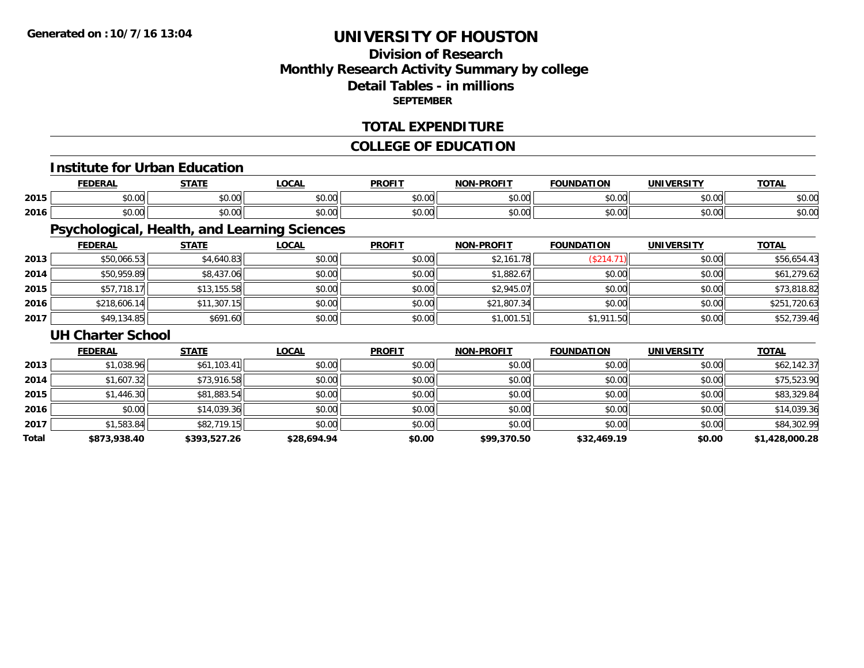# **Division of ResearchMonthly Research Activity Summary by college Detail Tables - in millions SEPTEMBER**

### **TOTAL EXPENDITURE**

### **COLLEGE OF EDUCATION**

#### **Institute for Urban Education**

|      |      | $- - - - -$ | $\sim$<br>UUM | <b>DDOEI</b>   | וחו       | ת ו<br>. . r  | .         | ---           |
|------|------|-------------|---------------|----------------|-----------|---------------|-----------|---------------|
| 2015 | 0000 | $\sim$ 00   | $\sim$ $\sim$ | 0 <sub>n</sub> | $\sim$ 00 | $\sim$ $\sim$ | nn nnl    | $\sim$        |
|      | ט.טי | JU.UU       | vv.vv         | JU.U           | ₽U.UU     | טט.טע         | JU.UU     | งบ.บบ         |
|      | 0000 | ሐሴ ሰሰ       | $\sim$ $\sim$ | 0000           | $\sim$ 00 | $\sim$ $\sim$ | $\sim$ 00 | $\sim$ $\sim$ |
| 2016 | ט.טע | DU.UU       | vu.vu         | vv.v           | pu.uu     | JU.UU         | vv.vv     | DU.UG         |

# **Psychological, Health, and Learning Sciences**

|      | <b>FEDERAL</b> | <u>STATE</u> | <u>LOCAL</u> | <b>PROFIT</b> | <b>NON-PROFIT</b> | <b>FOUNDATION</b> | <b>UNIVERSITY</b> | <b>TOTAL</b> |
|------|----------------|--------------|--------------|---------------|-------------------|-------------------|-------------------|--------------|
| 2013 | \$50,066.53    | \$4,640.83   | \$0.00       | \$0.00        | \$2,161.78        | \$214.            | \$0.00            | \$56,654.43  |
| 2014 | \$50,959.89    | \$8,437.06   | \$0.00       | \$0.00        | \$1,882.67        | \$0.00            | \$0.00            | \$61,279.62  |
| 2015 | \$57,718.17    | \$13,155.58  | \$0.00       | \$0.00        | \$2,945.07        | \$0.00            | \$0.00            | \$73,818.82  |
| 2016 | \$218,606.14   | \$11,307.15  | \$0.00       | \$0.00        | \$21,807.34       | \$0.00            | \$0.00            | \$251,720.63 |
| 2017 | \$49,134.85    | \$691.60     | \$0.00       | \$0.00        | \$1,001.51        | \$1,911.50        | \$0.00            | \$52,739.46  |

#### **UH Charter School**

|       | <b>FEDERAL</b> | <b>STATE</b> | <b>LOCAL</b> | <b>PROFIT</b> | <b>NON-PROFIT</b> | <b>FOUNDATION</b> | <b>UNIVERSITY</b> | <b>TOTAL</b>   |
|-------|----------------|--------------|--------------|---------------|-------------------|-------------------|-------------------|----------------|
| 2013  | \$1,038.96     | \$61,103.41  | \$0.00       | \$0.00        | \$0.00            | \$0.00            | \$0.00            | \$62,142.37    |
| 2014  | \$1,607.32     | \$73,916.58  | \$0.00       | \$0.00        | \$0.00            | \$0.00            | \$0.00            | \$75,523.90    |
| 2015  | \$1,446.30     | \$81,883.54  | \$0.00       | \$0.00        | \$0.00            | \$0.00            | \$0.00            | \$83,329.84    |
| 2016  | \$0.00         | \$14,039.36  | \$0.00       | \$0.00        | \$0.00            | \$0.00            | \$0.00            | \$14,039.36    |
| 2017  | \$1,583.84     | \$82,719.15  | \$0.00       | \$0.00        | \$0.00            | \$0.00            | \$0.00            | \$84,302.99    |
| Total | \$873,938.40   | \$393,527.26 | \$28,694.94  | \$0.00        | \$99,370.50       | \$32,469.19       | \$0.00            | \$1,428,000.28 |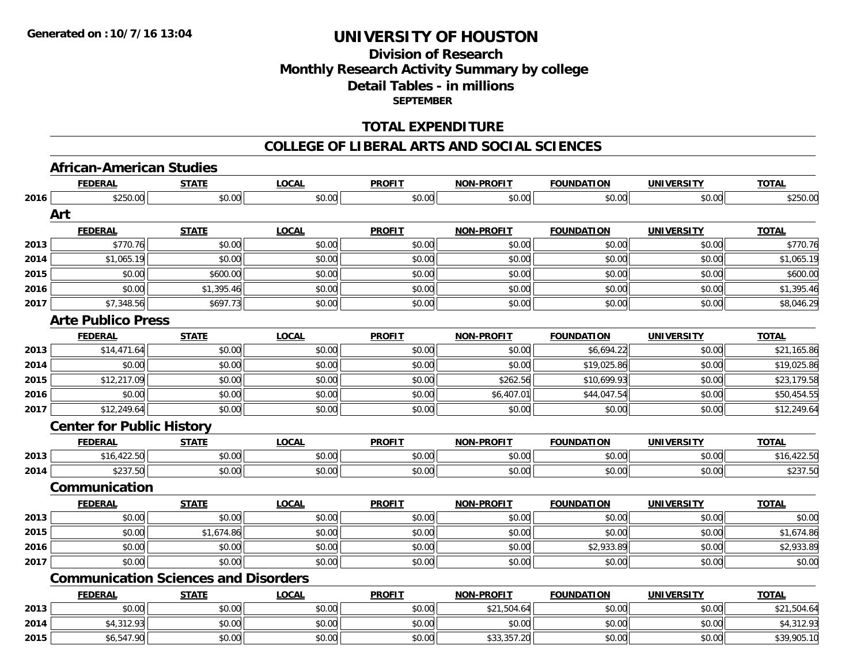# **Division of ResearchMonthly Research Activity Summary by college Detail Tables - in millions SEPTEMBER**

### **TOTAL EXPENDITURE**

#### **COLLEGE OF LIBERAL ARTS AND SOCIAL SCIENCES**

# **African-American Studies**

|      | <b>FEDERAL</b>                   | <b>STATE</b>                                | <b>LOCAL</b> | <b>PROFIT</b> | <b>NON-PROFIT</b> | <b>FOUNDATION</b> | <b>UNIVERSITY</b> | <b>TOTAL</b> |
|------|----------------------------------|---------------------------------------------|--------------|---------------|-------------------|-------------------|-------------------|--------------|
| 2016 | \$250.00                         | \$0.00                                      | \$0.00       | \$0.00        | \$0.00            | \$0.00            | \$0.00            | \$250.00     |
|      | Art                              |                                             |              |               |                   |                   |                   |              |
|      | <b>FEDERAL</b>                   | <b>STATE</b>                                | <b>LOCAL</b> | <b>PROFIT</b> | <b>NON-PROFIT</b> | <b>FOUNDATION</b> | <b>UNIVERSITY</b> | <b>TOTAL</b> |
| 2013 | \$770.76                         | \$0.00                                      | \$0.00       | \$0.00        | \$0.00            | \$0.00            | \$0.00            | \$770.76     |
| 2014 | \$1,065.19                       | \$0.00                                      | \$0.00       | \$0.00        | \$0.00            | \$0.00            | \$0.00            | \$1,065.19   |
| 2015 | \$0.00                           | \$600.00                                    | \$0.00       | \$0.00        | \$0.00            | \$0.00            | \$0.00            | \$600.00     |
| 2016 | \$0.00                           | \$1,395.46                                  | \$0.00       | \$0.00        | \$0.00            | \$0.00            | \$0.00            | \$1,395.46   |
| 2017 | \$7,348.56                       | \$697.73                                    | \$0.00       | \$0.00        | \$0.00            | \$0.00            | \$0.00            | \$8,046.29   |
|      | <b>Arte Publico Press</b>        |                                             |              |               |                   |                   |                   |              |
|      | <b>FEDERAL</b>                   | <b>STATE</b>                                | <b>LOCAL</b> | <b>PROFIT</b> | <b>NON-PROFIT</b> | <b>FOUNDATION</b> | <b>UNIVERSITY</b> | <b>TOTAL</b> |
| 2013 | \$14,471.64                      | \$0.00                                      | \$0.00       | \$0.00        | \$0.00            | \$6,694.22        | \$0.00            | \$21,165.86  |
| 2014 | \$0.00                           | \$0.00                                      | \$0.00       | \$0.00        | \$0.00            | \$19,025.86       | \$0.00            | \$19,025.86  |
| 2015 | \$12,217.09                      | \$0.00                                      | \$0.00       | \$0.00        | \$262.56          | \$10,699.93       | \$0.00            | \$23,179.58  |
| 2016 | \$0.00                           | \$0.00                                      | \$0.00       | \$0.00        | \$6,407.01        | \$44,047.54       | \$0.00            | \$50,454.55  |
| 2017 | \$12,249.64                      | \$0.00                                      | \$0.00       | \$0.00        | \$0.00            | \$0.00            | \$0.00            | \$12,249.64  |
|      | <b>Center for Public History</b> |                                             |              |               |                   |                   |                   |              |
|      | <b>FEDERAL</b>                   | <b>STATE</b>                                | <b>LOCAL</b> | <b>PROFIT</b> | <b>NON-PROFIT</b> | <b>FOUNDATION</b> | <b>UNIVERSITY</b> | <b>TOTAL</b> |
| 2013 | \$16,422.50                      | \$0.00                                      | \$0.00       | \$0.00        | \$0.00            | \$0.00            | \$0.00            | \$16,422.50  |
| 2014 | \$237.50                         | \$0.00                                      | \$0.00       | \$0.00        | \$0.00            | \$0.00            | \$0.00            | \$237.50     |
|      | Communication                    |                                             |              |               |                   |                   |                   |              |
|      | <b>FEDERAL</b>                   | <b>STATE</b>                                | <b>LOCAL</b> | <b>PROFIT</b> | <b>NON-PROFIT</b> | <b>FOUNDATION</b> | <b>UNIVERSITY</b> | <b>TOTAL</b> |
| 2013 | \$0.00                           | \$0.00                                      | \$0.00       | \$0.00        | \$0.00            | \$0.00            | \$0.00            | \$0.00       |
| 2015 | \$0.00                           | \$1,674.86                                  | \$0.00       | \$0.00        | \$0.00            | \$0.00            | \$0.00            | \$1,674.86   |
| 2016 | \$0.00                           | \$0.00                                      | \$0.00       | \$0.00        | \$0.00            | \$2,933.89        | \$0.00            | \$2,933.89   |
| 2017 | \$0.00                           | \$0.00                                      | \$0.00       | \$0.00        | \$0.00            | \$0.00            | \$0.00            | \$0.00       |
|      |                                  | <b>Communication Sciences and Disorders</b> |              |               |                   |                   |                   |              |
|      | <b>FEDERAL</b>                   | <b>STATE</b>                                | <b>LOCAL</b> | <b>PROFIT</b> | <b>NON-PROFIT</b> | <b>FOUNDATION</b> | <b>UNIVERSITY</b> | <b>TOTAL</b> |
| 2013 | \$0.00                           | \$0.00                                      | \$0.00       | \$0.00        | \$21,504.64       | \$0.00            | \$0.00            | \$21,504.64  |
| 2014 | \$4,312.93                       | \$0.00                                      | \$0.00       | \$0.00        | \$0.00            | \$0.00            | \$0.00            | \$4,312.93   |
| 2015 | \$6,547.90                       | \$0.00                                      | \$0.00       | \$0.00        | \$33,357.20       | \$0.00            | \$0.00            | \$39,905.10  |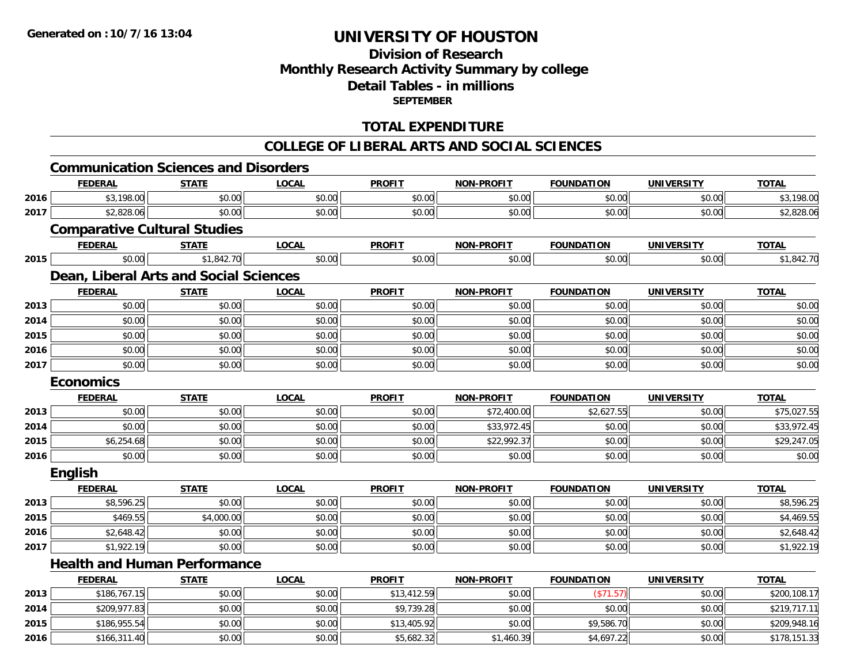**2016**

# **UNIVERSITY OF HOUSTON**

# **Division of ResearchMonthly Research Activity Summary by college Detail Tables - in millions SEPTEMBER**

### **TOTAL EXPENDITURE**

# **COLLEGE OF LIBERAL ARTS AND SOCIAL SCIENCES**

|      |                                             |              |              |               | <u>COLLEGE OF LIBERAL ARTS AND SOCIAL SCIENCES</u> |                   |                   |              |
|------|---------------------------------------------|--------------|--------------|---------------|----------------------------------------------------|-------------------|-------------------|--------------|
|      | <b>Communication Sciences and Disorders</b> |              |              |               |                                                    |                   |                   |              |
|      | <b>FEDERAL</b>                              | <b>STATE</b> | <b>LOCAL</b> | <b>PROFIT</b> | NON-PROFIT                                         | <b>FOUNDATION</b> | <b>UNIVERSITY</b> | <b>TOTAL</b> |
| 2016 | \$3,198.00                                  | \$0.00       | \$0.00       | \$0.00        | \$0.00                                             | \$0.00            | \$0.00            | \$3,198.00   |
| 2017 | \$2,828.06                                  | \$0.00       | \$0.00       | \$0.00        | \$0.00                                             | \$0.00            | \$0.00            | \$2,828.06   |
|      | <b>Comparative Cultural Studies</b>         |              |              |               |                                                    |                   |                   |              |
|      | <b>FEDERAL</b>                              | <b>STATE</b> | <b>LOCAL</b> | <b>PROFIT</b> | <b>NON-PROFIT</b>                                  | <b>FOUNDATION</b> | <b>UNIVERSITY</b> | <b>TOTAL</b> |
| 2015 | \$0.00                                      | \$1,842.70   | \$0.00       | \$0.00        | \$0.00                                             | \$0.00            | \$0.00            | \$1,842.70   |
|      | Dean, Liberal Arts and Social Sciences      |              |              |               |                                                    |                   |                   |              |
|      | <b>FEDERAL</b>                              | <b>STATE</b> | <b>LOCAL</b> | <b>PROFIT</b> | <b>NON-PROFIT</b>                                  | <b>FOUNDATION</b> | <b>UNIVERSITY</b> | <b>TOTAL</b> |
| 2013 | \$0.00                                      | \$0.00       | \$0.00       | \$0.00        | \$0.00                                             | \$0.00            | \$0.00            | \$0.00       |
| 2014 | \$0.00                                      | \$0.00       | \$0.00       | \$0.00        | \$0.00                                             | \$0.00            | \$0.00            | \$0.00       |
| 2015 | \$0.00                                      | \$0.00       | \$0.00       | \$0.00        | \$0.00                                             | \$0.00            | \$0.00            | \$0.00       |
| 2016 | \$0.00                                      | \$0.00       | \$0.00       | \$0.00        | \$0.00                                             | \$0.00            | \$0.00            | \$0.00       |
| 2017 | \$0.00                                      | \$0.00       | \$0.00       | \$0.00        | \$0.00                                             | \$0.00            | \$0.00            | \$0.00       |
|      | <b>Economics</b>                            |              |              |               |                                                    |                   |                   |              |
|      | <b>FEDERAL</b>                              | <b>STATE</b> | <b>LOCAL</b> | <b>PROFIT</b> | <b>NON-PROFIT</b>                                  | <b>FOUNDATION</b> | <b>UNIVERSITY</b> | <b>TOTAL</b> |
| 2013 | \$0.00                                      | \$0.00       | \$0.00       | \$0.00        | \$72,400.00                                        | \$2,627.55        | \$0.00            | \$75,027.55  |
| 2014 | \$0.00                                      | \$0.00       | \$0.00       | \$0.00        | \$33,972.45                                        | \$0.00            | \$0.00            | \$33,972.45  |
| 2015 | \$6,254.68                                  | \$0.00       | \$0.00       | \$0.00        | \$22,992.37                                        | \$0.00            | \$0.00            | \$29,247.05  |
| 2016 | \$0.00                                      | \$0.00       | \$0.00       | \$0.00        | \$0.00                                             | \$0.00            | \$0.00            | \$0.00       |
|      | <b>English</b>                              |              |              |               |                                                    |                   |                   |              |
|      | <b>FEDERAL</b>                              | <b>STATE</b> | <b>LOCAL</b> | <b>PROFIT</b> | <b>NON-PROFIT</b>                                  | <b>FOUNDATION</b> | <b>UNIVERSITY</b> | <b>TOTAL</b> |
| 2013 | \$8,596.25                                  | \$0.00       | \$0.00       | \$0.00        | \$0.00                                             | \$0.00            | \$0.00            | \$8,596.25   |
| 2015 | \$469.55                                    | \$4,000.00   | \$0.00       | \$0.00        | \$0.00                                             | \$0.00            | \$0.00            | \$4,469.55   |
| 2016 | \$2,648.42                                  | \$0.00       | \$0.00       | \$0.00        | \$0.00                                             | \$0.00            | \$0.00            | \$2,648.42   |
| 2017 | \$1,922.19                                  | \$0.00       | \$0.00       | \$0.00        | \$0.00                                             | \$0.00            | \$0.00            | \$1,922.19   |
|      | <b>Health and Human Performance</b>         |              |              |               |                                                    |                   |                   |              |
|      | <b>FEDERAL</b>                              | <b>STATE</b> | <b>LOCAL</b> | <b>PROFIT</b> | NON-PROFIT                                         | <b>FOUNDATION</b> | <b>UNIVERSITY</b> | <b>TOTAL</b> |
| 2013 | \$186,767.15                                | \$0.00       | \$0.00       | \$13,412.59   | \$0.00                                             | (\$71.57)         | \$0.00            | \$200,108.17 |
| 2014 | \$209,977.83                                | \$0.00       | \$0.00       | \$9,739.28    | \$0.00                                             | \$0.00            | \$0.00            | \$219,717.11 |
| 2015 | \$186,955.54                                | \$0.00       | \$0.00       | \$13,405.92   | \$0.00                                             | \$9,586.70        | \$0.00            | \$209,948.16 |

\$166,311.40 \$0.00 \$0.00 \$5,682.32 \$1,460.39 \$4,697.22 \$0.00 \$178,151.33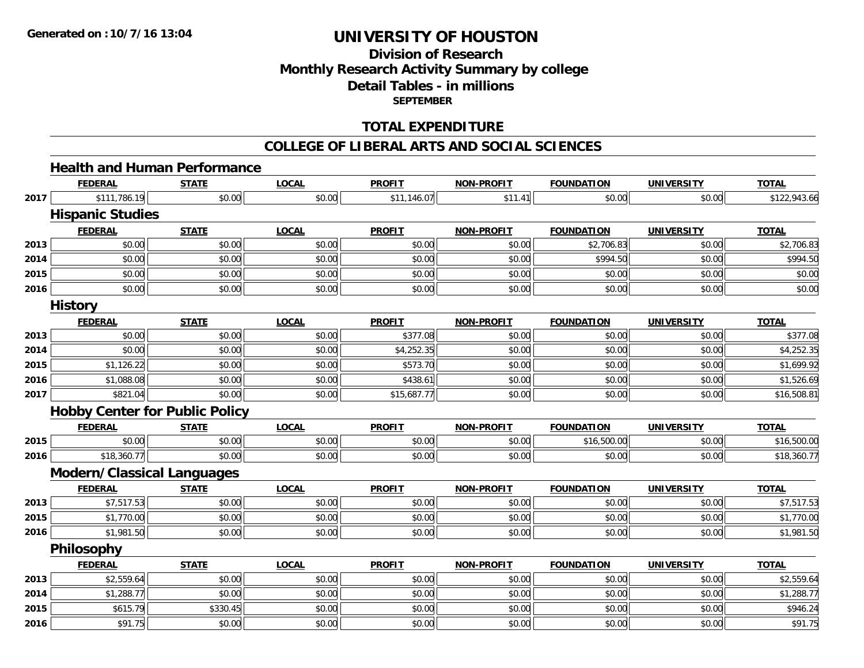# **Division of ResearchMonthly Research Activity Summary by college Detail Tables - in millions SEPTEMBER**

### **TOTAL EXPENDITURE**

#### **COLLEGE OF LIBERAL ARTS AND SOCIAL SCIENCES**

# **Health and Human Performance**

|      | <b>FEDERAL</b>                        | <b>STATE</b> | <b>LOCAL</b> | <b>PROFIT</b> | <b>NON-PROFIT</b> | <b>FOUNDATION</b> | <b>UNIVERSITY</b> | <b>TOTAL</b> |
|------|---------------------------------------|--------------|--------------|---------------|-------------------|-------------------|-------------------|--------------|
| 2017 | \$111,786.19                          | \$0.00       | \$0.00       | \$11,146.07   | \$11.41           | \$0.00            | \$0.00            | \$122,943.66 |
|      | <b>Hispanic Studies</b>               |              |              |               |                   |                   |                   |              |
|      | <b>FEDERAL</b>                        | <b>STATE</b> | <b>LOCAL</b> | <b>PROFIT</b> | <b>NON-PROFIT</b> | <b>FOUNDATION</b> | <b>UNIVERSITY</b> | <b>TOTAL</b> |
| 2013 | \$0.00                                | \$0.00       | \$0.00       | \$0.00        | \$0.00            | \$2,706.83        | \$0.00            | \$2,706.83   |
| 2014 | \$0.00                                | \$0.00       | \$0.00       | \$0.00        | \$0.00            | \$994.50          | \$0.00            | \$994.50     |
| 2015 | \$0.00                                | \$0.00       | \$0.00       | \$0.00        | \$0.00            | \$0.00            | \$0.00            | \$0.00       |
| 2016 | \$0.00                                | \$0.00       | \$0.00       | \$0.00        | \$0.00            | \$0.00            | \$0.00            | \$0.00       |
|      | <b>History</b>                        |              |              |               |                   |                   |                   |              |
|      | <b>FEDERAL</b>                        | <b>STATE</b> | <b>LOCAL</b> | <b>PROFIT</b> | <b>NON-PROFIT</b> | <b>FOUNDATION</b> | <b>UNIVERSITY</b> | <b>TOTAL</b> |
| 2013 | \$0.00                                | \$0.00       | \$0.00       | \$377.08      | \$0.00            | \$0.00            | \$0.00            | \$377.08     |
| 2014 | \$0.00                                | \$0.00       | \$0.00       | \$4,252.35    | \$0.00            | \$0.00            | \$0.00            | \$4,252.35   |
| 2015 | \$1,126.22                            | \$0.00       | \$0.00       | \$573.70      | \$0.00            | \$0.00            | \$0.00            | \$1,699.92   |
| 2016 | \$1,088.08                            | \$0.00       | \$0.00       | \$438.61      | \$0.00            | \$0.00            | \$0.00            | \$1,526.69   |
| 2017 | \$821.04                              | \$0.00       | \$0.00       | \$15,687.77   | \$0.00            | \$0.00            | \$0.00            | \$16,508.81  |
|      | <b>Hobby Center for Public Policy</b> |              |              |               |                   |                   |                   |              |
|      | <b>FEDERAL</b>                        | <b>STATE</b> | <b>LOCAL</b> | <b>PROFIT</b> | <b>NON-PROFIT</b> | <b>FOUNDATION</b> | <b>UNIVERSITY</b> | <b>TOTAL</b> |
| 2015 | \$0.00                                | \$0.00       | \$0.00       | \$0.00        | \$0.00            | \$16,500.00       | \$0.00            | \$16,500.00  |
| 2016 | \$18,360.77                           | \$0.00       | \$0.00       | \$0.00        | \$0.00            | \$0.00            | \$0.00            | \$18,360.77  |
|      | <b>Modern/Classical Languages</b>     |              |              |               |                   |                   |                   |              |
|      | <b>FEDERAL</b>                        | <b>STATE</b> | <b>LOCAL</b> | <b>PROFIT</b> | <b>NON-PROFIT</b> | <b>FOUNDATION</b> | <b>UNIVERSITY</b> | <b>TOTAL</b> |
| 2013 | \$7,517.53                            | \$0.00       | \$0.00       | \$0.00        | \$0.00            | \$0.00            | \$0.00            | \$7,517.53   |
| 2015 | \$1,770.00                            | \$0.00       | \$0.00       | \$0.00        | \$0.00            | \$0.00            | \$0.00            | \$1,770.00   |
| 2016 | \$1,981.50                            | \$0.00       | \$0.00       | \$0.00        | \$0.00            | \$0.00            | \$0.00            | \$1,981.50   |
|      | Philosophy                            |              |              |               |                   |                   |                   |              |
|      | <b>FEDERAL</b>                        | <b>STATE</b> | <b>LOCAL</b> | <b>PROFIT</b> | <b>NON-PROFIT</b> | <b>FOUNDATION</b> | <b>UNIVERSITY</b> | <b>TOTAL</b> |
| 2013 | \$2,559.64                            | \$0.00       | \$0.00       | \$0.00        | \$0.00            | \$0.00            | \$0.00            | \$2,559.64   |
| 2014 | \$1,288.77                            | \$0.00       | \$0.00       | \$0.00        | \$0.00            | \$0.00            | \$0.00            | \$1,288.77   |
| 2015 | \$615.79                              | \$330.45     | \$0.00       | \$0.00        | \$0.00            | \$0.00            | \$0.00            | \$946.24     |
| 2016 | \$91.75                               | \$0.00       | \$0.00       | \$0.00        | \$0.00            | \$0.00            | \$0.00            | \$91.75      |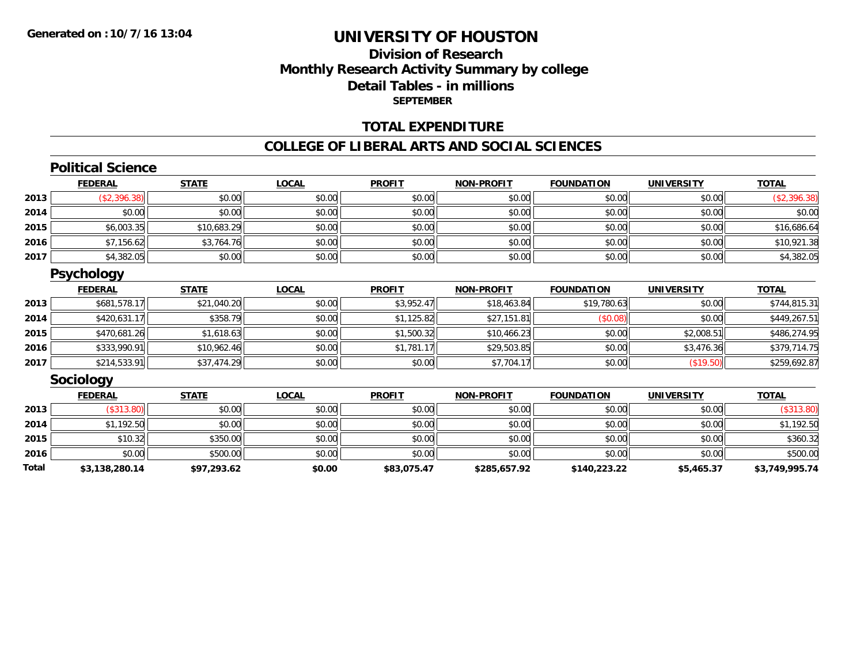# **Division of ResearchMonthly Research Activity Summary by college Detail Tables - in millions SEPTEMBER**

### **TOTAL EXPENDITURE**

#### **COLLEGE OF LIBERAL ARTS AND SOCIAL SCIENCES**

### **Political Science**

|      | <b>FEDERAL</b> | <b>STATE</b> | <u>LOCAL</u> | <b>PROFIT</b> | <b>NON-PROFIT</b> | <b>FOUNDATION</b> | <b>UNIVERSITY</b> | <b>TOTAL</b> |
|------|----------------|--------------|--------------|---------------|-------------------|-------------------|-------------------|--------------|
| 2013 | \$2,396.38     | \$0.00       | \$0.00       | \$0.00        | \$0.00            | \$0.00            | \$0.00            | (\$2,396.38) |
| 2014 | \$0.00         | \$0.00       | \$0.00       | \$0.00        | \$0.00            | \$0.00            | \$0.00            | \$0.00       |
| 2015 | \$6,003.35     | \$10,683.29  | \$0.00       | \$0.00        | \$0.00            | \$0.00            | \$0.00            | \$16,686.64  |
| 2016 | \$7,156.62     | \$3,764.76   | \$0.00       | \$0.00        | \$0.00            | \$0.00            | \$0.00            | \$10,921.38  |
| 2017 | \$4,382.05     | \$0.00       | \$0.00       | \$0.00        | \$0.00            | \$0.00            | \$0.00            | \$4,382.05   |

# **Psychology**

|      | <b>FEDERAL</b> | <b>STATE</b> | <u>LOCAL</u> | <b>PROFIT</b> | <b>NON-PROFIT</b> | <b>FOUNDATION</b> | <b>UNIVERSITY</b> | <b>TOTAL</b> |
|------|----------------|--------------|--------------|---------------|-------------------|-------------------|-------------------|--------------|
| 2013 | \$681,578.17   | \$21,040.20  | \$0.00       | \$3,952.47    | \$18,463.84       | \$19,780.63       | \$0.00            | \$744,815.31 |
| 2014 | \$420,631.17   | \$358.79     | \$0.00       | \$1,125.82    | \$27,151.81       | (\$0.08)          | \$0.00            | \$449,267.51 |
| 2015 | \$470,681.26   | \$1,618.63   | \$0.00       | \$1,500.32    | \$10,466.23       | \$0.00            | \$2,008.51        | \$486,274.95 |
| 2016 | \$333,990.91   | \$10,962.46  | \$0.00       | \$1,781.17    | \$29,503.85       | \$0.00            | \$3,476.36        | \$379,714.75 |
| 2017 | \$214,533.91   | \$37,474.29  | \$0.00       | \$0.00        | \$7,704.17        | \$0.00            | (\$19.50)         | \$259,692.87 |

### **Sociology**

|       | <b>FEDERAL</b> | <u>STATE</u> | <u>LOCAL</u> | <b>PROFIT</b> | <b>NON-PROFIT</b> | <b>FOUNDATION</b> | <b>UNIVERSITY</b> | <b>TOTAL</b>   |
|-------|----------------|--------------|--------------|---------------|-------------------|-------------------|-------------------|----------------|
| 2013  | (\$313.80)     | \$0.00       | \$0.00       | \$0.00        | \$0.00            | \$0.00            | \$0.00            | $(\$313.80)$   |
| 2014  | \$1,192.50     | \$0.00       | \$0.00       | \$0.00        | \$0.00            | \$0.00            | \$0.00            | \$1,192.50     |
| 2015  | \$10.32        | \$350.00     | \$0.00       | \$0.00        | \$0.00            | \$0.00            | \$0.00            | \$360.32       |
| 2016  | \$0.00         | \$500.00     | \$0.00       | \$0.00        | \$0.00            | \$0.00            | \$0.00            | \$500.00       |
| Total | \$3,138,280.14 | \$97,293.62  | \$0.00       | \$83,075.47   | \$285,657.92      | \$140,223.22      | \$5,465.37        | \$3,749,995.74 |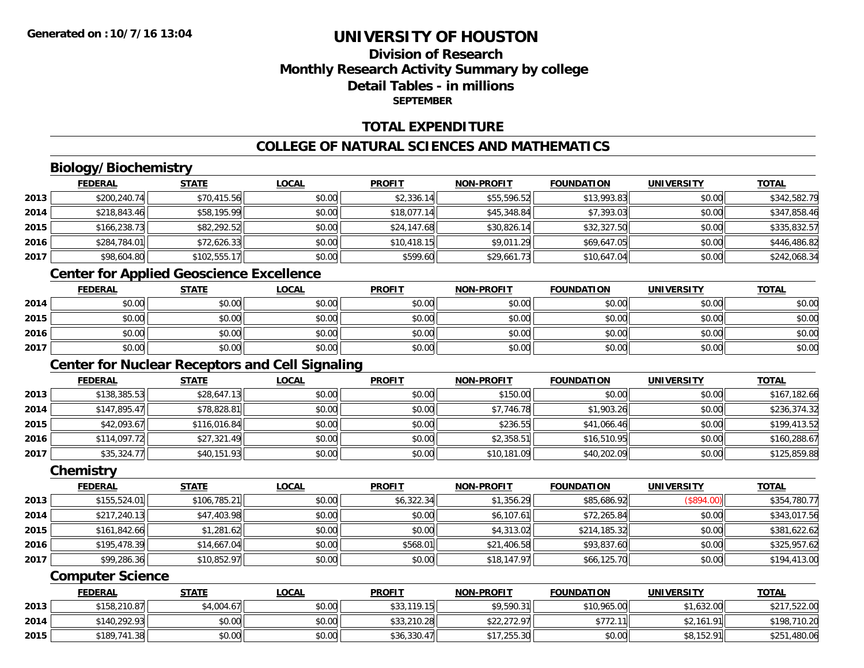# **Division of ResearchMonthly Research Activity Summary by college Detail Tables - in millionsSEPTEMBER**

### **TOTAL EXPENDITURE**

## **COLLEGE OF NATURAL SCIENCES AND MATHEMATICS**

# **Biology/Biochemistry**

|      | <b>FEDERAL</b> | <u>STATE</u> | <u>LOCAL</u> | <b>PROFIT</b> | <b>NON-PROFIT</b> | <b>FOUNDATION</b> | <b>UNIVERSITY</b> | <b>TOTAL</b> |
|------|----------------|--------------|--------------|---------------|-------------------|-------------------|-------------------|--------------|
| 2013 | \$200,240.74   | \$70,415.56  | \$0.00       | \$2,336.14    | \$55,596.52       | \$13,993.83       | \$0.00            | \$342,582.79 |
| 2014 | \$218,843.46   | \$58,195.99  | \$0.00       | \$18,077.14   | \$45,348.84       | \$7,393.03        | \$0.00            | \$347,858.46 |
| 2015 | \$166,238.73   | \$82,292.52  | \$0.00       | \$24,147.68   | \$30,826.14       | \$32,327.50       | \$0.00            | \$335,832.57 |
| 2016 | \$284,784.01   | \$72,626.33  | \$0.00       | \$10,418.15   | \$9,011.29        | \$69,647.05       | \$0.00            | \$446,486.82 |
| 2017 | \$98,604.80    | \$102,555.17 | \$0.00       | \$599.60      | \$29,661.73       | \$10,647.04       | \$0.00            | \$242,068.34 |
|      |                |              |              |               |                   |                   |                   |              |

### **Center for Applied Geoscience Excellence**

|      | <b>FEDERAL</b> | <b>STATE</b> | LOCAL  | <b>PROFIT</b> | <b>NON-PROFIT</b> | <b>FOUNDATION</b> | <b>UNIVERSITY</b> | <b>TOTAL</b> |
|------|----------------|--------------|--------|---------------|-------------------|-------------------|-------------------|--------------|
| 2014 | \$0.00         | \$0.00       | \$0.00 | \$0.00        | \$0.00            | \$0.00            | \$0.00            | \$0.00       |
| 2015 | \$0.00         | \$0.00       | \$0.00 | \$0.00        | \$0.00            | \$0.00            | \$0.00            | \$0.00       |
| 2016 | \$0.00         | \$0.00       | \$0.00 | \$0.00        | \$0.00            | \$0.00            | \$0.00            | \$0.00       |
| 2017 | \$0.00         | \$0.00       | \$0.00 | \$0.00        | \$0.00            | \$0.00            | \$0.00            | \$0.00       |

# **Center for Nuclear Receptors and Cell Signaling**

|      | <b>FEDERAL</b> | <b>STATE</b> | <u>LOCAL</u> | <b>PROFIT</b> | <b>NON-PROFIT</b> | <b>FOUNDATION</b> | <b>UNIVERSITY</b> | <b>TOTAL</b> |
|------|----------------|--------------|--------------|---------------|-------------------|-------------------|-------------------|--------------|
| 2013 | \$138,385.53   | \$28,647.13  | \$0.00       | \$0.00        | \$150.00          | \$0.00            | \$0.00            | \$167,182.66 |
| 2014 | \$147,895.47   | \$78,828.81  | \$0.00       | \$0.00        | \$7,746.78        | \$1.903.26        | \$0.00            | \$236,374.32 |
| 2015 | \$42,093.67    | \$116,016.84 | \$0.00       | \$0.00        | \$236.55          | \$41,066.46       | \$0.00            | \$199,413.52 |
| 2016 | \$114,097.72   | \$27,321.49  | \$0.00       | \$0.00        | \$2,358.51        | \$16,510.95       | \$0.00            | \$160,288.67 |
| 2017 | \$35,324.77    | \$40,151.93  | \$0.00       | \$0.00        | \$10,181.09       | \$40,202.09       | \$0.00            | \$125,859.88 |

#### **Chemistry**

|      | <b>FEDERAL</b> | <b>STATE</b> | <b>LOCAL</b> | <b>PROFIT</b> | <b>NON-PROFIT</b> | <b>FOUNDATION</b> | <b>UNIVERSITY</b> | <b>TOTAL</b> |
|------|----------------|--------------|--------------|---------------|-------------------|-------------------|-------------------|--------------|
| 2013 | \$155,524.01   | \$106,785.21 | \$0.00       | \$6,322.34    | \$1,356.29        | \$85,686.92       | (\$894.00)        | \$354,780.77 |
| 2014 | \$217,240.13   | \$47,403.98  | \$0.00       | \$0.00        | \$6,107.61        | \$72,265.84       | \$0.00            | \$343,017.56 |
| 2015 | \$161,842.66   | \$1,281.62   | \$0.00       | \$0.00        | \$4,313.02        | \$214,185.32      | \$0.00            | \$381,622.62 |
| 2016 | \$195,478.39   | \$14,667.04  | \$0.00       | \$568.01      | \$21,406.58       | \$93,837.60       | \$0.00            | \$325,957.62 |
| 2017 | \$99,286.36    | \$10,852.97  | \$0.00       | \$0.00        | \$18,147.97       | \$66,125.70       | \$0.00            | \$194,413.00 |

#### **Computer Science**

|      | <b>FEDERAL</b> | <u>STATE</u> | <u>LOCAL</u> | <b>PROFIT</b>    | <b>NON-PROFIT</b> | <b>FOUNDATION</b> | <b>UNIVERSITY</b> | <b>TOTAL</b> |
|------|----------------|--------------|--------------|------------------|-------------------|-------------------|-------------------|--------------|
| 2013 | \$158,210.87   | \$4,004.67   | \$0.00       | 119.15<br>\$33,1 | \$9,590.31        | \$10,965.00       | \$1,632.00        | \$217,522.00 |
| 2014 | \$140,292.93   | \$0.00       | \$0.00       | \$33,210.28      | \$22,272.97       | \$772.<br>11      | \$2,161.91        | \$198,710.20 |
| 2015 | \$189,741.38   | \$0.00       | \$0.00       | \$36,330.47      | \$17,255.30       | \$0.00            | \$8,152.91        | \$251,480.06 |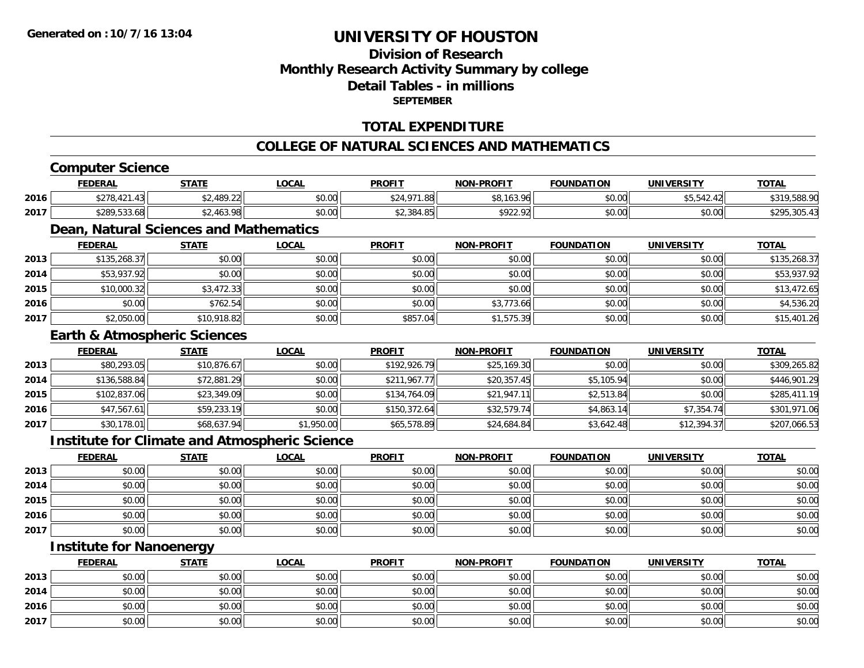## **Division of ResearchMonthly Research Activity Summary by college Detail Tables - in millionsSEPTEMBER**

### **TOTAL EXPENDITURE**

### **COLLEGE OF NATURAL SCIENCES AND MATHEMATICS**

## **Computer Science**

|      | <b>FEDERAL</b> | STATE      | .OCAL  | <b>PROFIT</b>            | <b>NON-PROFIT</b> | <b>FOUNDATION</b> | <b>UNIVERSITY</b>        | <b>TOTAL</b>           |
|------|----------------|------------|--------|--------------------------|-------------------|-------------------|--------------------------|------------------------|
| 2016 | \$278.4.       | 2.489.22   | \$0.00 | \$24.071<br>I .88<br>DZ4 | \$8,163.96        | \$0.00            | $AT$ $T$ $10$<br>.542.42 | .588.90<br><b>1210</b> |
| 2017 | \$289,533.68   | \$2,463.98 | \$0.00 | \$2,384.85               | \$922.92          | \$0.00            | \$0.00                   | 205.42                 |
|      |                |            |        |                          |                   |                   |                          |                        |

# **Dean, Natural Sciences and Mathematics**

|      | <b>FEDERAL</b> | <b>STATE</b> | <b>LOCAL</b> | <b>PROFIT</b> | <b>NON-PROFIT</b> | <b>FOUNDATION</b> | <b>UNIVERSITY</b> | <b>TOTAL</b> |
|------|----------------|--------------|--------------|---------------|-------------------|-------------------|-------------------|--------------|
| 2013 | \$135,268.37   | \$0.00       | \$0.00       | \$0.00        | \$0.00            | \$0.00            | \$0.00            | \$135,268.37 |
| 2014 | \$53,937.92    | \$0.00       | \$0.00       | \$0.00        | \$0.00            | \$0.00            | \$0.00            | \$53,937.92  |
| 2015 | \$10,000.32    | \$3,472.33   | \$0.00       | \$0.00        | \$0.00            | \$0.00            | \$0.00            | \$13,472.65  |
| 2016 | \$0.00         | \$762.54     | \$0.00       | \$0.00        | \$3,773.66        | \$0.00            | \$0.00            | \$4,536.20   |
| 2017 | \$2,050.00     | \$10,918.82  | \$0.00       | \$857.04      | \$1,575.39        | \$0.00            | \$0.00            | \$15,401.26  |

### **Earth & Atmospheric Sciences**

|      | <b>FEDERAL</b> | <b>STATE</b> | <b>LOCAL</b> | <b>PROFIT</b> | <b>NON-PROFIT</b> | <b>FOUNDATION</b> | <b>UNIVERSITY</b> | <b>TOTAL</b> |
|------|----------------|--------------|--------------|---------------|-------------------|-------------------|-------------------|--------------|
| 2013 | \$80,293.05    | \$10,876.67  | \$0.00       | \$192,926.79  | \$25,169.30       | \$0.00            | \$0.00            | \$309,265.82 |
| 2014 | \$136,588.84   | \$72,881.29  | \$0.00       | \$211,967.77  | \$20,357.45       | \$5,105.94        | \$0.00            | \$446,901.29 |
| 2015 | \$102,837.06   | \$23,349.09  | \$0.00       | \$134,764.09  | \$21,947.11       | \$2,513.84        | \$0.00            | \$285,411.19 |
| 2016 | \$47,567.61    | \$59,233.19  | \$0.00       | \$150,372.64  | \$32,579.74       | \$4,863.14        | \$7,354.74        | \$301,971.06 |
| 2017 | \$30,178.01    | \$68,637.94  | \$1,950.00   | \$65,578.89   | \$24,684.84       | \$3,642.48        | \$12,394.37       | \$207,066.53 |

### **Institute for Climate and Atmospheric Science**

|      | <u>FEDERAL</u> | <u>STATE</u> | <b>LOCAL</b> | <b>PROFIT</b> | <b>NON-PROFIT</b> | <b>FOUNDATION</b> | <b>UNIVERSITY</b> | <b>TOTAL</b> |
|------|----------------|--------------|--------------|---------------|-------------------|-------------------|-------------------|--------------|
| 2013 | \$0.00         | \$0.00       | \$0.00       | \$0.00        | \$0.00            | \$0.00            | \$0.00            | \$0.00       |
| 2014 | \$0.00         | \$0.00       | \$0.00       | \$0.00        | \$0.00            | \$0.00            | \$0.00            | \$0.00       |
| 2015 | \$0.00         | \$0.00       | \$0.00       | \$0.00        | \$0.00            | \$0.00            | \$0.00            | \$0.00       |
| 2016 | \$0.00         | \$0.00       | \$0.00       | \$0.00        | \$0.00            | \$0.00            | \$0.00            | \$0.00       |
| 2017 | \$0.00         | \$0.00       | \$0.00       | \$0.00        | \$0.00            | \$0.00            | \$0.00            | \$0.00       |

# **Institute for Nanoenergy**

|      | <b>FEDERAL</b> | <b>STATE</b> | <u>LOCAL</u> | <b>PROFIT</b> | <b>NON-PROFIT</b> | <b>FOUNDATION</b> | <b>UNIVERSITY</b> | <b>TOTAL</b> |
|------|----------------|--------------|--------------|---------------|-------------------|-------------------|-------------------|--------------|
| 2013 | \$0.00         | \$0.00       | \$0.00       | \$0.00        | \$0.00            | \$0.00            | \$0.00            | \$0.00       |
| 2014 | \$0.00         | \$0.00       | \$0.00       | \$0.00        | \$0.00            | \$0.00            | \$0.00            | \$0.00       |
| 2016 | \$0.00         | \$0.00       | \$0.00       | \$0.00        | \$0.00            | \$0.00            | \$0.00            | \$0.00       |
| 2017 | \$0.00         | \$0.00       | \$0.00       | \$0.00        | \$0.00            | \$0.00            | \$0.00            | \$0.00       |

<u> 1980 - Andrea Station, amerikan bestean ingilang pada sebagai pada sebagai pada sebagai pada sebagai pada se</u>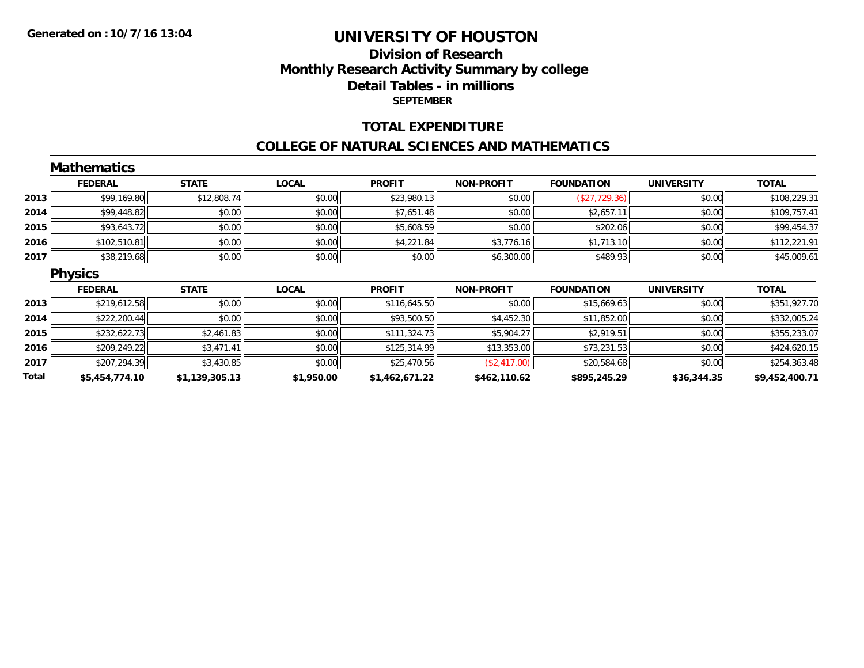## **Division of Research Monthly Research Activity Summary by college Detail Tables - in millions SEPTEMBER**

### **TOTAL EXPENDITURE**

#### **COLLEGE OF NATURAL SCIENCES AND MATHEMATICS**

|       | <b>Mathematics</b> |                |              |                |                   |                   |                   |                |
|-------|--------------------|----------------|--------------|----------------|-------------------|-------------------|-------------------|----------------|
|       | <b>FEDERAL</b>     | <b>STATE</b>   | <b>LOCAL</b> | <b>PROFIT</b>  | <b>NON-PROFIT</b> | <b>FOUNDATION</b> | <b>UNIVERSITY</b> | <b>TOTAL</b>   |
| 2013  | \$99,169.80        | \$12,808.74    | \$0.00       | \$23,980.13    | \$0.00            | (\$27,729.36)     | \$0.00            | \$108,229.31   |
| 2014  | \$99,448.82        | \$0.00         | \$0.00       | \$7,651.48     | \$0.00            | \$2,657.11        | \$0.00            | \$109,757.41   |
| 2015  | \$93,643.72        | \$0.00         | \$0.00       | \$5,608.59     | \$0.00            | \$202.06          | \$0.00            | \$99,454.37    |
| 2016  | \$102,510.81       | \$0.00         | \$0.00       | \$4,221.84     | \$3,776.16        | \$1,713.10        | \$0.00            | \$112,221.91   |
| 2017  | \$38,219.68        | \$0.00         | \$0.00       | \$0.00         | \$6,300.00        | \$489.93          | \$0.00            | \$45,009.61    |
|       | <b>Physics</b>     |                |              |                |                   |                   |                   |                |
|       | <b>FEDERAL</b>     | <b>STATE</b>   | <b>LOCAL</b> | <b>PROFIT</b>  | <b>NON-PROFIT</b> | <b>FOUNDATION</b> | <b>UNIVERSITY</b> | <b>TOTAL</b>   |
| 2013  | \$219,612.58       | \$0.00         | \$0.00       | \$116,645.50   | \$0.00            | \$15,669.63       | \$0.00            | \$351,927.70   |
| 2014  | \$222,200.44       | \$0.00         | \$0.00       | \$93,500.50    | \$4,452.30        | \$11,852.00       | \$0.00            | \$332,005.24   |
| 2015  | \$232,622.73       | \$2,461.83     | \$0.00       | \$111,324.73   | \$5,904.27        | \$2,919.51        | \$0.00            | \$355,233.07   |
| 2016  | \$209,249.22       | \$3,471.41     | \$0.00       | \$125,314.99   | \$13,353.00       | \$73,231.53       | \$0.00            | \$424,620.15   |
| 2017  | \$207,294.39       | \$3,430.85     | \$0.00       | \$25,470.56    | (\$2,417.00)      | \$20,584.68       | \$0.00            | \$254,363.48   |
| Total | \$5,454,774.10     | \$1,139,305.13 | \$1,950.00   | \$1,462,671.22 | \$462,110.62      | \$895,245.29      | \$36,344.35       | \$9,452,400.71 |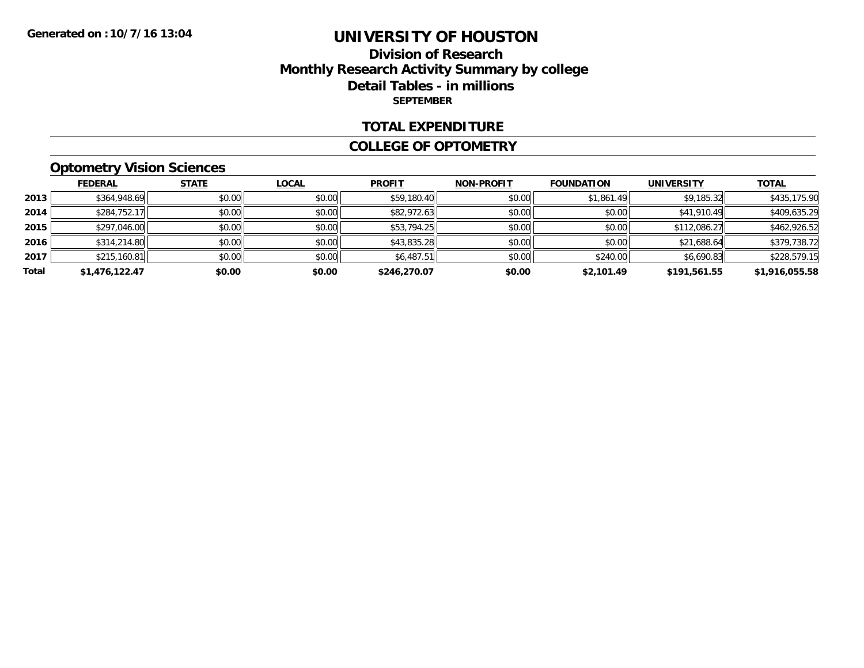### **Division of Research Monthly Research Activity Summary by college Detail Tables - in millions SEPTEMBER**

#### **TOTAL EXPENDITURE**

#### **COLLEGE OF OPTOMETRY**

# **Optometry Vision Sciences**

|       | <b>FEDERAL</b> | <b>STATE</b> | <b>LOCAL</b> | <b>PROFIT</b> | <b>NON-PROFIT</b> | <b>FOUNDATION</b> | <b>UNIVERSITY</b> | <b>TOTAL</b>   |
|-------|----------------|--------------|--------------|---------------|-------------------|-------------------|-------------------|----------------|
| 2013  | \$364,948.69   | \$0.00       | \$0.00       | \$59,180.40   | \$0.00            | \$1,861.49        | \$9,185.32        | \$435,175.90   |
| 2014  | \$284,752.17   | \$0.00       | \$0.00       | \$82,972.63   | \$0.00            | \$0.00            | \$41,910.49       | \$409,635.29   |
| 2015  | \$297,046.00   | \$0.00       | \$0.00       | \$53,794.25   | \$0.00            | \$0.00            | \$112,086.27      | \$462,926.52   |
| 2016  | \$314,214.80   | \$0.00       | \$0.00       | \$43,835.28   | \$0.00            | \$0.00            | \$21,688.64       | \$379,738.72   |
| 2017  | \$215,160.81   | \$0.00       | \$0.00       | \$6,487.51    | \$0.00            | \$240.00          | \$6,690.83        | \$228,579.15   |
| Total | \$1,476,122.47 | \$0.00       | \$0.00       | \$246,270.07  | \$0.00            | \$2,101.49        | \$191.561.55      | \$1,916,055.58 |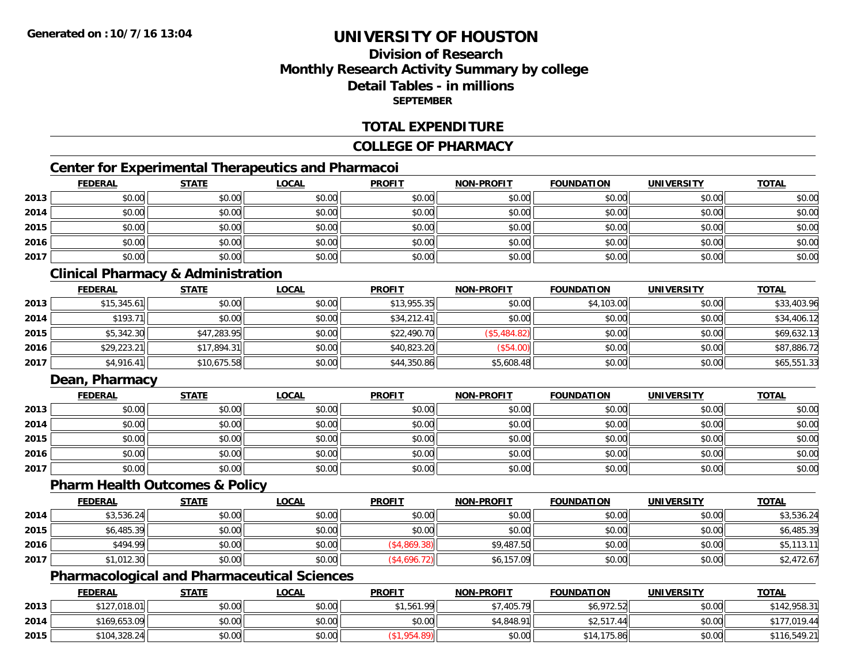# **Division of ResearchMonthly Research Activity Summary by college Detail Tables - in millionsSEPTEMBER**

### **TOTAL EXPENDITURE**

### **COLLEGE OF PHARMACY**

# **Center for Experimental Therapeutics and Pharmacoi**

|      | <b>FEDERAL</b> | <b>STATE</b> | <b>LOCAL</b> | <b>PROFIT</b> | NON-PROFIT | <b>FOUNDATION</b> | <b>UNIVERSITY</b> | <b>TOTAL</b> |
|------|----------------|--------------|--------------|---------------|------------|-------------------|-------------------|--------------|
| 2013 | \$0.00         | \$0.00       | \$0.00       | \$0.00        | \$0.00     | \$0.00            | \$0.00            | \$0.00       |
| 2014 | \$0.00         | \$0.00       | \$0.00       | \$0.00        | \$0.00     | \$0.00            | \$0.00            | \$0.00       |
| 2015 | \$0.00         | \$0.00       | \$0.00       | \$0.00        | \$0.00     | \$0.00            | \$0.00            | \$0.00       |
| 2016 | \$0.00         | \$0.00       | \$0.00       | \$0.00        | \$0.00     | \$0.00            | \$0.00            | \$0.00       |
| 2017 | \$0.00         | \$0.00       | \$0.00       | \$0.00        | \$0.00     | \$0.00            | \$0.00            | \$0.00       |

## **Clinical Pharmacy & Administration**

|      | <b>FEDERAL</b> | <b>STATE</b> | <u>LOCAL</u> | <b>PROFIT</b> | <b>NON-PROFIT</b> | <b>FOUNDATION</b> | <b>UNIVERSITY</b> | <b>TOTAL</b> |
|------|----------------|--------------|--------------|---------------|-------------------|-------------------|-------------------|--------------|
| 2013 | \$15,345.61    | \$0.00       | \$0.00       | \$13,955.35   | \$0.00            | \$4,103.00        | \$0.00            | \$33,403.96  |
| 2014 | \$193.71       | \$0.00       | \$0.00       | \$34,212.41   | \$0.00            | \$0.00            | \$0.00            | \$34,406.12  |
| 2015 | \$5,342.30     | \$47,283.95  | \$0.00       | \$22,490.70   | (\$5,484.82)      | \$0.00            | \$0.00            | \$69,632.13  |
| 2016 | \$29,223.21    | \$17,894.31  | \$0.00       | \$40,823.20   | (\$54.00)         | \$0.00            | \$0.00            | \$87,886.72  |
| 2017 | \$4,916.41     | \$10,675.58  | \$0.00       | \$44,350.86   | \$5,608.48        | \$0.00            | \$0.00            | \$65,551.33  |

## **Dean, Pharmacy**

|      | <u>FEDERAL</u> | <u>STATE</u> | <u>LOCAL</u> | <b>PROFIT</b> | <b>NON-PROFIT</b> | <b>FOUNDATION</b> | <b>UNIVERSITY</b> | <b>TOTAL</b> |
|------|----------------|--------------|--------------|---------------|-------------------|-------------------|-------------------|--------------|
| 2013 | \$0.00         | \$0.00       | \$0.00       | \$0.00        | \$0.00            | \$0.00            | \$0.00            | \$0.00       |
| 2014 | \$0.00         | \$0.00       | \$0.00       | \$0.00        | \$0.00            | \$0.00            | \$0.00            | \$0.00       |
| 2015 | \$0.00         | \$0.00       | \$0.00       | \$0.00        | \$0.00            | \$0.00            | \$0.00            | \$0.00       |
| 2016 | \$0.00         | \$0.00       | \$0.00       | \$0.00        | \$0.00            | \$0.00            | \$0.00            | \$0.00       |
| 2017 | \$0.00         | \$0.00       | \$0.00       | \$0.00        | \$0.00            | \$0.00            | \$0.00            | \$0.00       |

### **Pharm Health Outcomes & Policy**

|      | <b>FEDERAL</b> | <u>STATE</u> | <u>LOCAL</u> | <b>PROFIT</b> | <b>NON-PROFIT</b> | <b>FOUNDATION</b> | <b>UNIVERSITY</b> | <b>TOTAL</b> |
|------|----------------|--------------|--------------|---------------|-------------------|-------------------|-------------------|--------------|
| 2014 | \$3,536.24     | \$0.00       | \$0.00       | \$0.00        | \$0.00            | \$0.00            | \$0.00            | \$3,536.24   |
| 2015 | \$6,485.39     | \$0.00       | \$0.00       | \$0.00        | \$0.00            | \$0.00            | \$0.00            | \$6,485.39   |
| 2016 | \$494.99       | \$0.00       | \$0.00       | ,869.38       | \$9,487.50        | \$0.00            | \$0.00            | \$5,113.11   |
| 2017 | \$1,012.30     | \$0.00       | \$0.00       | (\$4,696.72)  | \$6,157.09        | \$0.00            | \$0.00            | \$2,472.67   |

## **Pharmacological and Pharmaceutical Sciences**

|      | <b>FEDERAL</b> | STATE  | <u>LOCAL</u> | <b>PROFIT</b> | <b>NON-PROFIT</b> | <b>FOUNDATION</b> | <b>UNIVERSITY</b> | <b>TOTAL</b> |
|------|----------------|--------|--------------|---------------|-------------------|-------------------|-------------------|--------------|
| 2013 | \$127,018.01   | \$0.00 | \$0.00       | \$1,561.99    | 7.405.79          | \$6,972.52        | \$0.00            | \$142,958.31 |
| 2014 | \$169,653.09   | \$0.00 | \$0.00       | \$0.00        | \$4,848.91        | $$2,517$ .<br>-44 | \$0.00            | \$177,019.44 |
| 2015 | \$104,328.24   | \$0.00 | \$0.00       | <b>OF</b>     | \$0.00            | \$14,175.86       | \$0.00            | \$116,549.21 |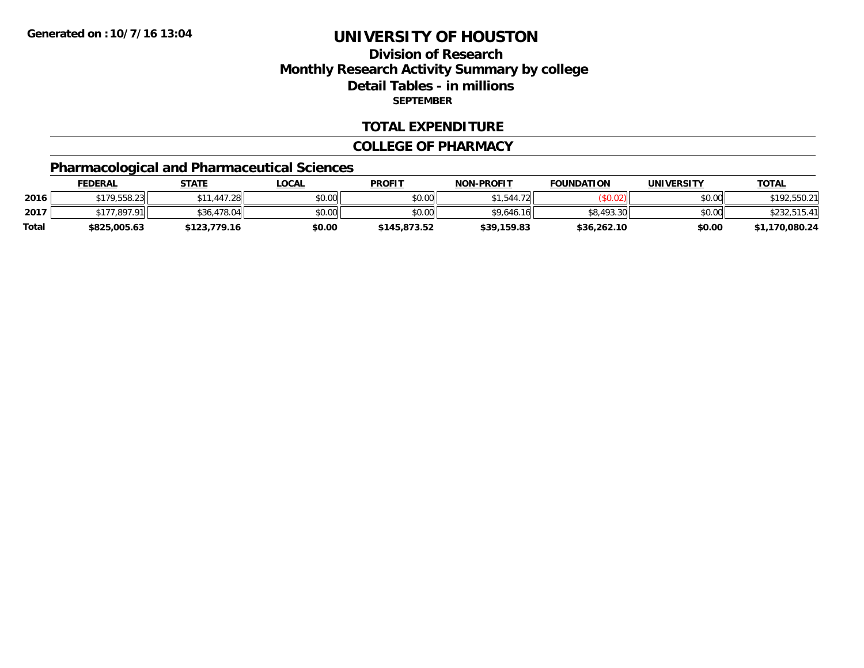# **Division of ResearchMonthly Research Activity Summary by college Detail Tables - in millions SEPTEMBER**

### **TOTAL EXPENDITURE**

#### **COLLEGE OF PHARMACY**

# **Pharmacological and Pharmaceutical Sciences**

|       | <u>FEDERAL</u> | STATE        | <u>LOCAL</u> | <b>PROFIT</b> | <b>NON-PROFIT</b> | <b>FOUNDATION</b> | UNIVERSITY | <b>TOTAL</b>   |
|-------|----------------|--------------|--------------|---------------|-------------------|-------------------|------------|----------------|
| 2016  | \$179,558.23   | 1.447.28     | \$0.00       | \$0.00        | 1,544.72<br>ሮ 1   |                   | \$0.00     | \$192,550.21   |
| 2017  | \$177,897.91   | \$36,478.04  | \$0.00       | \$0.00        | \$9.646.16        | 1.493.30<br>ΦO    | \$0.00     | \$232,515.41   |
| Total | \$825,005.63   | \$123,779.16 | \$0.00       | \$145,873.52  | \$39,159.83       | \$36,262.10       | \$0.00     | \$1,170,080.24 |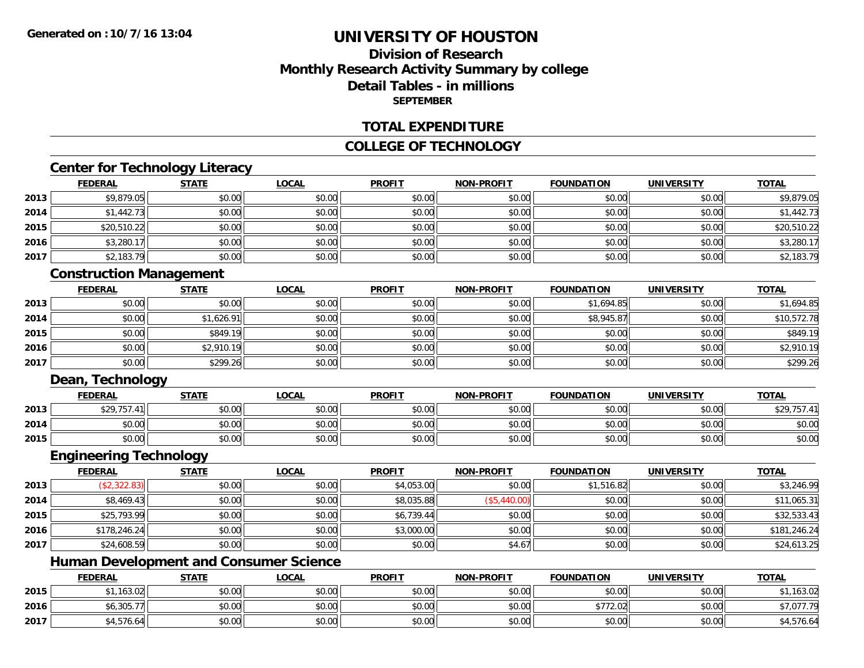## **Division of ResearchMonthly Research Activity Summary by college Detail Tables - in millionsSEPTEMBER**

### **TOTAL EXPENDITURE**

### **COLLEGE OF TECHNOLOGY**

### **Center for Technology Literacy**

|      | <b>FEDERAL</b> | <b>STATE</b> | <b>LOCAL</b> | <b>PROFIT</b> | NON-PROFIT | <b>FOUNDATION</b> | <b>UNIVERSITY</b> | <b>TOTAL</b> |
|------|----------------|--------------|--------------|---------------|------------|-------------------|-------------------|--------------|
| 2013 | \$9,879.05     | \$0.00       | \$0.00       | \$0.00        | \$0.00     | \$0.00            | \$0.00            | \$9,879.05   |
| 2014 | \$1,442.73     | \$0.00       | \$0.00       | \$0.00        | \$0.00     | \$0.00            | \$0.00            | \$1,442.73   |
| 2015 | \$20,510.22    | \$0.00       | \$0.00       | \$0.00        | \$0.00     | \$0.00            | \$0.00            | \$20,510.22  |
| 2016 | \$3,280.1      | \$0.00       | \$0.00       | \$0.00        | \$0.00     | \$0.00            | \$0.00            | \$3,280.17   |
| 2017 | \$2,183.79     | \$0.00       | \$0.00       | \$0.00        | \$0.00     | \$0.00            | \$0.00            | \$2,183.79   |

### **Construction Management**

|      | <b>FEDERAL</b> | <b>STATE</b> | <u>LOCAL</u> | <b>PROFIT</b> | <b>NON-PROFIT</b> | <b>FOUNDATION</b> | <b>UNIVERSITY</b> | <b>TOTAL</b> |
|------|----------------|--------------|--------------|---------------|-------------------|-------------------|-------------------|--------------|
| 2013 | \$0.00         | \$0.00       | \$0.00       | \$0.00        | \$0.00            | \$1,694.85        | \$0.00            | \$1,694.85   |
| 2014 | \$0.00         | \$1,626.91   | \$0.00       | \$0.00        | \$0.00            | \$8,945.87        | \$0.00            | \$10,572.78  |
| 2015 | \$0.00         | \$849.19     | \$0.00       | \$0.00        | \$0.00            | \$0.00            | \$0.00            | \$849.19     |
| 2016 | \$0.00         | \$2,910.19   | \$0.00       | \$0.00        | \$0.00            | \$0.00            | \$0.00            | \$2,910.19   |
| 2017 | \$0.00         | \$299.26     | \$0.00       | \$0.00        | \$0.00            | \$0.00            | \$0.00            | \$299.26     |

### **Dean, Technology**

|      | <b>FEDERAL</b> | <b>STATE</b>                 | _OCAL          | <b>PROFIT</b>   | <b>NON-PROFIT</b> | <b>FOUNDATION</b> | <b>UNIVERSITY</b> | <b>TOTAL</b>              |
|------|----------------|------------------------------|----------------|-----------------|-------------------|-------------------|-------------------|---------------------------|
| 2013 | 0.207          | ልስ ስስ<br>JU.U                | nn nn<br>JU.UU | 4000<br>JU.UU   | \$0.00            | \$0.00            | \$0.00            | \$29.75<br>$\overline{1}$ |
| 2014 | 0000<br>DU.UU  | <b>ተገ</b><br>$\sim$<br>JU.UU | nn nn<br>JU.UU | $\sim$<br>JU.UU | \$0.00            | \$0.00            | \$0.00            | \$0.00                    |
| 2015 | \$0.00         | ⊄n nn<br><b>JU.UU</b>        | \$0.00         | \$0.00          | \$0.00            | \$0.00            | \$0.00            | \$0.00                    |

### **Engineering Technology**

|      | <u>FEDERAL</u> | <u>STATE</u> | <b>LOCAL</b> | <b>PROFIT</b> | <b>NON-PROFIT</b> | <b>FOUNDATION</b> | <b>UNIVERSITY</b> | <b>TOTAL</b> |
|------|----------------|--------------|--------------|---------------|-------------------|-------------------|-------------------|--------------|
| 2013 | (\$2,322.83)   | \$0.00       | \$0.00       | \$4,053.00    | \$0.00            | \$1,516.82        | \$0.00            | \$3,246.99   |
| 2014 | \$8,469.43     | \$0.00       | \$0.00       | \$8,035.88    | (\$5,440.00)      | \$0.00            | \$0.00            | \$11,065.31  |
| 2015 | \$25,793.99    | \$0.00       | \$0.00       | \$6,739.44    | \$0.00            | \$0.00            | \$0.00            | \$32,533.43  |
| 2016 | \$178,246.24   | \$0.00       | \$0.00       | \$3,000.00    | \$0.00            | \$0.00            | \$0.00            | \$181,246.24 |
| 2017 | \$24,608.59    | \$0.00       | \$0.00       | \$0.00        | \$4.67            | \$0.00            | \$0.00            | \$24,613.25  |

# **Human Development and Consumer Science**

|      | <b>FEDERAL</b> | <b>STATE</b> | <u>LOCAL</u>   | <b>PROFIT</b> | <b>NON-PROFIT</b> | <b>FOUNDATION</b> | <b>UNIVERSITY</b> | <b>TOTAL</b>              |
|------|----------------|--------------|----------------|---------------|-------------------|-------------------|-------------------|---------------------------|
| 2015 | $*1.163.02$    | \$0.00       | ልስ ስስ<br>JU.UU | \$0.00        | \$0.00            | \$0.00            | \$0.00            | ,163.02                   |
| 2016 | \$6,305.7      | \$0.00       | \$0.00         | \$0.00        | \$0.00            | \$772.02          | \$0.00            | <b>¢7 077 70</b><br>. .U. |
| 2017 | $*4.576.64$    | \$0.00       | \$0.00         | \$0.00        | \$0.00            | \$0.00            | \$0.00            | \$4,576.64                |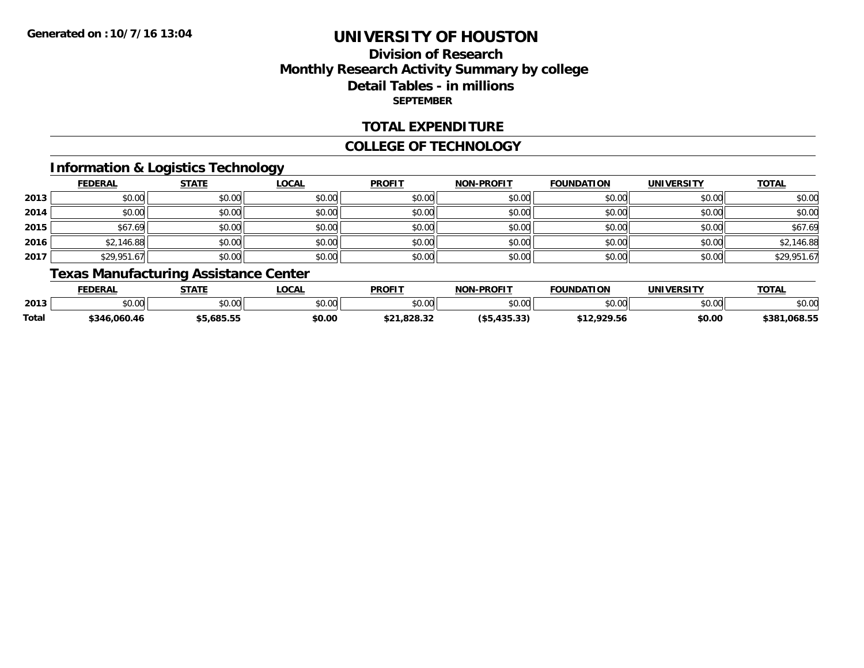# **Division of ResearchMonthly Research Activity Summary by college Detail Tables - in millions SEPTEMBER**

### **TOTAL EXPENDITURE**

#### **COLLEGE OF TECHNOLOGY**

## **Information & Logistics Technology**

|      | <b>FEDERAL</b> | <b>STATE</b> | <u>LOCAL</u> | <b>PROFIT</b> | <b>NON-PROFIT</b> | <b>FOUNDATION</b> | <b>UNIVERSITY</b> | <b>TOTAL</b> |
|------|----------------|--------------|--------------|---------------|-------------------|-------------------|-------------------|--------------|
| 2013 | \$0.00         | \$0.00       | \$0.00       | \$0.00        | \$0.00            | \$0.00            | \$0.00            | \$0.00       |
| 2014 | \$0.00         | \$0.00       | \$0.00       | \$0.00        | \$0.00            | \$0.00            | \$0.00            | \$0.00       |
| 2015 | \$67.69        | \$0.00       | \$0.00       | \$0.00        | \$0.00            | \$0.00            | \$0.00            | \$67.69      |
| 2016 | \$2,146.88     | \$0.00       | \$0.00       | \$0.00        | \$0.00            | \$0.00            | \$0.00            | \$2,146.88   |
| 2017 | \$29,951.67    | \$0.00       | \$0.00       | \$0.00        | \$0.00            | \$0.00            | \$0.00            | \$29,951.67  |

# **Texas Manufacturing Assistance Center**

|       | <b>FEDERAI</b>     | <b>CTATL</b>   | _OCAI         | <b>PROFIT</b>                | -PROFIT<br><b>NON</b>          | <b>FOUNDATION</b> | UNIVERSITY | <b>TOTAL</b>      |
|-------|--------------------|----------------|---------------|------------------------------|--------------------------------|-------------------|------------|-------------------|
| 2013  | $\sim$ 00<br>JU.UU | nn nn<br>DU.UU | 0.00<br>pu.uu | \$0.00                       | ልስ ለሰ<br>pu.uu                 | 40.00             | \$0.00     | \$0.00            |
| Total | \$346<br>6.060.46  | 685.55         | \$0.00        | . 000. 90<br>ታ ግላ<br>,020.32 | $\sim$<br>$\sqrt{2}$<br>733.93 | 020E              | \$0.00     | 1.068.5F<br>\$381 |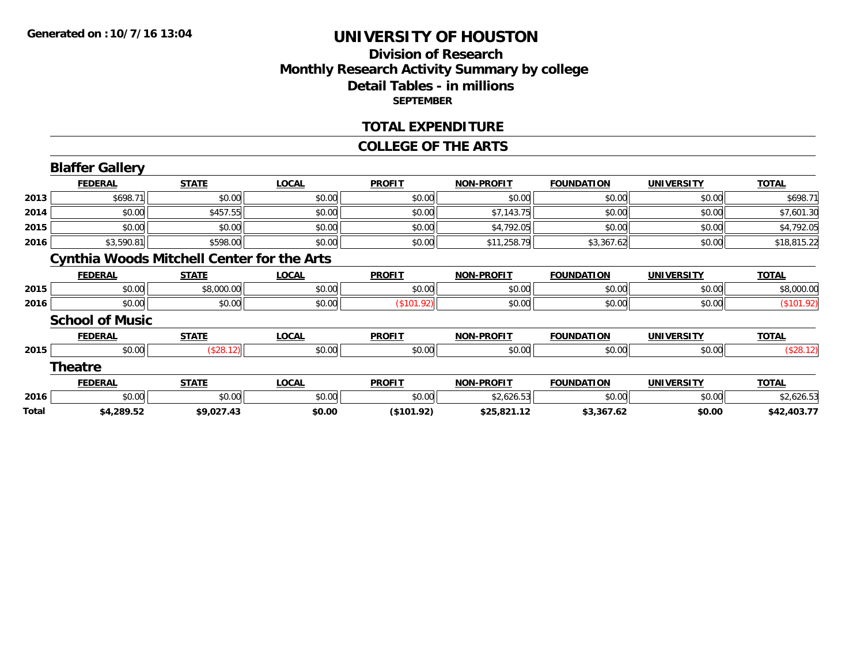### **Division of Research Monthly Research Activity Summary by college Detail Tables - in millions SEPTEMBER**

#### **TOTAL EXPENDITURE**

#### **COLLEGE OF THE ARTS**

|       | <b>Blaffer Gallery</b>                            |              |              |               |                   |                   |                   |              |
|-------|---------------------------------------------------|--------------|--------------|---------------|-------------------|-------------------|-------------------|--------------|
|       | <b>FEDERAL</b>                                    | <b>STATE</b> | <b>LOCAL</b> | <b>PROFIT</b> | <b>NON-PROFIT</b> | <b>FOUNDATION</b> | <b>UNIVERSITY</b> | <b>TOTAL</b> |
| 2013  | \$698.71                                          | \$0.00       | \$0.00       | \$0.00        | \$0.00            | \$0.00            | \$0.00            | \$698.71     |
| 2014  | \$0.00                                            | \$457.55     | \$0.00       | \$0.00        | \$7,143.75        | \$0.00            | \$0.00            | \$7,601.30   |
| 2015  | \$0.00                                            | \$0.00       | \$0.00       | \$0.00        | \$4,792.05        | \$0.00            | \$0.00            | \$4,792.05   |
| 2016  | \$3,590.81                                        | \$598.00     | \$0.00       | \$0.00        | \$11,258.79       | \$3,367.62        | \$0.00            | \$18,815.22  |
|       | <b>Cynthia Woods Mitchell Center for the Arts</b> |              |              |               |                   |                   |                   |              |
|       | <b>FEDERAL</b>                                    | <b>STATE</b> | <b>LOCAL</b> | <b>PROFIT</b> | <b>NON-PROFIT</b> | <b>FOUNDATION</b> | <b>UNIVERSITY</b> | <b>TOTAL</b> |
| 2015  | \$0.00                                            | \$8,000.00   | \$0.00       | \$0.00        | \$0.00            | \$0.00            | \$0.00            | \$8,000.00   |
| 2016  | \$0.00                                            | \$0.00       | \$0.00       | (\$101.92)    | \$0.00            | \$0.00            | \$0.00            | (\$101.92)   |
|       | <b>School of Music</b>                            |              |              |               |                   |                   |                   |              |
|       | <b>FEDERAL</b>                                    | <b>STATE</b> | <b>LOCAL</b> | <b>PROFIT</b> | <b>NON-PROFIT</b> | <b>FOUNDATION</b> | <b>UNIVERSITY</b> | <b>TOTAL</b> |
| 2015  | \$0.00                                            | (\$28.12)    | \$0.00       | \$0.00        | \$0.00            | \$0.00            | \$0.00            | (\$28.12)    |
|       | <b>Theatre</b>                                    |              |              |               |                   |                   |                   |              |
|       | <b>FEDERAL</b>                                    | <b>STATE</b> | <b>LOCAL</b> | <b>PROFIT</b> | <b>NON-PROFIT</b> | <b>FOUNDATION</b> | <b>UNIVERSITY</b> | <b>TOTAL</b> |
| 2016  | \$0.00                                            | \$0.00       | \$0.00       | \$0.00        | \$2,626.53        | \$0.00            | \$0.00            | \$2,626.53   |
| Total | \$4,289.52                                        | \$9,027.43   | \$0.00       | (\$101.92)    | \$25,821.12       | \$3,367.62        | \$0.00            | \$42,403.77  |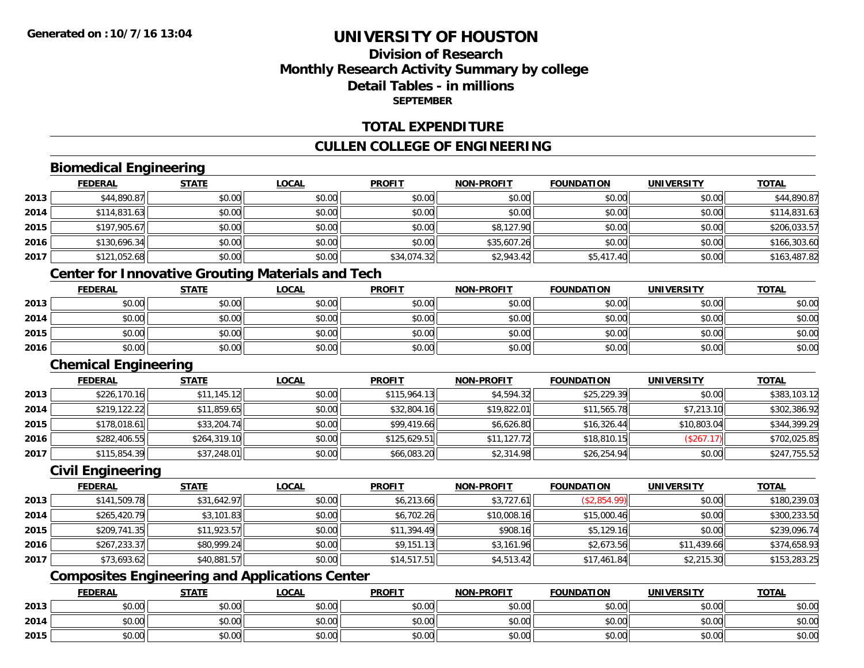# **Division of ResearchMonthly Research Activity Summary by college Detail Tables - in millionsSEPTEMBER**

### **TOTAL EXPENDITURE**

### **CULLEN COLLEGE OF ENGINEERING**

## **Biomedical Engineering**

|      | <b>FEDERAL</b> | <b>STATE</b> | <b>LOCAL</b> | <b>PROFIT</b> | <b>NON-PROFIT</b> | <b>FOUNDATION</b> | <b>UNIVERSITY</b> | <b>TOTAL</b> |
|------|----------------|--------------|--------------|---------------|-------------------|-------------------|-------------------|--------------|
| 2013 | \$44,890.87    | \$0.00       | \$0.00       | \$0.00        | \$0.00            | \$0.00            | \$0.00            | \$44,890.87  |
| 2014 | \$114,831.63   | \$0.00       | \$0.00       | \$0.00        | \$0.00            | \$0.00            | \$0.00            | \$114,831.63 |
| 2015 | \$197,905.67   | \$0.00       | \$0.00       | \$0.00        | \$8,127.90        | \$0.00            | \$0.00            | \$206,033.57 |
| 2016 | \$130,696.34   | \$0.00       | \$0.00       | \$0.00        | \$35,607.26       | \$0.00            | \$0.00            | \$166,303.60 |
| 2017 | \$121,052.68   | \$0.00       | \$0.00       | \$34,074.32   | \$2,943.42        | \$5,417.40        | \$0.00            | \$163,487.82 |

# **Center for Innovative Grouting Materials and Tech**

|      | <b>FEDERAL</b> | <b>STATE</b> | <u>LOCAL</u> | <b>PROFIT</b> | <b>NON-PROFIT</b> | <b>FOUNDATION</b> | <b>UNIVERSITY</b> | <b>TOTAL</b> |
|------|----------------|--------------|--------------|---------------|-------------------|-------------------|-------------------|--------------|
| 2013 | \$0.00         | \$0.00       | \$0.00       | \$0.00        | \$0.00            | \$0.00            | \$0.00            | \$0.00       |
| 2014 | \$0.00         | \$0.00       | \$0.00       | \$0.00        | \$0.00            | \$0.00            | \$0.00            | \$0.00       |
| 2015 | \$0.00         | \$0.00       | \$0.00       | \$0.00        | \$0.00            | \$0.00            | \$0.00            | \$0.00       |
| 2016 | \$0.00         | \$0.00       | \$0.00       | \$0.00        | \$0.00            | \$0.00            | \$0.00            | \$0.00       |

#### **Chemical Engineering**

|      | <b>FEDERAL</b> | <b>STATE</b> | <b>LOCAL</b> | <b>PROFIT</b> | <b>NON-PROFIT</b> | <b>FOUNDATION</b> | <b>UNIVERSITY</b> | <b>TOTAL</b> |
|------|----------------|--------------|--------------|---------------|-------------------|-------------------|-------------------|--------------|
| 2013 | \$226,170.16   | \$11,145.12  | \$0.00       | \$115,964.13  | \$4,594.32        | \$25,229.39       | \$0.00            | \$383,103.12 |
| 2014 | \$219,122.22   | \$11,859.65  | \$0.00       | \$32,804.16   | \$19,822.01       | \$11,565.78       | \$7,213.10        | \$302,386.92 |
| 2015 | \$178,018.61   | \$33,204.74  | \$0.00       | \$99,419.66   | \$6,626.80        | \$16,326.44       | \$10,803.04       | \$344,399.29 |
| 2016 | \$282,406.55   | \$264,319.10 | \$0.00       | \$125,629.51  | \$11,127.72       | \$18,810.15       | (\$267.17)        | \$702,025.85 |
| 2017 | \$115,854.39   | \$37,248.01  | \$0.00       | \$66,083.20   | \$2,314.98        | \$26,254.94       | \$0.00            | \$247,755.52 |

#### **Civil Engineering**

|      | <b>FEDERAL</b> | <b>STATE</b> | <u>LOCAL</u> | <b>PROFIT</b> | <b>NON-PROFIT</b> | <b>FOUNDATION</b> | <b>UNIVERSITY</b> | <b>TOTAL</b> |
|------|----------------|--------------|--------------|---------------|-------------------|-------------------|-------------------|--------------|
| 2013 | \$141,509.78   | \$31,642.97  | \$0.00       | \$6,213.66    | \$3,727.61        | (\$2,854.99)      | \$0.00            | \$180,239.03 |
| 2014 | \$265,420.79   | \$3,101.83   | \$0.00       | \$6,702.26    | \$10,008.16       | \$15,000.46       | \$0.00            | \$300,233.50 |
| 2015 | \$209,741.35   | \$11,923.57  | \$0.00       | \$11,394.49   | \$908.16          | \$5,129.16        | \$0.00            | \$239,096.74 |
| 2016 | \$267,233.37   | \$80,999.24  | \$0.00       | \$9,151.13    | \$3,161.96        | \$2,673.56        | \$11,439.66       | \$374,658.93 |
| 2017 | \$73,693.62    | \$40,881.57  | \$0.00       | \$14,517.51   | \$4,513.42        | \$17,461.84       | \$2,215.30        | \$153,283.25 |

# **Composites Engineering and Applications Center**

|      | <b>FEDERAL</b> | <b>STATE</b> | <b>_OCAL</b>  | <b>PROFIT</b> | <b>NON-PROFIT</b>                                  | <b>FOUNDATION</b> | <b>UNIVERSITY</b> | <b>TOTAL</b> |
|------|----------------|--------------|---------------|---------------|----------------------------------------------------|-------------------|-------------------|--------------|
| 2013 | 0000<br>vu.vu  | \$0.00       | 0000<br>JU.UU | \$0.00        | \$0.00                                             | \$0.00            | \$0.00            | \$0.00       |
| 2014 | PU.UU          | \$0.00       | 0000<br>DU.U¢ | \$0.00        | 40.00<br><b>DU.UU</b>                              | \$0.00            | \$0.00            | \$0.00       |
| 2015 | nn no<br>pu.uu | \$0.00       | 0000<br>ง∪.∪บ | \$0.00        | $\mathsf{A}\cap\mathsf{A}\cap\mathsf{A}$<br>\$0.00 | \$0.00            | \$0.00            | \$0.00       |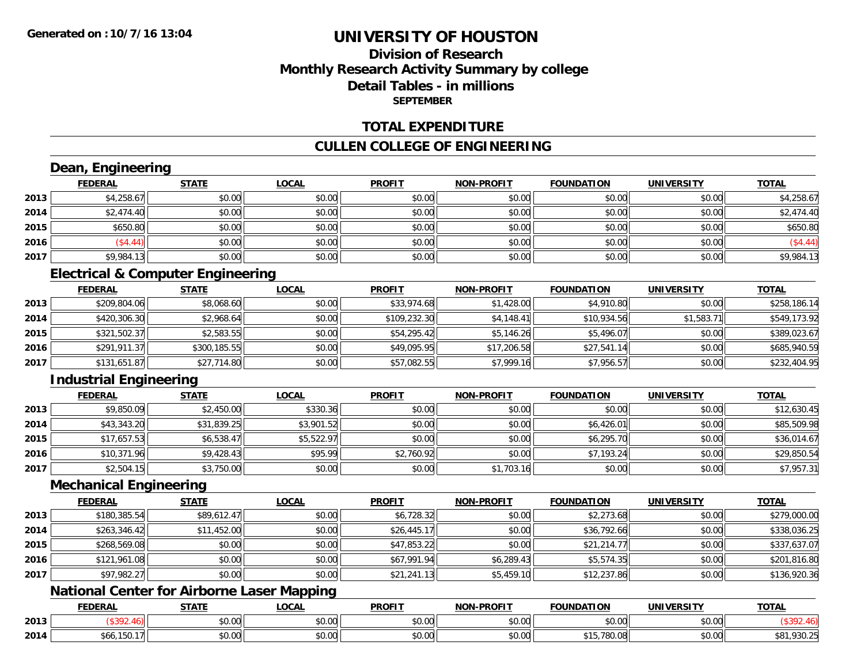## **Division of ResearchMonthly Research Activity Summary by college Detail Tables - in millionsSEPTEMBER**

### **TOTAL EXPENDITURE**

### **CULLEN COLLEGE OF ENGINEERING**

# **Dean, Engineering**

|      | <b>FEDERAL</b> | <b>STATE</b> | <b>LOCAL</b> | <b>PROFIT</b> | NON-PROFIT | <b>FOUNDATION</b> | <b>UNIVERSITY</b> | <b>TOTAL</b> |
|------|----------------|--------------|--------------|---------------|------------|-------------------|-------------------|--------------|
| 2013 | \$4,258.67     | \$0.00       | \$0.00       | \$0.00        | \$0.00     | \$0.00            | \$0.00            | \$4,258.67   |
| 2014 | \$2,474.40     | \$0.00       | \$0.00       | \$0.00        | \$0.00     | \$0.00            | \$0.00            | \$2,474.40   |
| 2015 | \$650.80       | \$0.00       | \$0.00       | \$0.00        | \$0.00     | \$0.00            | \$0.00            | \$650.80     |
| 2016 | \$4.44         | \$0.00       | \$0.00       | \$0.00        | \$0.00     | \$0.00            | \$0.00            | $\$4.44$     |
| 2017 | \$9,984.13     | \$0.00       | \$0.00       | \$0.00        | \$0.00     | \$0.00            | \$0.00            | \$9,984.13   |

# **Electrical & Computer Engineering**

|      | <b>FEDERAL</b> | <b>STATE</b> | <u>LOCAL</u> | <b>PROFIT</b> | <b>NON-PROFIT</b> | <b>FOUNDATION</b> | <b>UNIVERSITY</b> | <b>TOTAL</b> |
|------|----------------|--------------|--------------|---------------|-------------------|-------------------|-------------------|--------------|
| 2013 | \$209,804.06   | \$8,068.60   | \$0.00       | \$33,974.68   | \$1,428.00        | \$4,910.80        | \$0.00            | \$258,186.14 |
| 2014 | \$420,306.30   | \$2,968.64   | \$0.00       | \$109,232.30  | \$4,148.41        | \$10,934.56       | \$1,583.71        | \$549,173.92 |
| 2015 | \$321,502.37   | \$2,583.55   | \$0.00       | \$54,295.42   | \$5,146.26        | \$5,496.07        | \$0.00            | \$389,023.67 |
| 2016 | \$291,911.37   | \$300,185.55 | \$0.00       | \$49,095.95   | \$17,206.58       | \$27,541.14       | \$0.00            | \$685,940.59 |
| 2017 | \$131,651.87   | \$27,714.80  | \$0.00       | \$57,082.55   | \$7,999.16        | \$7,956.57        | \$0.00            | \$232,404.95 |

# **Industrial Engineering**

|      | <b>FEDERAL</b> | <u>STATE</u> | <u>LOCAL</u> | <b>PROFIT</b> | <b>NON-PROFIT</b> | <b>FOUNDATION</b> | <b>UNIVERSITY</b> | <b>TOTAL</b> |
|------|----------------|--------------|--------------|---------------|-------------------|-------------------|-------------------|--------------|
| 2013 | \$9,850.09     | \$2,450.00   | \$330.36     | \$0.00        | \$0.00            | \$0.00            | \$0.00            | \$12,630.45  |
| 2014 | \$43,343.20    | \$31,839.25  | \$3,901.52   | \$0.00        | \$0.00            | \$6,426.01        | \$0.00            | \$85,509.98  |
| 2015 | \$17,657.53    | \$6,538.47   | \$5,522.97   | \$0.00        | \$0.00            | \$6,295.70        | \$0.00            | \$36,014.67  |
| 2016 | \$10,371.96    | \$9,428.43   | \$95.99      | \$2,760.92    | \$0.00            | \$7,193.24        | \$0.00            | \$29,850.54  |
| 2017 | \$2,504.15     | \$3,750.00   | \$0.00       | \$0.00        | \$1,703.16        | \$0.00            | \$0.00            | \$7,957.31   |

### **Mechanical Engineering**

|      | <b>FEDERAL</b> | <b>STATE</b> | <b>LOCAL</b> | <b>PROFIT</b> | <b>NON-PROFIT</b> | <b>FOUNDATION</b> | <b>UNIVERSITY</b> | <b>TOTAL</b> |
|------|----------------|--------------|--------------|---------------|-------------------|-------------------|-------------------|--------------|
| 2013 | \$180,385.54   | \$89,612.47  | \$0.00       | \$6,728.32    | \$0.00            | \$2,273.68        | \$0.00            | \$279,000.00 |
| 2014 | \$263,346.42   | \$11,452.00  | \$0.00       | \$26,445.17   | \$0.00            | \$36,792.66       | \$0.00            | \$338,036.25 |
| 2015 | \$268,569.08   | \$0.00       | \$0.00       | \$47,853.22   | \$0.00            | \$21,214.77       | \$0.00            | \$337,637.07 |
| 2016 | \$121,961.08   | \$0.00       | \$0.00       | \$67,991.94   | \$6,289.43        | \$5,574.35        | \$0.00            | \$201,816.80 |
| 2017 | \$97,982.27    | \$0.00       | \$0.00       | \$21,241.13   | \$5,459.10        | \$12,237.86       | \$0.00            | \$136,920.36 |

## **National Center for Airborne Laser Mapping**

|      | <b>EDERAL</b>   | <b>STATI</b>       | .OCAI              | <b>PROFIT</b>                       | <b>LPROFIT</b><br><b>NON</b> | $\sim$<br><b>ີ</b> ∩INDA                              | <b>INIVE</b><br>ne 1.     | <b>TOTAL</b>   |
|------|-----------------|--------------------|--------------------|-------------------------------------|------------------------------|-------------------------------------------------------|---------------------------|----------------|
| 2013 |                 | $\sim$<br>₽∪.∪∪    | $\sim$ 00<br>DU.UU | 0000<br>DU.UU                       | \$0.00                       | $\mathsf{A} \cap \mathsf{A} \cap \mathsf{A}$<br>vv.vv | vu.vu                     |                |
| 2014 | bOO<br>$\cdots$ | $\triangle$<br>ט.ט | ሶስ ሰሰ<br>DU.UG     | $\theta$ $\theta$ $\theta$<br>DU.UG | \$0.00                       | 700<br>, ou un                                        | $\sim$ 00<br><b>DU.UG</b> | nnn.<br>YJU.Z. |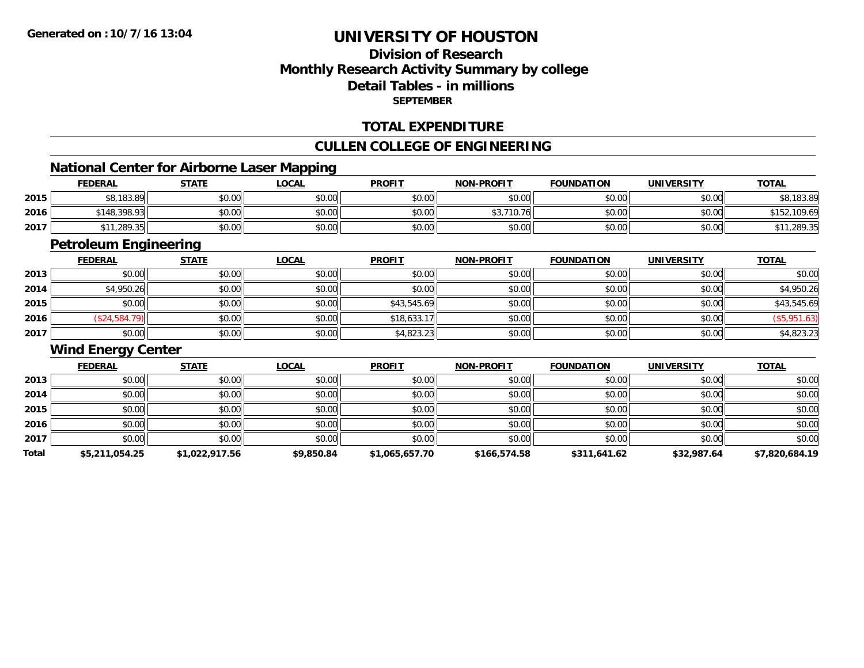# **Division of ResearchMonthly Research Activity Summary by college Detail Tables - in millionsSEPTEMBER**

### **TOTAL EXPENDITURE**

### **CULLEN COLLEGE OF ENGINEERING**

# **National Center for Airborne Laser Mapping**

|      |                | National Center for Airborne Laser Mapping |              |               |                   |                   |                   |              |
|------|----------------|--------------------------------------------|--------------|---------------|-------------------|-------------------|-------------------|--------------|
|      | <b>FEDERAL</b> | STATE                                      | <u>LOCAL</u> | <b>PROFIT</b> | <b>NON-PROFIT</b> | <b>FOUNDATION</b> | <b>UNIVERSITY</b> | <b>TOTAL</b> |
| 2015 | \$8,183.89     | \$0.00                                     | \$0.00       | \$0.00        | \$0.00            | \$0.00            | \$0.00            | \$8,183.89   |
| 2016 | \$148,398.93   | \$0.00                                     | \$0.00       | \$0.00        | \$3.710.76        | \$0.00            | \$0.00            | \$152,109.69 |
| 2017 | \$11,289.35    | \$0.00                                     | \$0.00       | \$0.00        | \$0.00            | \$0.00            | \$0.00            | \$11,289.35  |

<u> 1980 - Andrea Station Barbara, actor a component de la componentación de la componentación de la componentaci</u>

# **Petroleum Engineering**

|      | <b>FEDERAL</b> | <b>STATE</b> | <u>LOCAL</u> | <b>PROFIT</b> | <b>NON-PROFIT</b> | <b>FOUNDATION</b> | <b>UNIVERSITY</b> | <b>TOTAL</b> |
|------|----------------|--------------|--------------|---------------|-------------------|-------------------|-------------------|--------------|
| 2013 | \$0.00         | \$0.00       | \$0.00       | \$0.00        | \$0.00            | \$0.00            | \$0.00            | \$0.00       |
| 2014 | \$4,950.26     | \$0.00       | \$0.00       | \$0.00        | \$0.00            | \$0.00            | \$0.00            | \$4,950.26   |
| 2015 | \$0.00         | \$0.00       | \$0.00       | \$43,545.69   | \$0.00            | \$0.00            | \$0.00            | \$43,545.69  |
| 2016 | (\$24,584.79)  | \$0.00       | \$0.00       | \$18,633.17   | \$0.00            | \$0.00            | \$0.00            | (\$5,951.63) |
| 2017 | \$0.00         | \$0.00       | \$0.00       | \$4,823.23    | \$0.00            | \$0.00            | \$0.00            | \$4,823.23   |

### **Wind Energy Center**

|       | <b>FEDERAL</b> | <b>STATE</b>   | <b>LOCAL</b> | <b>PROFIT</b>  | <b>NON-PROFIT</b> | <b>FOUNDATION</b> | <b>UNIVERSITY</b> | <b>TOTAL</b>   |
|-------|----------------|----------------|--------------|----------------|-------------------|-------------------|-------------------|----------------|
| 2013  | \$0.00         | \$0.00         | \$0.00       | \$0.00         | \$0.00            | \$0.00            | \$0.00            | \$0.00         |
| 2014  | \$0.00         | \$0.00         | \$0.00       | \$0.00         | \$0.00            | \$0.00            | \$0.00            | \$0.00         |
| 2015  | \$0.00         | \$0.00         | \$0.00       | \$0.00         | \$0.00            | \$0.00            | \$0.00            | \$0.00         |
| 2016  | \$0.00         | \$0.00         | \$0.00       | \$0.00         | \$0.00            | \$0.00            | \$0.00            | \$0.00         |
| 2017  | \$0.00         | \$0.00         | \$0.00       | \$0.00         | \$0.00            | \$0.00            | \$0.00            | \$0.00         |
| Total | \$5,211,054.25 | \$1,022,917.56 | \$9,850.84   | \$1,065,657.70 | \$166,574.58      | \$311,641.62      | \$32,987.64       | \$7,820,684.19 |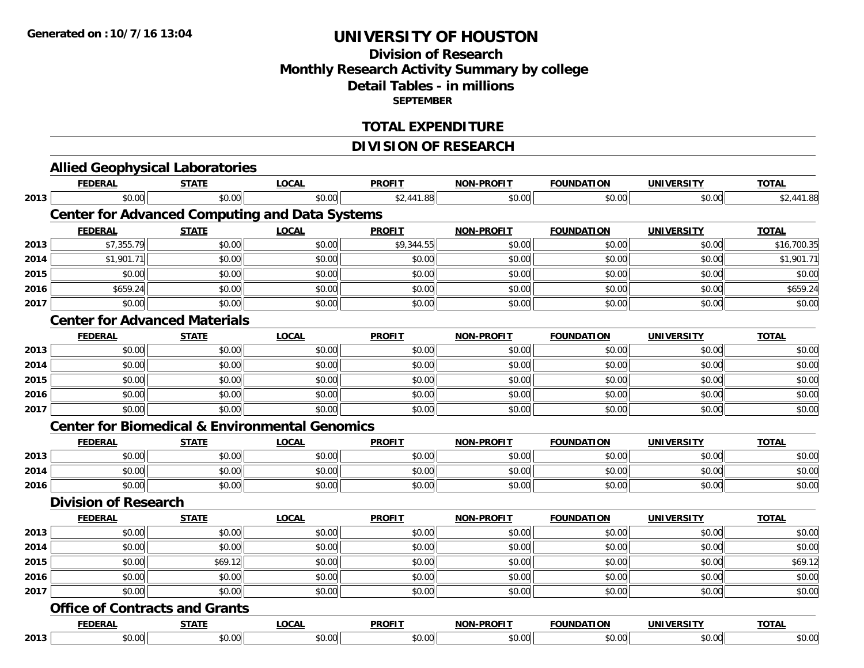# **Division of ResearchMonthly Research Activity Summary by college Detail Tables - in millions SEPTEMBER**

### **TOTAL EXPENDITURE**

# **DIVISION OF RESEARCH**

|      | <b>FEDERAL</b>              | <b>STATE</b>                          | <b>LOCAL</b>                                              | <b>PROFIT</b> | <b>NON-PROFIT</b> | <b>FOUNDATION</b> | <b>UNIVERSITY</b> | <b>TOTAL</b> |
|------|-----------------------------|---------------------------------------|-----------------------------------------------------------|---------------|-------------------|-------------------|-------------------|--------------|
| 2013 | \$0.00                      | \$0.00                                | \$0.00                                                    | \$2,441.88    | \$0.00            | \$0.00            | \$0.00            | \$2,441.88   |
|      |                             |                                       | <b>Center for Advanced Computing and Data Systems</b>     |               |                   |                   |                   |              |
|      | <b>FEDERAL</b>              | <b>STATE</b>                          | <b>LOCAL</b>                                              | <b>PROFIT</b> | <b>NON-PROFIT</b> | <b>FOUNDATION</b> | <b>UNIVERSITY</b> | <b>TOTAL</b> |
| 2013 | \$7,355.79                  | \$0.00                                | \$0.00                                                    | \$9,344.55    | \$0.00            | \$0.00            | \$0.00            | \$16,700.35  |
| 2014 | \$1,901.71                  | \$0.00                                | \$0.00                                                    | \$0.00        | \$0.00            | \$0.00            | \$0.00            | \$1,901.71   |
| 2015 | \$0.00                      | \$0.00                                | \$0.00                                                    | \$0.00        | \$0.00            | \$0.00            | \$0.00            | \$0.00       |
| 2016 | \$659.24                    | \$0.00                                | \$0.00                                                    | \$0.00        | \$0.00            | \$0.00            | \$0.00            | \$659.24     |
| 2017 | \$0.00                      | \$0.00                                | \$0.00                                                    | \$0.00        | \$0.00            | \$0.00            | \$0.00            | \$0.00       |
|      |                             | <b>Center for Advanced Materials</b>  |                                                           |               |                   |                   |                   |              |
|      | <b>FEDERAL</b>              | <b>STATE</b>                          | <b>LOCAL</b>                                              | <b>PROFIT</b> | <b>NON-PROFIT</b> | <b>FOUNDATION</b> | <b>UNIVERSITY</b> | <b>TOTAL</b> |
| 2013 | \$0.00                      | \$0.00                                | \$0.00                                                    | \$0.00        | \$0.00            | \$0.00            | \$0.00            | \$0.00       |
| 2014 | \$0.00                      | \$0.00                                | \$0.00                                                    | \$0.00        | \$0.00            | \$0.00            | \$0.00            | \$0.00       |
| 2015 | \$0.00                      | \$0.00                                | \$0.00                                                    | \$0.00        | \$0.00            | \$0.00            | \$0.00            | \$0.00       |
| 2016 | \$0.00                      | \$0.00                                | \$0.00                                                    | \$0.00        | \$0.00            | \$0.00            | \$0.00            | \$0.00       |
| 2017 | \$0.00                      | \$0.00                                | \$0.00                                                    | \$0.00        | \$0.00            | \$0.00            | \$0.00            | \$0.00       |
|      |                             |                                       | <b>Center for Biomedical &amp; Environmental Genomics</b> |               |                   |                   |                   |              |
|      | <u>FEDERAL</u>              | <b>STATE</b>                          | <b>LOCAL</b>                                              | <b>PROFIT</b> | <b>NON-PROFIT</b> | <b>FOUNDATION</b> | <b>UNIVERSITY</b> | <b>TOTAL</b> |
| 2013 | \$0.00                      | \$0.00                                | \$0.00                                                    | \$0.00        | \$0.00            | \$0.00            | \$0.00            | \$0.00       |
| 2014 | \$0.00                      | \$0.00                                | \$0.00                                                    | \$0.00        | \$0.00            | \$0.00            | \$0.00            | \$0.00       |
| 2016 | \$0.00                      | \$0.00                                | \$0.00                                                    | \$0.00        | \$0.00            | \$0.00            | \$0.00            | \$0.00       |
|      | <b>Division of Research</b> |                                       |                                                           |               |                   |                   |                   |              |
|      | <b>FEDERAL</b>              | <b>STATE</b>                          | <b>LOCAL</b>                                              | <b>PROFIT</b> | <b>NON-PROFIT</b> | <b>FOUNDATION</b> | <b>UNIVERSITY</b> | <b>TOTAL</b> |
| 2013 | \$0.00                      | \$0.00                                | \$0.00                                                    | \$0.00        | \$0.00            | \$0.00            | \$0.00            | \$0.00       |
| 2014 | \$0.00                      | \$0.00                                | \$0.00                                                    | \$0.00        | \$0.00            | \$0.00            | \$0.00            | \$0.00       |
| 2015 | \$0.00                      | \$69.12                               | \$0.00                                                    | \$0.00        | \$0.00            | \$0.00            | \$0.00            | \$69.12      |
| 2016 | \$0.00                      | \$0.00                                | \$0.00                                                    | \$0.00        | \$0.00            | \$0.00            | \$0.00            | \$0.00       |
| 2017 | \$0.00                      | \$0.00                                | \$0.00                                                    | \$0.00        | \$0.00            | \$0.00            | \$0.00            | \$0.00       |
|      |                             | <b>Office of Contracts and Grants</b> |                                                           |               |                   |                   |                   |              |
|      | <b>FEDERAL</b>              | <b>STATE</b>                          | <b>LOCAL</b>                                              | <b>PROFIT</b> | <b>NON-PROFIT</b> | <b>FOUNDATION</b> | <b>UNIVERSITY</b> | <b>TOTAL</b> |
| 2013 | \$0.00                      | \$0.00                                | \$0.00                                                    | \$0.00        | \$0.00            | \$0.00            | \$0.00            | \$0.00       |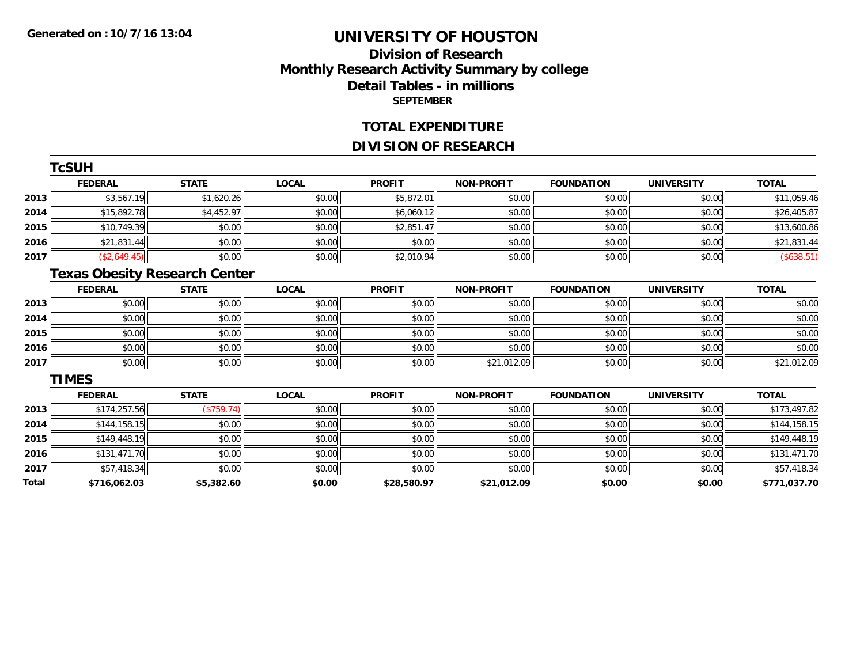# **Division of ResearchMonthly Research Activity Summary by college Detail Tables - in millions SEPTEMBER**

#### **TOTAL EXPENDITURE**

## **DIVISION OF RESEARCH**

|      | <b>TcSUH</b>   |              |              |               |                   |                   |                   |              |
|------|----------------|--------------|--------------|---------------|-------------------|-------------------|-------------------|--------------|
|      | <b>FEDERAL</b> | <b>STATE</b> | <b>LOCAL</b> | <b>PROFIT</b> | <b>NON-PROFIT</b> | <b>FOUNDATION</b> | <b>UNIVERSITY</b> | <b>TOTAL</b> |
| 2013 | \$3,567.19     | \$1,620.26   | \$0.00       | \$5,872.01    | \$0.00            | \$0.00            | \$0.00            | \$11,059.46  |
| 2014 | \$15,892.78    | \$4,452.97   | \$0.00       | \$6,060.12    | \$0.00            | \$0.00            | \$0.00            | \$26,405.87  |
| 2015 | \$10,749.39    | \$0.00       | \$0.00       | \$2,851.47    | \$0.00            | \$0.00            | \$0.00            | \$13,600.86  |
| 2016 | \$21,831.44    | \$0.00       | \$0.00       | \$0.00        | \$0.00            | \$0.00            | \$0.00            | \$21,831.44  |
| 2017 | (\$2,649.45)   | \$0.00       | \$0.00       | \$2,010.94    | \$0.00            | \$0.00            | \$0.00            | (\$638.51)   |

# **Texas Obesity Research Center**

|      | <b>FEDERAL</b> | <b>STATE</b> | <u>LOCAL</u> | <b>PROFIT</b> | <b>NON-PROFIT</b> | <b>FOUNDATION</b> | <b>UNIVERSITY</b> | <b>TOTAL</b> |
|------|----------------|--------------|--------------|---------------|-------------------|-------------------|-------------------|--------------|
| 2013 | \$0.00         | \$0.00       | \$0.00       | \$0.00        | \$0.00            | \$0.00            | \$0.00            | \$0.00       |
| 2014 | \$0.00         | \$0.00       | \$0.00       | \$0.00        | \$0.00            | \$0.00            | \$0.00            | \$0.00       |
| 2015 | \$0.00         | \$0.00       | \$0.00       | \$0.00        | \$0.00            | \$0.00            | \$0.00            | \$0.00       |
| 2016 | \$0.00         | \$0.00       | \$0.00       | \$0.00        | \$0.00            | \$0.00            | \$0.00            | \$0.00       |
| 2017 | \$0.00         | \$0.00       | \$0.00       | \$0.00        | \$21,012.09       | \$0.00            | \$0.00            | \$21,012.09  |

#### **TIMES**

|       | <b>FEDERAL</b> | <b>STATE</b> | <b>LOCAL</b> | <b>PROFIT</b> | <b>NON-PROFIT</b> | <b>FOUNDATION</b> | <b>UNIVERSITY</b> | <b>TOTAL</b> |
|-------|----------------|--------------|--------------|---------------|-------------------|-------------------|-------------------|--------------|
| 2013  | \$174,257.56   | (\$759.74)   | \$0.00       | \$0.00        | \$0.00            | \$0.00            | \$0.00            | \$173,497.82 |
| 2014  | \$144,158.15   | \$0.00       | \$0.00       | \$0.00        | \$0.00            | \$0.00            | \$0.00            | \$144,158.15 |
| 2015  | \$149,448.19   | \$0.00       | \$0.00       | \$0.00        | \$0.00            | \$0.00            | \$0.00            | \$149,448.19 |
| 2016  | \$131,471.70   | \$0.00       | \$0.00       | \$0.00        | \$0.00            | \$0.00            | \$0.00            | \$131,471.70 |
| 2017  | \$57,418.34    | \$0.00       | \$0.00       | \$0.00        | \$0.00            | \$0.00            | \$0.00            | \$57,418.34  |
| Total | \$716,062.03   | \$5,382.60   | \$0.00       | \$28,580.97   | \$21,012.09       | \$0.00            | \$0.00            | \$771,037.70 |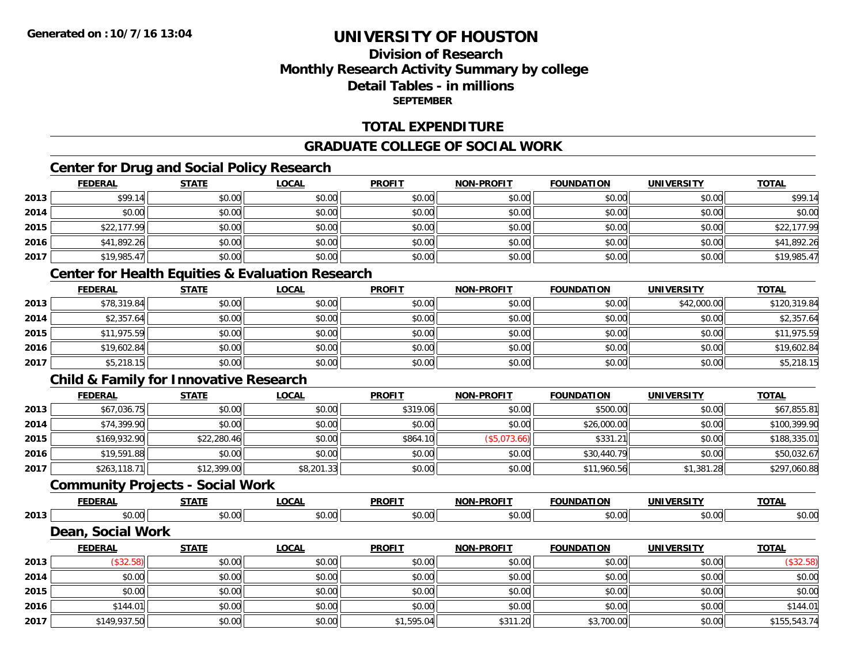# **Division of ResearchMonthly Research Activity Summary by college Detail Tables - in millionsSEPTEMBER**

## **TOTAL EXPENDITURE**

# **GRADUATE COLLEGE OF SOCIAL WORK**

# **Center for Drug and Social Policy Research**

|      | <b>FEDERAL</b> | <b>STATE</b> | <b>LOCAL</b> | <b>PROFIT</b> | <b>NON-PROFIT</b> | <b>FOUNDATION</b> | <b>UNIVERSITY</b> | <b>TOTAL</b> |
|------|----------------|--------------|--------------|---------------|-------------------|-------------------|-------------------|--------------|
| 2013 | \$99.14        | \$0.00       | \$0.00       | \$0.00        | \$0.00            | \$0.00            | \$0.00            | \$99.14      |
| 2014 | \$0.00         | \$0.00       | \$0.00       | \$0.00        | \$0.00            | \$0.00            | \$0.00            | \$0.00       |
| 2015 | \$22,177.99    | \$0.00       | \$0.00       | \$0.00        | \$0.00            | \$0.00            | \$0.00            | \$22,177.99  |
| 2016 | \$41,892.26    | \$0.00       | \$0.00       | \$0.00        | \$0.00            | \$0.00            | \$0.00            | \$41,892.26  |
| 2017 | \$19,985.47    | \$0.00       | \$0.00       | \$0.00        | \$0.00            | \$0.00            | \$0.00            | \$19,985.47  |

# **Center for Health Equities & Evaluation Research**

|      | <u>FEDERAL</u> | <b>STATE</b> | <b>LOCAL</b> | <b>PROFIT</b> | <b>NON-PROFIT</b> | <b>FOUNDATION</b> | <b>UNIVERSITY</b> | <b>TOTAL</b> |
|------|----------------|--------------|--------------|---------------|-------------------|-------------------|-------------------|--------------|
| 2013 | \$78,319.84    | \$0.00       | \$0.00       | \$0.00        | \$0.00            | \$0.00            | \$42,000.00       | \$120,319.84 |
| 2014 | \$2,357.64     | \$0.00       | \$0.00       | \$0.00        | \$0.00            | \$0.00            | \$0.00            | \$2,357.64   |
| 2015 | \$11,975.59    | \$0.00       | \$0.00       | \$0.00        | \$0.00            | \$0.00            | \$0.00            | \$11,975.59  |
| 2016 | \$19,602.84    | \$0.00       | \$0.00       | \$0.00        | \$0.00            | \$0.00            | \$0.00            | \$19,602.84  |
| 2017 | \$5,218.15     | \$0.00       | \$0.00       | \$0.00        | \$0.00            | \$0.00            | \$0.00            | \$5,218.15   |

# **Child & Family for Innovative Research**

|      | <b>FEDERAL</b> | <u>STATE</u> | <b>LOCAL</b> | <b>PROFIT</b> | <b>NON-PROFIT</b> | <b>FOUNDATION</b> | <b>UNIVERSITY</b> | <b>TOTAL</b> |
|------|----------------|--------------|--------------|---------------|-------------------|-------------------|-------------------|--------------|
| 2013 | \$67,036.75    | \$0.00       | \$0.00       | \$319.06      | \$0.00            | \$500.00          | \$0.00            | \$67,855.81  |
| 2014 | \$74,399.90    | \$0.00       | \$0.00       | \$0.00        | \$0.00            | \$26,000.00       | \$0.00            | \$100,399.90 |
| 2015 | \$169,932.90   | \$22,280.46  | \$0.00       | \$864.10      | (\$5,073.66)      | \$331.21          | \$0.00            | \$188,335.01 |
| 2016 | \$19,591.88    | \$0.00       | \$0.00       | \$0.00        | \$0.00            | \$30,440.79       | \$0.00            | \$50,032.67  |
| 2017 | \$263,118.71   | \$12,399.00  | \$8,201.33   | \$0.00        | \$0.00            | \$11,960.56       | \$1,381.28        | \$297,060.88 |

### **Community Projects - Social Work**

|      | <b>FEDERAL</b>         | <b>CTATE</b>   | <b>OCAI</b>    | <b>PROFIT</b> | <b>LPROFIT</b><br>NON.        | <b>FOUNDATION</b> | <b>UNIVERSITY</b> | <b>TOTAL</b> |
|------|------------------------|----------------|----------------|---------------|-------------------------------|-------------------|-------------------|--------------|
| 2013 | $\sim$<br>٠n.<br>JU.UU | ተሰ ሰሰ<br>JU.UU | ሶስ ሰስ<br>PO.OO | \$0.00        | $n \cap \neg$<br><b>JU.UU</b> | $\sim$<br>JU.UU   | \$0.00            | \$0.00       |
|      | $ -$<br>.וחה           | Work           |                |               |                               |                   |                   |              |

|      | <b>FEDERAL</b> | <b>STATE</b> | <u>LOCAL</u> | <b>PROFIT</b> | <b>NON-PROFIT</b> | <b>FOUNDATION</b> | <b>UNIVERSITY</b> | <b>TOTAL</b> |
|------|----------------|--------------|--------------|---------------|-------------------|-------------------|-------------------|--------------|
| 2013 | \$32.58        | \$0.00       | \$0.00       | \$0.00        | \$0.00            | \$0.00            | \$0.00            | (\$32.58)    |
| 2014 | \$0.00         | \$0.00       | \$0.00       | \$0.00        | \$0.00            | \$0.00            | \$0.00            | \$0.00       |
| 2015 | \$0.00         | \$0.00       | \$0.00       | \$0.00        | \$0.00            | \$0.00            | \$0.00            | \$0.00       |
| 2016 | \$144.01       | \$0.00       | \$0.00       | \$0.00        | \$0.00            | \$0.00            | \$0.00            | \$144.01     |
| 2017 | \$149,937.50   | \$0.00       | \$0.00       | \$1,595.04    | \$311.20          | \$3,700.00        | \$0.00            | \$155,543.74 |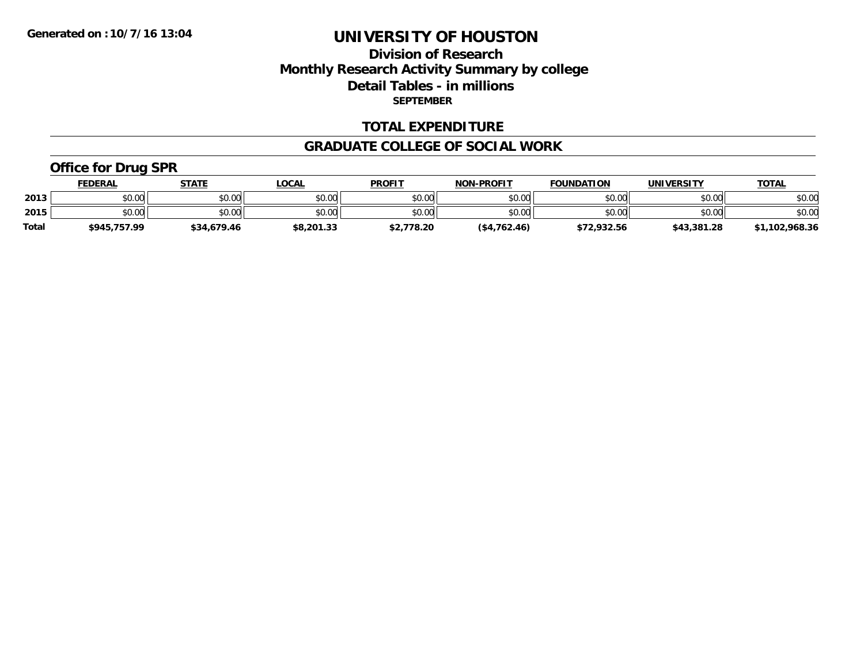## **Division of Research Monthly Research Activity Summary by college Detail Tables - in millions SEPTEMBER**

#### **TOTAL EXPENDITURE**

#### **GRADUATE COLLEGE OF SOCIAL WORK**

## **Office for Drug SPR**

|              | <u>FEDERAL</u> | <b>STATE</b> | <u>_OCAL</u> | <b>PROFIT</b> | <b>NON-PROFIT</b> | <b>FOUNDATION</b> | <b>UNIVERSITY</b> | <u>TOTAL</u>   |
|--------------|----------------|--------------|--------------|---------------|-------------------|-------------------|-------------------|----------------|
| 2013         | \$0.00         | \$0.00       | \$0.00       | \$0.00        | \$0.00            | \$0.00            | \$0.00            | \$0.00         |
| 2015         | \$0.00         | \$0.00       | \$0.00       | \$0.00        | \$0.00            | \$0.00            | \$0.00            | \$0.00         |
| <b>Total</b> | \$945,757.99   | \$34,679.46  | \$8,201.33   | \$2,778.20    | (\$4,762.46)      | \$72,932.56       | \$43,381.28       | \$1,102,968.36 |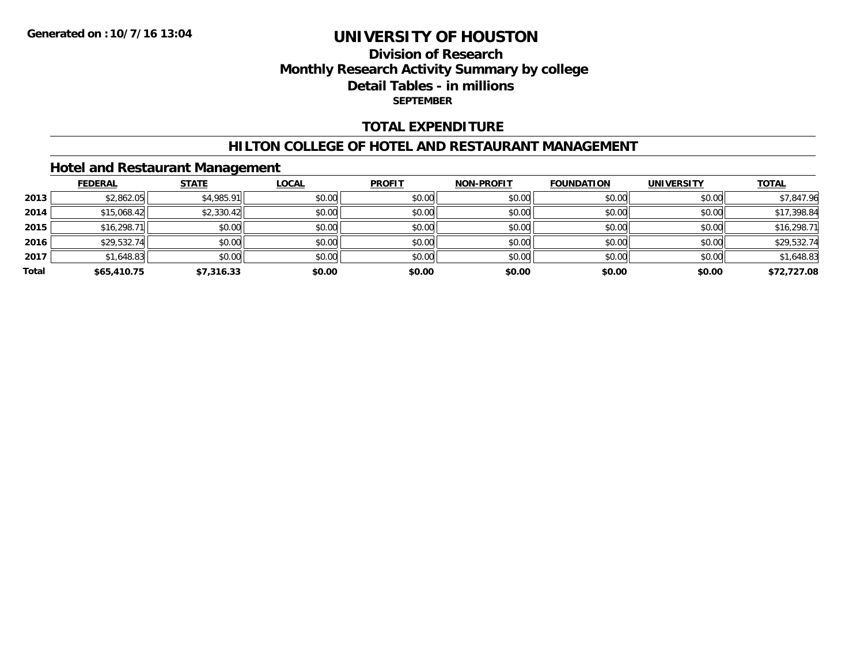## **Division of Research Monthly Research Activity Summary by college Detail Tables - in millions SEPTEMBER**

### **TOTAL EXPENDITURE**

#### **HILTON COLLEGE OF HOTEL AND RESTAURANT MANAGEMENT**

### **Hotel and Restaurant Management**

|       | <b>FEDERAL</b> | <b>STATE</b> | <u>LOCAL</u> | <b>PROFIT</b> | <b>NON-PROFIT</b> | <b>FOUNDATION</b> | <b>UNIVERSITY</b> | <b>TOTAL</b> |
|-------|----------------|--------------|--------------|---------------|-------------------|-------------------|-------------------|--------------|
| 2013  | \$2,862.05     | \$4,985.91   | \$0.00       | \$0.00        | \$0.00            | \$0.00            | \$0.00            | \$7,847.96   |
| 2014  | \$15,068.42    | \$2,330.42   | \$0.00       | \$0.00        | \$0.00            | \$0.00            | \$0.00            | \$17,398.84  |
| 2015  | \$16,298.71    | \$0.00       | \$0.00       | \$0.00        | \$0.00            | \$0.00            | \$0.00            | \$16,298.71  |
| 2016  | \$29,532.74    | \$0.00       | \$0.00       | \$0.00        | \$0.00            | \$0.00            | \$0.00            | \$29,532.74  |
| 2017  | \$1,648.83     | \$0.00       | \$0.00       | \$0.00        | \$0.00            | \$0.00            | \$0.00            | \$1,648.83   |
| Total | \$65,410.75    | \$7,316.33   | \$0.00       | \$0.00        | \$0.00            | \$0.00            | \$0.00            | \$72,727.08  |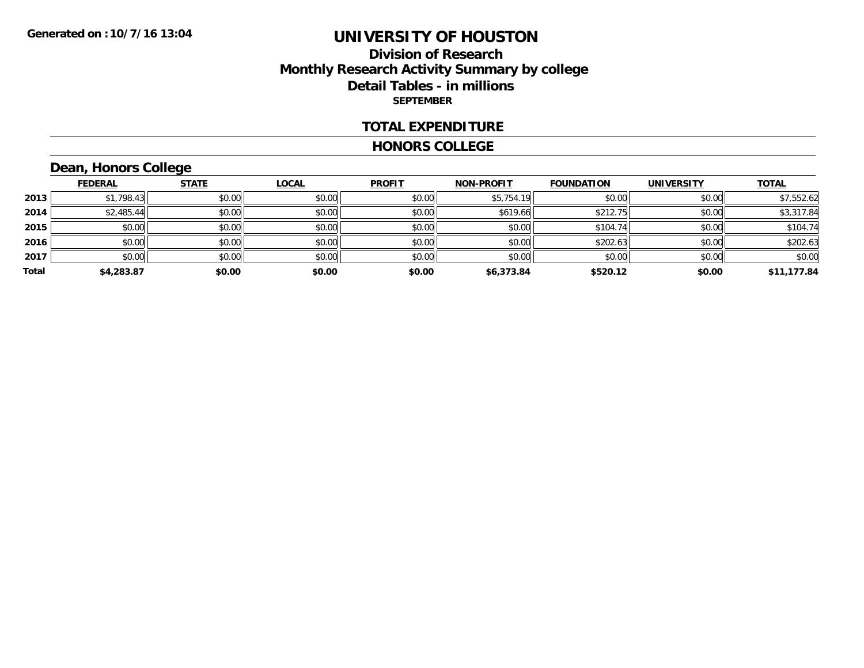### **Division of Research Monthly Research Activity Summary by college Detail Tables - in millions SEPTEMBER**

#### **TOTAL EXPENDITURE**

#### **HONORS COLLEGE**

# **Dean, Honors College**

|       | <b>FEDERAL</b> | <b>STATE</b> | <b>LOCAL</b> | <b>PROFIT</b> | <b>NON-PROFIT</b> | <b>FOUNDATION</b> | <b>UNIVERSITY</b> | <b>TOTAL</b> |
|-------|----------------|--------------|--------------|---------------|-------------------|-------------------|-------------------|--------------|
| 2013  | \$1,798.43     | \$0.00       | \$0.00       | \$0.00        | \$5,754.19        | \$0.00            | \$0.00            | \$7,552.62   |
| 2014  | \$2,485.44     | \$0.00       | \$0.00       | \$0.00        | \$619.66          | \$212.75          | \$0.00            | \$3,317.84   |
| 2015  | \$0.00         | \$0.00       | \$0.00       | \$0.00        | \$0.00            | \$104.74          | \$0.00            | \$104.74     |
| 2016  | \$0.00         | \$0.00       | \$0.00       | \$0.00        | \$0.00            | \$202.63          | \$0.00            | \$202.63     |
| 2017  | \$0.00         | \$0.00       | \$0.00       | \$0.00        | \$0.00            | \$0.00            | \$0.00            | \$0.00       |
| Total | \$4,283.87     | \$0.00       | \$0.00       | \$0.00        | \$6,373.84        | \$520.12          | \$0.00            | \$11,177.84  |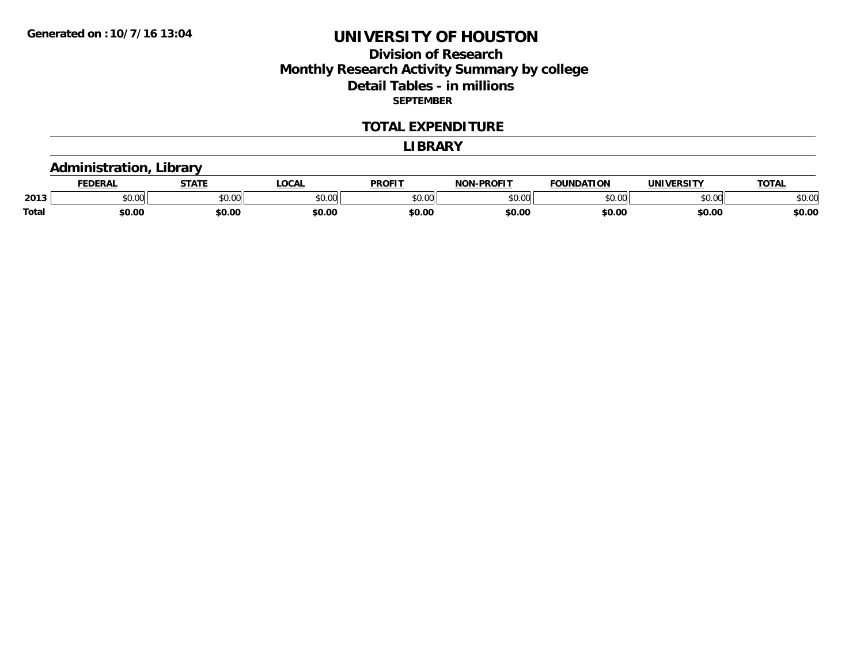## **Division of Research Monthly Research Activity Summary by college Detail Tables - in millions SEPTEMBER**

#### **TOTAL EXPENDITURE**

#### **LIBRARY**

# **Administration, Library**

|       | ----                 | <b>STAT.</b>           | LOCA           | <b>DDOEIT</b> | <b>DDAEIT</b><br>ימות | .<br>$\sim$ | .                  | $T^{\alpha}$<br>OIAL |
|-------|----------------------|------------------------|----------------|---------------|-----------------------|-------------|--------------------|----------------------|
| 2013  | 0.00<br><b>UU.UU</b> | 0 <sub>n</sub><br>vv.u | ტი იი<br>JU.UU | ტი იი         | to oo                 |             | $\sim$ 00<br>JU.UU | \$0.00               |
| Total | \$0.OC               | \$0.00                 | \$0.00         | \$0.00        | \$0.00                | \$0.00      | \$0.00             | \$0.00               |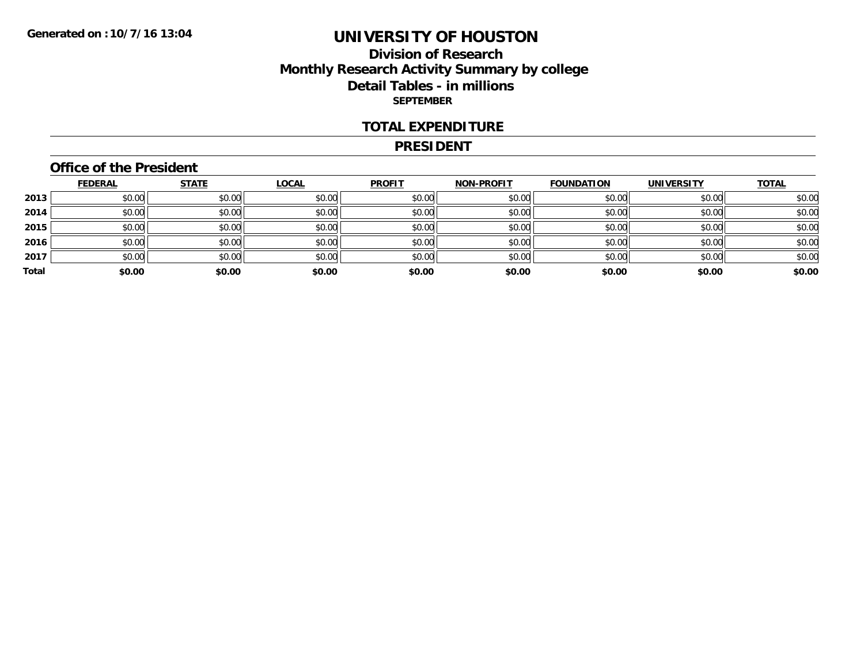### **Division of Research Monthly Research Activity Summary by college Detail Tables - in millions SEPTEMBER**

#### **TOTAL EXPENDITURE**

#### **PRESIDENT**

### **Office of the President**

|       | <b>FEDERAL</b> | <b>STATE</b> | <b>LOCAL</b> | <b>PROFIT</b> | NON-PROFIT | <b>FOUNDATION</b> | <b>UNIVERSITY</b> | <b>TOTAL</b> |
|-------|----------------|--------------|--------------|---------------|------------|-------------------|-------------------|--------------|
| 2013  | \$0.00         | \$0.00       | \$0.00       | \$0.00        | \$0.00     | \$0.00            | \$0.00            | \$0.00       |
| 2014  | \$0.00         | \$0.00       | \$0.00       | \$0.00        | \$0.00     | \$0.00            | \$0.00            | \$0.00       |
| 2015  | \$0.00         | \$0.00       | \$0.00       | \$0.00        | \$0.00     | \$0.00            | \$0.00            | \$0.00       |
| 2016  | \$0.00         | \$0.00       | \$0.00       | \$0.00        | \$0.00     | \$0.00            | \$0.00            | \$0.00       |
| 2017  | \$0.00         | \$0.00       | \$0.00       | \$0.00        | \$0.00     | \$0.00            | \$0.00            | \$0.00       |
| Total | \$0.00         | \$0.00       | \$0.00       | \$0.00        | \$0.00     | \$0.00            | \$0.00            | \$0.00       |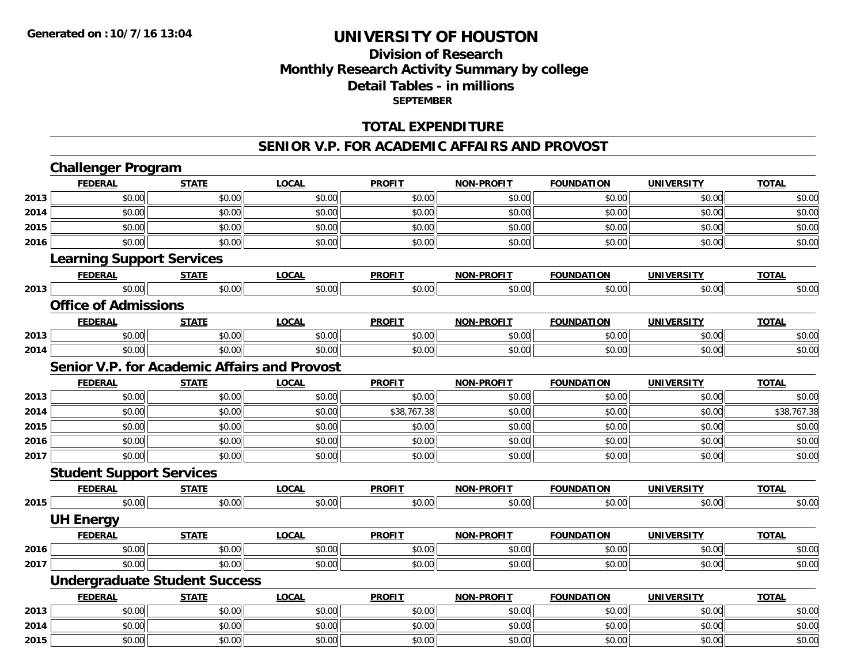# **Division of ResearchMonthly Research Activity Summary by college Detail Tables - in millions SEPTEMBER**

### **TOTAL EXPENDITURE**

#### **SENIOR V.P. FOR ACADEMIC AFFAIRS AND PROVOST**

|      | <b>Challenger Program</b>                           |              |              |               |                   |                   |                   |              |
|------|-----------------------------------------------------|--------------|--------------|---------------|-------------------|-------------------|-------------------|--------------|
|      | <b>FEDERAL</b>                                      | <b>STATE</b> | <b>LOCAL</b> | <b>PROFIT</b> | <b>NON-PROFIT</b> | <b>FOUNDATION</b> | <b>UNIVERSITY</b> | <b>TOTAL</b> |
| 2013 | \$0.00                                              | \$0.00       | \$0.00       | \$0.00        | \$0.00            | \$0.00            | \$0.00            | \$0.00       |
| 2014 | \$0.00                                              | \$0.00       | \$0.00       | \$0.00        | \$0.00            | \$0.00            | \$0.00            | \$0.00       |
| 2015 | \$0.00                                              | \$0.00       | \$0.00       | \$0.00        | \$0.00            | \$0.00            | \$0.00            | \$0.00       |
| 2016 | \$0.00                                              | \$0.00       | \$0.00       | \$0.00        | \$0.00            | \$0.00            | \$0.00            | \$0.00       |
|      | <b>Learning Support Services</b>                    |              |              |               |                   |                   |                   |              |
|      | <b>FEDERAL</b>                                      | <b>STATE</b> | <b>LOCAL</b> | <b>PROFIT</b> | <b>NON-PROFIT</b> | <b>FOUNDATION</b> | <b>UNIVERSITY</b> | <b>TOTAL</b> |
| 2013 | \$0.00                                              | \$0.00       | \$0.00       | \$0.00        | \$0.00            | \$0.00            | \$0.00            | \$0.00       |
|      | <b>Office of Admissions</b>                         |              |              |               |                   |                   |                   |              |
|      | <b>FEDERAL</b>                                      | <b>STATE</b> | <b>LOCAL</b> | <b>PROFIT</b> | <b>NON-PROFIT</b> | <b>FOUNDATION</b> | <b>UNIVERSITY</b> | <b>TOTAL</b> |
| 2013 | \$0.00                                              | \$0.00       | \$0.00       | \$0.00        | \$0.00            | \$0.00            | \$0.00            | \$0.00       |
| 2014 | \$0.00                                              | \$0.00       | \$0.00       | \$0.00        | \$0.00            | \$0.00            | \$0.00            | \$0.00       |
|      | <b>Senior V.P. for Academic Affairs and Provost</b> |              |              |               |                   |                   |                   |              |
|      | <b>FEDERAL</b>                                      | <b>STATE</b> | <b>LOCAL</b> | <b>PROFIT</b> | <b>NON-PROFIT</b> | <b>FOUNDATION</b> | <b>UNIVERSITY</b> | <b>TOTAL</b> |
| 2013 | \$0.00                                              | \$0.00       | \$0.00       | \$0.00        | \$0.00            | \$0.00            | \$0.00            | \$0.00       |
| 2014 | \$0.00                                              | \$0.00       | \$0.00       | \$38,767.38   | \$0.00            | \$0.00            | \$0.00            | \$38,767.38  |
| 2015 | \$0.00                                              | \$0.00       | \$0.00       | \$0.00        | \$0.00            | \$0.00            | \$0.00            | \$0.00       |
| 2016 | \$0.00                                              | \$0.00       | \$0.00       | \$0.00        | \$0.00            | \$0.00            | \$0.00            | \$0.00       |
| 2017 | \$0.00                                              | \$0.00       | \$0.00       | \$0.00        | \$0.00            | \$0.00            | \$0.00            | \$0.00       |
|      | <b>Student Support Services</b>                     |              |              |               |                   |                   |                   |              |
|      | <b>FEDERAL</b>                                      | <b>STATE</b> | <b>LOCAL</b> | <b>PROFIT</b> | <b>NON-PROFIT</b> | <b>FOUNDATION</b> | <b>UNIVERSITY</b> | <b>TOTAL</b> |
| 2015 | \$0.00                                              | \$0.00       | \$0.00       | \$0.00        | \$0.00            | \$0.00            | \$0.00            | \$0.00       |
|      | <b>UH Energy</b>                                    |              |              |               |                   |                   |                   |              |
|      | <b>FEDERAL</b>                                      | <b>STATE</b> | <b>LOCAL</b> | <b>PROFIT</b> | <b>NON-PROFIT</b> | <b>FOUNDATION</b> | <b>UNIVERSITY</b> | <b>TOTAL</b> |
| 2016 | \$0.00                                              | \$0.00       | \$0.00       | \$0.00        | \$0.00            | \$0.00            | \$0.00            | \$0.00       |
| 2017 | \$0.00                                              | \$0.00       | \$0.00       | \$0.00        | \$0.00            | \$0.00            | \$0.00            | \$0.00       |
|      | <b>Undergraduate Student Success</b>                |              |              |               |                   |                   |                   |              |
|      | <b>FEDERAL</b>                                      | <b>STATE</b> | <b>LOCAL</b> | <b>PROFIT</b> | <b>NON-PROFIT</b> | <b>FOUNDATION</b> | <b>UNIVERSITY</b> | <b>TOTAL</b> |
| 2013 | \$0.00                                              | \$0.00       | \$0.00       | \$0.00        | \$0.00            | \$0.00            | \$0.00            | \$0.00       |
| 2014 | \$0.00                                              | \$0.00       | \$0.00       | \$0.00        | \$0.00            | \$0.00            | \$0.00            | \$0.00       |
| 2015 | \$0.00                                              | \$0.00       | \$0.00       | \$0.00        | \$0.00            | \$0.00            | \$0.00            | \$0.00       |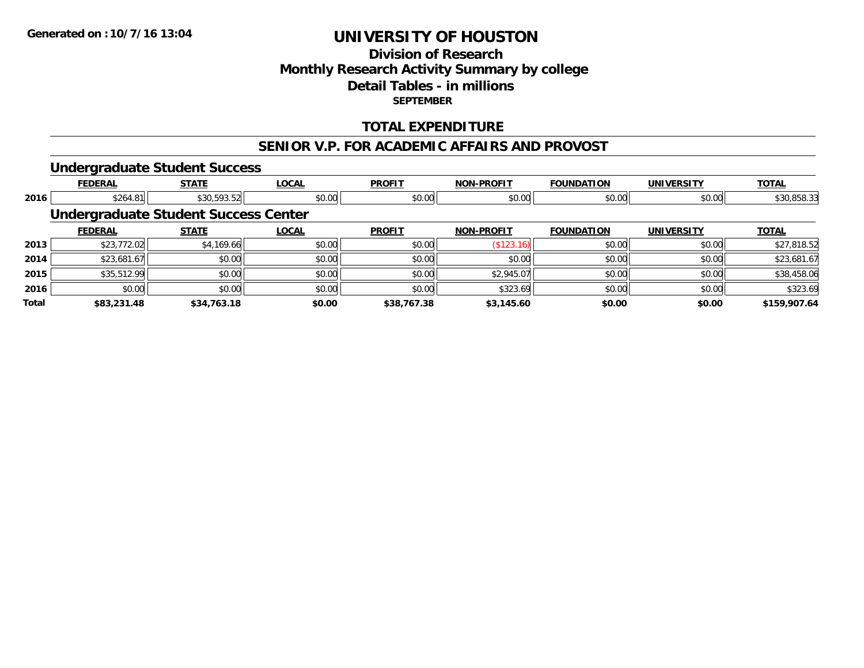# **Division of ResearchMonthly Research Activity Summary by college Detail Tables - in millions SEPTEMBER**

### **TOTAL EXPENDITURE**

#### **SENIOR V.P. FOR ACADEMIC AFFAIRS AND PROVOST**

#### **Undergraduate Student Success**

|       | <b>FEDERAL</b> | <b>STATE</b>                                | <b>LOCAL</b> | <b>PROFIT</b> | <b>NON-PROFIT</b> | <b>FOUNDATION</b> | <b>UNIVERSITY</b> | <b>TOTAL</b> |
|-------|----------------|---------------------------------------------|--------------|---------------|-------------------|-------------------|-------------------|--------------|
| 2016  | \$264.81       | \$30,593.52                                 | \$0.00       | \$0.00        | \$0.00            | \$0.00            | \$0.00            | \$30,858.33  |
|       |                | <b>Undergraduate Student Success Center</b> |              |               |                   |                   |                   |              |
|       | <b>FEDERAL</b> | <b>STATE</b>                                | <b>LOCAL</b> | <b>PROFIT</b> | <b>NON-PROFIT</b> | <b>FOUNDATION</b> | UNIVERSITY        | <b>TOTAL</b> |
| 2013  | \$23,772.02    | \$4,169.66                                  | \$0.00       | \$0.00        | (\$123.16)        | \$0.00            | \$0.00            | \$27,818.52  |
| 2014  | \$23,681.67    | \$0.00                                      | \$0.00       | \$0.00        | \$0.00            | \$0.00            | \$0.00            | \$23,681.67  |
| 2015  | \$35,512.99    | \$0.00                                      | \$0.00       | \$0.00        | \$2,945.07        | \$0.00            | \$0.00            | \$38,458.06  |
| 2016  | \$0.00         | \$0.00                                      | \$0.00       | \$0.00        | \$323.69          | \$0.00            | \$0.00            | \$323.69     |
| Total | \$83,231.48    | \$34,763.18                                 | \$0.00       | \$38,767.38   | \$3,145.60        | \$0.00            | \$0.00            | \$159,907.64 |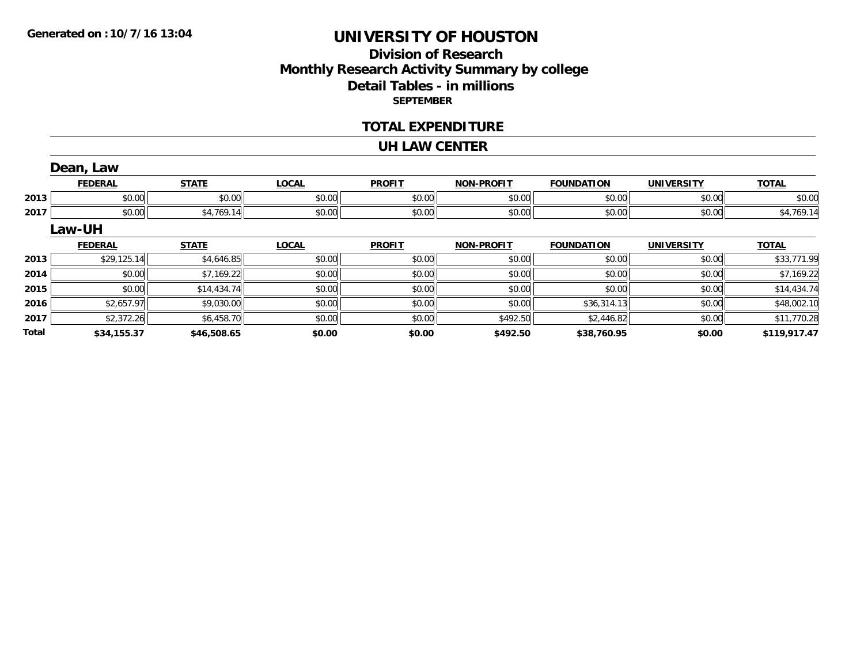# **Division of ResearchMonthly Research Activity Summary by college Detail Tables - in millions SEPTEMBER**

#### **TOTAL EXPENDITURE**

#### **UH LAW CENTER**

|              | Dean, Law      |              |              |               |                   |                   |                   |              |
|--------------|----------------|--------------|--------------|---------------|-------------------|-------------------|-------------------|--------------|
|              | <b>FEDERAL</b> | <b>STATE</b> | <b>LOCAL</b> | <b>PROFIT</b> | <b>NON-PROFIT</b> | <b>FOUNDATION</b> | <b>UNIVERSITY</b> | <b>TOTAL</b> |
| 2013         | \$0.00         | \$0.00       | \$0.00       | \$0.00        | \$0.00            | \$0.00            | \$0.00            | \$0.00       |
| 2017         | \$0.00         | \$4,769.14   | \$0.00       | \$0.00        | \$0.00            | \$0.00            | \$0.00            | \$4,769.14   |
|              | Law-UH         |              |              |               |                   |                   |                   |              |
|              | <b>FEDERAL</b> | <b>STATE</b> | <b>LOCAL</b> | <b>PROFIT</b> | <b>NON-PROFIT</b> | <b>FOUNDATION</b> | <b>UNIVERSITY</b> | <b>TOTAL</b> |
| 2013         | \$29,125.14    | \$4,646.85   | \$0.00       | \$0.00        | \$0.00            | \$0.00            | \$0.00            | \$33,771.99  |
| 2014         | \$0.00         | \$7,169.22   | \$0.00       | \$0.00        | \$0.00            | \$0.00            | \$0.00            | \$7,169.22   |
| 2015         | \$0.00         | \$14,434.74  | \$0.00       | \$0.00        | \$0.00            | \$0.00            | \$0.00            | \$14,434.74  |
| 2016         | \$2,657.97     | \$9,030.00   | \$0.00       | \$0.00        | \$0.00            | \$36,314.13       | \$0.00            | \$48,002.10  |
| 2017         | \$2,372.26     | \$6,458.70   | \$0.00       | \$0.00        | \$492.50          | \$2,446.82        | \$0.00            | \$11,770.28  |
| <b>Total</b> | \$34,155.37    | \$46,508.65  | \$0.00       | \$0.00        | \$492.50          | \$38,760.95       | \$0.00            | \$119,917.47 |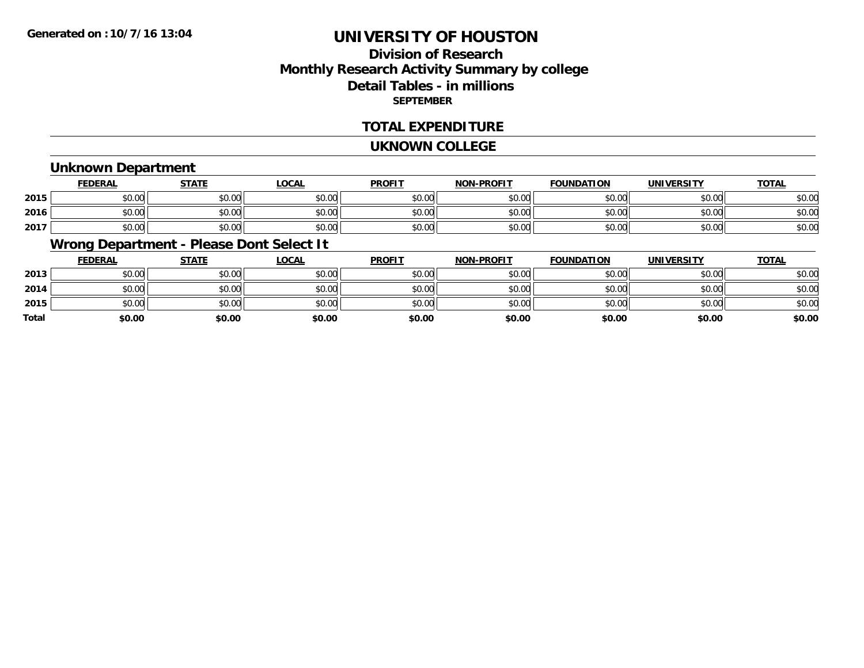# **Division of ResearchMonthly Research Activity Summary by college Detail Tables - in millions SEPTEMBER**

### **TOTAL EXPENDITURE**

#### **UKNOWN COLLEGE**

### **Unknown Department**

|      | FEDERAL | <b>STATE</b> | <u>LOCAI</u> | <b>PROFIT</b> | <b>NON-PROFIT</b> | <b>FOUNDATION</b> | <b>UNIVERSITY</b> | <b>TOTAL</b> |
|------|---------|--------------|--------------|---------------|-------------------|-------------------|-------------------|--------------|
| 2015 | \$0.00  | \$0.00       | \$0.00       | \$0.00        | ደሰ ሰሰ<br>JU.UU    | \$0.00            | \$0.00            | \$0.00       |
| 2016 | \$0.00  | \$0.00       | \$0.00       | \$0.00        | ku uy<br>ง∪.∪บ    | \$0.00            | \$0.00            | \$0.00       |
| 2017 | \$0.00  | \$0.00       | \$0.00       | \$0.00        | \$0.00            | \$0.00            | \$0.00            | \$0.00       |

## **Wrong Department - Please Dont Select It**

|              | <b>FEDERAL</b> | <b>STATE</b> | <u>LOCAL</u> | <b>PROFIT</b> | <b>NON-PROFIT</b> | <b>FOUNDATION</b> | UNIVERSITY | <b>TOTAL</b> |
|--------------|----------------|--------------|--------------|---------------|-------------------|-------------------|------------|--------------|
| 2013         | \$0.00         | \$0.00       | \$0.00       | \$0.00        | \$0.00            | \$0.00            | \$0.00     | \$0.00       |
| 2014         | \$0.00         | \$0.00       | \$0.00       | \$0.00        | \$0.00            | \$0.00            | \$0.00     | \$0.00       |
| 2015         | \$0.00         | \$0.00       | \$0.00       | \$0.00        | \$0.00            | \$0.00            | \$0.00     | \$0.00       |
| <b>Total</b> | \$0.00         | \$0.00       | \$0.00       | \$0.00        | \$0.00            | \$0.00            | \$0.00     | \$0.00       |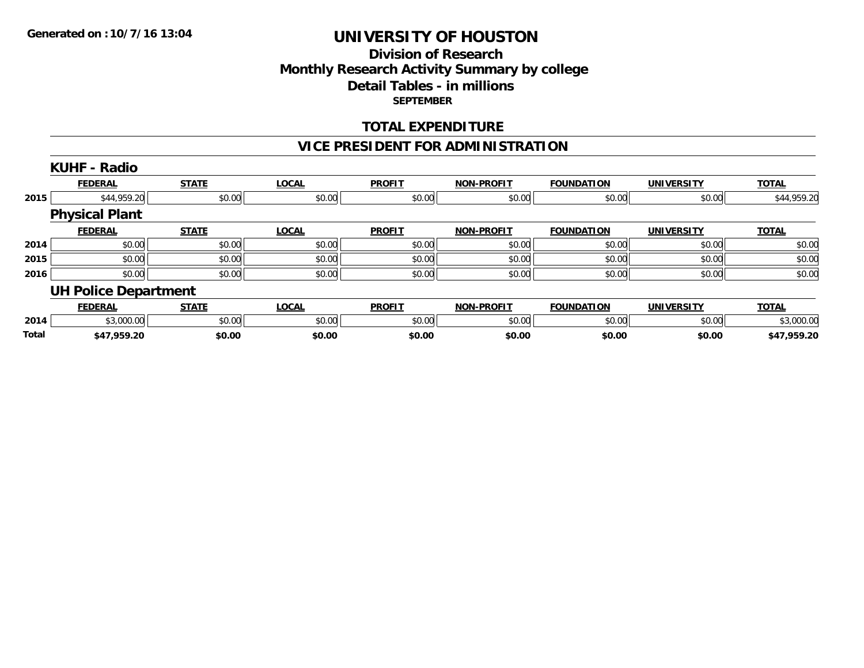### **Division of Research Monthly Research Activity Summary by college Detail Tables - in millions SEPTEMBER**

### **TOTAL EXPENDITURE**

## **VICE PRESIDENT FOR ADMINISTRATION**

|       | <b>KUHF - Radio</b>         |              |              |               |                   |                   |                   |              |
|-------|-----------------------------|--------------|--------------|---------------|-------------------|-------------------|-------------------|--------------|
|       | <b>FEDERAL</b>              | <b>STATE</b> | <b>LOCAL</b> | <b>PROFIT</b> | <b>NON-PROFIT</b> | <b>FOUNDATION</b> | <b>UNIVERSITY</b> | <b>TOTAL</b> |
| 2015  | \$44,959.20                 | \$0.00       | \$0.00       | \$0.00        | \$0.00            | \$0.00            | \$0.00            | \$44,959.20  |
|       | <b>Physical Plant</b>       |              |              |               |                   |                   |                   |              |
|       | <b>FEDERAL</b>              | <b>STATE</b> | <b>LOCAL</b> | <b>PROFIT</b> | <b>NON-PROFIT</b> | <b>FOUNDATION</b> | <b>UNIVERSITY</b> | <b>TOTAL</b> |
| 2014  | \$0.00                      | \$0.00       | \$0.00       | \$0.00        | \$0.00            | \$0.00            | \$0.00            | \$0.00       |
| 2015  | \$0.00                      | \$0.00       | \$0.00       | \$0.00        | \$0.00            | \$0.00            | \$0.00            | \$0.00       |
| 2016  | \$0.00                      | \$0.00       | \$0.00       | \$0.00        | \$0.00            | \$0.00            | \$0.00            | \$0.00       |
|       | <b>UH Police Department</b> |              |              |               |                   |                   |                   |              |
|       | <b>FEDERAL</b>              | <b>STATE</b> | <b>LOCAL</b> | <b>PROFIT</b> | <b>NON-PROFIT</b> | <b>FOUNDATION</b> | <b>UNIVERSITY</b> | <b>TOTAL</b> |
| 2014  | \$3,000.00                  | \$0.00       | \$0.00       | \$0.00        | \$0.00            | \$0.00            | \$0.00            | \$3,000.00   |
| Total | \$47,959.20                 | \$0.00       | \$0.00       | \$0.00        | \$0.00            | \$0.00            | \$0.00            | \$47,959.20  |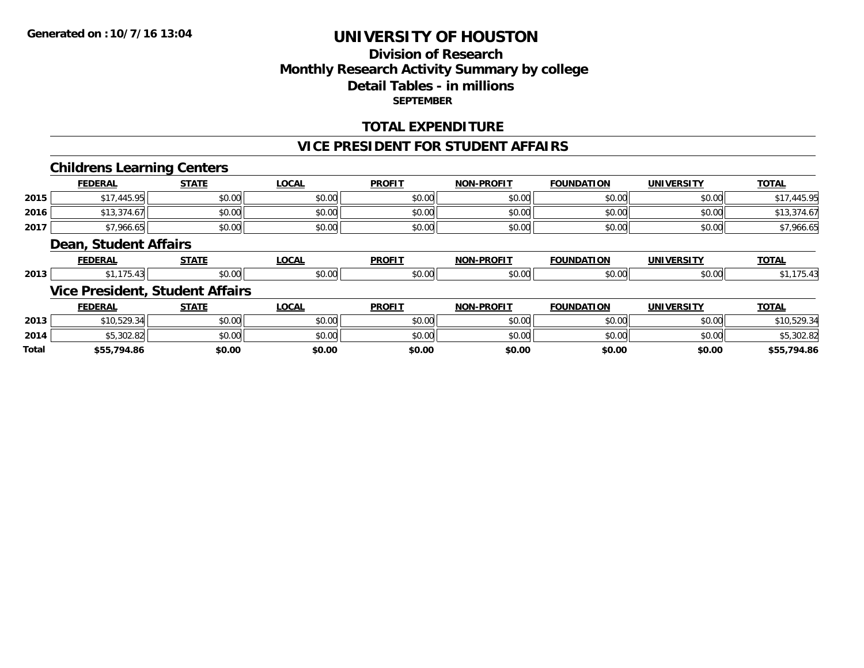## **Division of Research Monthly Research Activity Summary by college Detail Tables - in millions SEPTEMBER**

### **TOTAL EXPENDITURE**

#### **VICE PRESIDENT FOR STUDENT AFFAIRS**

### **Childrens Learning Centers**

|       | <b>FEDERAL</b>        | <b>STATE</b>                           | <b>LOCAL</b> | <b>PROFIT</b> | <b>NON-PROFIT</b> | <b>FOUNDATION</b> | <b>UNIVERSITY</b> | <b>TOTAL</b> |
|-------|-----------------------|----------------------------------------|--------------|---------------|-------------------|-------------------|-------------------|--------------|
| 2015  | \$17,445.95           | \$0.00                                 | \$0.00       | \$0.00        | \$0.00            | \$0.00            | \$0.00            | \$17,445.95  |
| 2016  | \$13,374.67           | \$0.00                                 | \$0.00       | \$0.00        | \$0.00            | \$0.00            | \$0.00            | \$13,374.67  |
| 2017  | \$7,966.65            | \$0.00                                 | \$0.00       | \$0.00        | \$0.00            | \$0.00            | \$0.00            | \$7,966.65   |
|       | Dean, Student Affairs |                                        |              |               |                   |                   |                   |              |
|       | <b>FEDERAL</b>        | <b>STATE</b>                           | <b>LOCAL</b> | <b>PROFIT</b> | <b>NON-PROFIT</b> | <b>FOUNDATION</b> | <b>UNIVERSITY</b> | <b>TOTAL</b> |
| 2013  | \$1,175.43            | \$0.00                                 | \$0.00       | \$0.00        | \$0.00            | \$0.00            | \$0.00            | \$1,175.43   |
|       |                       | <b>Vice President, Student Affairs</b> |              |               |                   |                   |                   |              |
|       | <b>FEDERAL</b>        | <b>STATE</b>                           | <b>LOCAL</b> | <b>PROFIT</b> | <b>NON-PROFIT</b> | <b>FOUNDATION</b> | <b>UNIVERSITY</b> | <b>TOTAL</b> |
| 2013  | \$10,529.34           | \$0.00                                 | \$0.00       | \$0.00        | \$0.00            | \$0.00            | \$0.00            | \$10,529.34  |
| 2014  | \$5,302.82            | \$0.00                                 | \$0.00       | \$0.00        | \$0.00            | \$0.00            | \$0.00            | \$5,302.82   |
| Total | \$55,794.86           | \$0.00                                 | \$0.00       | \$0.00        | \$0.00            | \$0.00            | \$0.00            | \$55,794.86  |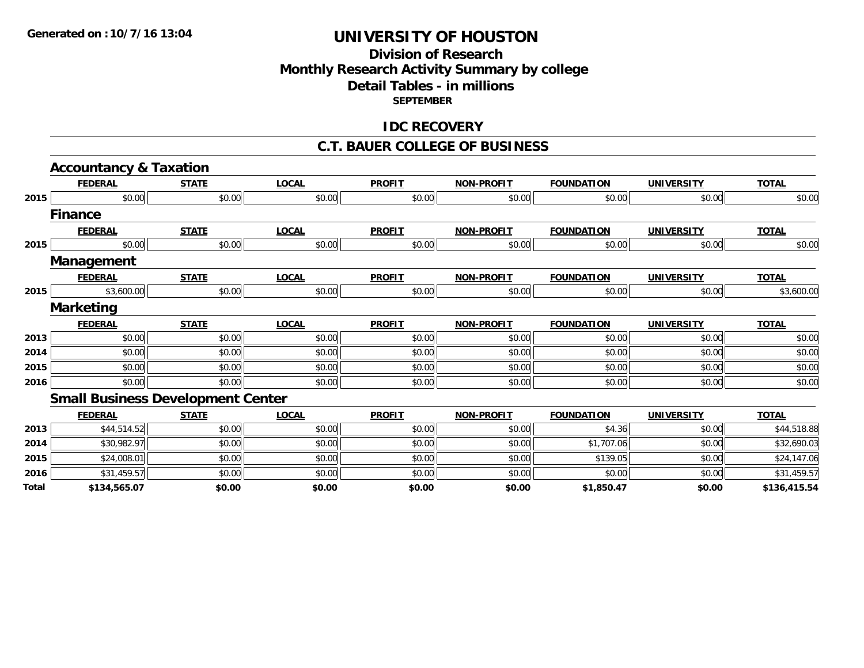### **Division of Research Monthly Research Activity Summary by college Detail Tables - in millions SEPTEMBER**

#### **IDC RECOVERY**

#### **C.T. BAUER COLLEGE OF BUSINESS**

|       | <b>Accountancy &amp; Taxation</b>        |              |              |               |                   |                   |                   |              |
|-------|------------------------------------------|--------------|--------------|---------------|-------------------|-------------------|-------------------|--------------|
|       | <b>FEDERAL</b>                           | <b>STATE</b> | <b>LOCAL</b> | <b>PROFIT</b> | <b>NON-PROFIT</b> | <b>FOUNDATION</b> | <b>UNIVERSITY</b> | <b>TOTAL</b> |
| 2015  | \$0.00                                   | \$0.00       | \$0.00       | \$0.00        | \$0.00            | \$0.00            | \$0.00            | \$0.00       |
|       | <b>Finance</b>                           |              |              |               |                   |                   |                   |              |
|       | <b>FEDERAL</b>                           | <b>STATE</b> | <b>LOCAL</b> | <b>PROFIT</b> | <b>NON-PROFIT</b> | <b>FOUNDATION</b> | <b>UNIVERSITY</b> | <b>TOTAL</b> |
| 2015  | \$0.00                                   | \$0.00       | \$0.00       | \$0.00        | \$0.00            | \$0.00            | \$0.00            | \$0.00       |
|       | Management                               |              |              |               |                   |                   |                   |              |
|       | <b>FEDERAL</b>                           | <b>STATE</b> | <b>LOCAL</b> | <b>PROFIT</b> | <b>NON-PROFIT</b> | <b>FOUNDATION</b> | <b>UNIVERSITY</b> | <b>TOTAL</b> |
| 2015  | \$3,600.00                               | \$0.00       | \$0.00       | \$0.00        | \$0.00            | \$0.00            | \$0.00            | \$3,600.00   |
|       | <b>Marketing</b>                         |              |              |               |                   |                   |                   |              |
|       | <b>FEDERAL</b>                           | <b>STATE</b> | <b>LOCAL</b> | <b>PROFIT</b> | <b>NON-PROFIT</b> | <b>FOUNDATION</b> | <b>UNIVERSITY</b> | <b>TOTAL</b> |
| 2013  | \$0.00                                   | \$0.00       | \$0.00       | \$0.00        | \$0.00            | \$0.00            | \$0.00            | \$0.00       |
| 2014  | \$0.00                                   | \$0.00       | \$0.00       | \$0.00        | \$0.00            | \$0.00            | \$0.00            | \$0.00       |
| 2015  | \$0.00                                   | \$0.00       | \$0.00       | \$0.00        | \$0.00            | \$0.00            | \$0.00            | \$0.00       |
| 2016  | \$0.00                                   | \$0.00       | \$0.00       | \$0.00        | \$0.00            | \$0.00            | \$0.00            | \$0.00       |
|       | <b>Small Business Development Center</b> |              |              |               |                   |                   |                   |              |
|       | <b>FEDERAL</b>                           | <b>STATE</b> | <b>LOCAL</b> | <b>PROFIT</b> | <b>NON-PROFIT</b> | <b>FOUNDATION</b> | <b>UNIVERSITY</b> | <b>TOTAL</b> |
| 2013  | \$44,514.52                              | \$0.00       | \$0.00       | \$0.00        | \$0.00            | \$4.36            | \$0.00            | \$44,518.88  |
| 2014  | \$30,982.97                              | \$0.00       | \$0.00       | \$0.00        | \$0.00            | \$1,707.06        | \$0.00            | \$32,690.03  |
| 2015  | \$24,008.01                              | \$0.00       | \$0.00       | \$0.00        | \$0.00            | \$139.05          | \$0.00            | \$24,147.06  |
| 2016  | \$31,459.57                              | \$0.00       | \$0.00       | \$0.00        | \$0.00            | \$0.00            | \$0.00            | \$31,459.57  |
| Total | \$134,565.07                             | \$0.00       | \$0.00       | \$0.00        | \$0.00            | \$1,850.47        | \$0.00            | \$136,415.54 |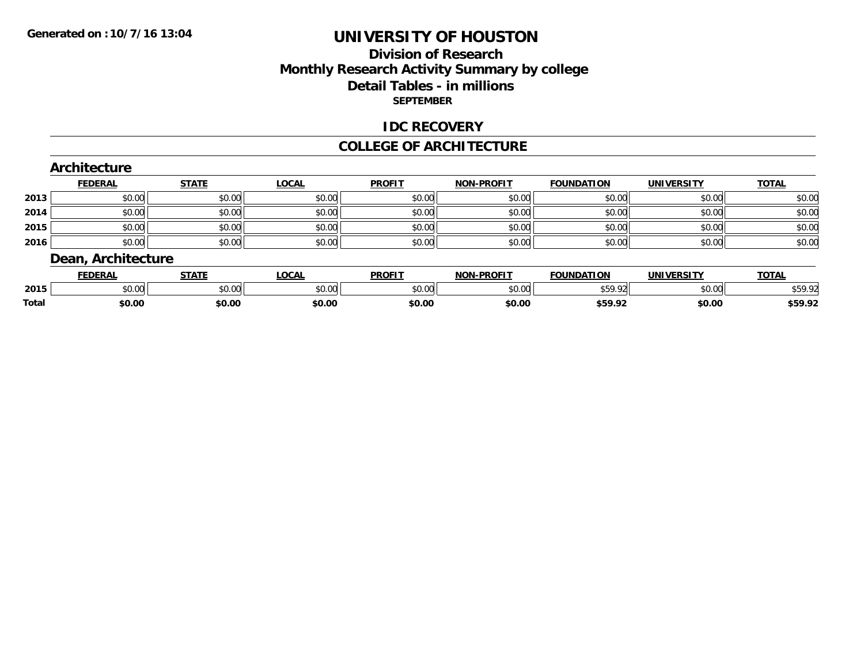### **Division of Research Monthly Research Activity Summary by college Detail Tables - in millions SEPTEMBER**

#### **IDC RECOVERY**

#### **COLLEGE OF ARCHITECTURE**

|      | Architecture       |              |              |               |                   |                   |                   |              |
|------|--------------------|--------------|--------------|---------------|-------------------|-------------------|-------------------|--------------|
|      | <b>FEDERAL</b>     | <b>STATE</b> | <b>LOCAL</b> | <b>PROFIT</b> | <b>NON-PROFIT</b> | <b>FOUNDATION</b> | <b>UNIVERSITY</b> | <b>TOTAL</b> |
| 2013 | \$0.00             | \$0.00       | \$0.00       | \$0.00        | \$0.00            | \$0.00            | \$0.00            | \$0.00       |
| 2014 | \$0.00             | \$0.00       | \$0.00       | \$0.00        | \$0.00            | \$0.00            | \$0.00            | \$0.00       |
| 2015 | \$0.00             | \$0.00       | \$0.00       | \$0.00        | \$0.00            | \$0.00            | \$0.00            | \$0.00       |
| 2016 | \$0.00             | \$0.00       | \$0.00       | \$0.00        | \$0.00            | \$0.00            | \$0.00            | \$0.00       |
|      | Dean, Architecture |              |              |               |                   |                   |                   |              |
|      | <b>FEDERAL</b>     | <b>STATE</b> | LOCAL        | <b>PROFIT</b> | <b>NON-PROFIT</b> | <b>FOUNDATION</b> | <b>UNIVERSITY</b> | <b>TOTAL</b> |

|       | <b>EDERAL</b> | ا ۱A۱د | LOCAL  | <b>PROFI</b> | NON-PROFIT | <b>FOUNDATION</b>                                                                                                      | UNIVERSITY | <b>OIAL</b>    |
|-------|---------------|--------|--------|--------------|------------|------------------------------------------------------------------------------------------------------------------------|------------|----------------|
| 2015  | \$0.00        | \$0.00 | \$0.00 | \$0.00       | \$0.00     | \$50.02<br>.72<br>ີນປ່≀.                                                                                               | \$0.00     | 5.50<br>959.YZ |
| Total | \$0.00        | \$0.00 | \$0.00 | \$0.00       | \$0.00     | \$50.02<br>→→ フ ・フム<br>the contract of the contract of the contract of the contract of the contract of the contract of | \$0.00     | \$59.92        |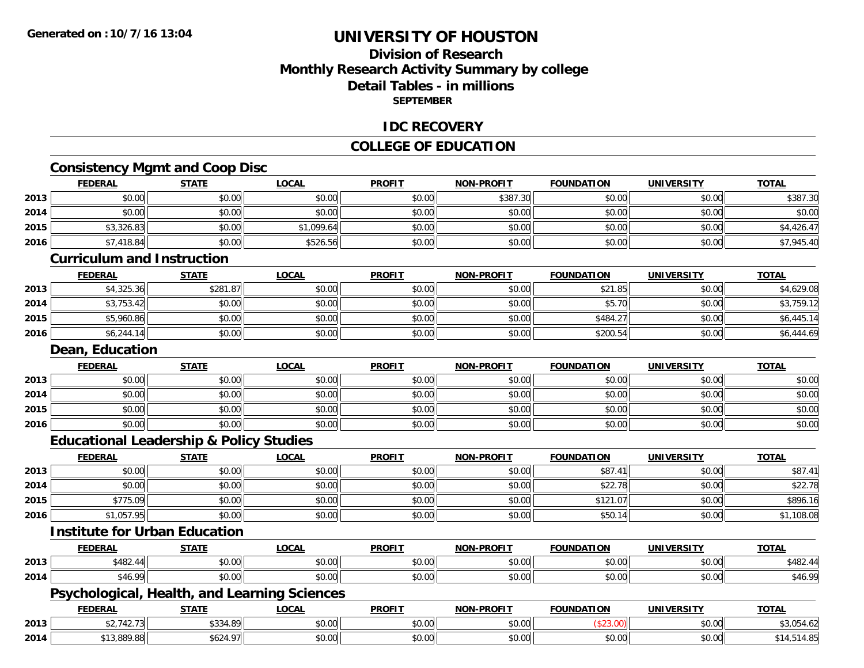### **Division of ResearchMonthly Research Activity Summary by college Detail Tables - in millions SEPTEMBER**

#### **IDC RECOVERY**

### **COLLEGE OF EDUCATION**

# **Consistency Mgmt and Coop Disc**

|      | <b>FEDERAL</b>                                     | <b>STATE</b> | <b>LOCAL</b> | <b>PROFIT</b> | <b>NON-PROFIT</b> | <b>FOUNDATION</b> | <b>UNIVERSITY</b> | <b>TOTAL</b> |
|------|----------------------------------------------------|--------------|--------------|---------------|-------------------|-------------------|-------------------|--------------|
| 2013 | \$0.00                                             | \$0.00       | \$0.00       | \$0.00        | \$387.30          | \$0.00            | \$0.00            | \$387.30     |
| 2014 | \$0.00                                             | \$0.00       | \$0.00       | \$0.00        | \$0.00            | \$0.00            | \$0.00            | \$0.00       |
| 2015 | \$3,326.83                                         | \$0.00       | \$1,099.64   | \$0.00        | \$0.00            | \$0.00            | \$0.00            | \$4,426.47   |
| 2016 | \$7,418.84                                         | \$0.00       | \$526.56     | \$0.00        | \$0.00            | \$0.00            | \$0.00            | \$7,945.40   |
|      | <b>Curriculum and Instruction</b>                  |              |              |               |                   |                   |                   |              |
|      | <b>FEDERAL</b>                                     | <b>STATE</b> | <b>LOCAL</b> | <b>PROFIT</b> | <b>NON-PROFIT</b> | <b>FOUNDATION</b> | <b>UNIVERSITY</b> | <b>TOTAL</b> |
| 2013 | \$4,325.36                                         | \$281.87     | \$0.00       | \$0.00        | \$0.00            | \$21.85           | \$0.00            | \$4,629.08   |
| 2014 | \$3,753.42                                         | \$0.00       | \$0.00       | \$0.00        | \$0.00            | \$5.70            | \$0.00            | \$3,759.12   |
| 2015 | \$5,960.86                                         | \$0.00       | \$0.00       | \$0.00        | \$0.00            | \$484.27          | \$0.00            | \$6,445.14   |
| 2016 | \$6,244.14                                         | \$0.00       | \$0.00       | \$0.00        | \$0.00            | \$200.54          | \$0.00            | \$6,444.69   |
|      | Dean, Education                                    |              |              |               |                   |                   |                   |              |
|      | <b>FEDERAL</b>                                     | <b>STATE</b> | <b>LOCAL</b> | <b>PROFIT</b> | <b>NON-PROFIT</b> | <b>FOUNDATION</b> | <b>UNIVERSITY</b> | <b>TOTAL</b> |
| 2013 | \$0.00                                             | \$0.00       | \$0.00       | \$0.00        | \$0.00            | \$0.00            | \$0.00            | \$0.00       |
| 2014 | \$0.00                                             | \$0.00       | \$0.00       | \$0.00        | \$0.00            | \$0.00            | \$0.00            | \$0.00       |
| 2015 | \$0.00                                             | \$0.00       | \$0.00       | \$0.00        | \$0.00            | \$0.00            | \$0.00            | \$0.00       |
| 2016 | \$0.00                                             | \$0.00       | \$0.00       | \$0.00        | \$0.00            | \$0.00            | \$0.00            | \$0.00       |
|      | <b>Educational Leadership &amp; Policy Studies</b> |              |              |               |                   |                   |                   |              |
|      | <b>FEDERAL</b>                                     | <b>STATE</b> | <b>LOCAL</b> | <b>PROFIT</b> | <b>NON-PROFIT</b> | <b>FOUNDATION</b> | <b>UNIVERSITY</b> | <b>TOTAL</b> |
| 2013 | \$0.00                                             | \$0.00       | \$0.00       | \$0.00        | \$0.00            | \$87.41           | \$0.00            | \$87.41      |
| 2014 | \$0.00                                             | \$0.00       | \$0.00       | \$0.00        | \$0.00            | \$22.78           | \$0.00            | \$22.78      |
| 2015 | \$775.09                                           | \$0.00       | \$0.00       | \$0.00        | \$0.00            | \$121.07          | \$0.00            | \$896.16     |
| 2016 | \$1,057.95                                         | \$0.00       | \$0.00       | \$0.00        | \$0.00            | \$50.14           | \$0.00            | \$1,108.08   |
|      | <b>Institute for Urban Education</b>               |              |              |               |                   |                   |                   |              |
|      | <b>FEDERAL</b>                                     | <b>STATE</b> | <b>LOCAL</b> | <b>PROFIT</b> | <b>NON-PROFIT</b> | <b>FOUNDATION</b> | <b>UNIVERSITY</b> | <b>TOTAL</b> |
| 2013 | \$482.44                                           | \$0.00       | \$0.00       | \$0.00        | \$0.00            | \$0.00            | \$0.00            | \$482.44     |
| 2014 | \$46.99                                            | \$0.00       | \$0.00       | \$0.00        | \$0.00            | \$0.00            | \$0.00            | \$46.99      |
|      | Psychological, Health, and Learning Sciences       |              |              |               |                   |                   |                   |              |
|      | <b>FEDERAL</b>                                     | <b>STATE</b> | <b>LOCAL</b> | <b>PROFIT</b> | <b>NON-PROFIT</b> | <b>FOUNDATION</b> | <b>UNIVERSITY</b> | <b>TOTAL</b> |
| 2013 | \$2,742.73                                         | \$334.89     | \$0.00       | \$0.00        | \$0.00            | (\$23.00)         | \$0.00            | \$3,054.62   |
| 2014 | \$13,889.88                                        | \$624.97     | \$0.00       | \$0.00        | \$0.00            | \$0.00            | \$0.00            | \$14,514.85  |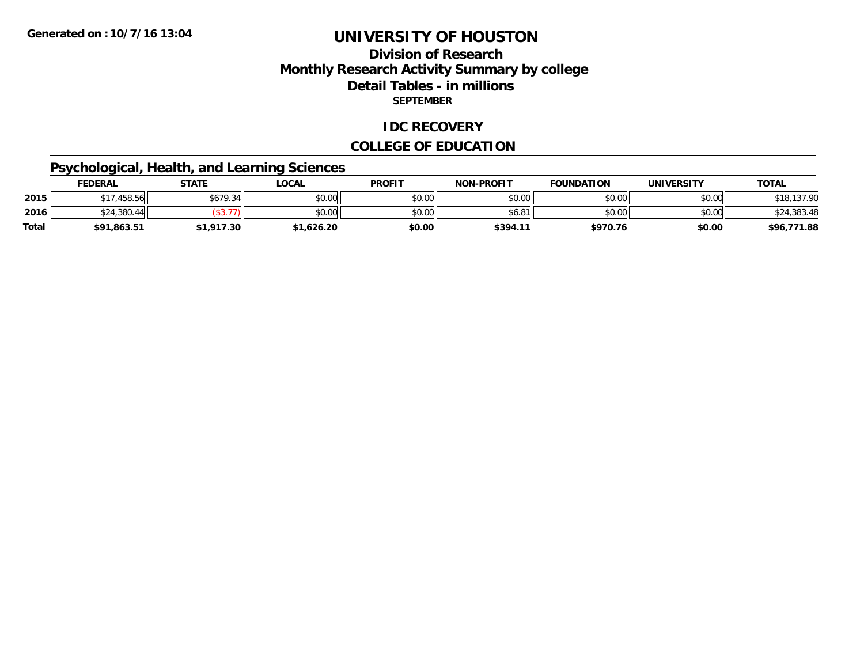### **Division of Research Monthly Research Activity Summary by college Detail Tables - in millions SEPTEMBER**

#### **IDC RECOVERY**

### **COLLEGE OF EDUCATION**

# **Psychological, Health, and Learning Sciences**

|              | <b>FEDERAL</b> | <b>STATE</b> | <b>OCAL</b> | <b>PROFIT</b> | <b>NON-PROFIT</b> | <b>FOUNDATION</b> | UNIVERSITY | <b>TOTAL</b>           |
|--------------|----------------|--------------|-------------|---------------|-------------------|-------------------|------------|------------------------|
| 2015         | ,458.56        | \$679.34     | \$0.00      | \$0.00        | \$0.00            | \$0.00            | \$0.00     | 127.00                 |
| 2016         | ,380.44<br>24ھ | $\Delta$     | \$0.00      | \$0.00        | \$6.81            | \$0.00            | \$0.00     | \$24,383.<br>. .383.4* |
| <b>Total</b> | \$91,863.51    | ,917.30      | 1,626.20    | \$0.00        | \$394.1           | \$970.76          | \$0.00     | 771.88<br>\$96,7       |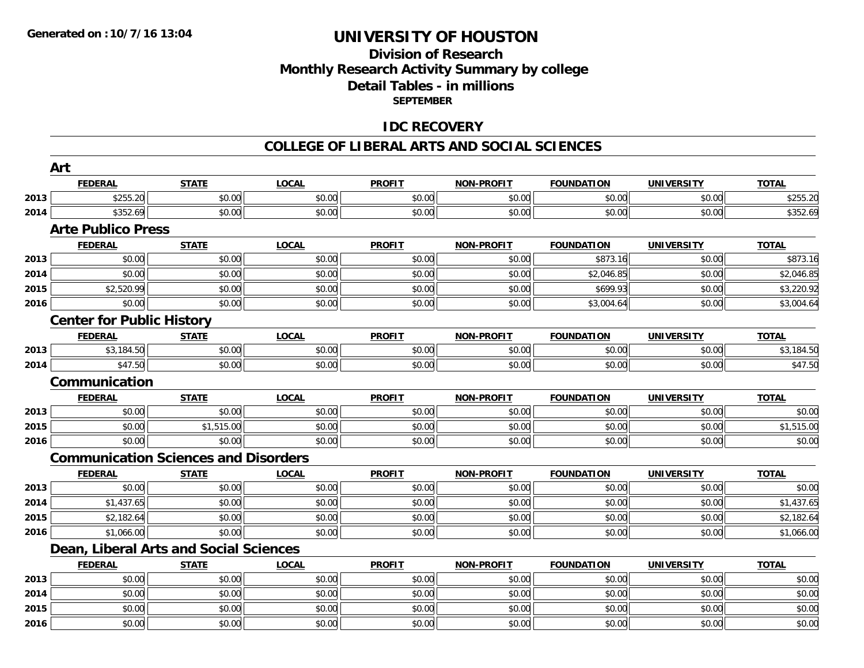### **Division of ResearchMonthly Research Activity Summary by college Detail Tables - in millions SEPTEMBER**

### **IDC RECOVERY**

#### **COLLEGE OF LIBERAL ARTS AND SOCIAL SCIENCES**

|      | Art                                         |              |              |               |                   |                   |                   |              |
|------|---------------------------------------------|--------------|--------------|---------------|-------------------|-------------------|-------------------|--------------|
|      | <b>FEDERAL</b>                              | <b>STATE</b> | <b>LOCAL</b> | <b>PROFIT</b> | <b>NON-PROFIT</b> | <b>FOUNDATION</b> | <b>UNIVERSITY</b> | <b>TOTAL</b> |
| 2013 | \$255.20                                    | \$0.00       | \$0.00       | \$0.00        | \$0.00            | \$0.00            | \$0.00            | \$255.20     |
| 2014 | \$352.69                                    | \$0.00       | \$0.00       | \$0.00        | \$0.00            | \$0.00            | \$0.00            | \$352.69     |
|      | <b>Arte Publico Press</b>                   |              |              |               |                   |                   |                   |              |
|      | <b>FEDERAL</b>                              | <b>STATE</b> | <b>LOCAL</b> | <b>PROFIT</b> | <b>NON-PROFIT</b> | <b>FOUNDATION</b> | <b>UNIVERSITY</b> | <b>TOTAL</b> |
| 2013 | \$0.00                                      | \$0.00       | \$0.00       | \$0.00        | \$0.00            | \$873.16          | \$0.00            | \$873.16     |
| 2014 | \$0.00                                      | \$0.00       | \$0.00       | \$0.00        | \$0.00            | \$2,046.85        | \$0.00            | \$2,046.85   |
| 2015 | \$2,520.99                                  | \$0.00       | \$0.00       | \$0.00        | \$0.00            | \$699.93          | \$0.00            | \$3,220.92   |
| 2016 | \$0.00                                      | \$0.00       | \$0.00       | \$0.00        | \$0.00            | \$3,004.64        | \$0.00            | \$3,004.64   |
|      | <b>Center for Public History</b>            |              |              |               |                   |                   |                   |              |
|      | <b>FEDERAL</b>                              | <b>STATE</b> | <b>LOCAL</b> | <b>PROFIT</b> | <b>NON-PROFIT</b> | <b>FOUNDATION</b> | <b>UNIVERSITY</b> | <b>TOTAL</b> |
| 2013 | \$3,184.50                                  | \$0.00       | \$0.00       | \$0.00        | \$0.00            | \$0.00            | \$0.00            | \$3,184.50   |
| 2014 | \$47.50                                     | \$0.00       | \$0.00       | \$0.00        | \$0.00            | \$0.00            | \$0.00            | \$47.50      |
|      | Communication                               |              |              |               |                   |                   |                   |              |
|      | <b>FEDERAL</b>                              | <b>STATE</b> | <b>LOCAL</b> | <b>PROFIT</b> | <b>NON-PROFIT</b> | <b>FOUNDATION</b> | <b>UNIVERSITY</b> | <b>TOTAL</b> |
| 2013 | \$0.00                                      | \$0.00       | \$0.00       | \$0.00        | \$0.00            | \$0.00            | \$0.00            | \$0.00       |
| 2015 | \$0.00                                      | \$1,515.00   | \$0.00       | \$0.00        | \$0.00            | \$0.00            | \$0.00            | \$1,515.00   |
| 2016 | \$0.00                                      | \$0.00       | \$0.00       | \$0.00        | \$0.00            | \$0.00            | \$0.00            | \$0.00       |
|      | <b>Communication Sciences and Disorders</b> |              |              |               |                   |                   |                   |              |
|      | <b>FEDERAL</b>                              | <b>STATE</b> | <b>LOCAL</b> | <b>PROFIT</b> | <b>NON-PROFIT</b> | <b>FOUNDATION</b> | <b>UNIVERSITY</b> | <b>TOTAL</b> |
| 2013 | \$0.00                                      | \$0.00       | \$0.00       | \$0.00        | \$0.00            | \$0.00            | \$0.00            | \$0.00       |
| 2014 | \$1,437.65                                  | \$0.00       | \$0.00       | \$0.00        | \$0.00            | \$0.00            | \$0.00            | \$1,437.65   |
| 2015 | \$2,182.64                                  | \$0.00       | \$0.00       | \$0.00        | \$0.00            | \$0.00            | \$0.00            | \$2,182.64   |
| 2016 | \$1,066.00                                  | \$0.00       | \$0.00       | \$0.00        | \$0.00            | \$0.00            | \$0.00            | \$1,066.00   |
|      | Dean, Liberal Arts and Social Sciences      |              |              |               |                   |                   |                   |              |
|      | <b>FEDERAL</b>                              | <b>STATE</b> | <b>LOCAL</b> | <b>PROFIT</b> | <b>NON-PROFIT</b> | <b>FOUNDATION</b> | <b>UNIVERSITY</b> | <b>TOTAL</b> |
| 2013 | \$0.00                                      | \$0.00       | \$0.00       | \$0.00        | \$0.00            | \$0.00            | \$0.00            | \$0.00       |
| 2014 | \$0.00                                      | \$0.00       | \$0.00       | \$0.00        | \$0.00            | \$0.00            | \$0.00            | \$0.00       |
| 2015 | \$0.00                                      | \$0.00       | \$0.00       | \$0.00        | \$0.00            | \$0.00            | \$0.00            | \$0.00       |
| 2016 | \$0.00                                      | \$0.00       | \$0.00       | \$0.00        | \$0.00            | \$0.00            | \$0.00            | \$0.00       |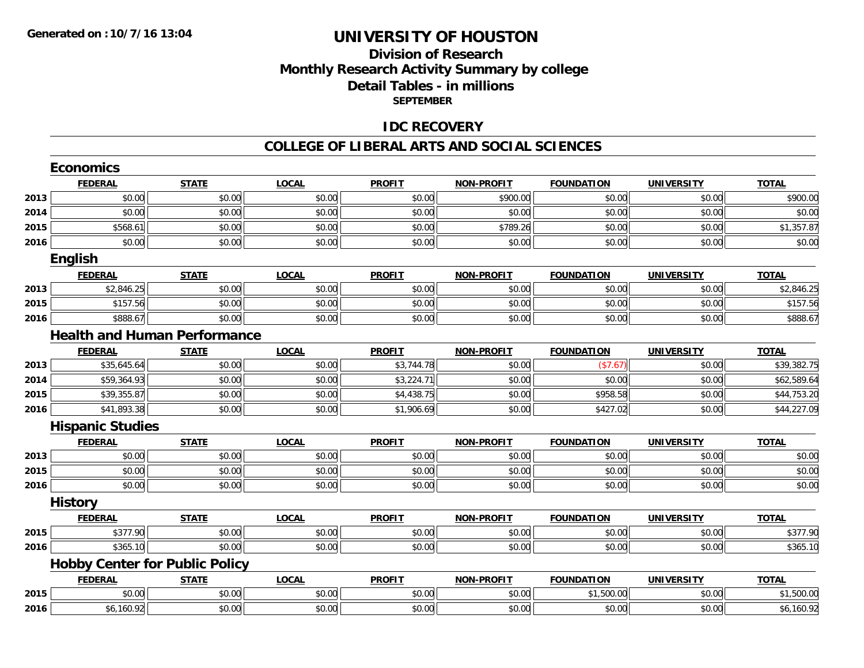### **Division of Research Monthly Research Activity Summary by college Detail Tables - in millions SEPTEMBER**

#### **IDC RECOVERY**

#### **COLLEGE OF LIBERAL ARTS AND SOCIAL SCIENCES**

|      | <b>Economics</b>                      |              |              |               |                   |                   |                   |                      |
|------|---------------------------------------|--------------|--------------|---------------|-------------------|-------------------|-------------------|----------------------|
|      | <b>FEDERAL</b>                        | <b>STATE</b> | <b>LOCAL</b> | <b>PROFIT</b> | <b>NON-PROFIT</b> | <b>FOUNDATION</b> | <b>UNIVERSITY</b> | <b>TOTAL</b>         |
| 2013 | \$0.00                                | \$0.00       | \$0.00       | \$0.00        | \$900.00          | \$0.00            | \$0.00            | \$900.00             |
| 2014 | \$0.00                                | \$0.00       | \$0.00       | \$0.00        | \$0.00            | \$0.00            | \$0.00            | \$0.00               |
| 2015 | \$568.61                              | \$0.00       | \$0.00       | \$0.00        | \$789.26          | \$0.00            | \$0.00            | \$1,357.87           |
| 2016 | \$0.00                                | \$0.00       | \$0.00       | \$0.00        | \$0.00            | \$0.00            | \$0.00            | \$0.00               |
|      | <b>English</b>                        |              |              |               |                   |                   |                   |                      |
|      | <b>FEDERAL</b>                        | <b>STATE</b> | <b>LOCAL</b> | <b>PROFIT</b> | <b>NON-PROFIT</b> | <b>FOUNDATION</b> | <b>UNIVERSITY</b> | <b>TOTAL</b>         |
| 2013 | \$2,846.25                            | \$0.00       | \$0.00       | \$0.00        | \$0.00            | \$0.00            | \$0.00            | \$2,846.25           |
| 2015 | \$157.56                              | \$0.00       | \$0.00       | \$0.00        | \$0.00            | \$0.00            | \$0.00            | \$157.56             |
| 2016 | \$888.67                              | \$0.00       | \$0.00       | \$0.00        | \$0.00            | \$0.00            | \$0.00            | \$888.67             |
|      | <b>Health and Human Performance</b>   |              |              |               |                   |                   |                   |                      |
|      | <b>FEDERAL</b>                        | <b>STATE</b> | <b>LOCAL</b> | <b>PROFIT</b> | <b>NON-PROFIT</b> | <b>FOUNDATION</b> | <b>UNIVERSITY</b> | <b>TOTAL</b>         |
| 2013 | \$35,645.64                           | \$0.00       | \$0.00       | \$3,744.78    | \$0.00            | (\$7.67)          | \$0.00            | \$39,382.75          |
| 2014 | \$59,364.93                           | \$0.00       | \$0.00       | \$3,224.71    | \$0.00            | \$0.00            | \$0.00            | \$62,589.64          |
| 2015 | \$39,355.87                           | \$0.00       | \$0.00       | \$4,438.75    | \$0.00            | \$958.58          | \$0.00            | \$44,753.20          |
| 2016 | \$41,893.38                           | \$0.00       | \$0.00       | \$1,906.69    | \$0.00            | \$427.02          | \$0.00            | \$44,227.09          |
|      | <b>Hispanic Studies</b>               |              |              |               |                   |                   |                   |                      |
|      | <b>FEDERAL</b>                        | <b>STATE</b> | <b>LOCAL</b> | <b>PROFIT</b> | <b>NON-PROFIT</b> | <b>FOUNDATION</b> | <b>UNIVERSITY</b> | <b>TOTAL</b>         |
| 2013 | \$0.00                                | \$0.00       | \$0.00       | \$0.00        | \$0.00            | \$0.00            | \$0.00            | \$0.00               |
| 2015 | \$0.00                                | \$0.00       | \$0.00       | \$0.00        | \$0.00            | \$0.00            | \$0.00            | \$0.00               |
| 2016 | \$0.00                                | \$0.00       | \$0.00       | \$0.00        | \$0.00            | \$0.00            | \$0.00            | \$0.00               |
|      | <b>History</b>                        |              |              |               |                   |                   |                   |                      |
|      | <b>FEDERAL</b>                        | <b>STATE</b> | <b>LOCAL</b> | <b>PROFIT</b> | <b>NON-PROFIT</b> | <b>FOUNDATION</b> | <b>UNIVERSITY</b> | <b>TOTAL</b>         |
| 2015 | \$377.90                              | \$0.00       | \$0.00       | \$0.00        | \$0.00            | \$0.00            | \$0.00            | $\overline{$}377.90$ |
| 2016 | \$365.10                              | \$0.00       | \$0.00       | \$0.00        | \$0.00            | \$0.00            | \$0.00            | \$365.10             |
|      | <b>Hobby Center for Public Policy</b> |              |              |               |                   |                   |                   |                      |
|      | <b>FEDERAL</b>                        | <b>STATE</b> | <b>LOCAL</b> | <b>PROFIT</b> | <b>NON-PROFIT</b> | <b>FOUNDATION</b> | <b>UNIVERSITY</b> | <b>TOTAL</b>         |
| 2015 | \$0.00                                | \$0.00       | \$0.00       | \$0.00        | \$0.00            | \$1,500.00        | \$0.00            | \$1,500.00           |
| 2016 | \$6,160.92                            | \$0.00       | \$0.00       | \$0.00        | \$0.00            | \$0.00            | \$0.00            | \$6,160.92           |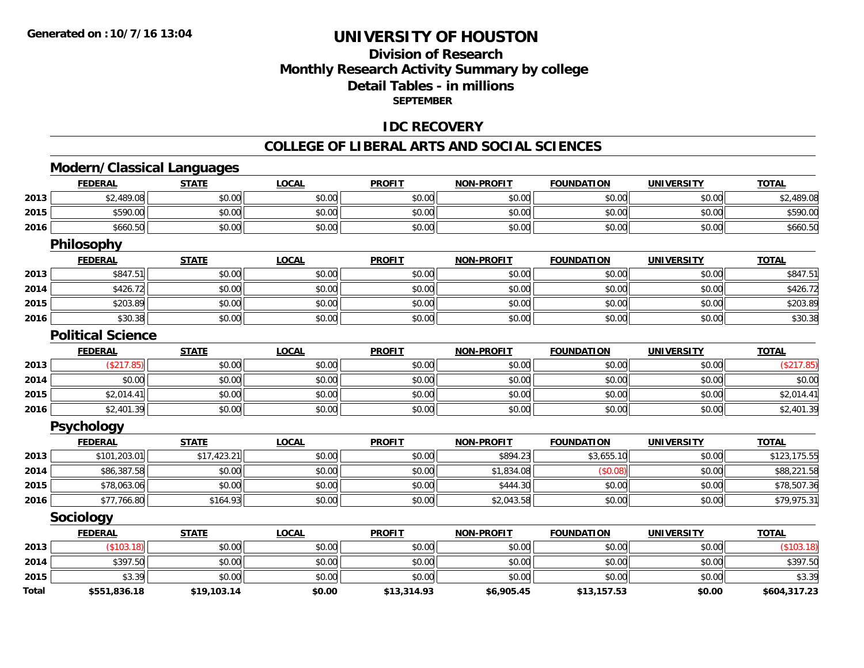### **Division of ResearchMonthly Research Activity Summary by college Detail Tables - in millions SEPTEMBER**

#### **IDC RECOVERY**

#### **COLLEGE OF LIBERAL ARTS AND SOCIAL SCIENCES**

# **Modern/Classical Languages**

|              | <b>FEDERAL</b>           | <b>STATE</b> | <b>LOCAL</b> | <b>PROFIT</b> | <u>NON-PROFIT</u> | <b>FOUNDATION</b> | <u>UNIVERSITY</u> | TOTAL        |
|--------------|--------------------------|--------------|--------------|---------------|-------------------|-------------------|-------------------|--------------|
| 2013         | \$2,489.08               | \$0.00       | \$0.00       | \$0.00        | \$0.00            | \$0.00            | \$0.00            | \$2,489.08   |
| 2015         | \$590.00                 | \$0.00       | \$0.00       | \$0.00        | \$0.00            | \$0.00            | \$0.00            | \$590.00     |
| 2016         | \$660.50                 | \$0.00       | \$0.00       | \$0.00        | \$0.00            | \$0.00            | \$0.00            | \$660.50     |
|              | <b>Philosophy</b>        |              |              |               |                   |                   |                   |              |
|              | <b>FEDERAL</b>           | <b>STATE</b> | <b>LOCAL</b> | <b>PROFIT</b> | <b>NON-PROFIT</b> | <b>FOUNDATION</b> | <b>UNIVERSITY</b> | <b>TOTAL</b> |
| 2013         | \$847.51                 | \$0.00       | \$0.00       | \$0.00        | \$0.00            | \$0.00            | \$0.00            | \$847.51     |
| 2014         | \$426.72                 | \$0.00       | \$0.00       | \$0.00        | \$0.00            | \$0.00            | \$0.00            | \$426.72     |
| 2015         | \$203.89                 | \$0.00       | \$0.00       | \$0.00        | \$0.00            | \$0.00            | \$0.00            | \$203.89     |
| 2016         | \$30.38                  | \$0.00       | \$0.00       | \$0.00        | \$0.00            | \$0.00            | \$0.00            | \$30.38      |
|              | <b>Political Science</b> |              |              |               |                   |                   |                   |              |
|              | <b>FEDERAL</b>           | <b>STATE</b> | <b>LOCAL</b> | <b>PROFIT</b> | <b>NON-PROFIT</b> | <b>FOUNDATION</b> | <b>UNIVERSITY</b> | <b>TOTAL</b> |
| 2013         | (\$217.85)               | \$0.00       | \$0.00       | \$0.00        | \$0.00            | \$0.00            | \$0.00            | (\$217.85)   |
| 2014         | \$0.00                   | \$0.00       | \$0.00       | \$0.00        | \$0.00            | \$0.00            | \$0.00            | \$0.00       |
| 2015         | \$2,014.41               | \$0.00       | \$0.00       | \$0.00        | \$0.00            | \$0.00            | \$0.00            | \$2,014.41   |
| 2016         | \$2,401.39               | \$0.00       | \$0.00       | \$0.00        | \$0.00            | \$0.00            | \$0.00            | \$2,401.39   |
|              | <b>Psychology</b>        |              |              |               |                   |                   |                   |              |
|              | <b>FEDERAL</b>           | <b>STATE</b> | <b>LOCAL</b> | <b>PROFIT</b> | <b>NON-PROFIT</b> | <b>FOUNDATION</b> | <b>UNIVERSITY</b> | <b>TOTAL</b> |
| 2013         | \$101,203.01             | \$17,423.21  | \$0.00       | \$0.00        | \$894.23          | \$3,655.10        | \$0.00            | \$123,175.55 |
| 2014         | \$86,387.58              | \$0.00       | \$0.00       | \$0.00        | \$1,834.08        | (\$0.08)          | \$0.00            | \$88,221.58  |
| 2015         | \$78,063.06              | \$0.00       | \$0.00       | \$0.00        | \$444.30          | \$0.00            | \$0.00            | \$78,507.36  |
| 2016         | \$77,766.80              | \$164.93     | \$0.00       | \$0.00        | \$2,043.58        | \$0.00            | \$0.00            | \$79,975.31  |
|              | <b>Sociology</b>         |              |              |               |                   |                   |                   |              |
|              | <b>FEDERAL</b>           | <b>STATE</b> | <b>LOCAL</b> | <b>PROFIT</b> | <b>NON-PROFIT</b> | <b>FOUNDATION</b> | <b>UNIVERSITY</b> | <b>TOTAL</b> |
| 2013         | (\$103.18)               | \$0.00       | \$0.00       | \$0.00        | \$0.00            | \$0.00            | \$0.00            | (\$103.18)   |
| 2014         | \$397.50                 | \$0.00       | \$0.00       | \$0.00        | \$0.00            | \$0.00            | \$0.00            | \$397.50     |
| 2015         | \$3.39                   | \$0.00       | \$0.00       | \$0.00        | \$0.00            | \$0.00            | \$0.00            | \$3.39       |
| <b>Total</b> | \$551,836.18             | \$19,103.14  | \$0.00       | \$13,314.93   | \$6,905.45        | \$13,157.53       | \$0.00            | \$604,317.23 |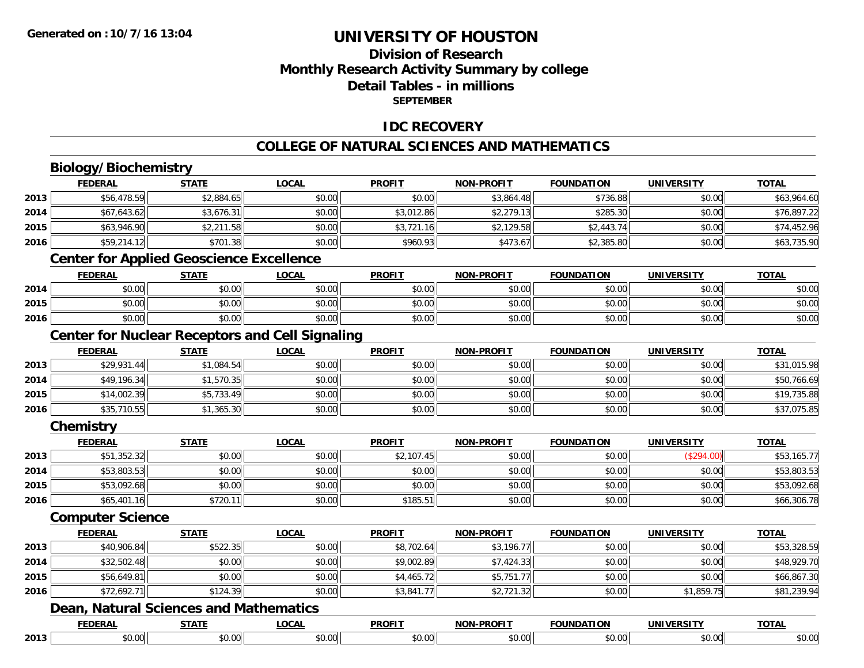### **Division of ResearchMonthly Research Activity Summary by college Detail Tables - in millions SEPTEMBER**

#### **IDC RECOVERY**

#### **COLLEGE OF NATURAL SCIENCES AND MATHEMATICS**

# **Biology/Biochemistry**

|      | <b>FEDERAL</b>                                         | <b>STATE</b> | <b>LOCAL</b> | <b>PROFIT</b> | <b>NON-PROFIT</b> | <b>FOUNDATION</b> | <b>UNIVERSITY</b> | <b>TOTAL</b> |
|------|--------------------------------------------------------|--------------|--------------|---------------|-------------------|-------------------|-------------------|--------------|
| 2013 | \$56,478.59                                            | \$2,884.65   | \$0.00       | \$0.00        | \$3,864.48        | \$736.88          | \$0.00            | \$63,964.60  |
| 2014 | \$67,643.62                                            | \$3,676.31   | \$0.00       | \$3,012.86    | \$2,279.13        | \$285.30          | \$0.00            | \$76,897.22  |
| 2015 | \$63,946.90                                            | \$2,211.58   | \$0.00       | \$3,721.16    | \$2,129.58        | \$2,443.74        | \$0.00            | \$74,452.96  |
| 2016 | \$59,214.12                                            | \$701.38     | \$0.00       | \$960.93      | \$473.67          | \$2,385.80        | \$0.00            | \$63,735.90  |
|      | <b>Center for Applied Geoscience Excellence</b>        |              |              |               |                   |                   |                   |              |
|      | <b>FEDERAL</b>                                         | <b>STATE</b> | <b>LOCAL</b> | <b>PROFIT</b> | <b>NON-PROFIT</b> | <b>FOUNDATION</b> | <b>UNIVERSITY</b> | <b>TOTAL</b> |
| 2014 | \$0.00                                                 | \$0.00       | \$0.00       | \$0.00        | \$0.00            | \$0.00            | \$0.00            | \$0.00       |
| 2015 | \$0.00                                                 | \$0.00       | \$0.00       | \$0.00        | \$0.00            | \$0.00            | \$0.00            | \$0.00       |
| 2016 | \$0.00                                                 | \$0.00       | \$0.00       | \$0.00        | \$0.00            | \$0.00            | \$0.00            | \$0.00       |
|      | <b>Center for Nuclear Receptors and Cell Signaling</b> |              |              |               |                   |                   |                   |              |
|      | <b>FEDERAL</b>                                         | <b>STATE</b> | <b>LOCAL</b> | <b>PROFIT</b> | <b>NON-PROFIT</b> | <b>FOUNDATION</b> | <b>UNIVERSITY</b> | <b>TOTAL</b> |
| 2013 | \$29,931.44                                            | \$1,084.54   | \$0.00       | \$0.00        | \$0.00            | \$0.00            | \$0.00            | \$31,015.98  |
| 2014 | \$49,196.34                                            | \$1,570.35   | \$0.00       | \$0.00        | \$0.00            | \$0.00            | \$0.00            | \$50,766.69  |
| 2015 | \$14,002.39                                            | \$5,733.49   | \$0.00       | \$0.00        | \$0.00            | \$0.00            | \$0.00            | \$19,735.88  |
| 2016 | \$35,710.55                                            | \$1,365.30   | \$0.00       | \$0.00        | \$0.00            | \$0.00            | \$0.00            | \$37,075.85  |
|      | Chemistry                                              |              |              |               |                   |                   |                   |              |
|      | <b>FEDERAL</b>                                         | <b>STATE</b> | <b>LOCAL</b> | <b>PROFIT</b> | <b>NON-PROFIT</b> | <b>FOUNDATION</b> | <b>UNIVERSITY</b> | <b>TOTAL</b> |
| 2013 | \$51,352.32                                            | \$0.00       | \$0.00       | \$2,107.45    | \$0.00            | \$0.00            | (\$294.00)        | \$53,165.77  |
| 2014 | \$53,803.53                                            | \$0.00       | \$0.00       | \$0.00        | \$0.00            | \$0.00            | \$0.00            | \$53,803.53  |
| 2015 | \$53,092.68                                            | \$0.00       | \$0.00       | \$0.00        | \$0.00            | \$0.00            | \$0.00            | \$53,092.68  |
| 2016 | \$65,401.16                                            | \$720.11     | \$0.00       | \$185.51      | \$0.00            | \$0.00            | \$0.00            | \$66,306.78  |
|      | <b>Computer Science</b>                                |              |              |               |                   |                   |                   |              |
|      | <b>FEDERAL</b>                                         | <b>STATE</b> | <b>LOCAL</b> | <b>PROFIT</b> | <b>NON-PROFIT</b> | <b>FOUNDATION</b> | <b>UNIVERSITY</b> | <b>TOTAL</b> |
| 2013 | \$40,906.84                                            | \$522.35     | \$0.00       | \$8,702.64    | \$3,196.77        | \$0.00            | \$0.00            | \$53,328.59  |
| 2014 | \$32,502.48                                            | \$0.00       | \$0.00       | \$9,002.89    | \$7,424.33        | \$0.00            | \$0.00            | \$48,929.70  |
| 2015 | \$56,649.81                                            | \$0.00       | \$0.00       | \$4,465.72    | \$5,751.77        | \$0.00            | \$0.00            | \$66,867.30  |
| 2016 | \$72,692.71                                            | \$124.39     | \$0.00       | \$3,841.77    | \$2,721.32        | \$0.00            | \$1,859.75        | \$81,239.94  |
|      | Dean, Natural Sciences and Mathematics                 |              |              |               |                   |                   |                   |              |
|      | <b>FEDERAL</b>                                         | <b>STATE</b> | <b>LOCAL</b> | <b>PROFIT</b> | <b>NON-PROFIT</b> | <b>FOUNDATION</b> | <b>UNIVERSITY</b> | <b>TOTAL</b> |
| 2013 | \$0.00                                                 | \$0.00       | \$0.00       | \$0.00        | \$0.00            | \$0.00            | \$0.00            | \$0.00       |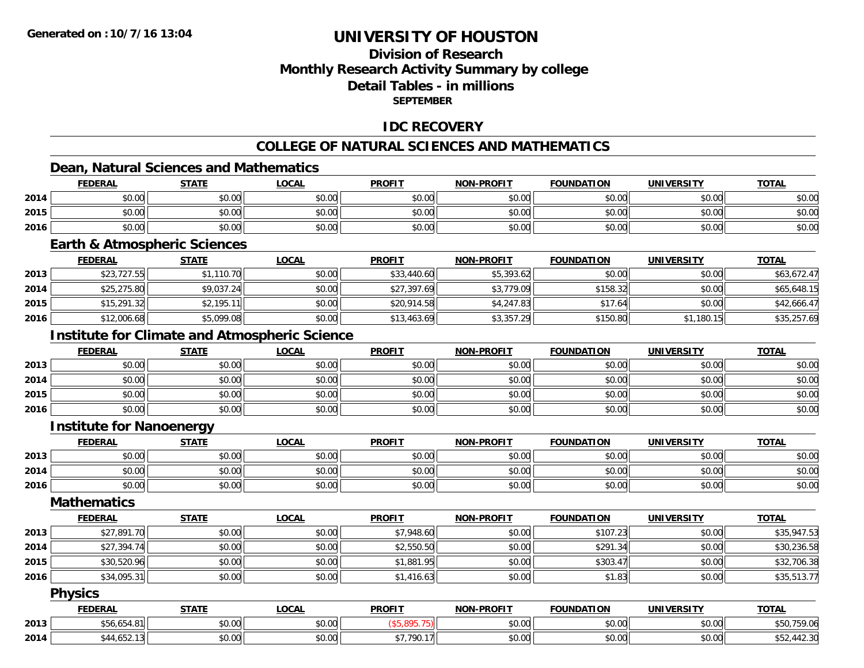### **Division of ResearchMonthly Research Activity Summary by college Detail Tables - in millionsSEPTEMBER**

#### **IDC RECOVERY**

### **COLLEGE OF NATURAL SCIENCES AND MATHEMATICS**

# **Dean, Natural Sciences and Mathematics**

|      | <b>FEDERAL</b> | <b>STATE</b> | LOCAL  | <b>PROFIT</b> | <b>NON-PROFIT</b> | <b>FOUNDATION</b> | <b>UNIVERSITY</b> | <b>TOTAL</b> |
|------|----------------|--------------|--------|---------------|-------------------|-------------------|-------------------|--------------|
| 2014 | \$0.00         | \$0.00       | \$0.00 | \$0.00        | \$0.00            | \$0.00            | \$0.00            | \$0.00       |
| 2015 | \$0.00         | \$0.00       | \$0.00 | \$0.00        | \$0.00            | \$0.00            | \$0.00            | \$0.00       |
| 2016 | \$0.00         | \$0.00       | \$0.00 | \$0.00        | \$0.00            | \$0.00            | \$0.00            | \$0.00       |

#### **Earth & Atmospheric Sciences**

|      | <b>FEDERAL</b> | <u>STATE</u> | <u>LOCAL</u> | <b>PROFIT</b> | <b>NON-PROFIT</b> | <b>FOUNDATION</b> | <b>UNIVERSITY</b> | <b>TOTAL</b> |
|------|----------------|--------------|--------------|---------------|-------------------|-------------------|-------------------|--------------|
| 2013 | \$23,727.55    | \$1,110.70   | \$0.00       | \$33,440.60   | \$5,393.62        | \$0.00            | \$0.00            | \$63,672.47  |
| 2014 | \$25,275.80    | \$9,037.24   | \$0.00       | \$27,397.69   | \$3,779.09        | \$158.32          | \$0.00            | \$65,648.15  |
| 2015 | \$15,291.32    | \$2,195.11   | \$0.00       | \$20,914.58   | \$4,247.83        | \$17.64           | \$0.00            | \$42,666.47  |
| 2016 | \$12,006.68    | \$5,099.08   | \$0.00       | \$13,463.69   | \$3,357.29        | \$150.80          | \$1,180.15        | \$35,257.69  |

### **Institute for Climate and Atmospheric Science**

|      | <b>FEDERAL</b> | <b>STATE</b> | <u>LOCAL</u> | <b>PROFIT</b> | <b>NON-PROFIT</b> | <b>FOUNDATION</b> | <b>UNIVERSITY</b> | <b>TOTAL</b> |
|------|----------------|--------------|--------------|---------------|-------------------|-------------------|-------------------|--------------|
| 2013 | \$0.00         | \$0.00       | \$0.00       | \$0.00        | \$0.00            | \$0.00            | \$0.00            | \$0.00       |
| 2014 | \$0.00         | \$0.00       | \$0.00       | \$0.00        | \$0.00            | \$0.00            | \$0.00            | \$0.00       |
| 2015 | \$0.00         | \$0.00       | \$0.00       | \$0.00        | \$0.00            | \$0.00            | \$0.00            | \$0.00       |
| 2016 | \$0.00         | \$0.00       | \$0.00       | \$0.00        | \$0.00            | \$0.00            | \$0.00            | \$0.00       |

#### **Institute for Nanoenergy**

|      | <b>FEDERAL</b> | <b>STATE</b> | <u>LOCAL</u> | <b>PROFIT</b> | <b>NON-PROFIT</b> | <b>FOUNDATION</b> | <b>UNIVERSITY</b> | <b>TOTAL</b> |
|------|----------------|--------------|--------------|---------------|-------------------|-------------------|-------------------|--------------|
| 2013 | ልስ ለሰ<br>DU.UU | \$0.00       | \$0.00       | \$0.00        | \$0.00            | \$0.00            | \$0.00            | \$0.00       |
| 2014 | ስስ ስስ<br>JU.UU | \$0.00       | \$0.00       | \$0.00        | \$0.00            | \$0.00            | \$0.00            | \$0.00       |
| 2016 | \$0.00         | \$0.00       | \$0.00       | \$0.00        | \$0.00            | \$0.00            | \$0.00            | \$0.00       |

### **Mathematics**

|      | <b>FEDERAL</b> | STATE  | LOCAL  | <b>PROFIT</b> | <b>NON-PROFIT</b> | <b>FOUNDATION</b> | <b>UNIVERSITY</b> | <b>TOTAL</b> |
|------|----------------|--------|--------|---------------|-------------------|-------------------|-------------------|--------------|
| 2013 | \$27,891.70    | \$0.00 | \$0.00 | \$7,948.60    | \$0.00            | \$107.23          | \$0.00            | \$35,947.53  |
| 2014 | \$27,394.74    | \$0.00 | \$0.00 | \$2,550.50    | \$0.00            | \$291.34          | \$0.00            | \$30,236.58  |
| 2015 | \$30,520.96    | \$0.00 | \$0.00 | \$1,881.95    | \$0.00            | \$303.47          | \$0.00            | \$32,706.38  |
| 2016 | \$34,095.31    | \$0.00 | \$0.00 | \$1,416.63    | \$0.00            | \$1.83            | \$0.00            | \$35,513.77  |

#### **Physics**

|      | <b>FEDERAI</b>                  | <b>STATE</b>  | <u>_OCAL</u>          | <b>PROFIT</b>                | <b>DDOEIT</b><br><b>NONI</b> | FOLINDATION   | IINIWE<br>----- | <b>TOTAL</b>              |
|------|---------------------------------|---------------|-----------------------|------------------------------|------------------------------|---------------|-----------------|---------------------------|
| 2013 | <b>O1</b><br>*-<br>סכו<br>)4. ក | 0.00<br>pv.uu | 0000<br>∪.∪∪          |                              | $\sim$ 00<br>₽U.UU           | 0.00<br>vv.vv | 0.00<br>PO.OO   | 9.06<br>UC d              |
| 2014 | uJz                             | 0.00<br>pu.uu | $\sim$ $\sim$<br>0.00 | \$7.790.17<br>$\overline{ }$ | $\sim$ 00<br>PU.UU           | 0.00<br>JU.UU | 0.001<br>PO.OO  | $\sim$ 00<br>72.JU<br>ັ⊽ດ |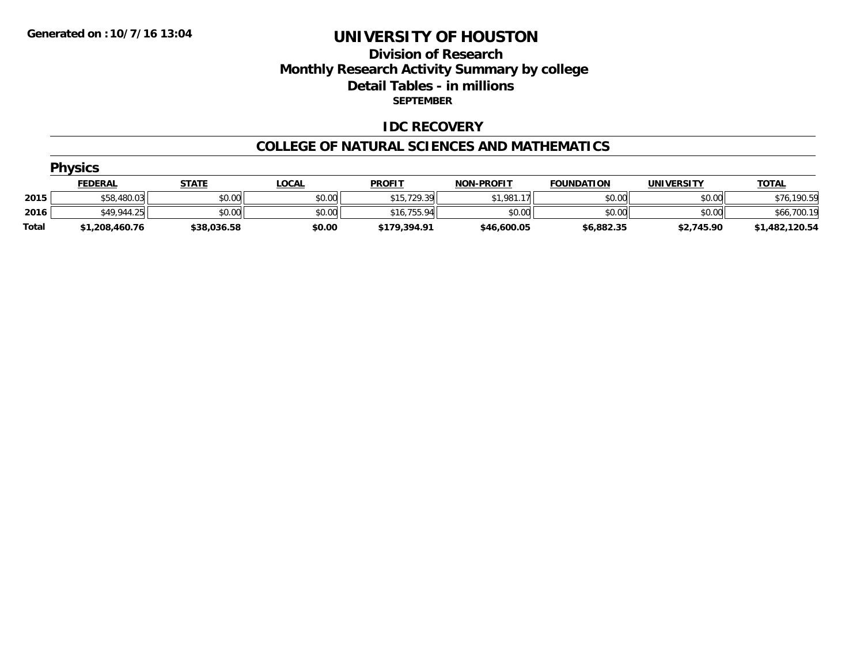### **Division of Research Monthly Research Activity Summary by college Detail Tables - in millions SEPTEMBER**

#### **IDC RECOVERY**

#### **COLLEGE OF NATURAL SCIENCES AND MATHEMATICS**

|              | <b>Physics</b> |              |              |               |                              |                   |            |                |
|--------------|----------------|--------------|--------------|---------------|------------------------------|-------------------|------------|----------------|
|              | <b>FEDERAL</b> | <u>STATE</u> | <u>LOCAL</u> | <b>PROFIT</b> | <b>NON-PROFIT</b>            | <b>FOUNDATION</b> | UNIVERSITY | <b>TOTAL</b>   |
| 2015         | \$58,480.03    | \$0.00       | \$0.00       | \$15,729.39   | \$1.981.1<br>17 <sub>1</sub> | \$0.00            | \$0.00     | \$76,190.59    |
| 2016         | \$49,944.25    | \$0.00       | \$0.00       | \$16.755.94   | \$0.00                       | \$0.00            | \$0.00     | \$66,700.19    |
| <b>Total</b> | \$1,208,460.76 | \$38,036.58  | \$0.00       | \$179,394.91  | \$46,600.05                  | \$6,882.35        | \$2,745.90 | \$1,482,120.54 |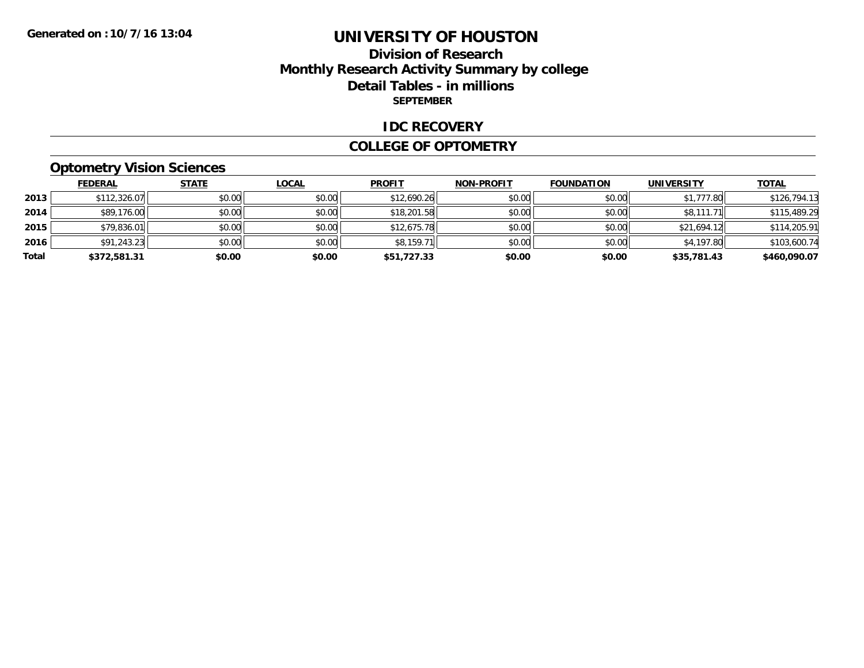### **Division of Research Monthly Research Activity Summary by college Detail Tables - in millions SEPTEMBER**

#### **IDC RECOVERY**

#### **COLLEGE OF OPTOMETRY**

### **Optometry Vision Sciences**

|       | <b>FEDERAL</b> | <b>STATE</b> | <b>LOCAL</b> | <b>PROFIT</b> | <b>NON-PROFIT</b> | <b>FOUNDATION</b> | <b>UNIVERSITY</b> | <b>TOTAL</b> |
|-------|----------------|--------------|--------------|---------------|-------------------|-------------------|-------------------|--------------|
| 2013  | \$112,326.07   | \$0.00       | \$0.00       | \$12,690.26   | \$0.00            | \$0.00            | \$1,777.80        | \$126,794.13 |
| 2014  | \$89,176.00    | \$0.00       | \$0.00       | \$18,201.58   | \$0.00            | \$0.00            | \$8,111.71        | \$115,489.29 |
| 2015  | \$79,836.01    | \$0.00       | \$0.00       | \$12,675.78   | \$0.00            | \$0.00            | \$21,694.12       | \$114,205.91 |
| 2016  | \$91,243.23    | \$0.00       | \$0.00       | \$8,159.71    | \$0.00            | \$0.00            | \$4,197.80        | \$103,600.74 |
| Total | \$372,581.31   | \$0.00       | \$0.00       | \$51,727.33   | \$0.00            | \$0.00            | \$35,781.43       | \$460,090.07 |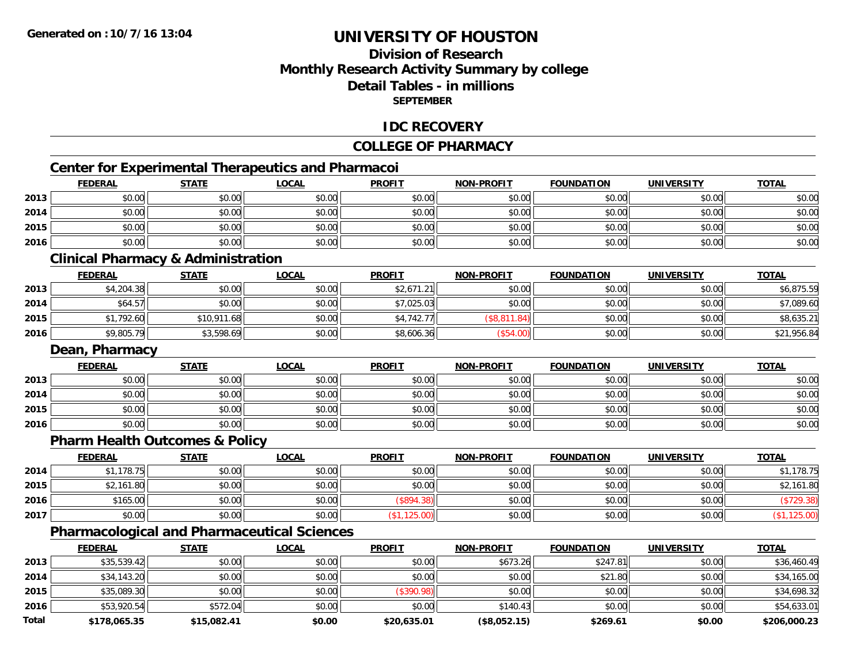### **Division of ResearchMonthly Research Activity Summary by college Detail Tables - in millions SEPTEMBER**

#### **IDC RECOVERY**

#### **COLLEGE OF PHARMACY**

# **Center for Experimental Therapeutics and Pharmacoi**

|      | <b>FEDERAL</b> | <b>STATE</b>                                  | <b>LOCAL</b>                                       | <b>PROFIT</b> | <b>NON-PROFIT</b> | <b>FOUNDATION</b> | <b>UNIVERSITY</b> | <b>TOTAL</b> |
|------|----------------|-----------------------------------------------|----------------------------------------------------|---------------|-------------------|-------------------|-------------------|--------------|
| 2013 | \$0.00         | \$0.00                                        | \$0.00                                             | \$0.00        | \$0.00            | \$0.00            | \$0.00            | \$0.00       |
| 2014 | \$0.00         | \$0.00                                        | \$0.00                                             | \$0.00        | \$0.00            | \$0.00            | \$0.00            | \$0.00       |
| 2015 | \$0.00         | \$0.00                                        | \$0.00                                             | \$0.00        | \$0.00            | \$0.00            | \$0.00            | \$0.00       |
| 2016 | \$0.00         | \$0.00                                        | \$0.00                                             | \$0.00        | \$0.00            | \$0.00            | \$0.00            | \$0.00       |
|      |                | <b>Clinical Pharmacy &amp; Administration</b> |                                                    |               |                   |                   |                   |              |
|      | <b>FEDERAL</b> | <b>STATE</b>                                  | <b>LOCAL</b>                                       | <b>PROFIT</b> | <b>NON-PROFIT</b> | <b>FOUNDATION</b> | <b>UNIVERSITY</b> | <b>TOTAL</b> |
| 2013 | \$4,204.38     | \$0.00                                        | \$0.00                                             | \$2,671.21    | \$0.00            | \$0.00            | \$0.00            | \$6,875.59   |
| 2014 | \$64.57        | \$0.00                                        | \$0.00                                             | \$7,025.03    | \$0.00            | \$0.00            | \$0.00            | \$7,089.60   |
| 2015 | \$1,792.60     | \$10,911.68                                   | \$0.00                                             | \$4,742.77    | (\$8,811.84)      | \$0.00            | \$0.00            | \$8,635.21   |
| 2016 | \$9,805.79     | \$3,598.69                                    | \$0.00                                             | \$8,606.36    | (\$54.00)         | \$0.00            | \$0.00            | \$21,956.84  |
|      | Dean, Pharmacy |                                               |                                                    |               |                   |                   |                   |              |
|      | <b>FEDERAL</b> | <b>STATE</b>                                  | <b>LOCAL</b>                                       | <b>PROFIT</b> | <b>NON-PROFIT</b> | <b>FOUNDATION</b> | <b>UNIVERSITY</b> | <b>TOTAL</b> |
| 2013 | \$0.00         | \$0.00                                        | \$0.00                                             | \$0.00        | \$0.00            | \$0.00            | \$0.00            | \$0.00       |
| 2014 | \$0.00         | \$0.00                                        | \$0.00                                             | \$0.00        | \$0.00            | \$0.00            | \$0.00            | \$0.00       |
| 2015 | \$0.00         | \$0.00                                        | \$0.00                                             | \$0.00        | \$0.00            | \$0.00            | \$0.00            | \$0.00       |
| 2016 | \$0.00         | \$0.00                                        | \$0.00                                             | \$0.00        | \$0.00            | \$0.00            | \$0.00            | \$0.00       |
|      |                | <b>Pharm Health Outcomes &amp; Policy</b>     |                                                    |               |                   |                   |                   |              |
|      | <b>FEDERAL</b> | <b>STATE</b>                                  | <b>LOCAL</b>                                       | <b>PROFIT</b> | <b>NON-PROFIT</b> | <b>FOUNDATION</b> | <b>UNIVERSITY</b> | <b>TOTAL</b> |
| 2014 | \$1,178.75     | \$0.00                                        | \$0.00                                             | \$0.00        | \$0.00            | \$0.00            | \$0.00            | \$1,178.75   |
| 2015 | \$2,161.80     | \$0.00                                        | \$0.00                                             | \$0.00        | \$0.00            | \$0.00            | \$0.00            | \$2,161.80   |
| 2016 | \$165.00       | \$0.00                                        | \$0.00                                             | (\$894.38)    | \$0.00            | \$0.00            | \$0.00            | (\$729.38)   |
| 2017 | \$0.00         | \$0.00                                        | \$0.00                                             | (\$1,125.00)  | \$0.00            | \$0.00            | \$0.00            | (\$1,125.00) |
|      |                |                                               | <b>Pharmacological and Pharmaceutical Sciences</b> |               |                   |                   |                   |              |
|      | <b>FEDERAL</b> | <b>STATE</b>                                  | <b>LOCAL</b>                                       | <b>PROFIT</b> | <b>NON-PROFIT</b> | <b>FOUNDATION</b> | <b>UNIVERSITY</b> | <b>TOTAL</b> |
|      |                |                                               |                                                    |               |                   |                   |                   |              |

|       | <b>FEDERAL</b> | <u>SIAIL</u> | <u>LUUAL</u> | <b>PRUFII</b> | <b>NUN-PRUFII</b> | <b>FUUNDATIUN</b> | UNIVERSIII | <u>IUIAL</u> |
|-------|----------------|--------------|--------------|---------------|-------------------|-------------------|------------|--------------|
| 2013  | \$35,539.42    | \$0.00       | \$0.00       | \$0.00        | \$673.26          | \$247.81          | \$0.00     | \$36,460.49  |
| 2014  | \$34,143.20    | \$0.00       | \$0.00       | \$0.00        | \$0.00            | \$21.80           | \$0.00     | \$34,165.00  |
| 2015  | \$35,089.30    | \$0.00       | \$0.00       | \$390.98      | \$0.00            | \$0.00            | \$0.00     | \$34,698.32  |
| 2016  | \$53,920.54    | \$572.04     | \$0.00       | \$0.00        | \$140.43          | \$0.00            | \$0.00     | \$54,633.01  |
| Total | \$178,065.35   | \$15,082.41  | \$0.00       | \$20,635.01   | (\$8,052.15)      | \$269.61          | \$0.00     | \$206,000.23 |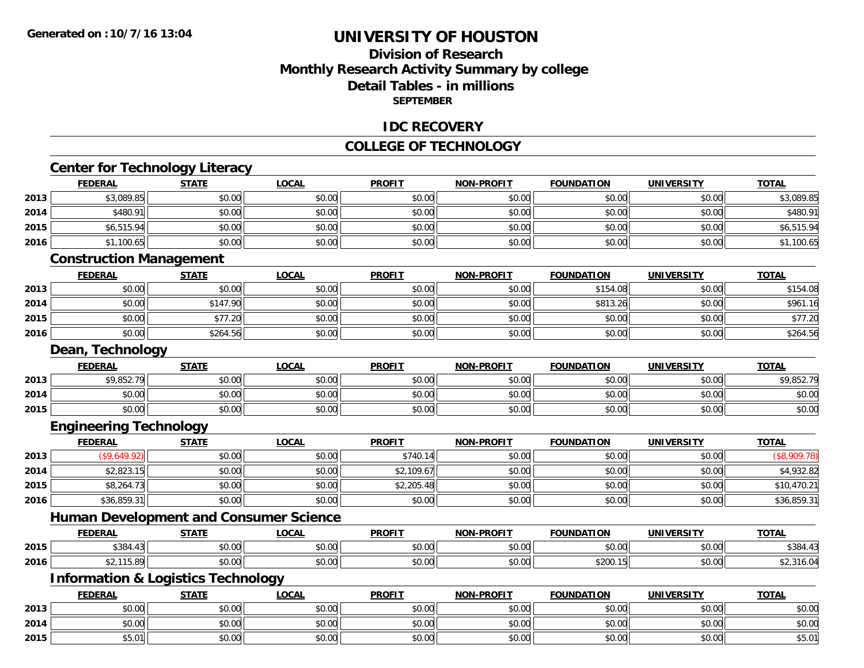### **Division of ResearchMonthly Research Activity Summary by college Detail Tables - in millions SEPTEMBER**

#### **IDC RECOVERY**

#### **COLLEGE OF TECHNOLOGY**

|      | <b>Center for Technology Literacy</b>         |              |              |               |                   |                   |                   |              |
|------|-----------------------------------------------|--------------|--------------|---------------|-------------------|-------------------|-------------------|--------------|
|      | <b>FEDERAL</b>                                | <b>STATE</b> | <b>LOCAL</b> | <b>PROFIT</b> | NON-PROFIT        | <b>FOUNDATION</b> | <b>UNIVERSITY</b> | <b>TOTAL</b> |
| 2013 | \$3,089.85                                    | \$0.00       | \$0.00       | \$0.00        | \$0.00            | \$0.00            | \$0.00            | \$3,089.85   |
| 2014 | \$480.91                                      | \$0.00       | \$0.00       | \$0.00        | \$0.00            | \$0.00            | \$0.00            | \$480.91     |
| 2015 | \$6,515.94                                    | \$0.00       | \$0.00       | \$0.00        | \$0.00            | \$0.00            | \$0.00            | \$6,515.94   |
| 2016 | \$1,100.65                                    | \$0.00       | \$0.00       | \$0.00        | \$0.00            | \$0.00            | \$0.00            | \$1,100.65   |
|      | <b>Construction Management</b>                |              |              |               |                   |                   |                   |              |
|      | <b>FEDERAL</b>                                | <b>STATE</b> | <b>LOCAL</b> | <b>PROFIT</b> | <b>NON-PROFIT</b> | <b>FOUNDATION</b> | <b>UNIVERSITY</b> | <b>TOTAL</b> |
| 2013 | \$0.00                                        | \$0.00       | \$0.00       | \$0.00        | \$0.00            | \$154.08          | \$0.00            | \$154.08     |
| 2014 | \$0.00                                        | \$147.90     | \$0.00       | \$0.00        | \$0.00            | \$813.26          | \$0.00            | \$961.16     |
| 2015 | \$0.00                                        | \$77.20      | \$0.00       | \$0.00        | \$0.00            | \$0.00            | \$0.00            | \$77.20      |
| 2016 | \$0.00                                        | \$264.56     | \$0.00       | \$0.00        | \$0.00            | \$0.00            | \$0.00            | \$264.56     |
|      | Dean, Technology                              |              |              |               |                   |                   |                   |              |
|      | <b>FEDERAL</b>                                | <b>STATE</b> | <b>LOCAL</b> | <b>PROFIT</b> | <b>NON-PROFIT</b> | <b>FOUNDATION</b> | <b>UNIVERSITY</b> | <b>TOTAL</b> |
| 2013 | \$9,852.79                                    | \$0.00       | \$0.00       | \$0.00        | \$0.00            | \$0.00            | \$0.00            | \$9,852.79   |
| 2014 | \$0.00                                        | \$0.00       | \$0.00       | \$0.00        | \$0.00            | \$0.00            | \$0.00            | \$0.00       |
| 2015 | \$0.00                                        | \$0.00       | \$0.00       | \$0.00        | \$0.00            | \$0.00            | \$0.00            | \$0.00       |
|      | <b>Engineering Technology</b>                 |              |              |               |                   |                   |                   |              |
|      | <b>FEDERAL</b>                                | <b>STATE</b> | <b>LOCAL</b> | <b>PROFIT</b> | <b>NON-PROFIT</b> | <b>FOUNDATION</b> | <b>UNIVERSITY</b> | <b>TOTAL</b> |
| 2013 | (\$9,649.92)                                  | \$0.00       | \$0.00       | \$740.14      | \$0.00            | \$0.00            | \$0.00            | (\$8,909.78) |
| 2014 | \$2,823.15                                    | \$0.00       | \$0.00       | \$2,109.67    | \$0.00            | \$0.00            | \$0.00            | \$4,932.82   |
| 2015 | \$8,264.73                                    | \$0.00       | \$0.00       | \$2,205.48    | \$0.00            | \$0.00            | \$0.00            | \$10,470.21  |
| 2016 | \$36,859.31                                   | \$0.00       | \$0.00       | \$0.00        | \$0.00            | \$0.00            | \$0.00            | \$36,859.31  |
|      | <b>Human Development and Consumer Science</b> |              |              |               |                   |                   |                   |              |
|      | <b>FEDERAL</b>                                | <b>STATE</b> | <b>LOCAL</b> | <b>PROFIT</b> | <b>NON-PROFIT</b> | <b>FOUNDATION</b> | <b>UNIVERSITY</b> | <b>TOTAL</b> |
| 2015 | \$384.43                                      | \$0.00       | \$0.00       | \$0.00        | \$0.00            | \$0.00            | \$0.00            | \$384.43     |
| 2016 | \$2,115.89                                    | \$0.00       | \$0.00       | \$0.00        | \$0.00            | \$200.15          | \$0.00            | \$2,316.04   |
|      | <b>Information &amp; Logistics Technology</b> |              |              |               |                   |                   |                   |              |
|      | <b>FEDERAL</b>                                | <b>STATE</b> | <b>LOCAL</b> | <b>PROFIT</b> | <b>NON-PROFIT</b> | <b>FOUNDATION</b> | <b>UNIVERSITY</b> | <b>TOTAL</b> |
| 2013 | \$0.00                                        | \$0.00       | \$0.00       | \$0.00        | \$0.00            | \$0.00            | \$0.00            | \$0.00       |
| 2014 | \$0.00                                        | \$0.00       | \$0.00       | \$0.00        | \$0.00            | \$0.00            | \$0.00            | \$0.00       |
| 2015 | \$5.01                                        | \$0.00       | \$0.00       | \$0.00        | \$0.00            | \$0.00            | \$0.00            | \$5.01       |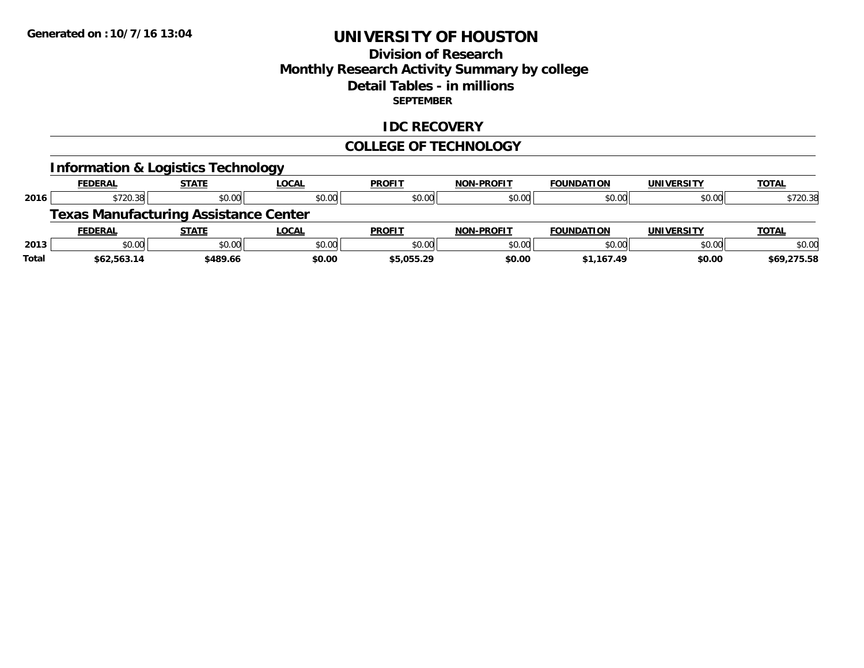### **Division of Research Monthly Research Activity Summary by college Detail Tables - in millions SEPTEMBER**

#### **IDC RECOVERY**

#### **COLLEGE OF TECHNOLOGY**

|       |                | <b>Information &amp; Logistics Technology</b> |              |               |                   |                   |                   |              |
|-------|----------------|-----------------------------------------------|--------------|---------------|-------------------|-------------------|-------------------|--------------|
|       | <b>FEDERAL</b> | <b>STATE</b>                                  | <b>LOCAL</b> | <b>PROFIT</b> | <b>NON-PROFIT</b> | <b>FOUNDATION</b> | <b>UNIVERSITY</b> | <b>TOTAL</b> |
| 2016  | \$720.38       | \$0.00                                        | \$0.00       | \$0.00        | \$0.00            | \$0.00            | \$0.00            | \$720.38     |
|       |                | <b>Texas Manufacturing Assistance Center</b>  |              |               |                   |                   |                   |              |
|       | <b>FEDERAL</b> | <b>STATE</b>                                  | <b>LOCAL</b> | <b>PROFIT</b> | <b>NON-PROFIT</b> | <b>FOUNDATION</b> | <b>UNIVERSITY</b> | <b>TOTAL</b> |
| 2013  | \$0.00         | \$0.00                                        | \$0.00       | \$0.00        | \$0.00            | \$0.00            | \$0.00            | \$0.00       |
| Total | \$62,563.14    | \$489.66                                      | \$0.00       | \$5,055.29    | \$0.00            | \$1,167.49        | \$0.00            | \$69,275.58  |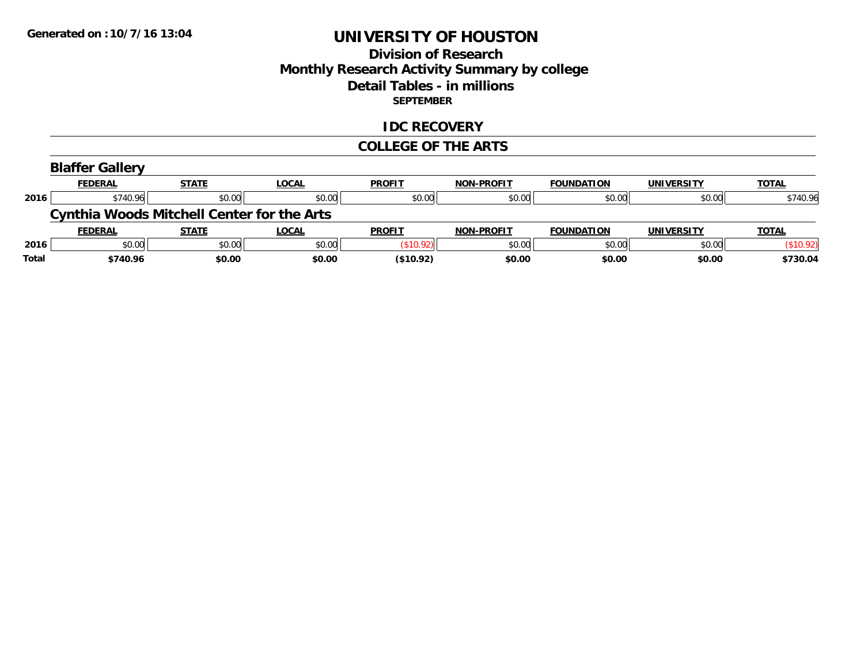### **Division of Research Monthly Research Activity Summary by college Detail Tables - in millions SEPTEMBER**

#### **IDC RECOVERY**

#### **COLLEGE OF THE ARTS**

| <b>Blaffer Gallery</b> |   |
|------------------------|---|
| FFDFDAI                | . |

|      | <b>FEDERAL</b> | <b>STATE</b>                                      | <u>LOCAL</u> | <b>PROFIT</b> | <b>NON-PROFIT</b> | <b>FOUNDATION</b> | <b>UNIVERSITY</b> | <b>TOTAL</b> |
|------|----------------|---------------------------------------------------|--------------|---------------|-------------------|-------------------|-------------------|--------------|
| 2016 | \$740.96       | \$0.00                                            | \$0.00       | \$0.00        | \$0.00            | \$0.00            | \$0.00            | \$740.96     |
|      |                | <b>Cynthia Woods Mitchell Center for the Arts</b> |              |               |                   |                   |                   |              |
|      |                |                                                   |              |               |                   |                   |                   |              |
|      | <b>FEDERAL</b> | <b>STATE</b>                                      | <b>LOCAL</b> | <b>PROFIT</b> | <b>NON-PROFIT</b> | <b>FOUNDATION</b> | UNIVERSITY        | <b>TOTAL</b> |
| 2016 | \$0.00         | \$0.00                                            | \$0.00       | \$10.92       | \$0.00            | \$0.00            | \$0.00            | (\$10.92)    |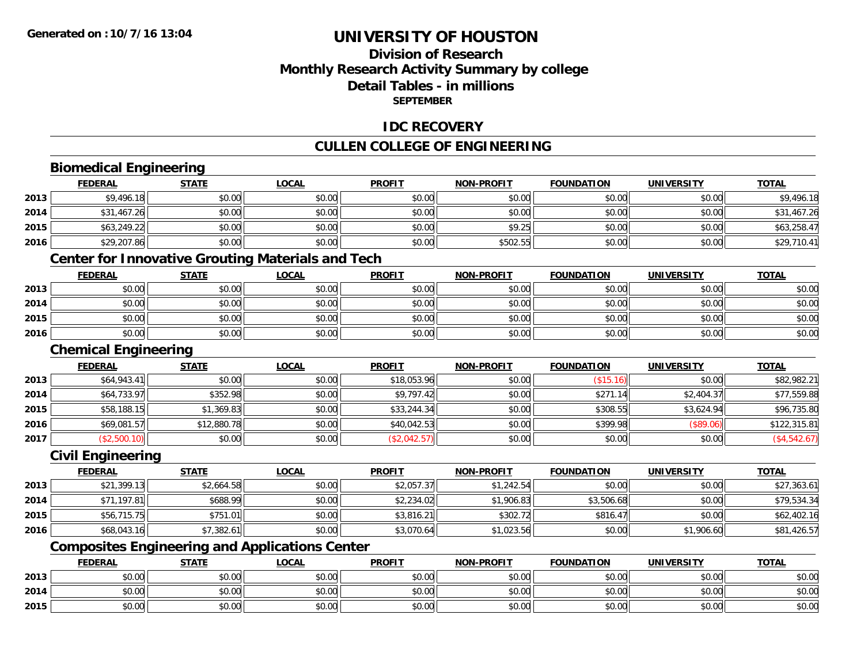### **Division of ResearchMonthly Research Activity Summary by college Detail Tables - in millionsSEPTEMBER**

#### **IDC RECOVERY**

### **CULLEN COLLEGE OF ENGINEERING**

# **Biomedical Engineering**

|      | <b>FEDERAL</b> | <b>STATE</b> | <u>LOCAL</u> | <b>PROFIT</b> | <b>NON-PROFIT</b> | <b>FOUNDATION</b> | <b>UNIVERSITY</b> | <b>TOTAL</b> |
|------|----------------|--------------|--------------|---------------|-------------------|-------------------|-------------------|--------------|
| 2013 | \$9,496.18     | \$0.00       | \$0.00       | \$0.00        | \$0.00            | \$0.00            | \$0.00            | \$9,496.18   |
| 2014 | \$31,467.26    | \$0.00       | \$0.00       | \$0.00        | \$0.00            | \$0.00            | \$0.00            | \$31,467.26  |
| 2015 | \$63,249.22    | \$0.00       | \$0.00       | \$0.00        | \$9.25            | \$0.00            | \$0.00            | \$63,258.47  |
| 2016 | \$29,207.86    | \$0.00       | \$0.00       | \$0.00        | \$502.55          | \$0.00            | \$0.00            | \$29,710.41  |

<u> 1980 - Johann Barbara, martxa alemaniar amerikan basar da a</u>

#### **Center for Innovative Grouting Materials and Tech**

|      | <b>FEDERAL</b> | <b>STATE</b> | <u>LOCAL</u> | <b>PROFIT</b> | <b>NON-PROFIT</b> | <b>FOUNDATION</b> | <b>UNIVERSITY</b> | <b>TOTAL</b> |
|------|----------------|--------------|--------------|---------------|-------------------|-------------------|-------------------|--------------|
| 2013 | \$0.00         | \$0.00       | \$0.00       | \$0.00        | \$0.00            | \$0.00            | \$0.00            | \$0.00       |
| 2014 | \$0.00         | \$0.00       | \$0.00       | \$0.00        | \$0.00            | \$0.00            | \$0.00            | \$0.00       |
| 2015 | \$0.00         | \$0.00       | \$0.00       | \$0.00        | \$0.00            | \$0.00            | \$0.00            | \$0.00       |
| 2016 | \$0.00         | \$0.00       | \$0.00       | \$0.00        | \$0.00            | \$0.00            | \$0.00            | \$0.00       |

#### **Chemical Engineering**

|      | <b>FEDERAL</b> | <b>STATE</b> | <b>LOCAL</b> | <b>PROFIT</b> | <b>NON-PROFIT</b> | <b>FOUNDATION</b> | <b>UNIVERSITY</b> | <b>TOTAL</b> |
|------|----------------|--------------|--------------|---------------|-------------------|-------------------|-------------------|--------------|
| 2013 | \$64,943.41    | \$0.00       | \$0.00       | \$18,053.96   | \$0.00            | (\$15.16)         | \$0.00            | \$82,982.21  |
| 2014 | \$64,733.97    | \$352.98     | \$0.00       | \$9,797.42    | \$0.00            | \$271.14          | \$2,404.37        | \$77,559.88  |
| 2015 | \$58,188.15    | \$1,369.83   | \$0.00       | \$33,244.34   | \$0.00            | \$308.55          | \$3,624.94        | \$96,735.80  |
| 2016 | \$69,081.57    | \$12,880.78  | \$0.00       | \$40,042.53   | \$0.00            | \$399.98          | (\$89.06)         | \$122,315.81 |
| 2017 | \$2,500.10     | \$0.00       | \$0.00       | (\$2,042.57)  | \$0.00            | \$0.00            | \$0.00            | (\$4,542.67) |

#### **Civil Engineering**

|      | <u>FEDERAL</u> | <u>STATE</u> | <u>LOCAL</u> | <b>PROFIT</b> | <b>NON-PROFIT</b> | <b>FOUNDATION</b> | <b>UNIVERSITY</b> | <b>TOTAL</b> |
|------|----------------|--------------|--------------|---------------|-------------------|-------------------|-------------------|--------------|
| 2013 | \$21,399.13    | \$2,664.58   | \$0.00       | \$2,057.37    | \$1,242.54        | \$0.00            | \$0.00            | \$27,363.61  |
| 2014 | \$71.197.81    | \$688.99     | \$0.00       | \$2,234.02    | \$1,906.83        | \$3,506.68        | \$0.00            | \$79,534.34  |
| 2015 | \$56,715.75    | \$751.01     | \$0.00       | \$3,816.21    | \$302.72          | \$816.47          | \$0.00            | \$62,402.16  |
| 2016 | \$68,043.16    | \$7,382.61   | \$0.00       | \$3,070.64    | \$1,023.56        | \$0.00            | \$1,906.60        | \$81,426.57  |

### **Composites Engineering and Applications Center**

|      | <b>FEDERAL</b> | <b>STATE</b> | <b>_OCAL</b> | <b>PROFIT</b> | <b>NON-PROFIT</b> | <b>FOUNDATION</b> | UNIVERSITY | <b>TOTAL</b> |
|------|----------------|--------------|--------------|---------------|-------------------|-------------------|------------|--------------|
| 2013 | \$0.00         | \$0.00       | \$0.00       | \$0.00        | \$0.00            | \$0.00            | \$0.00     | \$0.00       |
| 2014 | \$0.00         | \$0.00       | \$0.00       | \$0.00        | \$0.00            | \$0.00            | \$0.00     | \$0.00       |
| 2015 | \$0.00         | \$0.00       | \$0.00       | \$0.00        | \$0.00            | \$0.00            | \$0.00     | \$0.00       |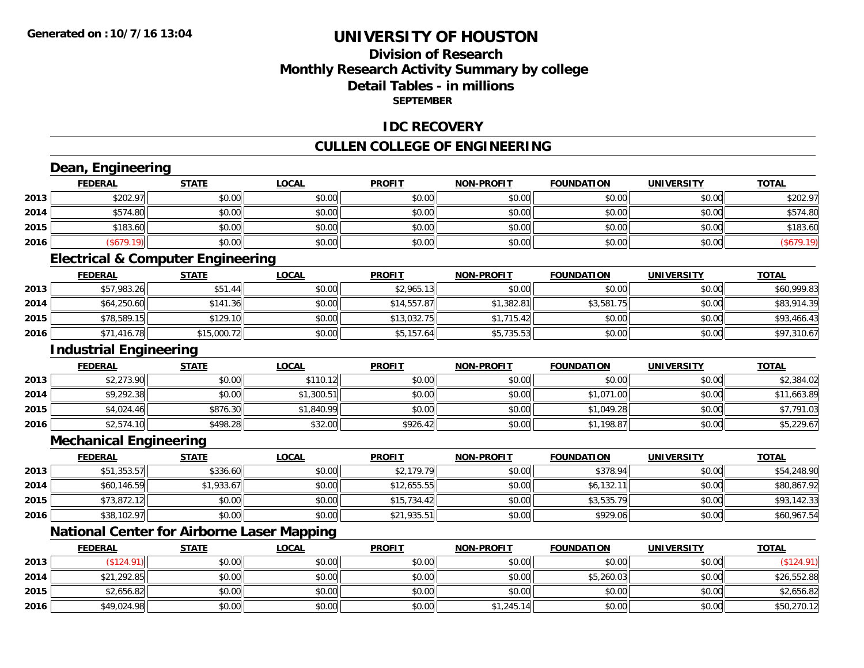### **Division of ResearchMonthly Research Activity Summary by college Detail Tables - in millions SEPTEMBER**

#### **IDC RECOVERY**

### **CULLEN COLLEGE OF ENGINEERING**

|      | Dean, Engineering                                 |              |              |               |                   |                   |                   |              |
|------|---------------------------------------------------|--------------|--------------|---------------|-------------------|-------------------|-------------------|--------------|
|      | <b>FEDERAL</b>                                    | <b>STATE</b> | <b>LOCAL</b> | <b>PROFIT</b> | <b>NON-PROFIT</b> | <b>FOUNDATION</b> | <b>UNIVERSITY</b> | <b>TOTAL</b> |
| 2013 | \$202.97                                          | \$0.00       | \$0.00       | \$0.00        | \$0.00            | \$0.00            | \$0.00            | \$202.97     |
| 2014 | \$574.80                                          | \$0.00       | \$0.00       | \$0.00        | \$0.00            | \$0.00            | \$0.00            | \$574.80     |
| 2015 | \$183.60                                          | \$0.00       | \$0.00       | \$0.00        | \$0.00            | \$0.00            | \$0.00            | \$183.60     |
| 2016 | (\$679.19)                                        | \$0.00       | \$0.00       | \$0.00        | \$0.00            | \$0.00            | \$0.00            | (\$679.19)   |
|      | <b>Electrical &amp; Computer Engineering</b>      |              |              |               |                   |                   |                   |              |
|      | <b>FEDERAL</b>                                    | <b>STATE</b> | <b>LOCAL</b> | <b>PROFIT</b> | <b>NON-PROFIT</b> | <b>FOUNDATION</b> | <b>UNIVERSITY</b> | <b>TOTAL</b> |
| 2013 | \$57,983.26                                       | \$51.44      | \$0.00       | \$2,965.13    | \$0.00            | \$0.00            | \$0.00            | \$60,999.83  |
| 2014 | \$64,250.60                                       | \$141.36     | \$0.00       | \$14,557.87   | \$1,382.81        | \$3,581.75        | \$0.00            | \$83,914.39  |
| 2015 | \$78,589.15                                       | \$129.10     | \$0.00       | \$13,032.75   | \$1,715.42        | \$0.00            | \$0.00            | \$93,466.43  |
| 2016 | \$71,416.78                                       | \$15,000.72  | \$0.00       | \$5,157.64    | \$5,735.53        | \$0.00            | \$0.00            | \$97,310.67  |
|      | <b>Industrial Engineering</b>                     |              |              |               |                   |                   |                   |              |
|      | <b>FEDERAL</b>                                    | <b>STATE</b> | <b>LOCAL</b> | <b>PROFIT</b> | <b>NON-PROFIT</b> | <b>FOUNDATION</b> | <b>UNIVERSITY</b> | <b>TOTAL</b> |
| 2013 | \$2,273.90                                        | \$0.00       | \$110.12     | \$0.00        | \$0.00            | \$0.00            | \$0.00            | \$2,384.02   |
| 2014 | \$9,292.38                                        | \$0.00       | \$1,300.51   | \$0.00        | \$0.00            | \$1,071.00        | \$0.00            | \$11,663.89  |
| 2015 | \$4,024.46                                        | \$876.30     | \$1,840.99   | \$0.00        | \$0.00            | \$1,049.28        | \$0.00            | \$7,791.03   |
| 2016 | \$2,574.10                                        | \$498.28     | \$32.00      | \$926.42      | \$0.00            | \$1,198.87        | \$0.00            | \$5,229.67   |
|      | <b>Mechanical Engineering</b>                     |              |              |               |                   |                   |                   |              |
|      | <b>FEDERAL</b>                                    | <b>STATE</b> | <b>LOCAL</b> | <b>PROFIT</b> | <b>NON-PROFIT</b> | <b>FOUNDATION</b> | <b>UNIVERSITY</b> | <b>TOTAL</b> |
| 2013 | \$51,353.57                                       | \$336.60     | \$0.00       | \$2,179.79    | \$0.00            | \$378.94          | \$0.00            | \$54,248.90  |
| 2014 | \$60,146.59                                       | \$1,933.67   | \$0.00       | \$12,655.55   | \$0.00            | \$6,132.11        | \$0.00            | \$80,867.92  |
| 2015 | \$73,872.12                                       | \$0.00       | \$0.00       | \$15,734.42   | \$0.00            | \$3,535.79        | \$0.00            | \$93,142.33  |
| 2016 | \$38,102.97                                       | \$0.00       | \$0.00       | \$21,935.51   | \$0.00            | \$929.06          | \$0.00            | \$60,967.54  |
|      | <b>National Center for Airborne Laser Mapping</b> |              |              |               |                   |                   |                   |              |
|      | <b>FEDERAL</b>                                    | <b>STATE</b> | <b>LOCAL</b> | <b>PROFIT</b> | <b>NON-PROFIT</b> | <b>FOUNDATION</b> | <b>UNIVERSITY</b> | <b>TOTAL</b> |
| 2013 | (\$124.91)                                        | \$0.00       | \$0.00       | \$0.00        | \$0.00            | \$0.00            | \$0.00            | (\$124.91)   |
| 2014 | \$21,292.85                                       | \$0.00       | \$0.00       | \$0.00        | \$0.00            | \$5,260.03        | \$0.00            | \$26,552.88  |
| 2015 | \$2,656.82                                        | \$0.00       | \$0.00       | \$0.00        | \$0.00            | \$0.00            | \$0.00            | \$2,656.82   |
| 2016 | \$49,024.98                                       | \$0.00       | \$0.00       | \$0.00        | \$1,245.14        | \$0.00            | \$0.00            | \$50,270.12  |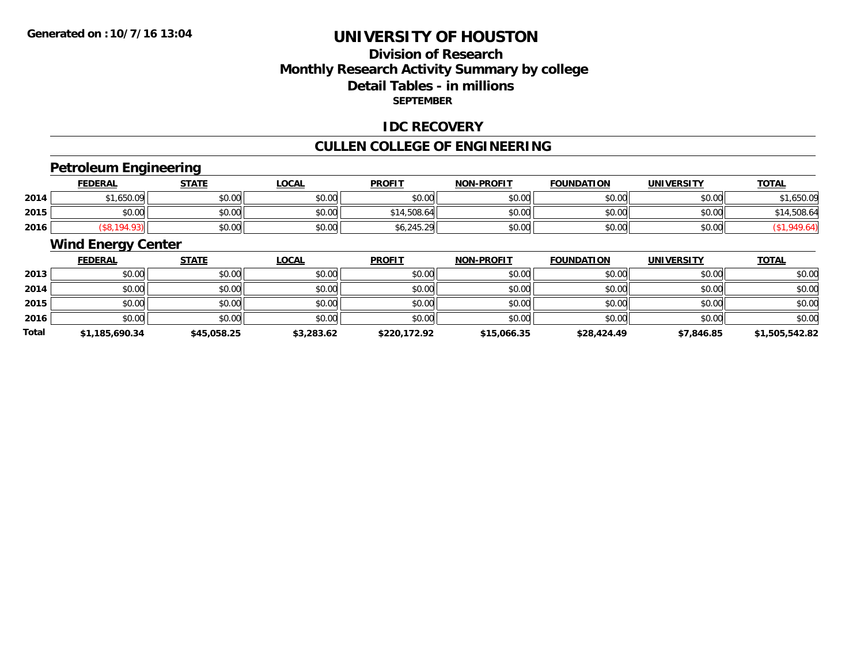### **Division of ResearchMonthly Research Activity Summary by college Detail Tables - in millions SEPTEMBER**

#### **IDC RECOVERY**

# **CULLEN COLLEGE OF ENGINEERING**

### **Petroleum Engineering**

|      | <u>FEDERAL</u> | <b>STATE</b> | LOCAL  | <b>PROFIT</b>                     | <b>NON-PROFIT</b> | <b>FOUNDATION</b> | <b>UNIVERSITY</b> | <b>TOTAL</b> |
|------|----------------|--------------|--------|-----------------------------------|-------------------|-------------------|-------------------|--------------|
| 2014 | .650.09        | \$0.00       | \$0.00 | \$0.00                            | \$0.00            | \$0.00            | \$0.00            | ,650.09      |
| 2015 | \$0.00         | \$0.00       | \$0.00 | \$14,508.64                       | \$0.00            | \$0.00            | \$0.00            | 14,508.64    |
| 2016 |                | \$0.00       | \$0.00 | $\sim$ $\sim$<br>20<br>\$0,245.29 | \$0.00            | \$0.00            | \$0.00            |              |

### **Wind Energy Center**

|       | <b>FEDERAL</b> | <b>STATE</b> | <b>LOCAL</b> | <b>PROFIT</b> | <b>NON-PROFIT</b> | <b>FOUNDATION</b> | <b>UNIVERSITY</b> | <b>TOTAL</b>   |
|-------|----------------|--------------|--------------|---------------|-------------------|-------------------|-------------------|----------------|
| 2013  | \$0.00         | \$0.00       | \$0.00       | \$0.00        | \$0.00            | \$0.00            | \$0.00            | \$0.00         |
| 2014  | \$0.00         | \$0.00       | \$0.00       | \$0.00        | \$0.00            | \$0.00            | \$0.00            | \$0.00         |
| 2015  | \$0.00         | \$0.00       | \$0.00       | \$0.00        | \$0.00            | \$0.00            | \$0.00            | \$0.00         |
| 2016  | \$0.00         | \$0.00       | \$0.00       | \$0.00        | \$0.00            | \$0.00            | \$0.00            | \$0.00         |
| Total | \$1,185,690.34 | \$45,058.25  | \$3,283.62   | \$220,172.92  | \$15,066.35       | \$28,424.49       | \$7,846.85        | \$1,505,542.82 |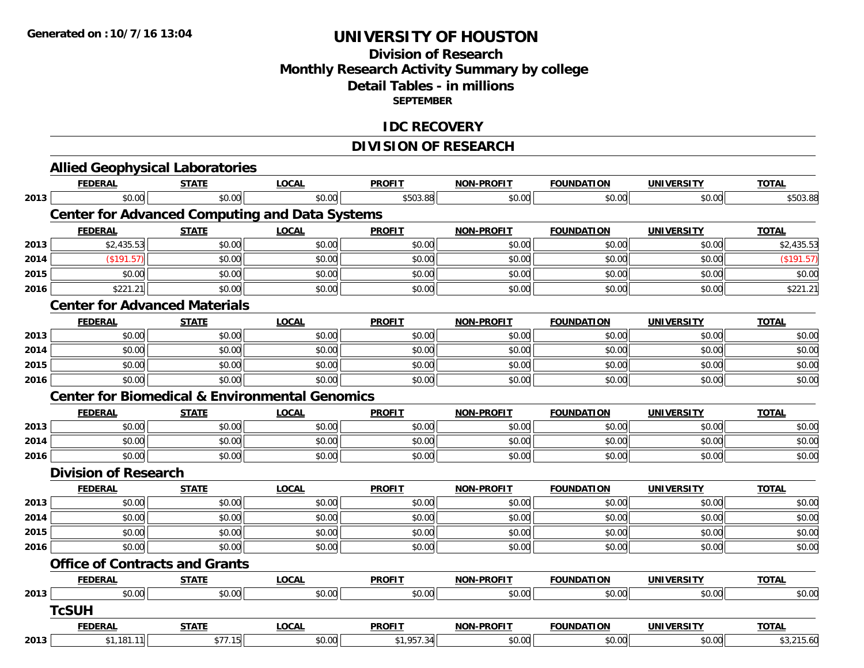### **Division of ResearchMonthly Research Activity Summary by college Detail Tables - in millions SEPTEMBER**

#### **IDC RECOVERY**

### **DIVISION OF RESEARCH**

|      | <b>Allied Geophysical Laboratories</b>                    |              |              |               |                   |                   |                   |              |
|------|-----------------------------------------------------------|--------------|--------------|---------------|-------------------|-------------------|-------------------|--------------|
|      | <b>FEDERAL</b>                                            | <b>STATE</b> | <b>LOCAL</b> | <b>PROFIT</b> | NON-PROFIT        | <b>FOUNDATION</b> | <b>UNIVERSITY</b> | <b>TOTAL</b> |
| 2013 | \$0.00                                                    | \$0.00       | \$0.00       | \$503.88      | \$0.00            | \$0.00            | \$0.00            | \$503.88     |
|      | <b>Center for Advanced Computing and Data Systems</b>     |              |              |               |                   |                   |                   |              |
|      | <b>FEDERAL</b>                                            | <b>STATE</b> | <b>LOCAL</b> | <b>PROFIT</b> | <b>NON-PROFIT</b> | <b>FOUNDATION</b> | <b>UNIVERSITY</b> | <b>TOTAL</b> |
| 2013 | \$2,435.53                                                | \$0.00       | \$0.00       | \$0.00        | \$0.00            | \$0.00            | \$0.00            | \$2,435.53   |
| 2014 | (\$191.57)                                                | \$0.00       | \$0.00       | \$0.00        | \$0.00            | \$0.00            | \$0.00            | (\$191.57)   |
| 2015 | \$0.00                                                    | \$0.00       | \$0.00       | \$0.00        | \$0.00            | \$0.00            | \$0.00            | \$0.00       |
| 2016 | \$221.21                                                  | \$0.00       | \$0.00       | \$0.00        | \$0.00            | \$0.00            | \$0.00            | \$221.21     |
|      | <b>Center for Advanced Materials</b>                      |              |              |               |                   |                   |                   |              |
|      | <b>FEDERAL</b>                                            | <b>STATE</b> | <b>LOCAL</b> | <b>PROFIT</b> | <b>NON-PROFIT</b> | <b>FOUNDATION</b> | <b>UNIVERSITY</b> | <b>TOTAL</b> |
| 2013 | \$0.00                                                    | \$0.00       | \$0.00       | \$0.00        | \$0.00            | \$0.00            | \$0.00            | \$0.00       |
| 2014 | \$0.00                                                    | \$0.00       | \$0.00       | \$0.00        | \$0.00            | \$0.00            | \$0.00            | \$0.00       |
| 2015 | \$0.00                                                    | \$0.00       | \$0.00       | \$0.00        | \$0.00            | \$0.00            | \$0.00            | \$0.00       |
| 2016 | \$0.00                                                    | \$0.00       | \$0.00       | \$0.00        | \$0.00            | \$0.00            | \$0.00            | \$0.00       |
|      | <b>Center for Biomedical &amp; Environmental Genomics</b> |              |              |               |                   |                   |                   |              |
|      | <b>FEDERAL</b>                                            | <b>STATE</b> | <b>LOCAL</b> | <b>PROFIT</b> | <b>NON-PROFIT</b> | <b>FOUNDATION</b> | <b>UNIVERSITY</b> | <b>TOTAL</b> |
| 2013 | \$0.00                                                    | \$0.00       | \$0.00       | \$0.00        | \$0.00            | \$0.00            | \$0.00            | \$0.00       |
| 2014 | \$0.00                                                    | \$0.00       | \$0.00       | \$0.00        | \$0.00            | \$0.00            | \$0.00            | \$0.00       |
| 2016 | \$0.00                                                    | \$0.00       | \$0.00       | \$0.00        | \$0.00            | \$0.00            | \$0.00            | \$0.00       |
|      | <b>Division of Research</b>                               |              |              |               |                   |                   |                   |              |
|      | <b>FEDERAL</b>                                            | <b>STATE</b> | <b>LOCAL</b> | <b>PROFIT</b> | <b>NON-PROFIT</b> | <b>FOUNDATION</b> | <b>UNIVERSITY</b> | <b>TOTAL</b> |
| 2013 | \$0.00                                                    | \$0.00       | \$0.00       | \$0.00        | \$0.00            | \$0.00            | \$0.00            | \$0.00       |
| 2014 | \$0.00                                                    | \$0.00       | \$0.00       | \$0.00        | \$0.00            | \$0.00            | \$0.00            | \$0.00       |
| 2015 | \$0.00                                                    | \$0.00       | \$0.00       | \$0.00        | \$0.00            | \$0.00            | \$0.00            | \$0.00       |
| 2016 | \$0.00                                                    | \$0.00       | \$0.00       | \$0.00        | \$0.00            | \$0.00            | \$0.00            | \$0.00       |
|      | <b>Office of Contracts and Grants</b>                     |              |              |               |                   |                   |                   |              |
|      | <b>FEDERAL</b>                                            | <b>STATE</b> | <b>LOCAL</b> | <b>PROFIT</b> | <b>NON-PROFIT</b> | <b>FOUNDATION</b> | <b>UNIVERSITY</b> | <b>TOTAL</b> |
| 2013 | \$0.00                                                    | \$0.00       | \$0.00       | \$0.00        | \$0.00            | \$0.00            | \$0.00            | \$0.00       |
|      | <b>TcSUH</b>                                              |              |              |               |                   |                   |                   |              |
|      | <b>FEDERAL</b>                                            | <b>STATE</b> | <b>LOCAL</b> | <b>PROFIT</b> | <b>NON-PROFIT</b> | <b>FOUNDATION</b> | <b>UNIVERSITY</b> | <b>TOTAL</b> |
| 2013 | \$1,181.11                                                | \$77.15      | \$0.00       | \$1,957.34    | \$0.00            | \$0.00            | \$0.00            | \$3,215.60   |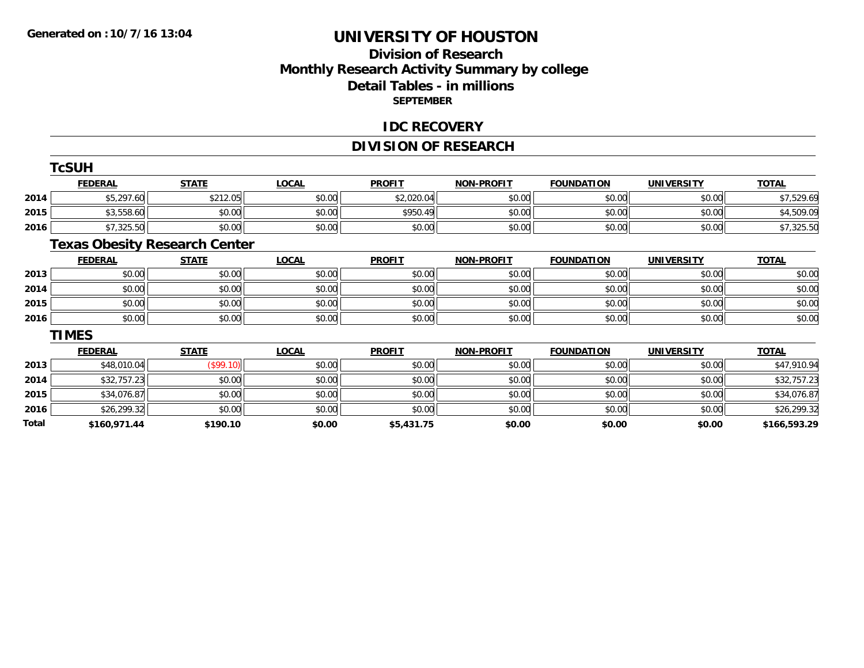### **Division of Research Monthly Research Activity Summary by college Detail Tables - in millions SEPTEMBER**

#### **IDC RECOVERY**

### **DIVISION OF RESEARCH**

|       | <b>TcSUH</b>   |                                      |              |               |                   |                   |                   |              |
|-------|----------------|--------------------------------------|--------------|---------------|-------------------|-------------------|-------------------|--------------|
|       | <b>FEDERAL</b> | <b>STATE</b>                         | <b>LOCAL</b> | <b>PROFIT</b> | <b>NON-PROFIT</b> | <b>FOUNDATION</b> | <b>UNIVERSITY</b> | <b>TOTAL</b> |
| 2014  | \$5,297.60     | \$212.05                             | \$0.00       | \$2,020.04    | \$0.00            | \$0.00            | \$0.00            | \$7,529.69   |
| 2015  | \$3,558.60     | \$0.00                               | \$0.00       | \$950.49      | \$0.00            | \$0.00            | \$0.00            | \$4,509.09   |
| 2016  | \$7,325.50     | \$0.00                               | \$0.00       | \$0.00        | \$0.00            | \$0.00            | \$0.00            | \$7,325.50   |
|       |                | <b>Texas Obesity Research Center</b> |              |               |                   |                   |                   |              |
|       | <b>FEDERAL</b> | <b>STATE</b>                         | <b>LOCAL</b> | <b>PROFIT</b> | <b>NON-PROFIT</b> | <b>FOUNDATION</b> | <b>UNIVERSITY</b> | <b>TOTAL</b> |
| 2013  | \$0.00         | \$0.00                               | \$0.00       | \$0.00        | \$0.00            | \$0.00            | \$0.00            | \$0.00       |
| 2014  | \$0.00         | \$0.00                               | \$0.00       | \$0.00        | \$0.00            | \$0.00            | \$0.00            | \$0.00       |
| 2015  | \$0.00         | \$0.00                               | \$0.00       | \$0.00        | \$0.00            | \$0.00            | \$0.00            | \$0.00       |
| 2016  | \$0.00         | \$0.00                               | \$0.00       | \$0.00        | \$0.00            | \$0.00            | \$0.00            | \$0.00       |
|       | <b>TIMES</b>   |                                      |              |               |                   |                   |                   |              |
|       | <b>FEDERAL</b> | <b>STATE</b>                         | <b>LOCAL</b> | <b>PROFIT</b> | <b>NON-PROFIT</b> | <b>FOUNDATION</b> | <b>UNIVERSITY</b> | <b>TOTAL</b> |
| 2013  | \$48,010.04    | (\$99.10)                            | \$0.00       | \$0.00        | \$0.00            | \$0.00            | \$0.00            | \$47,910.94  |
| 2014  | \$32,757.23    | \$0.00                               | \$0.00       | \$0.00        | \$0.00            | \$0.00            | \$0.00            | \$32,757.23  |
| 2015  | \$34,076.87    | \$0.00                               | \$0.00       | \$0.00        | \$0.00            | \$0.00            | \$0.00            | \$34,076.87  |
| 2016  | \$26,299.32    | \$0.00                               | \$0.00       | \$0.00        | \$0.00            | \$0.00            | \$0.00            | \$26,299.32  |
| Total | \$160.971.44   | \$190.10                             | \$0.00       | \$5,431.75    | \$0.00            | \$0.00            | \$0.00            | \$166,593.29 |

**\$160,971.44 \$190.10 \$0.00 \$5,431.75 \$0.00 \$0.00 \$0.00 \$166,593.29**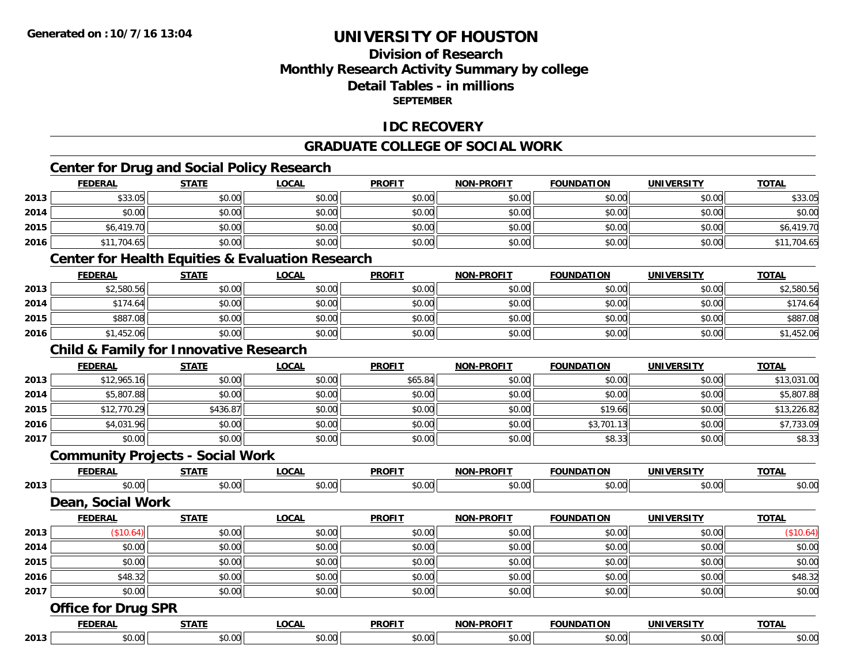### **Division of ResearchMonthly Research Activity Summary by college Detail Tables - in millions SEPTEMBER**

#### **IDC RECOVERY**

#### **GRADUATE COLLEGE OF SOCIAL WORK**

### **Center for Drug and Social Policy Research**

|      | <b>FEDERAL</b>                                              | <b>STATE</b> | <b>LOCAL</b> | <b>PROFIT</b> | <b>NON-PROFIT</b> | <b>FOUNDATION</b> | <b>UNIVERSITY</b> | <b>TOTAL</b> |
|------|-------------------------------------------------------------|--------------|--------------|---------------|-------------------|-------------------|-------------------|--------------|
| 2013 | \$33.05                                                     | \$0.00       | \$0.00       | \$0.00        | \$0.00            | \$0.00            | \$0.00            | \$33.05      |
| 2014 | \$0.00                                                      | \$0.00       | \$0.00       | \$0.00        | \$0.00            | \$0.00            | \$0.00            | \$0.00       |
| 2015 | \$6,419.70                                                  | \$0.00       | \$0.00       | \$0.00        | \$0.00            | \$0.00            | \$0.00            | \$6,419.70   |
| 2016 | \$11,704.65                                                 | \$0.00       | \$0.00       | \$0.00        | \$0.00            | \$0.00            | \$0.00            | \$11,704.65  |
|      | <b>Center for Health Equities &amp; Evaluation Research</b> |              |              |               |                   |                   |                   |              |
|      | <b>FEDERAL</b>                                              | <b>STATE</b> | <b>LOCAL</b> | <b>PROFIT</b> | <b>NON-PROFIT</b> | <b>FOUNDATION</b> | <b>UNIVERSITY</b> | <b>TOTAL</b> |
| 2013 | \$2,580.56                                                  | \$0.00       | \$0.00       | \$0.00        | \$0.00            | \$0.00            | \$0.00            | \$2,580.56   |
| 2014 | \$174.64                                                    | \$0.00       | \$0.00       | \$0.00        | \$0.00            | \$0.00            | \$0.00            | \$174.64     |
| 2015 | \$887.08                                                    | \$0.00       | \$0.00       | \$0.00        | \$0.00            | \$0.00            | \$0.00            | \$887.08     |
| 2016 | \$1,452.06                                                  | \$0.00       | \$0.00       | \$0.00        | \$0.00            | \$0.00            | \$0.00            | \$1,452.06   |
|      | <b>Child &amp; Family for Innovative Research</b>           |              |              |               |                   |                   |                   |              |
|      | <b>FEDERAL</b>                                              | <b>STATE</b> | <b>LOCAL</b> | <b>PROFIT</b> | <b>NON-PROFIT</b> | <b>FOUNDATION</b> | <b>UNIVERSITY</b> | <b>TOTAL</b> |
| 2013 | \$12,965.16                                                 | \$0.00       | \$0.00       | \$65.84       | \$0.00            | \$0.00            | \$0.00            | \$13,031.00  |
| 2014 | \$5,807.88                                                  | \$0.00       | \$0.00       | \$0.00        | \$0.00            | \$0.00            | \$0.00            | \$5,807.88   |
| 2015 | \$12,770.29                                                 | \$436.87     | \$0.00       | \$0.00        | \$0.00            | \$19.66           | \$0.00            | \$13,226.82  |
| 2016 | \$4,031.96                                                  | \$0.00       | \$0.00       | \$0.00        | \$0.00            | \$3,701.13        | \$0.00            | \$7,733.09   |
| 2017 | \$0.00                                                      | \$0.00       | \$0.00       | \$0.00        | \$0.00            | \$8.33            | \$0.00            | \$8.33       |
|      | <b>Community Projects - Social Work</b>                     |              |              |               |                   |                   |                   |              |
|      | <b>FEDERAL</b>                                              | <b>STATE</b> | <b>LOCAL</b> | <b>PROFIT</b> | <b>NON-PROFIT</b> | <b>FOUNDATION</b> | <b>UNIVERSITY</b> | <b>TOTAL</b> |
| 2013 | \$0.00                                                      | \$0.00       | \$0.00       | \$0.00        | \$0.00            | \$0.00            | \$0.00            | \$0.00       |
|      | Dean, Social Work                                           |              |              |               |                   |                   |                   |              |
|      | <b>FEDERAL</b>                                              | <b>STATE</b> | <b>LOCAL</b> | <b>PROFIT</b> | <b>NON-PROFIT</b> | <b>FOUNDATION</b> | <b>UNIVERSITY</b> | <b>TOTAL</b> |
| 2013 | (\$10.64)                                                   | \$0.00       | \$0.00       | \$0.00        | \$0.00            | \$0.00            | \$0.00            | (\$10.64)    |
| 2014 | \$0.00                                                      | \$0.00       | \$0.00       | \$0.00        | \$0.00            | \$0.00            | \$0.00            | \$0.00       |
| 2015 | \$0.00                                                      | \$0.00       | \$0.00       | \$0.00        | \$0.00            | \$0.00            | \$0.00            | \$0.00       |
| 2016 | \$48.32                                                     | \$0.00       | \$0.00       | \$0.00        | \$0.00            | \$0.00            | \$0.00            | \$48.32      |
| 2017 | \$0.00                                                      | \$0.00       | \$0.00       | \$0.00        | \$0.00            | \$0.00            | \$0.00            | \$0.00       |
|      | <b>Office for Drug SPR</b>                                  |              |              |               |                   |                   |                   |              |
|      | <b>FEDERAL</b>                                              | <b>STATE</b> | <b>LOCAL</b> | <b>PROFIT</b> | <b>NON-PROFIT</b> | <b>FOUNDATION</b> | <b>UNIVERSITY</b> | <b>TOTAL</b> |
| 2013 | \$0.00                                                      | \$0.00       | \$0.00       | \$0.00        | \$0.00            | \$0.00            | \$0.00            | \$0.00       |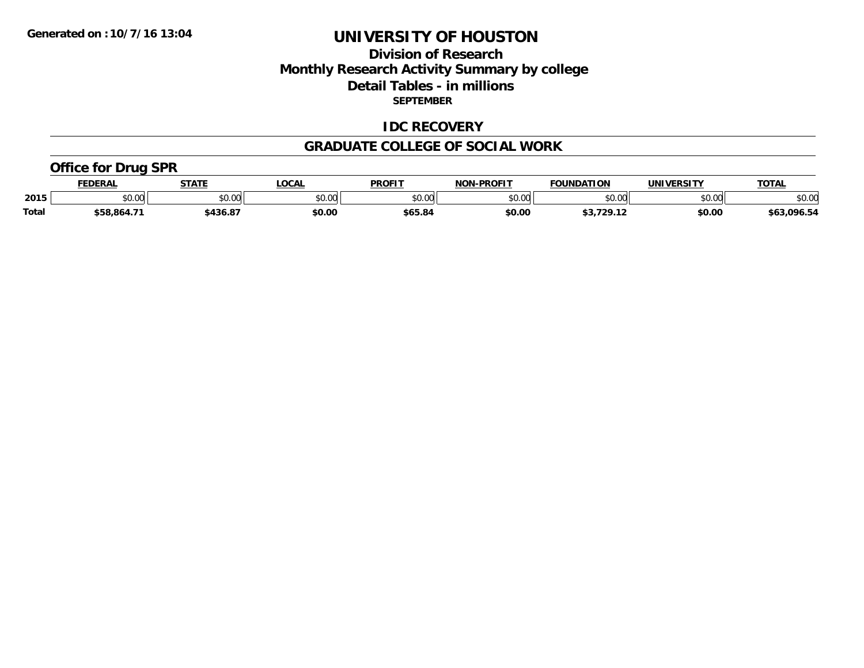### **Division of Research Monthly Research Activity Summary by college Detail Tables - in millions SEPTEMBER**

#### **IDC RECOVERY**

#### **GRADUATE COLLEGE OF SOCIAL WORK**

#### **Office for Drug SPR**

|              | <b>FEDERAL</b>       | <b>STATE</b> | LOCAL  | <b>PROFIT</b> | <b>NON-PROFIT</b> | <b>FOUNDATION</b> | <b>UNIVERSITY</b> | <b>TOTAL</b> |
|--------------|----------------------|--------------|--------|---------------|-------------------|-------------------|-------------------|--------------|
| 2015         | 0000<br><b>JU.UU</b> | \$0.00       | \$0.00 | \$0.00        | \$0.00            | \$0.00            | \$0.00            | \$0.00       |
| <b>Total</b> | \$58,864.71          | 436.87ء      | \$0.00 | \$65.84       | \$0.00            | <b>¢2 720 12</b>  | \$0.00            | \$63,096.54  |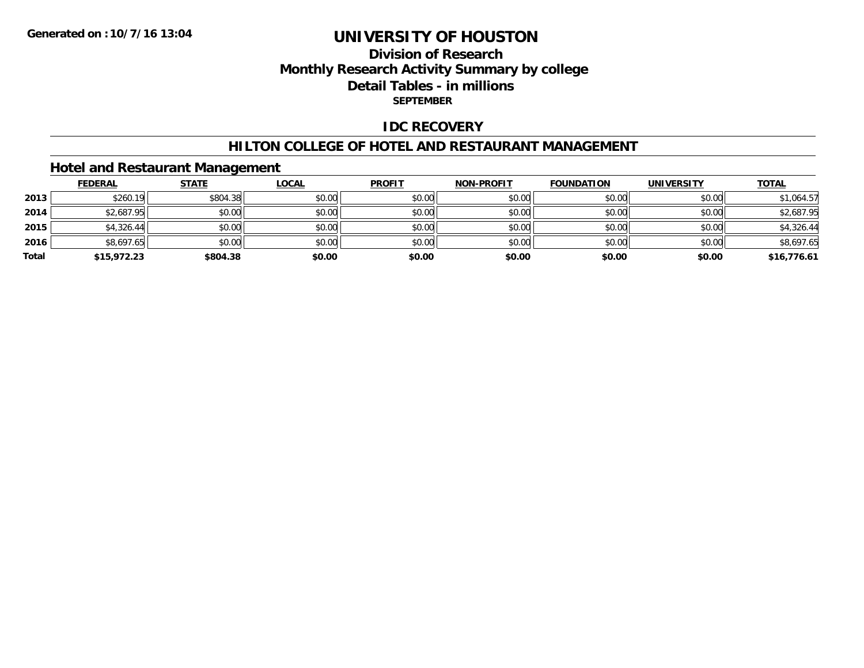### **Division of ResearchMonthly Research Activity Summary by college Detail Tables - in millions SEPTEMBER**

#### **IDC RECOVERY**

#### **HILTON COLLEGE OF HOTEL AND RESTAURANT MANAGEMENT**

#### **Hotel and Restaurant Management**

|       | <b>FEDERAL</b> | <b>STATE</b> | <u>LOCAL</u> | <b>PROFIT</b> | <b>NON-PROFIT</b> | <b>FOUNDATION</b> | <b>UNIVERSITY</b> | <b>TOTAL</b> |
|-------|----------------|--------------|--------------|---------------|-------------------|-------------------|-------------------|--------------|
| 2013  | \$260.19       | \$804.38     | \$0.00       | \$0.00        | \$0.00            | \$0.00            | \$0.00            | \$1,064.57   |
| 2014  | \$2,687.95     | \$0.00       | \$0.00       | \$0.00        | \$0.00            | \$0.00            | \$0.00            | \$2,687.95   |
| 2015  | \$4,326.44     | \$0.00       | \$0.00       | \$0.00        | \$0.00            | \$0.00            | \$0.00            | \$4,326.44   |
| 2016  | \$8,697.65     | \$0.00       | \$0.00       | \$0.00        | \$0.00            | \$0.00            | \$0.00            | \$8,697.65   |
| Total | \$15,972.23    | \$804.38     | \$0.00       | \$0.00        | \$0.00            | \$0.00            | \$0.00            | \$16,776.61  |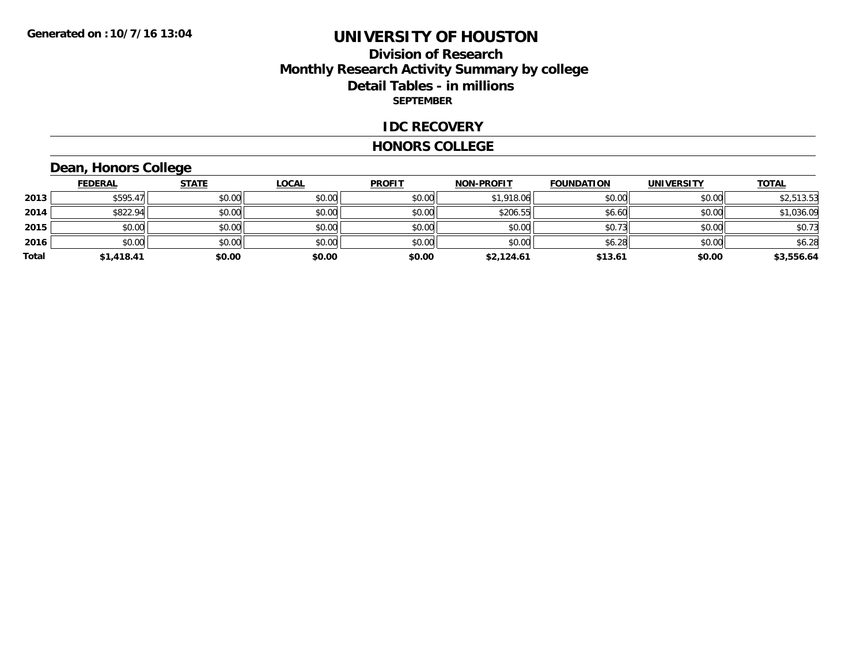### **Division of Research Monthly Research Activity Summary by college Detail Tables - in millions SEPTEMBER**

#### **IDC RECOVERY**

#### **HONORS COLLEGE**

# **Dean, Honors College**

|       | <b>FEDERAL</b> | <b>STATE</b> | <b>LOCAL</b> | <b>PROFIT</b> | <b>NON-PROFIT</b> | <b>FOUNDATION</b> | <b>UNIVERSITY</b> | <b>TOTAL</b> |
|-------|----------------|--------------|--------------|---------------|-------------------|-------------------|-------------------|--------------|
| 2013  | \$595.47       | \$0.00       | \$0.00       | \$0.00        | \$1,918.06        | \$0.00            | \$0.00            | \$2,513.53   |
| 2014  | \$822.94       | \$0.00       | \$0.00       | \$0.00        | \$206.55          | \$6.60            | \$0.00            | \$1,036.09   |
| 2015  | \$0.00         | \$0.00       | \$0.00       | \$0.00        | \$0.00            | \$0.73            | \$0.00            | \$0.73       |
| 2016  | \$0.00         | \$0.00       | \$0.00       | \$0.00        | \$0.00            | \$6.28            | \$0.00            | \$6.28       |
| Total | \$1,418.41     | \$0.00       | \$0.00       | \$0.00        | \$2,124.61        | \$13.61           | \$0.00            | \$3,556.64   |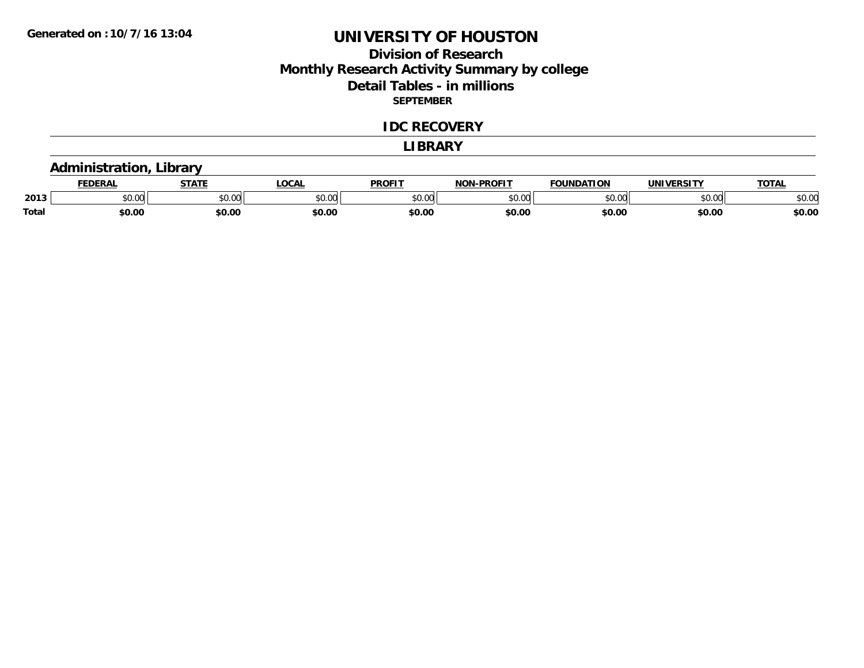### **Division of Research Monthly Research Activity Summary by college Detail Tables - in millions SEPTEMBER**

#### **IDC RECOVERY**

#### **LIBRARY**

#### **Administration, Library**

|       | <b>DERAL</b>   | <b>STATE</b>                             | <b>LOCAL</b>            | <b>PROFIT</b>           | <b>-PROFIT</b><br><b>NON</b> | <b>FOUNDATION</b> | <b>INIVE</b>  | <b>TOTAL</b> |
|-------|----------------|------------------------------------------|-------------------------|-------------------------|------------------------------|-------------------|---------------|--------------|
| 2013  | 0000<br>ື∘∪.∪ພ | $\uparrow$ $\uparrow$ $\uparrow$<br>JU.U | 0 <sup>n</sup><br>JU.UU | 0 <sup>0</sup><br>טט.טי | \$0.00                       | $\sim$ 00         | 0000<br>DU.UU | \$0.OC       |
| Total | \$0.00         | \$0.00                                   | \$0.00                  | \$0.00                  | \$0.00                       | \$0.00            | \$0.00        | \$0.00       |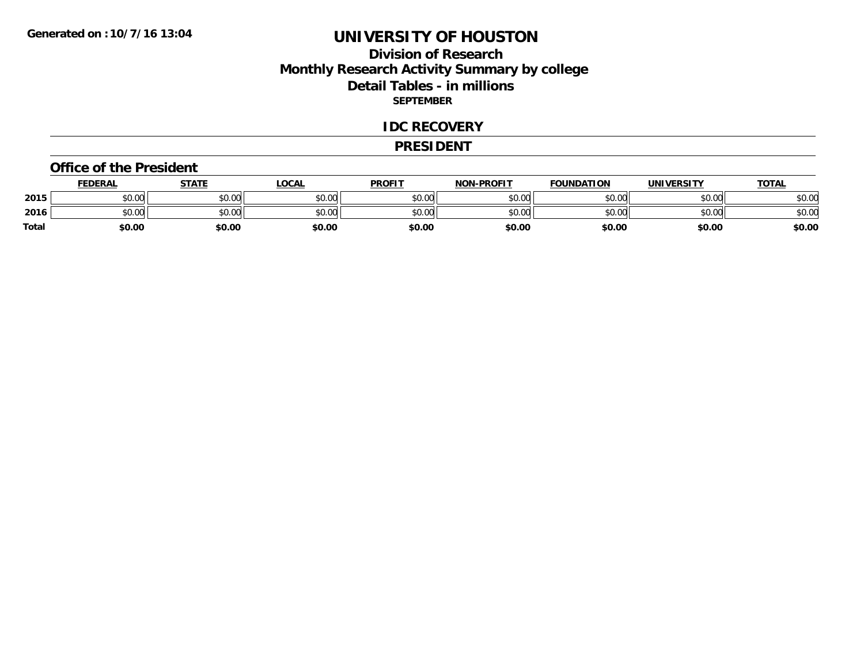### **Division of Research Monthly Research Activity Summary by college Detail Tables - in millions SEPTEMBER**

#### **IDC RECOVERY**

#### **PRESIDENT**

#### **Office of the President**

|       | <b>FEDERAL</b>     | <b>STATE</b> | LOCAL  | <b>PROFIT</b> | <b>NON-PROFIT</b> | <b>FOUNDATION</b> | <b>UNIVERSITY</b> | <u>TOTAL</u> |
|-------|--------------------|--------------|--------|---------------|-------------------|-------------------|-------------------|--------------|
| 2015  | ሐሴ ሰሰ<br>PU.UU     | \$0.00       | \$0.00 | \$0.00        | \$0.00            | \$0.00            | \$0.00            | \$0.00       |
| 2016  | $\sim$ 00<br>DU.UU | \$0.00       | \$0.00 | \$0.00        | \$0.00            | \$0.00            | \$0.00            | \$0.00       |
| Total | \$0.00             | \$0.00       | \$0.00 | \$0.00        | \$0.00            | \$0.00            | \$0.00            | \$0.00       |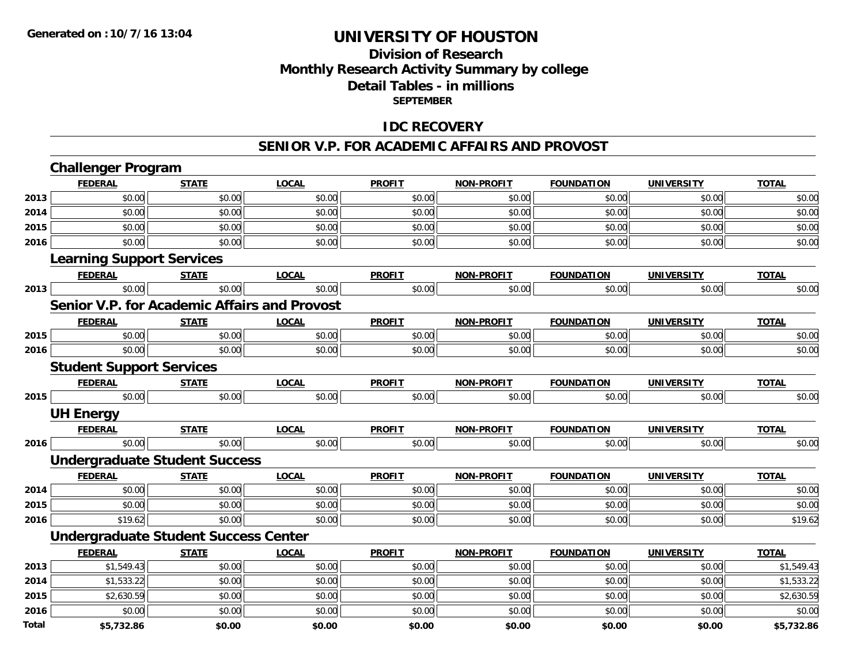### **Division of ResearchMonthly Research Activity Summary by college Detail Tables - in millions SEPTEMBER**

#### **IDC RECOVERY**

#### **SENIOR V.P. FOR ACADEMIC AFFAIRS AND PROVOST**

|              | <b>Challenger Program</b>                           |              |              |               |                   |                   |                   |              |
|--------------|-----------------------------------------------------|--------------|--------------|---------------|-------------------|-------------------|-------------------|--------------|
|              | <b>FEDERAL</b>                                      | <b>STATE</b> | <b>LOCAL</b> | <b>PROFIT</b> | <b>NON-PROFIT</b> | <b>FOUNDATION</b> | <b>UNIVERSITY</b> | <b>TOTAL</b> |
| 2013         | \$0.00                                              | \$0.00       | \$0.00       | \$0.00        | \$0.00            | \$0.00            | \$0.00            | \$0.00       |
| 2014         | \$0.00                                              | \$0.00       | \$0.00       | \$0.00        | \$0.00            | \$0.00            | \$0.00            | \$0.00       |
| 2015         | \$0.00                                              | \$0.00       | \$0.00       | \$0.00        | \$0.00            | \$0.00            | \$0.00            | \$0.00       |
| 2016         | \$0.00                                              | \$0.00       | \$0.00       | \$0.00        | \$0.00            | \$0.00            | \$0.00            | \$0.00       |
|              | <b>Learning Support Services</b>                    |              |              |               |                   |                   |                   |              |
|              | <b>FEDERAL</b>                                      | <b>STATE</b> | <b>LOCAL</b> | <b>PROFIT</b> | <b>NON-PROFIT</b> | <b>FOUNDATION</b> | <b>UNIVERSITY</b> | <b>TOTAL</b> |
| 2013         | \$0.00                                              | \$0.00       | \$0.00       | \$0.00        | \$0.00            | \$0.00            | \$0.00            | \$0.00       |
|              | <b>Senior V.P. for Academic Affairs and Provost</b> |              |              |               |                   |                   |                   |              |
|              | <b>FEDERAL</b>                                      | <b>STATE</b> | <b>LOCAL</b> | <b>PROFIT</b> | <b>NON-PROFIT</b> | <b>FOUNDATION</b> | <b>UNIVERSITY</b> | <b>TOTAL</b> |
| 2015         | \$0.00                                              | \$0.00       | \$0.00       | \$0.00        | \$0.00            | \$0.00            | \$0.00            | \$0.00       |
| 2016         | \$0.00                                              | \$0.00       | \$0.00       | \$0.00        | \$0.00            | \$0.00            | \$0.00            | \$0.00       |
|              | <b>Student Support Services</b>                     |              |              |               |                   |                   |                   |              |
|              | <b>FEDERAL</b>                                      | <b>STATE</b> | <b>LOCAL</b> | <b>PROFIT</b> | <b>NON-PROFIT</b> | <b>FOUNDATION</b> | <b>UNIVERSITY</b> | <b>TOTAL</b> |
| 2015         | \$0.00                                              | \$0.00       | \$0.00       | \$0.00        | \$0.00            | \$0.00            | \$0.00            | \$0.00       |
|              | <b>UH Energy</b>                                    |              |              |               |                   |                   |                   |              |
|              | <b>FEDERAL</b>                                      | <b>STATE</b> | <b>LOCAL</b> | <b>PROFIT</b> | <b>NON-PROFIT</b> | <b>FOUNDATION</b> | <b>UNIVERSITY</b> | <b>TOTAL</b> |
| 2016         | \$0.00                                              | \$0.00       | \$0.00       | \$0.00        | \$0.00            | \$0.00            | \$0.00            | \$0.00       |
|              | <b>Undergraduate Student Success</b>                |              |              |               |                   |                   |                   |              |
|              | <b>FEDERAL</b>                                      | <b>STATE</b> | <b>LOCAL</b> | <b>PROFIT</b> | <b>NON-PROFIT</b> | <b>FOUNDATION</b> | <b>UNIVERSITY</b> | <b>TOTAL</b> |
| 2014         | \$0.00                                              | \$0.00       | \$0.00       | \$0.00        | \$0.00            | \$0.00            | \$0.00            | \$0.00       |
| 2015         | \$0.00                                              | \$0.00       | \$0.00       | \$0.00        | \$0.00            | \$0.00            | \$0.00            | \$0.00       |
| 2016         | \$19.62                                             | \$0.00       | \$0.00       | \$0.00        | \$0.00            | \$0.00            | \$0.00            | \$19.62      |
|              | <b>Undergraduate Student Success Center</b>         |              |              |               |                   |                   |                   |              |
|              | <b>FEDERAL</b>                                      | <b>STATE</b> | <b>LOCAL</b> | <b>PROFIT</b> | <b>NON-PROFIT</b> | <b>FOUNDATION</b> | <b>UNIVERSITY</b> | <b>TOTAL</b> |
| 2013         | \$1,549.43                                          | \$0.00       | \$0.00       | \$0.00        | \$0.00            | \$0.00            | \$0.00            | \$1,549.43   |
| 2014         | \$1,533.22                                          | \$0.00       | \$0.00       | \$0.00        | \$0.00            | \$0.00            | \$0.00            | \$1,533.22   |
| 2015         | \$2,630.59                                          | \$0.00       | \$0.00       | \$0.00        | \$0.00            | \$0.00            | \$0.00            | \$2,630.59   |
| 2016         | \$0.00                                              | \$0.00       | \$0.00       | \$0.00        | \$0.00            | \$0.00            | \$0.00            | \$0.00       |
| <b>Total</b> | \$5,732.86                                          | \$0.00       | \$0.00       | \$0.00        | \$0.00            | \$0.00            | \$0.00            | \$5,732.86   |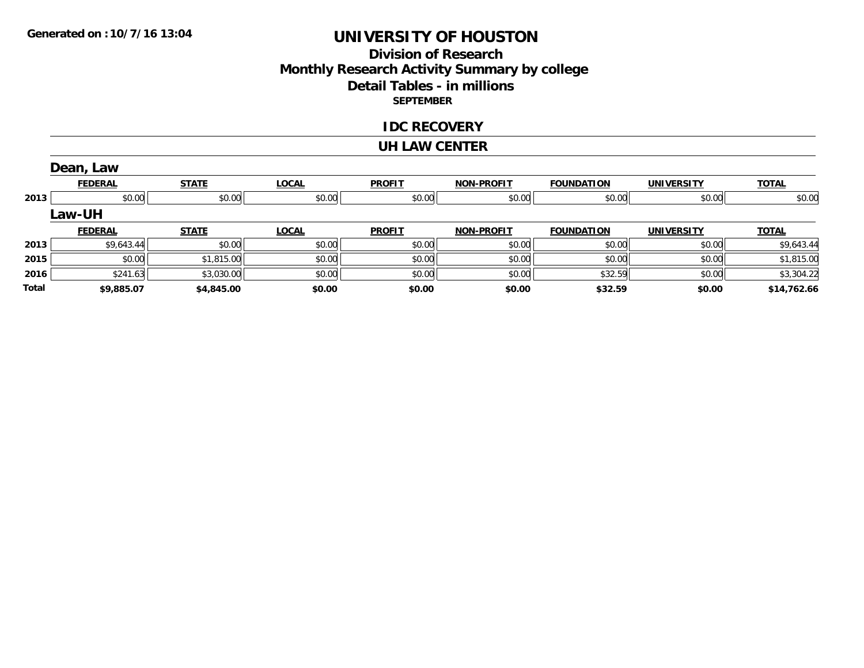### **Division of Research Monthly Research Activity Summary by college Detail Tables - in millions SEPTEMBER**

#### **IDC RECOVERY**

#### **UH LAW CENTER**

|              | Dean, Law      |              |              |               |                   |                   |                   |              |
|--------------|----------------|--------------|--------------|---------------|-------------------|-------------------|-------------------|--------------|
|              | <b>FEDERAL</b> | <b>STATE</b> | <b>LOCAL</b> | <b>PROFIT</b> | <b>NON-PROFIT</b> | <b>FOUNDATION</b> | <b>UNIVERSITY</b> | <b>TOTAL</b> |
| 2013         | \$0.00         | \$0.00       | \$0.00       | \$0.00        | \$0.00            | \$0.00            | \$0.00            | \$0.00       |
|              | Law-UH         |              |              |               |                   |                   |                   |              |
|              | <b>FEDERAL</b> | <b>STATE</b> | <b>LOCAL</b> | <b>PROFIT</b> | <b>NON-PROFIT</b> | <b>FOUNDATION</b> | <b>UNIVERSITY</b> | <b>TOTAL</b> |
| 2013         | \$9,643.44     | \$0.00       | \$0.00       | \$0.00        | \$0.00            | \$0.00            | \$0.00            | \$9,643.44   |
| 2015         | \$0.00         | \$1,815.00   | \$0.00       | \$0.00        | \$0.00            | \$0.00            | \$0.00            | \$1,815.00   |
| 2016         | \$241.63       | \$3,030.00   | \$0.00       | \$0.00        | \$0.00            | \$32.59           | \$0.00            | \$3,304.22   |
| <b>Total</b> | \$9,885.07     | \$4,845.00   | \$0.00       | \$0.00        | \$0.00            | \$32.59           | \$0.00            | \$14,762.66  |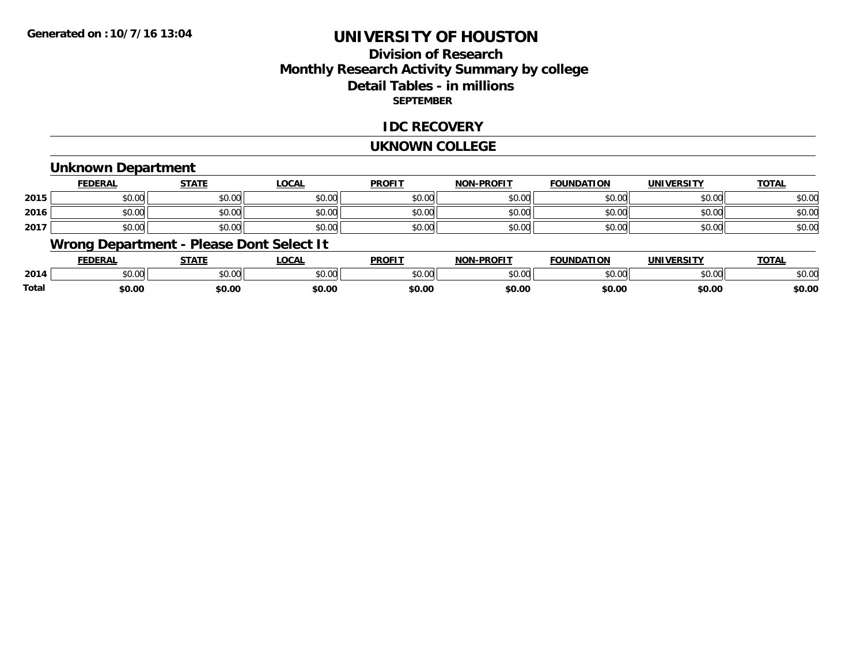### **Division of ResearchMonthly Research Activity Summary by college Detail Tables - in millions SEPTEMBER**

#### **IDC RECOVERY**

#### **UKNOWN COLLEGE**

#### **Unknown Department**

|      | FEDERAL | <b>STATE</b> | <u>LOCAI</u> | <b>PROFIT</b> | <b>NON-PROFIT</b> | <b>FOUNDATION</b> | <b>UNIVERSITY</b> | <b>TOTAL</b> |
|------|---------|--------------|--------------|---------------|-------------------|-------------------|-------------------|--------------|
| 2015 | \$0.00  | \$0.00       | \$0.00       | \$0.00        | ደሰ ሰሰ<br>JU.UU    | \$0.00            | \$0.00            | \$0.00       |
| 2016 | \$0.00  | \$0.00       | \$0.00       | \$0.00        | ku uy<br>ง∪.∪บ    | \$0.00            | \$0.00            | \$0.00       |
| 2017 | \$0.00  | \$0.00       | \$0.00       | \$0.00        | \$0.00            | \$0.00            | \$0.00            | \$0.00       |

### **Wrong Department - Please Dont Select It**

|       | <b>FEDERAI</b>    | STATE            | .OCAL          | <b>PROFIT</b> | <b>-PROFIT</b><br>א∩מ | <b>FOUNDATION</b> | UNIVERSITY<br>13. J L | <b>TOTAL</b> |
|-------|-------------------|------------------|----------------|---------------|-----------------------|-------------------|-----------------------|--------------|
| 2014  | $\cdots$<br>JU.UU | nn nn<br>- JU.UU | 0.00<br>JU.UU. | \$0.00        | $\sim$ 00<br>DU.UU    | \$0.00            | \$0.00                | \$0.OC       |
| Total | \$0.00            | \$0.00           | \$0.00         | \$0.00        | \$0.00                | \$0.00            | \$0.00                | \$0.00       |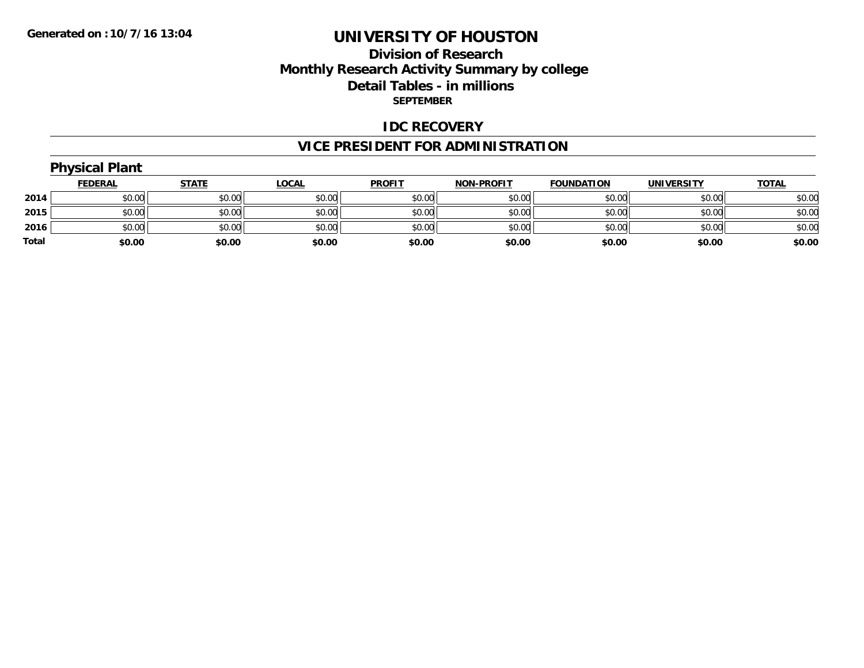### **Division of Research Monthly Research Activity Summary by college Detail Tables - in millions SEPTEMBER**

#### **IDC RECOVERY**

# **VICE PRESIDENT FOR ADMINISTRATION**

# **Physical Plant**

|       | <b>FEDERAL</b> | <b>STATE</b> | <u>LOCAL</u> | <b>PROFIT</b> | <b>NON-PROFIT</b> | <b>FOUNDATION</b> | <b>UNIVERSITY</b> | <b>TOTAL</b> |
|-------|----------------|--------------|--------------|---------------|-------------------|-------------------|-------------------|--------------|
| 2014  | \$0.00         | \$0.00       | \$0.00       | \$0.00        | \$0.00            | \$0.00            | \$0.00            | \$0.00       |
| 2015  | \$0.00         | \$0.00       | \$0.00       | \$0.00        | \$0.00            | \$0.00            | \$0.00            | \$0.00       |
| 2016  | \$0.00         | \$0.00       | \$0.00       | \$0.00        | \$0.00            | \$0.00            | \$0.00            | \$0.00       |
| Total | \$0.00         | \$0.00       | \$0.00       | \$0.00        | \$0.00            | \$0.00            | \$0.00            | \$0.00       |